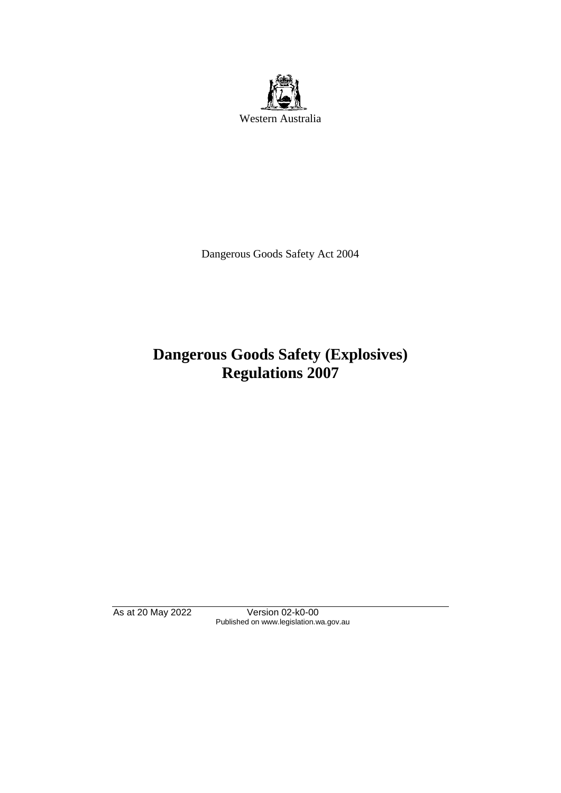

Dangerous Goods Safety Act 2004

# **Dangerous Goods Safety (Explosives) Regulations 2007**

As at 20 May 2022 Version 02-k0-00 Published on www.legislation.wa.gov.au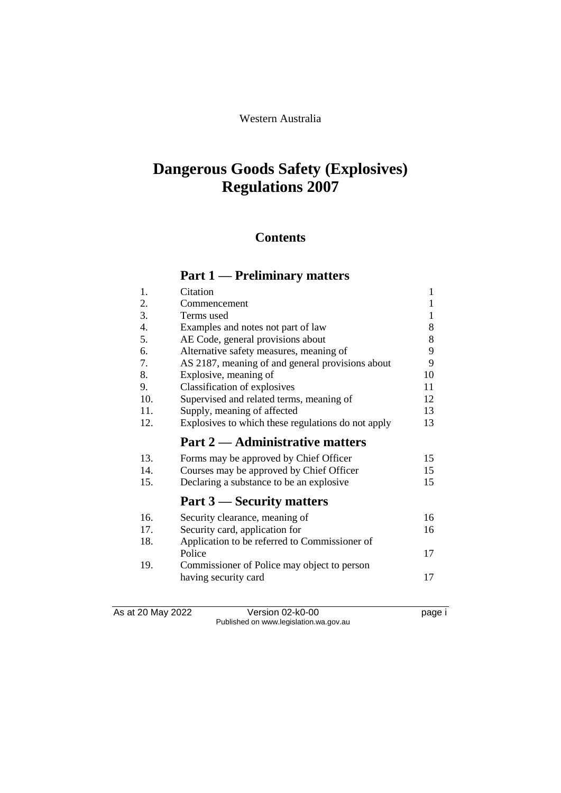#### Western Australia

# **Dangerous Goods Safety (Explosives) Regulations 2007**

## **Contents**

## **Part 1 — Preliminary matters**

| 1.  | Citation                                           | 1  |
|-----|----------------------------------------------------|----|
| 2.  | Commencement                                       | 1  |
| 3.  | Terms used                                         | 1  |
| 4.  | Examples and notes not part of law                 | 8  |
| 5.  | AE Code, general provisions about                  | 8  |
| 6.  | Alternative safety measures, meaning of            | 9  |
| 7.  | AS 2187, meaning of and general provisions about   | 9  |
| 8.  | Explosive, meaning of                              | 10 |
| 9.  | Classification of explosives                       | 11 |
| 10. | Supervised and related terms, meaning of           | 12 |
| 11. | Supply, meaning of affected                        | 13 |
| 12. | Explosives to which these regulations do not apply | 13 |
|     | <b>Part 2 — Administrative matters</b>             |    |
| 13. | Forms may be approved by Chief Officer             | 15 |
| 14. | Courses may be approved by Chief Officer           | 15 |
| 15. | Declaring a substance to be an explosive           | 15 |
|     | Part 3 — Security matters                          |    |
| 16. | Security clearance, meaning of                     | 16 |
| 17. | Security card, application for                     | 16 |
| 18. | Application to be referred to Commissioner of      |    |
|     | Police                                             | 17 |
| 19. | Commissioner of Police may object to person        |    |
|     |                                                    | 17 |
|     | having security card                               |    |

As at 20 May 2022 Version 02-k0-00 Page i Published on www.legislation.wa.gov.au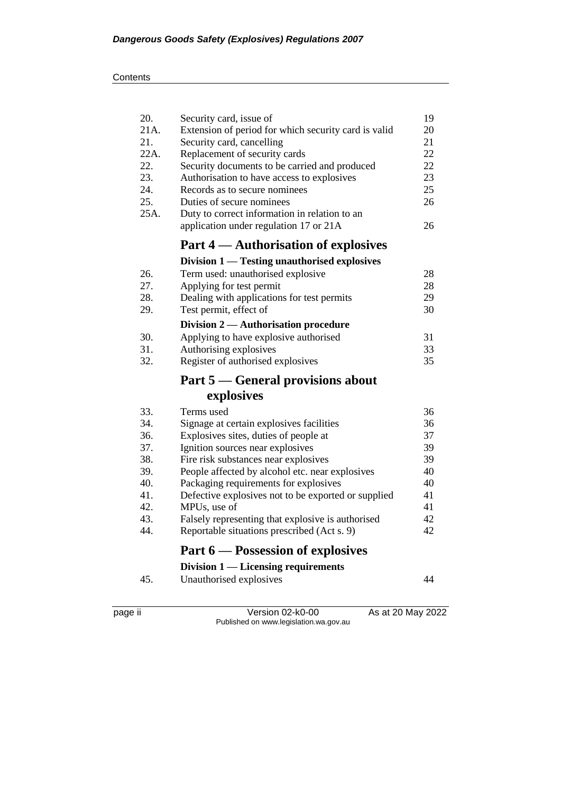#### **Contents**

| 20.  | Security card, issue of                              | 19 |
|------|------------------------------------------------------|----|
| 21A. | Extension of period for which security card is valid | 20 |
| 21.  | Security card, cancelling                            | 21 |
| 22A. | Replacement of security cards                        | 22 |
| 22.  | Security documents to be carried and produced        | 22 |
| 23.  | Authorisation to have access to explosives           | 23 |
| 24.  | Records as to secure nominees                        | 25 |
| 25.  | Duties of secure nominees                            | 26 |
| 25A. | Duty to correct information in relation to an        |    |
|      | application under regulation 17 or 21A               | 26 |
|      | Part 4 — Authorisation of explosives                 |    |
|      | Division 1 — Testing unauthorised explosives         |    |
| 26.  | Term used: unauthorised explosive                    | 28 |
| 27.  | Applying for test permit                             | 28 |
| 28.  | Dealing with applications for test permits           | 29 |
| 29.  | Test permit, effect of                               | 30 |
|      | Division 2 — Authorisation procedure                 |    |
| 30.  | Applying to have explosive authorised                | 31 |
| 31.  | Authorising explosives                               | 33 |
| 32.  | Register of authorised explosives                    | 35 |
|      | Part 5 — General provisions about                    |    |
|      | explosives                                           |    |
| 33.  | Terms used                                           | 36 |
| 34.  | Signage at certain explosives facilities             | 36 |
| 36.  | Explosives sites, duties of people at                | 37 |
| 37.  | Ignition sources near explosives                     | 39 |
| 38.  | Fire risk substances near explosives                 | 39 |
| 39.  | People affected by alcohol etc. near explosives      | 40 |
| 40.  | Packaging requirements for explosives                | 40 |
| 41.  | Defective explosives not to be exported or supplied  | 41 |
| 42.  | MPUs, use of                                         | 41 |
| 43.  | Falsely representing that explosive is authorised    | 42 |
| 44.  | Reportable situations prescribed (Act s. 9)          | 42 |
|      | Part 6 — Possession of explosives                    |    |
|      | Division 1 — Licensing requirements                  |    |
| 45.  | Unauthorised explosives                              | 44 |
|      |                                                      |    |

page ii Version 02-k0-00 As at 20 May 2022 Published on www.legislation.wa.gov.au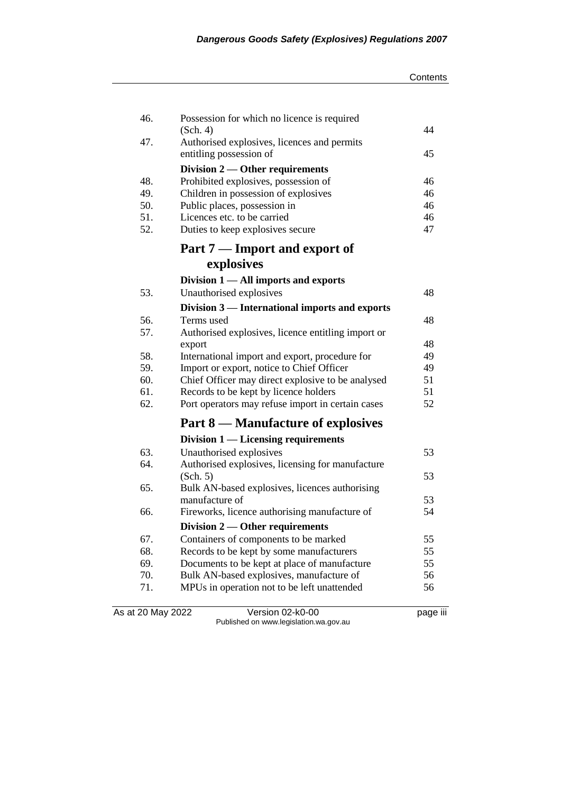| Contents |
|----------|
|----------|

| 46. | Possession for which no licence is required                            | 44 |
|-----|------------------------------------------------------------------------|----|
| 47. | (Sch. 4)                                                               |    |
|     | Authorised explosives, licences and permits<br>entitling possession of | 45 |
|     | Division 2 — Other requirements                                        |    |
| 48. | Prohibited explosives, possession of                                   | 46 |
| 49. | Children in possession of explosives                                   | 46 |
| 50. | Public places, possession in                                           | 46 |
| 51. | Licences etc. to be carried                                            | 46 |
| 52. | Duties to keep explosives secure                                       | 47 |
|     | Part 7 — Import and export of                                          |    |
|     | explosives                                                             |    |
|     | Division $1 -$ All imports and exports                                 |    |
| 53. | Unauthorised explosives                                                | 48 |
|     | Division 3 — International imports and exports                         |    |
| 56. | Terms used                                                             | 48 |
| 57. | Authorised explosives, licence entitling import or                     |    |
|     | export                                                                 | 48 |
| 58. | International import and export, procedure for                         | 49 |
| 59. | Import or export, notice to Chief Officer                              | 49 |
| 60. | Chief Officer may direct explosive to be analysed                      | 51 |
| 61. | Records to be kept by licence holders                                  | 51 |
| 62. | Port operators may refuse import in certain cases                      | 52 |
|     | Part 8 — Manufacture of explosives                                     |    |
|     | Division $1$ — Licensing requirements                                  |    |
| 63. | Unauthorised explosives                                                | 53 |
| 64. | Authorised explosives, licensing for manufacture                       |    |
|     | (Sch. 5)                                                               | 53 |
| 65. | Bulk AN-based explosives, licences authorising                         |    |
|     | manufacture of                                                         | 53 |
| 66. | Fireworks, licence authorising manufacture of                          | 54 |
|     | Division 2 — Other requirements                                        |    |
| 67. | Containers of components to be marked                                  | 55 |
| 68. | Records to be kept by some manufacturers                               | 55 |
| 69. | Documents to be kept at place of manufacture                           | 55 |
| 70. | Bulk AN-based explosives, manufacture of                               | 56 |
| 71. | MPUs in operation not to be left unattended                            | 56 |
|     |                                                                        |    |

As at 20 May 2022 Version 02-k0-00 page iii Published on www.legislation.wa.gov.au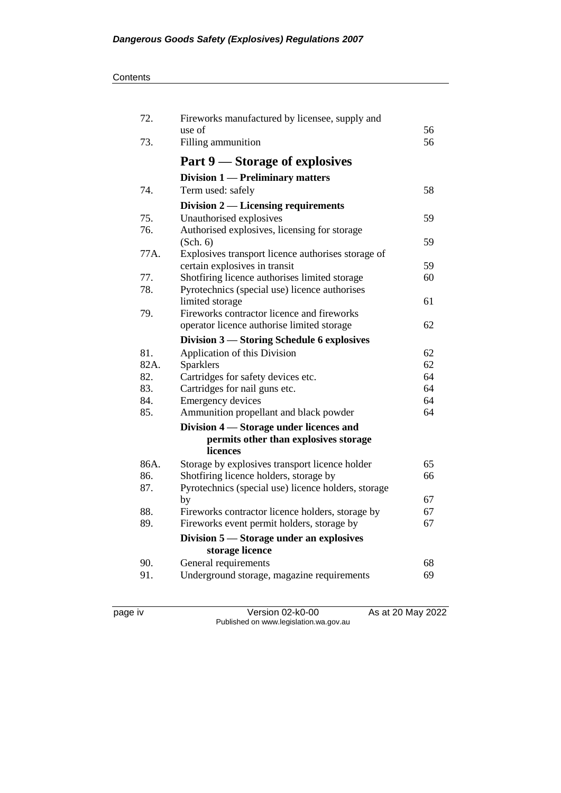#### **Contents**

| 72.  | Fireworks manufactured by licensee, supply and      |    |
|------|-----------------------------------------------------|----|
|      | use of                                              | 56 |
| 73.  | Filling ammunition                                  | 56 |
|      | Part 9 – Storage of explosives                      |    |
|      | Division 1 — Preliminary matters                    |    |
| 74.  | Term used: safely                                   | 58 |
|      | Division $2$ — Licensing requirements               |    |
| 75.  | Unauthorised explosives                             | 59 |
| 76.  | Authorised explosives, licensing for storage        |    |
|      | (Sch. 6)                                            | 59 |
| 77A. | Explosives transport licence authorises storage of  |    |
|      | certain explosives in transit                       | 59 |
| 77.  | Shotfiring licence authorises limited storage       | 60 |
| 78.  | Pyrotechnics (special use) licence authorises       |    |
|      | limited storage                                     | 61 |
| 79.  | Fireworks contractor licence and fireworks          |    |
|      | operator licence authorise limited storage          | 62 |
|      | Division 3 – Storing Schedule 6 explosives          |    |
| 81.  | Application of this Division                        | 62 |
| 82A. | Sparklers                                           | 62 |
| 82.  | Cartridges for safety devices etc.                  | 64 |
| 83.  | Cartridges for nail guns etc.                       | 64 |
| 84.  | <b>Emergency devices</b>                            | 64 |
| 85.  | Ammunition propellant and black powder              | 64 |
|      | Division 4 – Storage under licences and             |    |
|      | permits other than explosives storage               |    |
|      | licences                                            |    |
| 86A. | Storage by explosives transport licence holder      | 65 |
| 86.  | Shotfiring licence holders, storage by              | 66 |
| 87.  | Pyrotechnics (special use) licence holders, storage |    |
|      | by                                                  | 67 |
| 88.  | Fireworks contractor licence holders, storage by    | 67 |
| 89.  | Fireworks event permit holders, storage by          | 67 |
|      | Division 5 – Storage under an explosives            |    |
|      | storage licence                                     |    |
| 90.  | General requirements                                | 68 |
| 91.  | Underground storage, magazine requirements          | 69 |
|      |                                                     |    |

page iv Version 02-k0-00 As at 20 May 2022 Published on www.legislation.wa.gov.au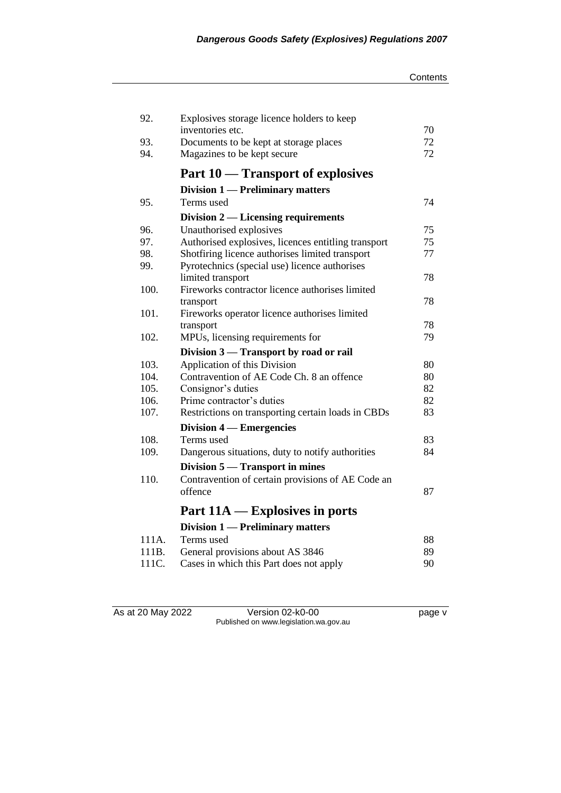| 92.            | Explosives storage licence holders to keep                                  |          |
|----------------|-----------------------------------------------------------------------------|----------|
|                | inventories etc.                                                            | 70       |
| 93.            | Documents to be kept at storage places                                      | 72       |
| 94.            | Magazines to be kept secure                                                 | 72       |
|                | Part 10 – Transport of explosives                                           |          |
|                | Division 1 — Preliminary matters                                            |          |
| 95.            | Terms used                                                                  | 74       |
|                | Division $2$ — Licensing requirements                                       |          |
| 96.            | Unauthorised explosives                                                     | 75       |
| 97.            | Authorised explosives, licences entitling transport                         | 75       |
| 98.            | Shotfiring licence authorises limited transport                             | 77       |
| 99.            | Pyrotechnics (special use) licence authorises                               |          |
|                | limited transport                                                           | 78       |
| 100.           | Fireworks contractor licence authorises limited                             |          |
|                | transport                                                                   | 78       |
| 101.           | Fireworks operator licence authorises limited                               |          |
|                | transport                                                                   | 78       |
| 102.           | MPUs, licensing requirements for                                            | 79       |
|                | Division 3 – Transport by road or rail                                      |          |
| 103.           | Application of this Division                                                | 80       |
|                |                                                                             |          |
| 104.           | Contravention of AE Code Ch. 8 an offence                                   | 80       |
| 105.           | Consignor's duties                                                          | 82       |
| 106.           | Prime contractor's duties                                                   | 82       |
| 107.           | Restrictions on transporting certain loads in CBDs                          | 83       |
|                | Division 4 — Emergencies                                                    |          |
| 108.           | Terms used                                                                  | 83       |
| 109.           | Dangerous situations, duty to notify authorities                            | 84       |
|                |                                                                             |          |
| 110.           | Division 5 — Transport in mines                                             |          |
|                | Contravention of certain provisions of AE Code an<br>offence                | 87       |
|                | Part $11A -$ Explosives in ports                                            |          |
|                |                                                                             |          |
|                | Division 1 — Preliminary matters                                            |          |
| 111A.          | Terms used                                                                  | 88       |
| 111B.<br>111C. | General provisions about AS 3846<br>Cases in which this Part does not apply | 89<br>90 |

As at 20 May 2022 Version 02-k0-00 page v Published on www.legislation.wa.gov.au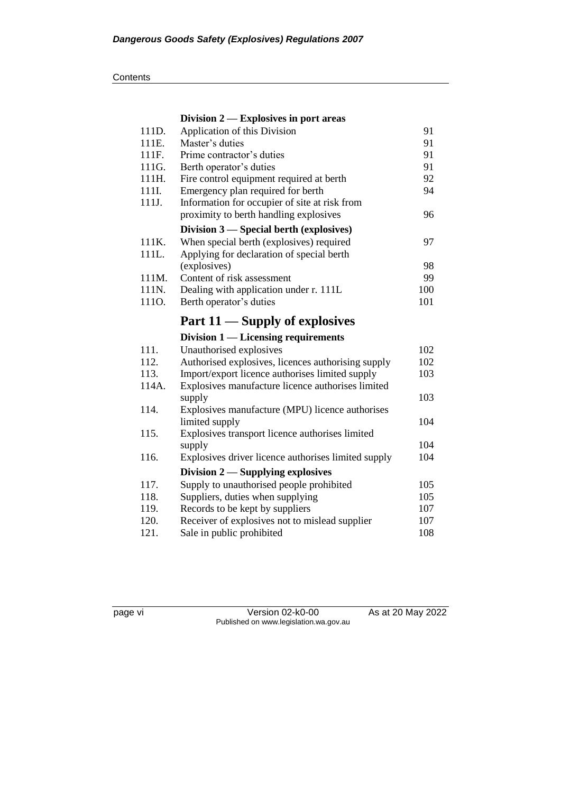#### **Contents**

|              | Division $2$ - Explosives in port areas                                                               |            |
|--------------|-------------------------------------------------------------------------------------------------------|------------|
| 111D.        | Application of this Division                                                                          | 91         |
| 111E.        | Master's duties                                                                                       | 91         |
| 111F.        | Prime contractor's duties                                                                             | 91         |
| 111G.        | Berth operator's duties                                                                               | 91         |
| 111H.        | Fire control equipment required at berth                                                              | 92         |
| 111I.        | Emergency plan required for berth                                                                     | 94         |
| 111J.        | Information for occupier of site at risk from                                                         |            |
|              | proximity to berth handling explosives                                                                | 96         |
|              | Division 3 — Special berth (explosives)                                                               |            |
| 111K.        | When special berth (explosives) required                                                              | 97         |
| 111L.        | Applying for declaration of special berth                                                             |            |
|              | (explosives)                                                                                          | 98         |
| 111M.        | Content of risk assessment                                                                            | 99         |
| 111N.        | Dealing with application under r. 111L                                                                | 100        |
| 1110.        | Berth operator's duties                                                                               | 101        |
|              | Part 11 — Supply of explosives                                                                        |            |
|              |                                                                                                       |            |
|              | Division $1$ — Licensing requirements                                                                 |            |
| 111.         |                                                                                                       | 102        |
| 112.         | Unauthorised explosives                                                                               | 102        |
| 113.         | Authorised explosives, licences authorising supply<br>Import/export licence authorises limited supply | 103        |
| 114A.        | Explosives manufacture licence authorises limited                                                     |            |
|              | supply                                                                                                | 103        |
| 114.         | Explosives manufacture (MPU) licence authorises                                                       |            |
|              | limited supply                                                                                        | 104        |
| 115.         | Explosives transport licence authorises limited                                                       |            |
|              | supply                                                                                                | 104        |
| 116.         | Explosives driver licence authorises limited supply                                                   | 104        |
|              | Division $2$ — Supplying explosives                                                                   |            |
| 117.         | Supply to unauthorised people prohibited                                                              | 105        |
| 118.         | Suppliers, duties when supplying                                                                      | 105        |
| 119.         | Records to be kept by suppliers                                                                       | 107        |
| 120.<br>121. | Receiver of explosives not to mislead supplier<br>Sale in public prohibited                           | 107<br>108 |

page vi Version 02-k0-00 As at 20 May 2022 Published on www.legislation.wa.gov.au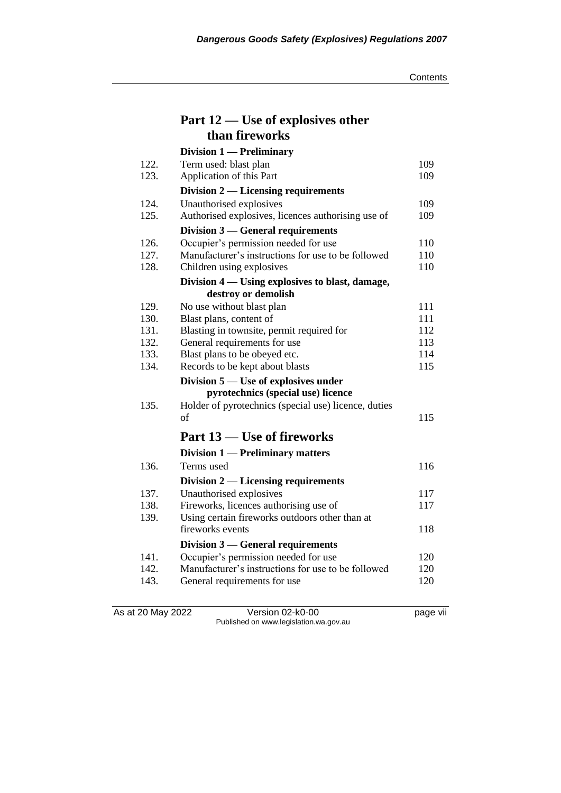**Contents** 

|              | Part 12 — Use of explosives other                                          |            |
|--------------|----------------------------------------------------------------------------|------------|
|              | than fireworks                                                             |            |
|              | Division 1 - Preliminary                                                   |            |
| 122.         | Term used: blast plan                                                      | 109        |
| 123.         | Application of this Part                                                   | 109        |
|              | Division $2$ — Licensing requirements                                      |            |
| 124.         | Unauthorised explosives                                                    | 109        |
| 125.         | Authorised explosives, licences authorising use of                         | 109        |
|              | Division $3$ — General requirements                                        |            |
| 126.         | Occupier's permission needed for use                                       | 110        |
| 127.         | Manufacturer's instructions for use to be followed                         | 110        |
| 128.         | Children using explosives                                                  | 110        |
|              | Division 4 — Using explosives to blast, damage,                            |            |
|              | destroy or demolish                                                        |            |
| 129.         | No use without blast plan                                                  | 111        |
| 130.         | Blast plans, content of                                                    | 111        |
| 131.         | Blasting in townsite, permit required for                                  | 112        |
| 132.         | General requirements for use                                               | 113        |
| 133.<br>134. | Blast plans to be obeyed etc.                                              | 114<br>115 |
|              | Records to be kept about blasts                                            |            |
|              | Division 5 — Use of explosives under<br>pyrotechnics (special use) licence |            |
| 135.         | Holder of pyrotechnics (special use) licence, duties                       |            |
|              | of                                                                         | 115        |
|              |                                                                            |            |
|              | Part 13 – Use of fireworks                                                 |            |
|              | <b>Division 1 — Preliminary matters</b>                                    |            |
| 136.         | Terms used                                                                 | 116        |
|              | Division $2$ — Licensing requirements                                      |            |
| 137.         | Unauthorised explosives                                                    | 117        |
| 138.         | Fireworks, licences authorising use of                                     | 117        |
| 139.         | Using certain fireworks outdoors other than at                             |            |
|              | fireworks events                                                           | 118        |
|              | Division 3 — General requirements                                          |            |
| 141.         | Occupier's permission needed for use                                       | 120        |
| 142.         | Manufacturer's instructions for use to be followed                         | 120        |
| 143.         | General requirements for use                                               | 120        |
|              |                                                                            |            |

As at 20 May 2022 Version 02-k0-00 page vii Published on www.legislation.wa.gov.au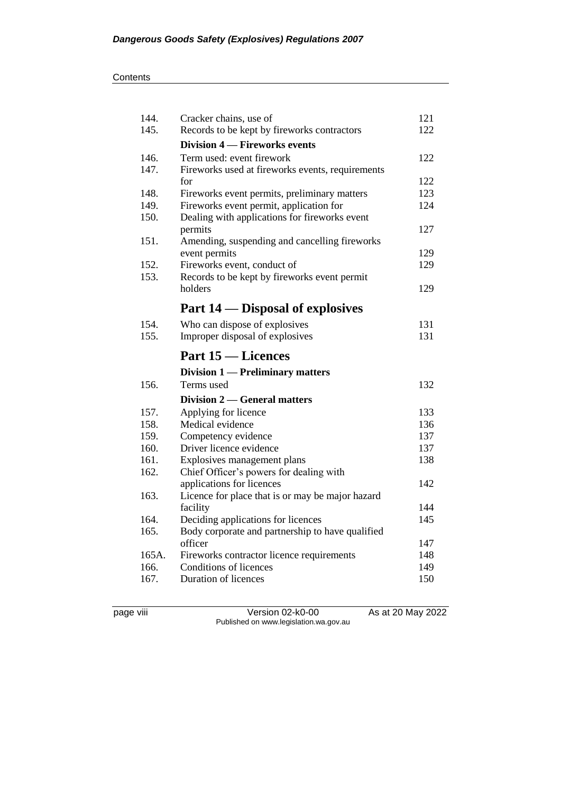| 144.         | Cracker chains, use of                           | 121        |
|--------------|--------------------------------------------------|------------|
| 145.         | Records to be kept by fireworks contractors      | 122        |
|              | Division 4 – Fireworks events                    |            |
| 146.         | Term used: event firework                        | 122        |
| 147.         | Fireworks used at fireworks events, requirements |            |
|              | for                                              | 122        |
| 148.         | Fireworks event permits, preliminary matters     | 123        |
| 149.         | Fireworks event permit, application for          | 124        |
| 150.         | Dealing with applications for fireworks event    |            |
|              | permits                                          | 127        |
| 151.         | Amending, suspending and cancelling fireworks    |            |
|              | event permits                                    | 129        |
| 152.         | Fireworks event, conduct of                      | 129        |
| 153.         | Records to be kept by fireworks event permit     |            |
|              | holders                                          | 129        |
|              | Part 14 — Disposal of explosives                 |            |
| 154.         | Who can dispose of explosives                    | 131        |
| 155.         | Improper disposal of explosives                  | 131        |
|              |                                                  |            |
|              | <b>Part 15 – Licences</b>                        |            |
|              | <b>Division 1 — Preliminary matters</b>          |            |
| 156.         | Terms used                                       | 132        |
|              | Division 2 — General matters                     |            |
| 157.         |                                                  | 133        |
| 158.         | Applying for licence<br>Medical evidence         | 136        |
| 159.         | Competency evidence                              | 137        |
| 160.         | Driver licence evidence                          | 137        |
| 161.         | Explosives management plans                      | 138        |
| 162.         | Chief Officer's powers for dealing with          |            |
|              | applications for licences                        | 142        |
| 163.         | Licence for place that is or may be major hazard |            |
|              | facility                                         | 144        |
| 164.         | Deciding applications for licences               | 145        |
| 165.         | Body corporate and partnership to have qualified |            |
|              | officer                                          | 147        |
| 165A.        | Fireworks contractor licence requirements        | 148        |
| 166.<br>167. | Conditions of licences<br>Duration of licences   | 149<br>150 |

page viii Version 02-k0-00 As at 20 May 2022 Published on www.legislation.wa.gov.au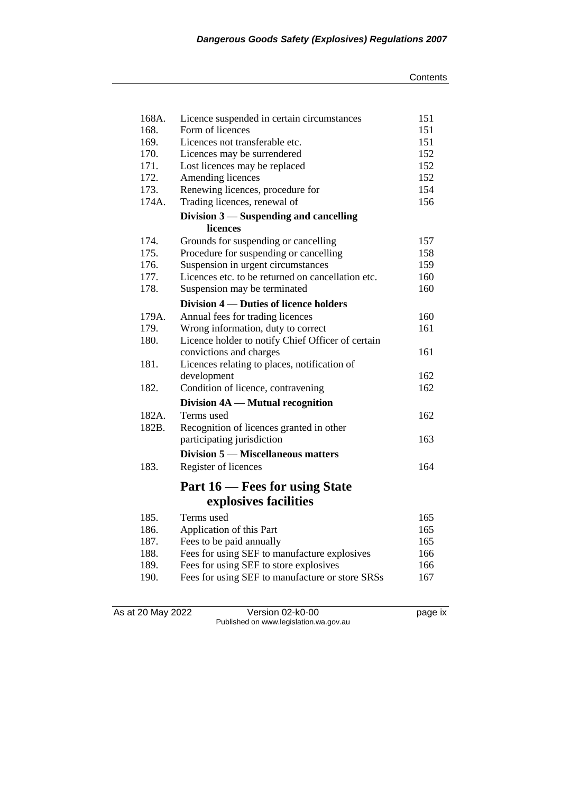| 168A. | Licence suspended in certain circumstances        | 151 |
|-------|---------------------------------------------------|-----|
| 168.  | Form of licences                                  | 151 |
| 169.  | Licences not transferable etc.                    | 151 |
| 170.  | Licences may be surrendered                       | 152 |
| 171.  | Lost licences may be replaced                     | 152 |
| 172.  | Amending licences                                 | 152 |
| 173.  | Renewing licences, procedure for                  | 154 |
| 174A. | Trading licences, renewal of                      | 156 |
|       | Division 3 – Suspending and cancelling            |     |
|       | licences                                          |     |
| 174.  | Grounds for suspending or cancelling              | 157 |
| 175.  | Procedure for suspending or cancelling            | 158 |
| 176.  | Suspension in urgent circumstances                | 159 |
| 177.  | Licences etc. to be returned on cancellation etc. | 160 |
| 178.  | Suspension may be terminated                      | 160 |
|       | Division 4 – Duties of licence holders            |     |
| 179A. | Annual fees for trading licences                  | 160 |
| 179.  | Wrong information, duty to correct                | 161 |
| 180.  | Licence holder to notify Chief Officer of certain |     |
|       | convictions and charges                           | 161 |
| 181.  | Licences relating to places, notification of      |     |
|       | development                                       | 162 |
| 182.  | Condition of licence, contravening                | 162 |
|       | Division 4A — Mutual recognition                  |     |
| 182A. | Terms used                                        | 162 |
| 182B. | Recognition of licences granted in other          |     |
|       | participating jurisdiction                        | 163 |
|       | Division 5 — Miscellaneous matters                |     |
| 183.  | Register of licences                              | 164 |
|       |                                                   |     |
|       | Part 16 – Fees for using State                    |     |
|       | explosives facilities                             |     |
| 185.  | Terms used                                        | 165 |
| 186.  | Application of this Part                          | 165 |
| 187.  | Fees to be paid annually                          | 165 |
| 188.  | Fees for using SEF to manufacture explosives      | 166 |
| 189.  | Fees for using SEF to store explosives            | 166 |
| 190.  | Fees for using SEF to manufacture or store SRSs   | 167 |

As at 20 May 2022 Version 02-k0-00 page ix Published on www.legislation.wa.gov.au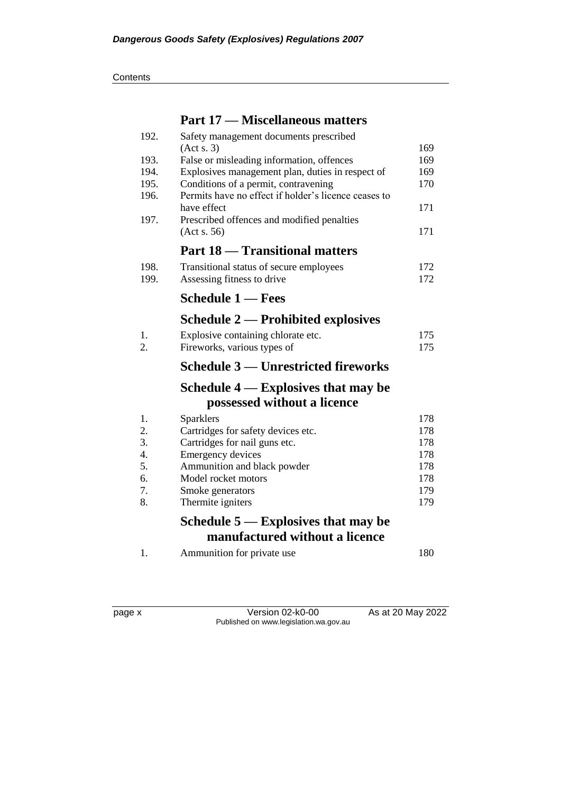## **Part 17 — Miscellaneous matters**

| 192.             | Safety management documents prescribed               |     |
|------------------|------------------------------------------------------|-----|
|                  | (Acts. 3)                                            | 169 |
| 193.             | False or misleading information, offences            | 169 |
| 194.             | Explosives management plan, duties in respect of     | 169 |
| 195.             | Conditions of a permit, contravening                 | 170 |
| 196.             | Permits have no effect if holder's licence ceases to |     |
|                  | have effect                                          | 171 |
| 197.             | Prescribed offences and modified penalties           |     |
|                  | (Acts. 56)                                           | 171 |
|                  | <b>Part 18 - Transitional matters</b>                |     |
| 198.             | Transitional status of secure employees              | 172 |
| 199.             | Assessing fitness to drive                           | 172 |
|                  | <b>Schedule 1 — Fees</b>                             |     |
|                  | <b>Schedule 2 — Prohibited explosives</b>            |     |
| 1.               | Explosive containing chlorate etc.                   | 175 |
| 2.               | Fireworks, various types of                          | 175 |
|                  | Schedule 3 — Unrestricted fireworks                  |     |
|                  | Schedule $4$ — Explosives that may be                |     |
|                  | possessed without a licence                          |     |
| 1.               | Sparklers                                            | 178 |
| 2.               | Cartridges for safety devices etc.                   | 178 |
| 3.               | Cartridges for nail guns etc.                        | 178 |
| $\overline{4}$ . | Emergency devices                                    | 178 |
| 5.               | Ammunition and black powder                          | 178 |
| 6.               | Model rocket motors                                  | 178 |
| 7.               | Smoke generators                                     | 179 |
| 8.               | Thermite igniters                                    | 179 |
|                  | Schedule $5$ — Explosives that may be                |     |
|                  | manufactured without a licence                       |     |
|                  |                                                      |     |

| Ammunition for private use | 180 |
|----------------------------|-----|
|                            |     |

page x Version 02-k0-00 As at 20 May 2022 Published on www.legislation.wa.gov.au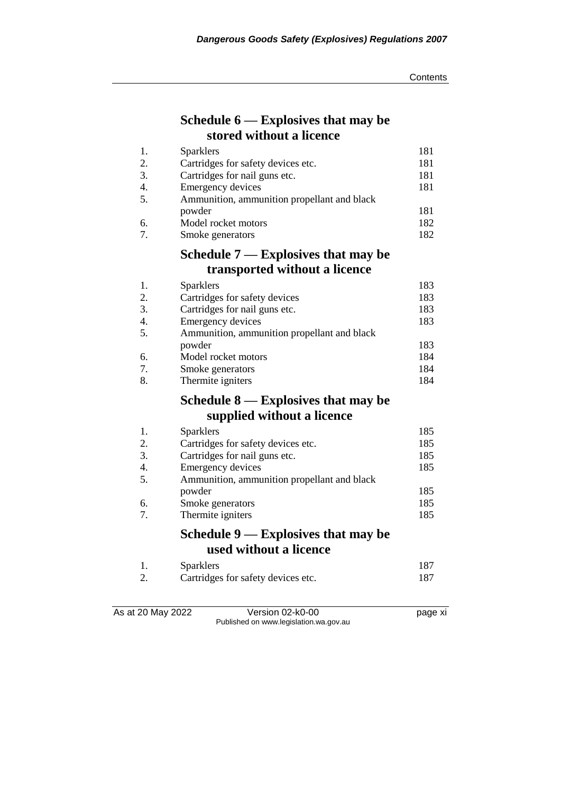## **Schedule 6 — Explosives that may be stored without a licence**

| 1.               | <b>Sparklers</b>                            | 181 |
|------------------|---------------------------------------------|-----|
| 2.               | Cartridges for safety devices etc.          | 181 |
| 3.               | Cartridges for nail guns etc.               | 181 |
| 4.               | Emergency devices                           | 181 |
| 5.               | Ammunition, ammunition propellant and black |     |
|                  | powder                                      | 181 |
| 6.               | Model rocket motors                         | 182 |
| 7.               | Smoke generators                            | 182 |
|                  | Schedule $7$ — Explosives that may be       |     |
|                  | transported without a licence               |     |
| 1.               | Sparklers                                   | 183 |
| 2.               | Cartridges for safety devices               | 183 |
| 3.               | Cartridges for nail guns etc.               | 183 |
| 4.               | Emergency devices                           | 183 |
| 5.               | Ammunition, ammunition propellant and black |     |
|                  | powder                                      | 183 |
| 6.               | Model rocket motors                         | 184 |
| 7.               | Smoke generators                            | 184 |
| 8.               | Thermite igniters                           | 184 |
|                  | Schedule $8$ — Explosives that may be       |     |
|                  | supplied without a licence                  |     |
| 1.               | <b>Sparklers</b>                            | 185 |
| 2.               | Cartridges for safety devices etc.          | 185 |
| 3.               | Cartridges for nail guns etc.               | 185 |
| $\overline{4}$ . | Emergency devices                           | 185 |
| 5.               | Ammunition, ammunition propellant and black |     |

7. Thermite igniters

As at 20 May 2022 Version 02-k0-00 Page xi Published on www.legislation.wa.gov.au

powder 185

2. Cartridges for safety devices etc. 187

6. Smoke generators 185<br>
7. Thermite igniters 185

**Schedule 9 — Explosives that may be** 

1. Sparklers 187<br>2. Cartridges for safety devices etc. 187

**used without a licence**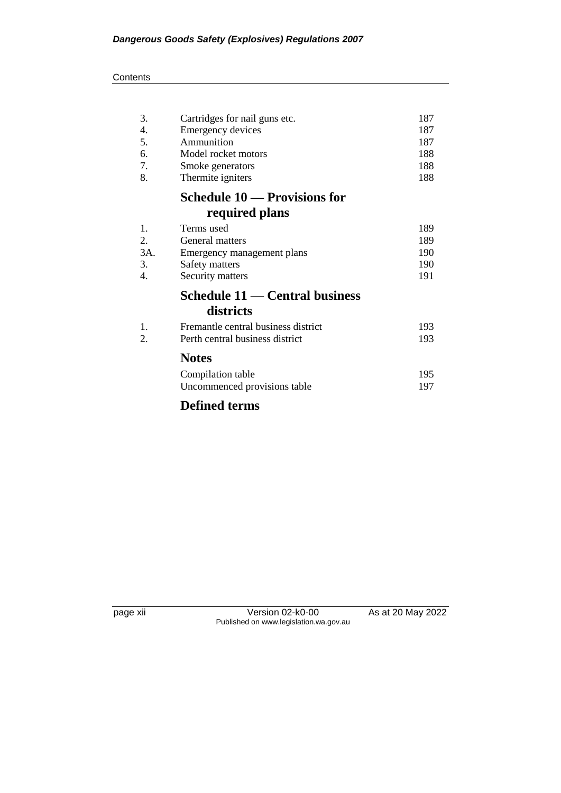#### **Contents**

| 3.  | Cartridges for nail guns etc.         | 187 |
|-----|---------------------------------------|-----|
| 4.  | Emergency devices                     | 187 |
| 5.  | Ammunition                            | 187 |
| 6.  | Model rocket motors                   | 188 |
| 7.  | Smoke generators                      | 188 |
| 8.  | Thermite igniters                     | 188 |
|     | Schedule 10 — Provisions for          |     |
|     | required plans                        |     |
| 1.  | Terms used                            | 189 |
| 2.  | General matters                       | 189 |
| 3A. | Emergency management plans            | 190 |
| 3.  | Safety matters                        | 190 |
| 4.  | Security matters                      | 191 |
|     | <b>Schedule 11 — Central business</b> |     |
|     | districts                             |     |
| 1.  | Fremantle central business district   | 193 |
| 2.  | Perth central business district       | 193 |
|     | <b>Notes</b>                          |     |
|     | Compilation table                     | 195 |
|     | Uncommenced provisions table          | 197 |
|     | <b>Defined terms</b>                  |     |

page xii Version 02-k0-00 As at 20 May 2022 Published on www.legislation.wa.gov.au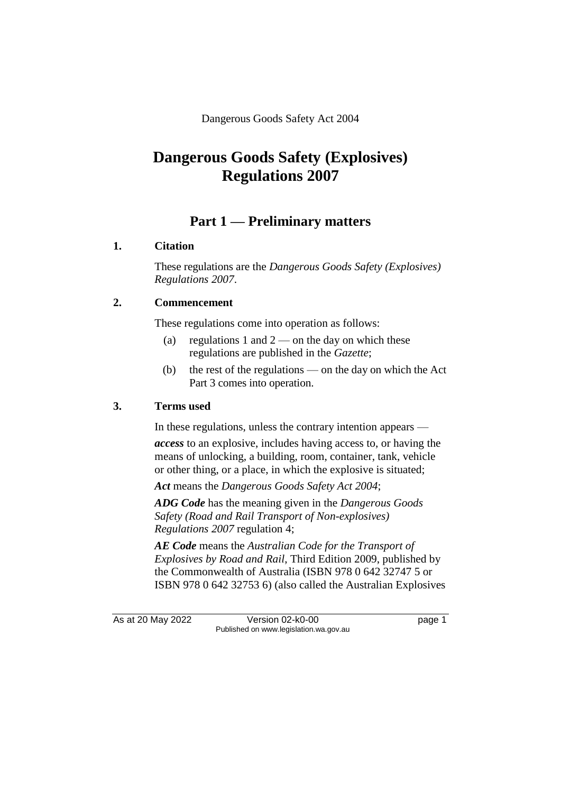Dangerous Goods Safety Act 2004

# **Dangerous Goods Safety (Explosives) Regulations 2007**

## **Part 1 — Preliminary matters**

#### **1. Citation**

These regulations are the *Dangerous Goods Safety (Explosives) Regulations 2007*.

### **2. Commencement**

These regulations come into operation as follows:

- (a) regulations 1 and  $2$  on the day on which these regulations are published in the *Gazette*;
- (b) the rest of the regulations on the day on which the Act Part 3 comes into operation.

#### **3. Terms used**

In these regulations, unless the contrary intention appears —

*access* to an explosive, includes having access to, or having the means of unlocking, a building, room, container, tank, vehicle or other thing, or a place, in which the explosive is situated;

*Act* means the *Dangerous Goods Safety Act 2004*;

*ADG Code* has the meaning given in the *Dangerous Goods Safety (Road and Rail Transport of Non-explosives) Regulations 2007* regulation 4;

*AE Code* means the *Australian Code for the Transport of Explosives by Road and Rail*, Third Edition 2009, published by the Commonwealth of Australia (ISBN 978 0 642 32747 5 or ISBN 978 0 642 32753 6) (also called the Australian Explosives

As at 20 May 2022 Version 02-k0-00 Page 1 Published on www.legislation.wa.gov.au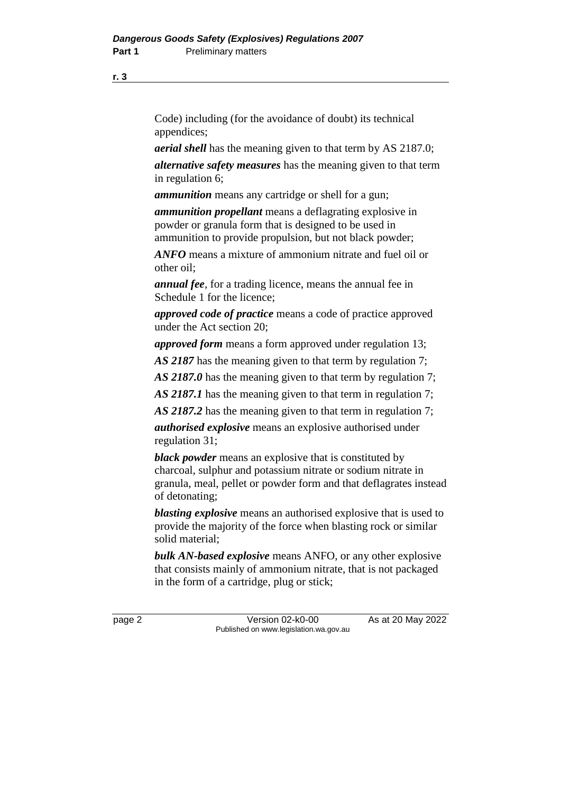Code) including (for the avoidance of doubt) its technical appendices;

*aerial shell* has the meaning given to that term by AS 2187.0;

*alternative safety measures* has the meaning given to that term in regulation 6;

*ammunition* means any cartridge or shell for a gun;

*ammunition propellant* means a deflagrating explosive in powder or granula form that is designed to be used in ammunition to provide propulsion, but not black powder;

*ANFO* means a mixture of ammonium nitrate and fuel oil or other oil;

*annual fee*, for a trading licence, means the annual fee in Schedule 1 for the licence;

*approved code of practice* means a code of practice approved under the Act section 20;

*approved form* means a form approved under regulation 13;

*AS 2187* has the meaning given to that term by regulation 7;

*AS 2187.0* has the meaning given to that term by regulation 7;

*AS 2187.1* has the meaning given to that term in regulation 7;

*AS 2187.2* has the meaning given to that term in regulation 7;

*authorised explosive* means an explosive authorised under regulation 31;

*black powder* means an explosive that is constituted by charcoal, sulphur and potassium nitrate or sodium nitrate in granula, meal, pellet or powder form and that deflagrates instead of detonating;

*blasting explosive* means an authorised explosive that is used to provide the majority of the force when blasting rock or similar solid material;

*bulk AN-based explosive* means ANFO, or any other explosive that consists mainly of ammonium nitrate, that is not packaged in the form of a cartridge, plug or stick;

page 2 Version 02-k0-00 As at 20 May 2022 Published on www.legislation.wa.gov.au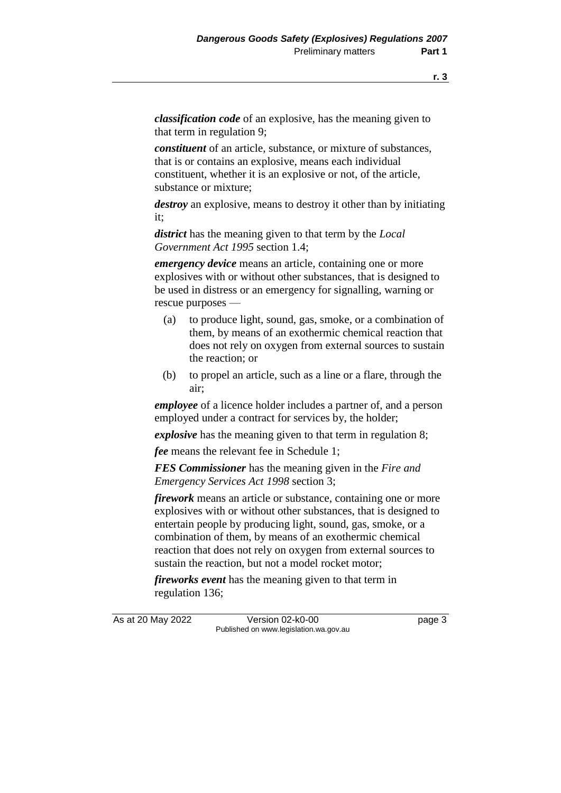*classification code* of an explosive, has the meaning given to that term in regulation 9;

*constituent* of an article, substance, or mixture of substances, that is or contains an explosive, means each individual constituent, whether it is an explosive or not, of the article, substance or mixture;

*destroy* an explosive, means to destroy it other than by initiating it;

*district* has the meaning given to that term by the *Local Government Act 1995* section 1.4;

*emergency device* means an article, containing one or more explosives with or without other substances, that is designed to be used in distress or an emergency for signalling, warning or rescue purposes —

- (a) to produce light, sound, gas, smoke, or a combination of them, by means of an exothermic chemical reaction that does not rely on oxygen from external sources to sustain the reaction; or
- (b) to propel an article, such as a line or a flare, through the air;

*employee* of a licence holder includes a partner of, and a person employed under a contract for services by, the holder;

*explosive* has the meaning given to that term in regulation 8;

*fee* means the relevant fee in Schedule 1;

*FES Commissioner* has the meaning given in the *Fire and Emergency Services Act 1998* section 3;

*firework* means an article or substance, containing one or more explosives with or without other substances, that is designed to entertain people by producing light, sound, gas, smoke, or a combination of them, by means of an exothermic chemical reaction that does not rely on oxygen from external sources to sustain the reaction, but not a model rocket motor;

*fireworks event* has the meaning given to that term in regulation 136;

As at 20 May 2022 Version 02-k0-00 Page 3 Published on www.legislation.wa.gov.au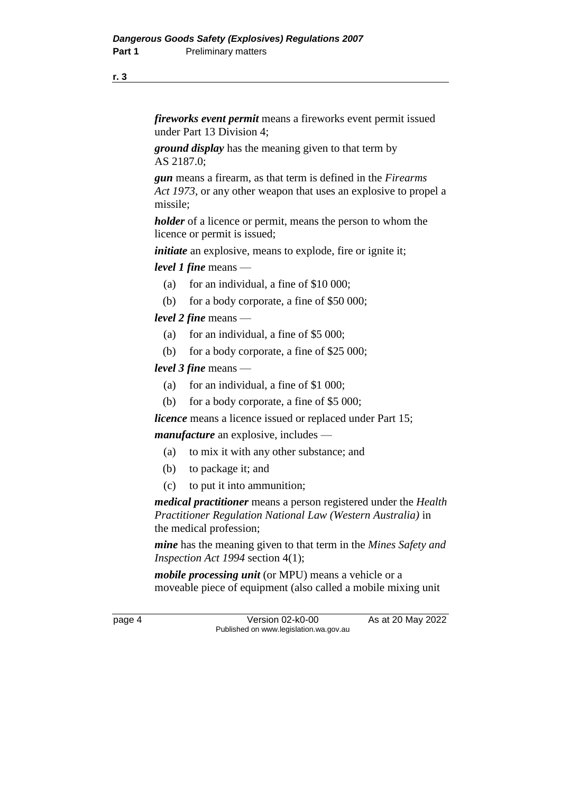*fireworks event permit* means a fireworks event permit issued under Part 13 Division 4;

*ground display* has the meaning given to that term by AS 2187.0;

*gun* means a firearm, as that term is defined in the *Firearms Act 1973*, or any other weapon that uses an explosive to propel a missile;

*holder* of a licence or permit, means the person to whom the licence or permit is issued;

*initiate* an explosive, means to explode, fire or ignite it;

*level 1 fine* means —

- (a) for an individual, a fine of  $$10,000$ ;
- (b) for a body corporate, a fine of \$50 000;

*level 2 fine* means —

- (a) for an individual, a fine of \$5 000;
- (b) for a body corporate, a fine of \$25 000;

*level 3 fine* means —

- (a) for an individual, a fine of \$1 000;
- (b) for a body corporate, a fine of \$5 000;

*licence* means a licence issued or replaced under Part 15;

*manufacture* an explosive, includes —

- (a) to mix it with any other substance; and
- (b) to package it; and
- (c) to put it into ammunition;

*medical practitioner* means a person registered under the *Health Practitioner Regulation National Law (Western Australia)* in the medical profession;

*mine* has the meaning given to that term in the *Mines Safety and Inspection Act 1994* section 4(1);

*mobile processing unit* (or MPU) means a vehicle or a moveable piece of equipment (also called a mobile mixing unit

page 4 Version 02-k0-00 As at 20 May 2022 Published on www.legislation.wa.gov.au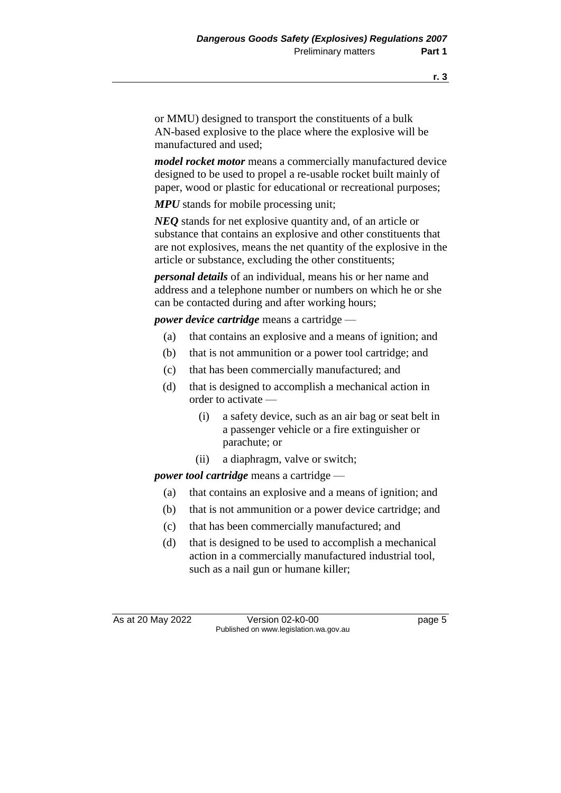or MMU) designed to transport the constituents of a bulk AN-based explosive to the place where the explosive will be manufactured and used;

*model rocket motor* means a commercially manufactured device designed to be used to propel a re-usable rocket built mainly of paper, wood or plastic for educational or recreational purposes;

*MPU* stands for mobile processing unit;

*NEQ* stands for net explosive quantity and, of an article or substance that contains an explosive and other constituents that are not explosives, means the net quantity of the explosive in the article or substance, excluding the other constituents;

*personal details* of an individual, means his or her name and address and a telephone number or numbers on which he or she can be contacted during and after working hours;

*power device cartridge* means a cartridge —

- (a) that contains an explosive and a means of ignition; and
- (b) that is not ammunition or a power tool cartridge; and
- (c) that has been commercially manufactured; and
- (d) that is designed to accomplish a mechanical action in order to activate —
	- (i) a safety device, such as an air bag or seat belt in a passenger vehicle or a fire extinguisher or parachute; or
	- (ii) a diaphragm, valve or switch;

*power tool cartridge* means a cartridge —

- (a) that contains an explosive and a means of ignition; and
- (b) that is not ammunition or a power device cartridge; and
- (c) that has been commercially manufactured; and
- (d) that is designed to be used to accomplish a mechanical action in a commercially manufactured industrial tool, such as a nail gun or humane killer;

As at 20 May 2022 Version 02-k0-00 Page 5 Published on www.legislation.wa.gov.au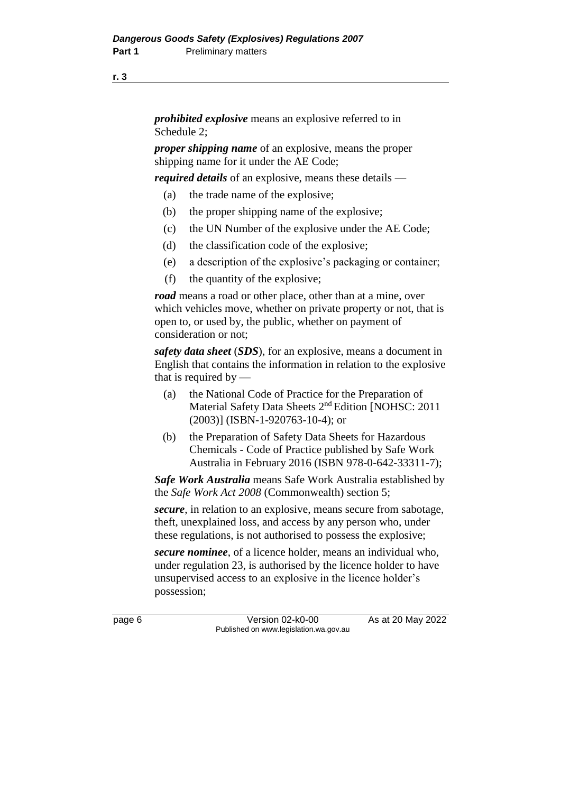*prohibited explosive* means an explosive referred to in Schedule 2;

*proper shipping name* of an explosive, means the proper shipping name for it under the AE Code;

*required details* of an explosive, means these details —

- (a) the trade name of the explosive;
- (b) the proper shipping name of the explosive;
- (c) the UN Number of the explosive under the AE Code;
- (d) the classification code of the explosive;
- (e) a description of the explosive's packaging or container;
- (f) the quantity of the explosive;

*road* means a road or other place, other than at a mine, over which vehicles move, whether on private property or not, that is open to, or used by, the public, whether on payment of consideration or not;

*safety data sheet* (*SDS*), for an explosive, means a document in English that contains the information in relation to the explosive that is required by  $-$ 

- (a) the National Code of Practice for the Preparation of Material Safety Data Sheets 2nd Edition [NOHSC: 2011 (2003)] (ISBN-1-920763-10-4); or
- (b) the Preparation of Safety Data Sheets for Hazardous Chemicals - Code of Practice published by Safe Work Australia in February 2016 (ISBN 978-0-642-33311-7);

*Safe Work Australia* means Safe Work Australia established by the *Safe Work Act 2008* (Commonwealth) section 5;

*secure*, in relation to an explosive, means secure from sabotage, theft, unexplained loss, and access by any person who, under these regulations, is not authorised to possess the explosive;

*secure nominee*, of a licence holder, means an individual who, under regulation 23, is authorised by the licence holder to have unsupervised access to an explosive in the licence holder's possession;

page 6 Version 02-k0-00 As at 20 May 2022 Published on www.legislation.wa.gov.au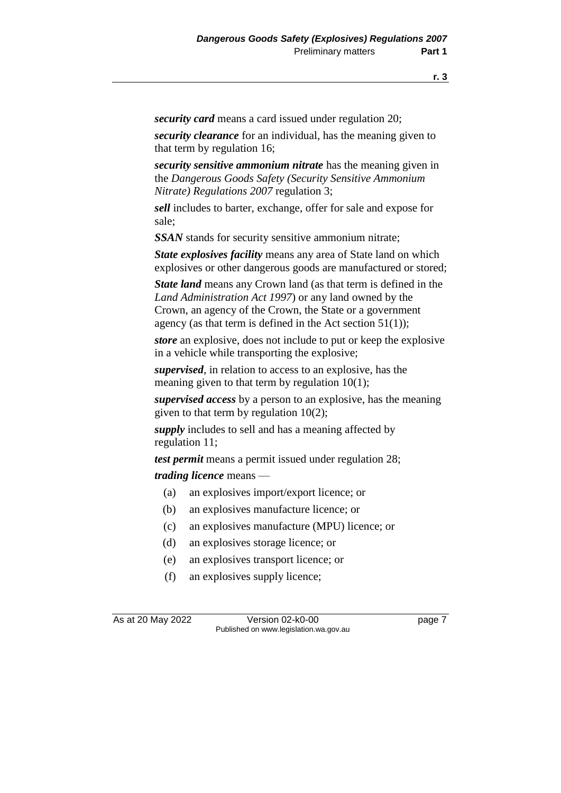*security card* means a card issued under regulation 20;

*security clearance* for an individual, has the meaning given to that term by regulation 16;

*security sensitive ammonium nitrate* has the meaning given in the *Dangerous Goods Safety (Security Sensitive Ammonium Nitrate) Regulations 2007* regulation 3;

*sell* includes to barter, exchange, offer for sale and expose for sale;

*SSAN* stands for security sensitive ammonium nitrate;

*State explosives facility* means any area of State land on which explosives or other dangerous goods are manufactured or stored;

*State land* means any Crown land (as that term is defined in the *Land Administration Act 1997*) or any land owned by the Crown, an agency of the Crown, the State or a government agency (as that term is defined in the Act section  $51(1)$ );

*store* an explosive, does not include to put or keep the explosive in a vehicle while transporting the explosive;

*supervised*, in relation to access to an explosive, has the meaning given to that term by regulation 10(1);

*supervised access* by a person to an explosive, has the meaning given to that term by regulation 10(2);

*supply* includes to sell and has a meaning affected by regulation 11;

*test permit* means a permit issued under regulation 28;

*trading licence* means —

- (a) an explosives import/export licence; or
- (b) an explosives manufacture licence; or
- (c) an explosives manufacture (MPU) licence; or
- (d) an explosives storage licence; or
- (e) an explosives transport licence; or
- (f) an explosives supply licence;

As at 20 May 2022 Version 02-k0-00 Page 7 Published on www.legislation.wa.gov.au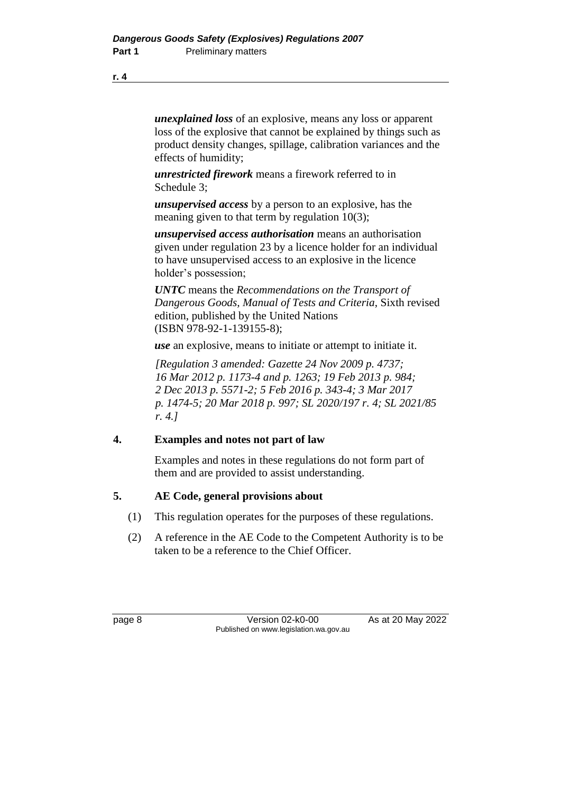*unexplained loss* of an explosive, means any loss or apparent loss of the explosive that cannot be explained by things such as product density changes, spillage, calibration variances and the effects of humidity;

*unrestricted firework* means a firework referred to in Schedule 3;

*unsupervised access* by a person to an explosive, has the meaning given to that term by regulation 10(3);

*unsupervised access authorisation* means an authorisation given under regulation 23 by a licence holder for an individual to have unsupervised access to an explosive in the licence holder's possession;

*UNTC* means the *Recommendations on the Transport of Dangerous Goods, Manual of Tests and Criteria*, Sixth revised edition, published by the United Nations (ISBN 978-92-1-139155-8);

*use* an explosive, means to initiate or attempt to initiate it.

*[Regulation 3 amended: Gazette 24 Nov 2009 p. 4737; 16 Mar 2012 p. 1173-4 and p. 1263; 19 Feb 2013 p. 984; 2 Dec 2013 p. 5571-2; 5 Feb 2016 p. 343-4; 3 Mar 2017 p. 1474-5; 20 Mar 2018 p. 997; SL 2020/197 r. 4; SL 2021/85 r. 4.]*

### **4. Examples and notes not part of law**

Examples and notes in these regulations do not form part of them and are provided to assist understanding.

### **5. AE Code, general provisions about**

- (1) This regulation operates for the purposes of these regulations.
- (2) A reference in the AE Code to the Competent Authority is to be taken to be a reference to the Chief Officer.

page 8 Version 02-k0-00 As at 20 May 2022 Published on www.legislation.wa.gov.au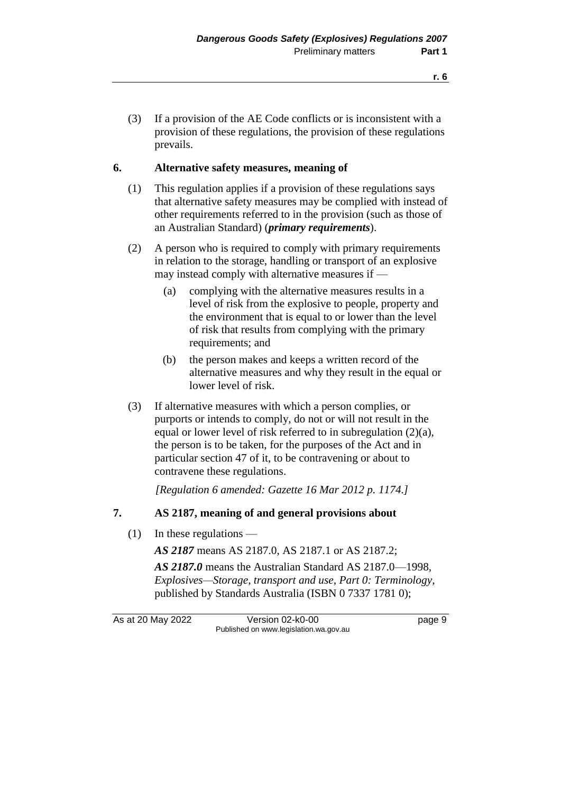(3) If a provision of the AE Code conflicts or is inconsistent with a provision of these regulations, the provision of these regulations prevails.

#### **6. Alternative safety measures, meaning of**

- (1) This regulation applies if a provision of these regulations says that alternative safety measures may be complied with instead of other requirements referred to in the provision (such as those of an Australian Standard) (*primary requirements*).
- (2) A person who is required to comply with primary requirements in relation to the storage, handling or transport of an explosive may instead comply with alternative measures if —
	- (a) complying with the alternative measures results in a level of risk from the explosive to people, property and the environment that is equal to or lower than the level of risk that results from complying with the primary requirements; and
	- (b) the person makes and keeps a written record of the alternative measures and why they result in the equal or lower level of risk.
- (3) If alternative measures with which a person complies, or purports or intends to comply, do not or will not result in the equal or lower level of risk referred to in subregulation (2)(a), the person is to be taken, for the purposes of the Act and in particular section 47 of it, to be contravening or about to contravene these regulations.

*[Regulation 6 amended: Gazette 16 Mar 2012 p. 1174.]*

#### **7. AS 2187, meaning of and general provisions about**

(1) In these regulations —

*AS 2187* means AS 2187.0, AS 2187.1 or AS 2187.2;

*AS 2187.0* means the Australian Standard AS 2187.0—1998, *Explosives—Storage, transport and use, Part 0: Terminology*, published by Standards Australia (ISBN 0 7337 1781 0);

As at 20 May 2022 Version 02-k0-00 Page 9 Published on www.legislation.wa.gov.au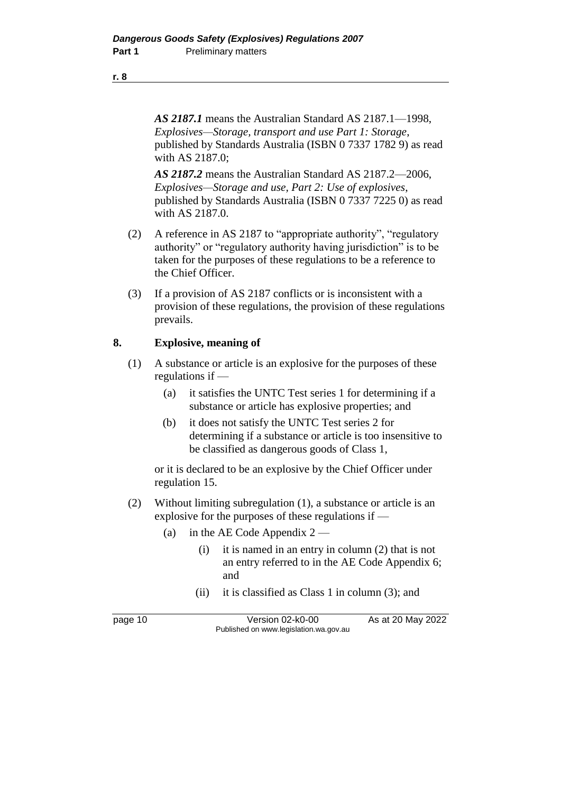*AS 2187.1* means the Australian Standard AS 2187.1—1998, *Explosives—Storage, transport and use Part 1: Storage*, published by Standards Australia (ISBN 0 7337 1782 9) as read with AS 2187.0;

*AS 2187.2* means the Australian Standard AS 2187.2—2006, *Explosives—Storage and use, Part 2: Use of explosives*, published by Standards Australia (ISBN 0 7337 7225 0) as read with AS 2187.0.

- (2) A reference in AS 2187 to "appropriate authority", "regulatory authority" or "regulatory authority having jurisdiction" is to be taken for the purposes of these regulations to be a reference to the Chief Officer.
- (3) If a provision of AS 2187 conflicts or is inconsistent with a provision of these regulations, the provision of these regulations prevails.

#### **8. Explosive, meaning of**

- (1) A substance or article is an explosive for the purposes of these regulations if —
	- (a) it satisfies the UNTC Test series 1 for determining if a substance or article has explosive properties; and
	- (b) it does not satisfy the UNTC Test series 2 for determining if a substance or article is too insensitive to be classified as dangerous goods of Class 1,

or it is declared to be an explosive by the Chief Officer under regulation 15.

- (2) Without limiting subregulation (1), a substance or article is an explosive for the purposes of these regulations if —
	- (a) in the AE Code Appendix  $2 -$ 
		- (i) it is named in an entry in column (2) that is not an entry referred to in the AE Code Appendix 6; and
		- (ii) it is classified as Class 1 in column (3); and

page 10 Version 02-k0-00 As at 20 May 2022 Published on www.legislation.wa.gov.au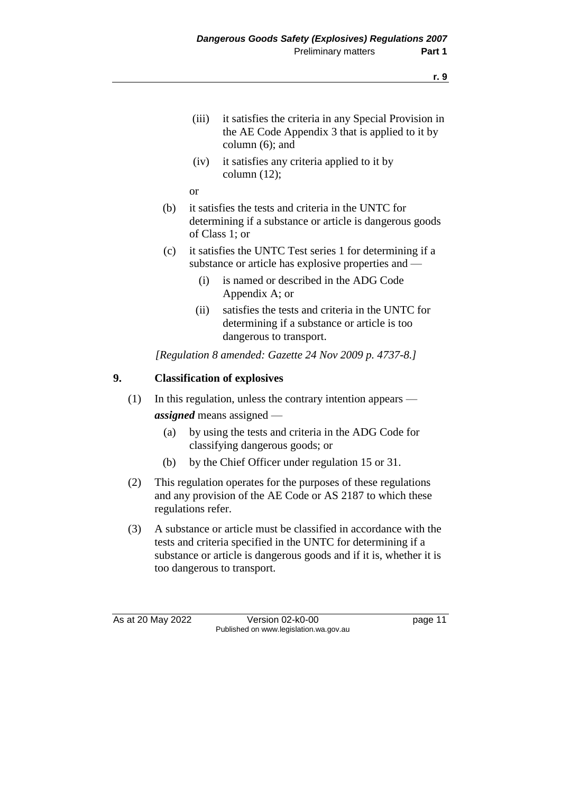- (iii) it satisfies the criteria in any Special Provision in the AE Code Appendix 3 that is applied to it by column (6); and
- (iv) it satisfies any criteria applied to it by column  $(12)$ ;

or

- (b) it satisfies the tests and criteria in the UNTC for determining if a substance or article is dangerous goods of Class 1; or
- (c) it satisfies the UNTC Test series 1 for determining if a substance or article has explosive properties and —
	- (i) is named or described in the ADG Code Appendix A; or
	- (ii) satisfies the tests and criteria in the UNTC for determining if a substance or article is too dangerous to transport.

*[Regulation 8 amended: Gazette 24 Nov 2009 p. 4737-8.]*

#### **9. Classification of explosives**

- (1) In this regulation, unless the contrary intention appears *assigned* means assigned —
	- (a) by using the tests and criteria in the ADG Code for classifying dangerous goods; or
	- (b) by the Chief Officer under regulation 15 or 31.
- (2) This regulation operates for the purposes of these regulations and any provision of the AE Code or AS 2187 to which these regulations refer.
- (3) A substance or article must be classified in accordance with the tests and criteria specified in the UNTC for determining if a substance or article is dangerous goods and if it is, whether it is too dangerous to transport.

As at 20 May 2022 Version 02-k0-00 Page 11 Published on www.legislation.wa.gov.au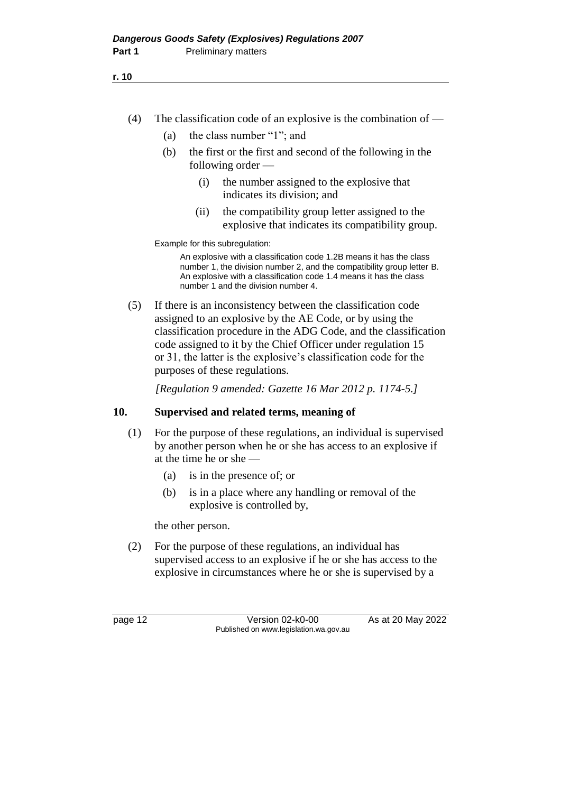- (4) The classification code of an explosive is the combination of  $-$ 
	- (a) the class number "1"; and
	- (b) the first or the first and second of the following in the following order —
		- (i) the number assigned to the explosive that indicates its division; and
		- (ii) the compatibility group letter assigned to the explosive that indicates its compatibility group.

Example for this subregulation:

An explosive with a classification code 1.2B means it has the class number 1, the division number 2, and the compatibility group letter B. An explosive with a classification code 1.4 means it has the class number 1 and the division number 4.

(5) If there is an inconsistency between the classification code assigned to an explosive by the AE Code, or by using the classification procedure in the ADG Code, and the classification code assigned to it by the Chief Officer under regulation 15 or 31, the latter is the explosive's classification code for the purposes of these regulations.

*[Regulation 9 amended: Gazette 16 Mar 2012 p. 1174-5.]*

#### **10. Supervised and related terms, meaning of**

- (1) For the purpose of these regulations, an individual is supervised by another person when he or she has access to an explosive if at the time he or she —
	- (a) is in the presence of; or
	- (b) is in a place where any handling or removal of the explosive is controlled by,

the other person.

(2) For the purpose of these regulations, an individual has supervised access to an explosive if he or she has access to the explosive in circumstances where he or she is supervised by a

page 12 Version 02-k0-00 As at 20 May 2022 Published on www.legislation.wa.gov.au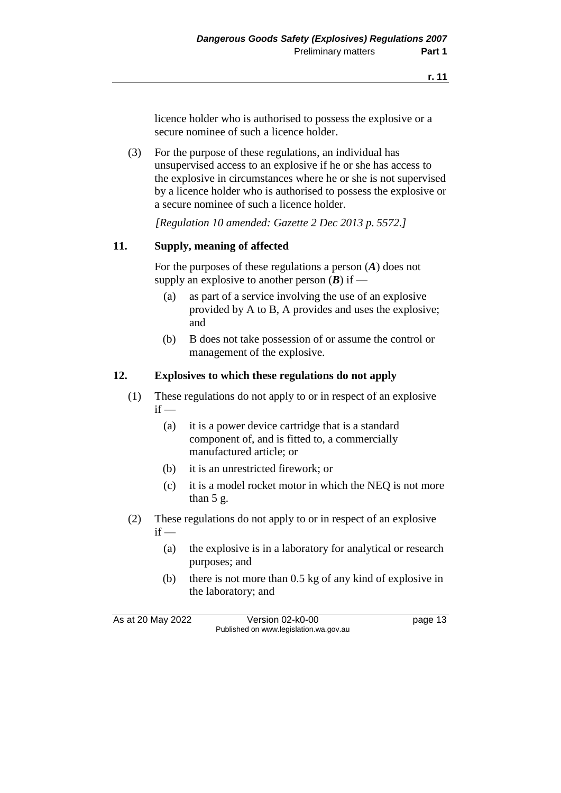licence holder who is authorised to possess the explosive or a secure nominee of such a licence holder.

(3) For the purpose of these regulations, an individual has unsupervised access to an explosive if he or she has access to the explosive in circumstances where he or she is not supervised by a licence holder who is authorised to possess the explosive or a secure nominee of such a licence holder.

*[Regulation 10 amended: Gazette 2 Dec 2013 p. 5572.]*

#### **11. Supply, meaning of affected**

For the purposes of these regulations a person (*A*) does not supply an explosive to another person  $(B)$  if —

- (a) as part of a service involving the use of an explosive provided by A to B, A provides and uses the explosive; and
- (b) B does not take possession of or assume the control or management of the explosive.

#### **12. Explosives to which these regulations do not apply**

- (1) These regulations do not apply to or in respect of an explosive  $if -$ 
	- (a) it is a power device cartridge that is a standard component of, and is fitted to, a commercially manufactured article; or
	- (b) it is an unrestricted firework; or
	- (c) it is a model rocket motor in which the NEQ is not more than 5 g.
- (2) These regulations do not apply to or in respect of an explosive  $if -$ 
	- (a) the explosive is in a laboratory for analytical or research purposes; and
	- (b) there is not more than 0.5 kg of any kind of explosive in the laboratory; and

As at 20 May 2022 Version 02-k0-00 Page 13 Published on www.legislation.wa.gov.au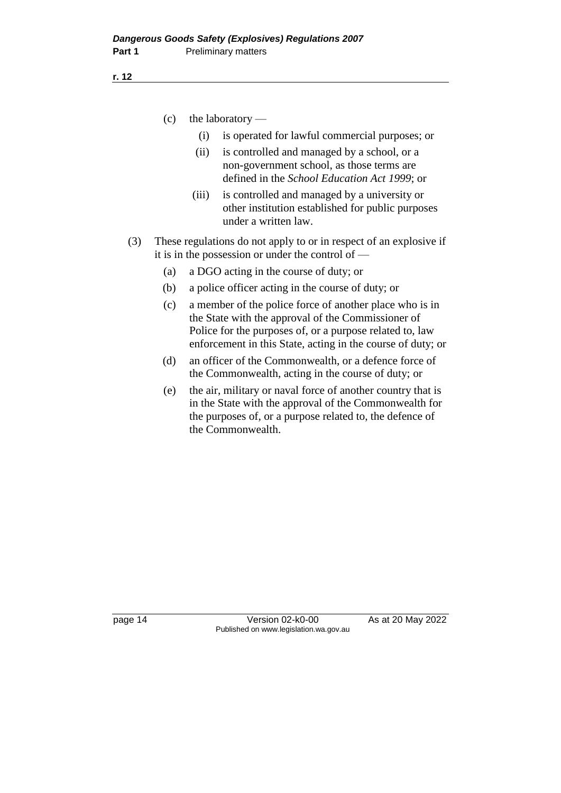(c) the laboratory —

- (i) is operated for lawful commercial purposes; or
- (ii) is controlled and managed by a school, or a non-government school, as those terms are defined in the *School Education Act 1999*; or
- (iii) is controlled and managed by a university or other institution established for public purposes under a written law.
- (3) These regulations do not apply to or in respect of an explosive if it is in the possession or under the control of —
	- (a) a DGO acting in the course of duty; or
	- (b) a police officer acting in the course of duty; or
	- (c) a member of the police force of another place who is in the State with the approval of the Commissioner of Police for the purposes of, or a purpose related to, law enforcement in this State, acting in the course of duty; or
	- (d) an officer of the Commonwealth, or a defence force of the Commonwealth, acting in the course of duty; or
	- (e) the air, military or naval force of another country that is in the State with the approval of the Commonwealth for the purposes of, or a purpose related to, the defence of the Commonwealth.

page 14 Version 02-k0-00 As at 20 May 2022 Published on www.legislation.wa.gov.au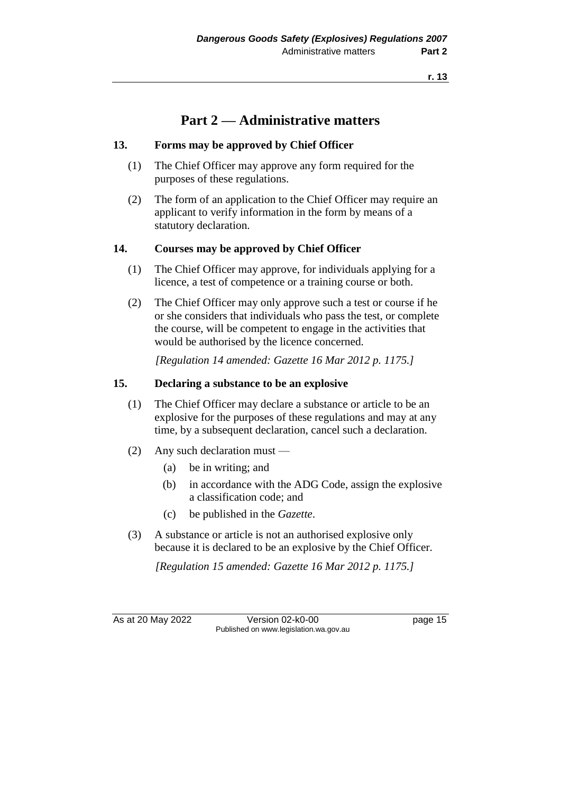## **Part 2 — Administrative matters**

#### **13. Forms may be approved by Chief Officer**

- (1) The Chief Officer may approve any form required for the purposes of these regulations.
- (2) The form of an application to the Chief Officer may require an applicant to verify information in the form by means of a statutory declaration.

#### **14. Courses may be approved by Chief Officer**

- (1) The Chief Officer may approve, for individuals applying for a licence, a test of competence or a training course or both.
- (2) The Chief Officer may only approve such a test or course if he or she considers that individuals who pass the test, or complete the course, will be competent to engage in the activities that would be authorised by the licence concerned.

*[Regulation 14 amended: Gazette 16 Mar 2012 p. 1175.]*

#### **15. Declaring a substance to be an explosive**

- (1) The Chief Officer may declare a substance or article to be an explosive for the purposes of these regulations and may at any time, by a subsequent declaration, cancel such a declaration.
- (2) Any such declaration must
	- (a) be in writing; and
	- (b) in accordance with the ADG Code, assign the explosive a classification code; and
	- (c) be published in the *Gazette*.
- (3) A substance or article is not an authorised explosive only because it is declared to be an explosive by the Chief Officer.

*[Regulation 15 amended: Gazette 16 Mar 2012 p. 1175.]*

As at 20 May 2022 Version 02-k0-00 Page 15 Published on www.legislation.wa.gov.au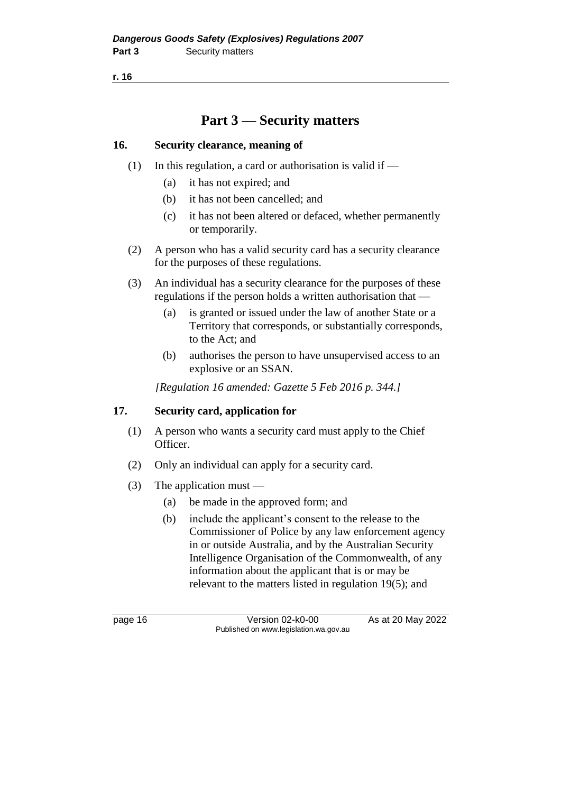## **Part 3 — Security matters**

#### **16. Security clearance, meaning of**

- (1) In this regulation, a card or authorisation is valid if  $-$ 
	- (a) it has not expired; and
	- (b) it has not been cancelled; and
	- (c) it has not been altered or defaced, whether permanently or temporarily.
- (2) A person who has a valid security card has a security clearance for the purposes of these regulations.
- (3) An individual has a security clearance for the purposes of these regulations if the person holds a written authorisation that —
	- (a) is granted or issued under the law of another State or a Territory that corresponds, or substantially corresponds, to the Act; and
	- (b) authorises the person to have unsupervised access to an explosive or an SSAN.

*[Regulation 16 amended: Gazette 5 Feb 2016 p. 344.]*

### **17. Security card, application for**

- (1) A person who wants a security card must apply to the Chief Officer.
- (2) Only an individual can apply for a security card.
- (3) The application must
	- (a) be made in the approved form; and
	- (b) include the applicant's consent to the release to the Commissioner of Police by any law enforcement agency in or outside Australia, and by the Australian Security Intelligence Organisation of the Commonwealth, of any information about the applicant that is or may be relevant to the matters listed in regulation 19(5); and

page 16 Version 02-k0-00 As at 20 May 2022 Published on www.legislation.wa.gov.au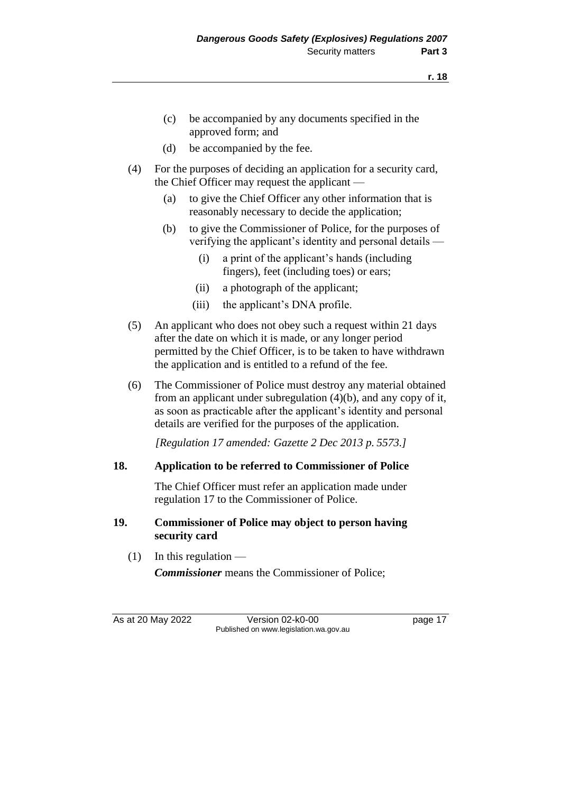- (c) be accompanied by any documents specified in the approved form; and
- (d) be accompanied by the fee.
- (4) For the purposes of deciding an application for a security card, the Chief Officer may request the applicant —
	- (a) to give the Chief Officer any other information that is reasonably necessary to decide the application;
	- (b) to give the Commissioner of Police, for the purposes of verifying the applicant's identity and personal details —
		- (i) a print of the applicant's hands (including fingers), feet (including toes) or ears;
		- (ii) a photograph of the applicant;
		- (iii) the applicant's DNA profile.
- (5) An applicant who does not obey such a request within 21 days after the date on which it is made, or any longer period permitted by the Chief Officer, is to be taken to have withdrawn the application and is entitled to a refund of the fee.
- (6) The Commissioner of Police must destroy any material obtained from an applicant under subregulation (4)(b), and any copy of it, as soon as practicable after the applicant's identity and personal details are verified for the purposes of the application.

*[Regulation 17 amended: Gazette 2 Dec 2013 p. 5573.]*

#### **18. Application to be referred to Commissioner of Police**

The Chief Officer must refer an application made under regulation 17 to the Commissioner of Police.

#### **19. Commissioner of Police may object to person having security card**

 $(1)$  In this regulation —

*Commissioner* means the Commissioner of Police;

As at 20 May 2022 Version 02-k0-00 Page 17 Published on www.legislation.wa.gov.au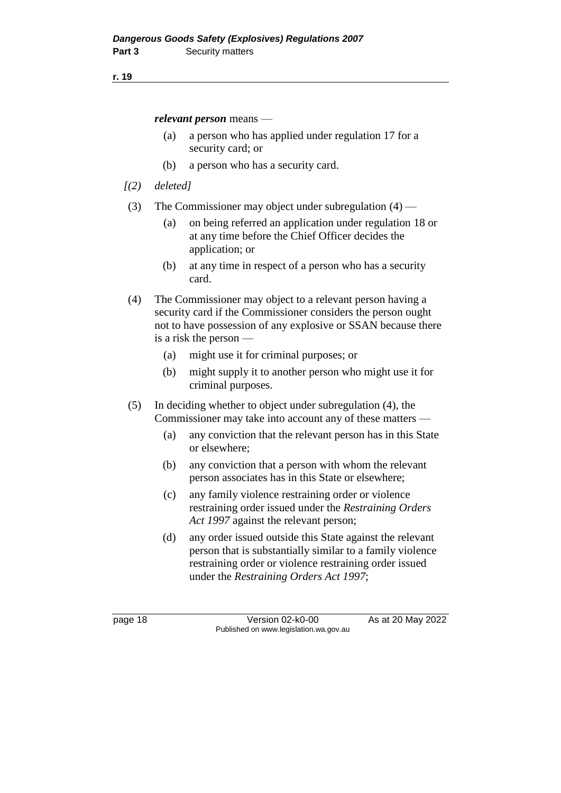*relevant person* means —

- (a) a person who has applied under regulation 17 for a security card; or
- (b) a person who has a security card.
- *[(2) deleted]*
- (3) The Commissioner may object under subregulation (4)
	- (a) on being referred an application under regulation 18 or at any time before the Chief Officer decides the application; or
	- (b) at any time in respect of a person who has a security card.
- (4) The Commissioner may object to a relevant person having a security card if the Commissioner considers the person ought not to have possession of any explosive or SSAN because there is a risk the person —
	- (a) might use it for criminal purposes; or
	- (b) might supply it to another person who might use it for criminal purposes.
- (5) In deciding whether to object under subregulation (4), the Commissioner may take into account any of these matters —
	- (a) any conviction that the relevant person has in this State or elsewhere;
	- (b) any conviction that a person with whom the relevant person associates has in this State or elsewhere;
	- (c) any family violence restraining order or violence restraining order issued under the *Restraining Orders Act 1997* against the relevant person;
	- (d) any order issued outside this State against the relevant person that is substantially similar to a family violence restraining order or violence restraining order issued under the *Restraining Orders Act 1997*;

page 18 Version 02-k0-00 As at 20 May 2022 Published on www.legislation.wa.gov.au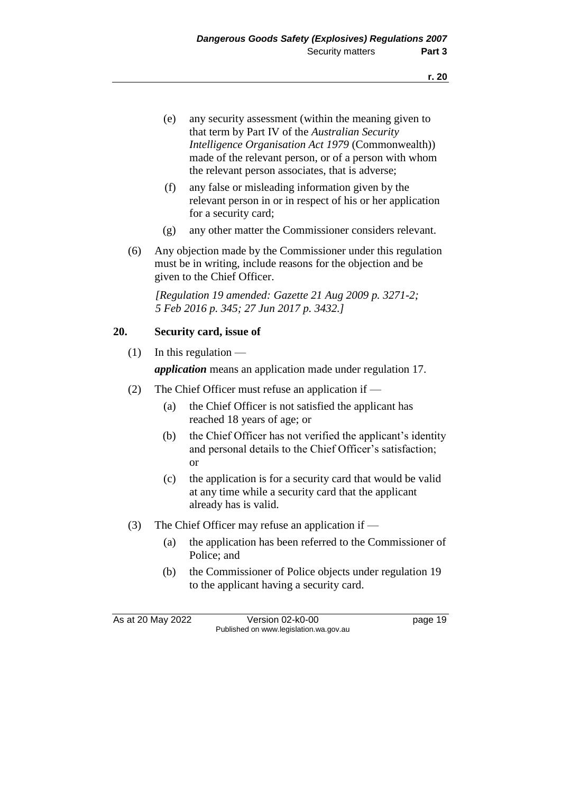- (e) any security assessment (within the meaning given to that term by Part IV of the *Australian Security Intelligence Organisation Act 1979* (Commonwealth)) made of the relevant person, or of a person with whom the relevant person associates, that is adverse;
- (f) any false or misleading information given by the relevant person in or in respect of his or her application for a security card;
- (g) any other matter the Commissioner considers relevant.
- (6) Any objection made by the Commissioner under this regulation must be in writing, include reasons for the objection and be given to the Chief Officer.

*[Regulation 19 amended: Gazette 21 Aug 2009 p. 3271-2; 5 Feb 2016 p. 345; 27 Jun 2017 p. 3432.]*

#### **20. Security card, issue of**

 $(1)$  In this regulation —

*application* means an application made under regulation 17.

- (2) The Chief Officer must refuse an application if
	- (a) the Chief Officer is not satisfied the applicant has reached 18 years of age; or
	- (b) the Chief Officer has not verified the applicant's identity and personal details to the Chief Officer's satisfaction; or
	- (c) the application is for a security card that would be valid at any time while a security card that the applicant already has is valid.
- (3) The Chief Officer may refuse an application if
	- (a) the application has been referred to the Commissioner of Police; and
	- (b) the Commissioner of Police objects under regulation 19 to the applicant having a security card.

As at 20 May 2022 Version 02-k0-00 Page 19 Published on www.legislation.wa.gov.au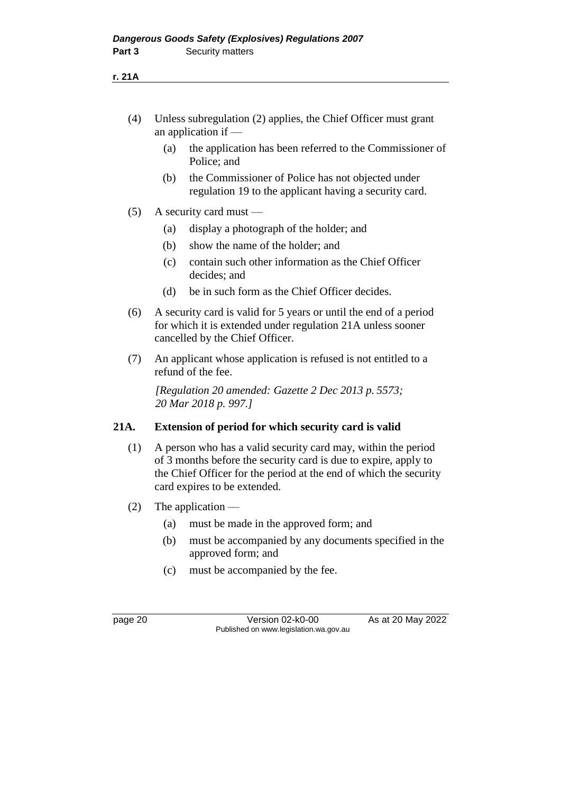- (4) Unless subregulation (2) applies, the Chief Officer must grant an application if —
	- (a) the application has been referred to the Commissioner of Police; and
	- (b) the Commissioner of Police has not objected under regulation 19 to the applicant having a security card.
- (5) A security card must
	- (a) display a photograph of the holder; and
	- (b) show the name of the holder; and
	- (c) contain such other information as the Chief Officer decides; and
	- (d) be in such form as the Chief Officer decides.
- (6) A security card is valid for 5 years or until the end of a period for which it is extended under regulation 21A unless sooner cancelled by the Chief Officer.
- (7) An applicant whose application is refused is not entitled to a refund of the fee.

*[Regulation 20 amended: Gazette 2 Dec 2013 p. 5573; 20 Mar 2018 p. 997.]*

#### **21A. Extension of period for which security card is valid**

- (1) A person who has a valid security card may, within the period of 3 months before the security card is due to expire, apply to the Chief Officer for the period at the end of which the security card expires to be extended.
- (2) The application
	- (a) must be made in the approved form; and
	- (b) must be accompanied by any documents specified in the approved form; and
	- (c) must be accompanied by the fee.

page 20 Version 02-k0-00 As at 20 May 2022 Published on www.legislation.wa.gov.au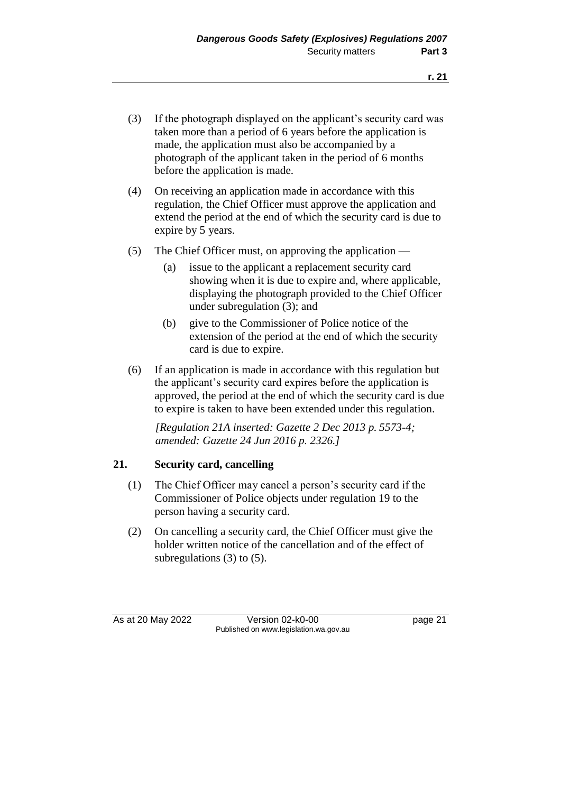- (3) If the photograph displayed on the applicant's security card was taken more than a period of 6 years before the application is made, the application must also be accompanied by a photograph of the applicant taken in the period of 6 months before the application is made.
- (4) On receiving an application made in accordance with this regulation, the Chief Officer must approve the application and extend the period at the end of which the security card is due to expire by 5 years.
- (5) The Chief Officer must, on approving the application
	- (a) issue to the applicant a replacement security card showing when it is due to expire and, where applicable, displaying the photograph provided to the Chief Officer under subregulation (3); and
	- (b) give to the Commissioner of Police notice of the extension of the period at the end of which the security card is due to expire.
- (6) If an application is made in accordance with this regulation but the applicant's security card expires before the application is approved, the period at the end of which the security card is due to expire is taken to have been extended under this regulation.

*[Regulation 21A inserted: Gazette 2 Dec 2013 p. 5573-4; amended: Gazette 24 Jun 2016 p. 2326.]* 

#### **21. Security card, cancelling**

- (1) The Chief Officer may cancel a person's security card if the Commissioner of Police objects under regulation 19 to the person having a security card.
- (2) On cancelling a security card, the Chief Officer must give the holder written notice of the cancellation and of the effect of subregulations (3) to (5).

As at 20 May 2022 Version 02-k0-00 page 21 Published on www.legislation.wa.gov.au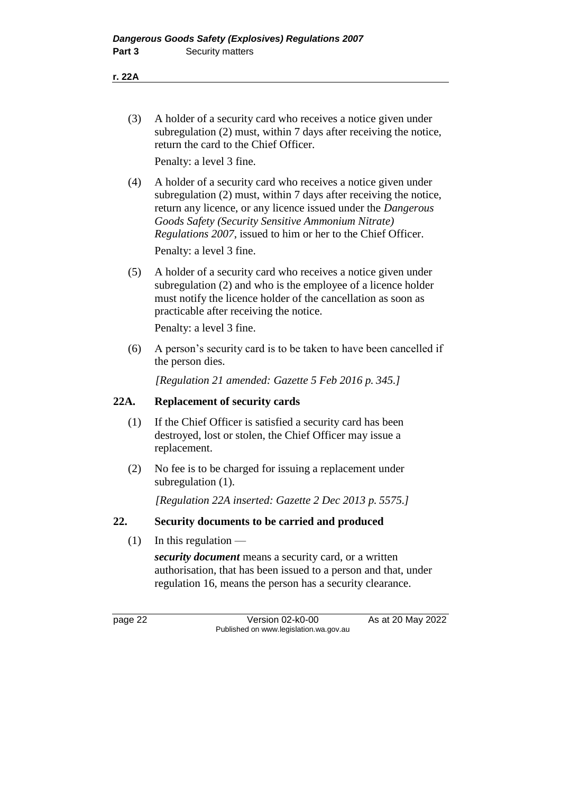**r. 22A**

(3) A holder of a security card who receives a notice given under subregulation (2) must, within 7 days after receiving the notice, return the card to the Chief Officer.

Penalty: a level 3 fine.

- (4) A holder of a security card who receives a notice given under subregulation (2) must, within 7 days after receiving the notice, return any licence, or any licence issued under the *Dangerous Goods Safety (Security Sensitive Ammonium Nitrate) Regulations 2007*, issued to him or her to the Chief Officer. Penalty: a level 3 fine.
- (5) A holder of a security card who receives a notice given under subregulation (2) and who is the employee of a licence holder must notify the licence holder of the cancellation as soon as practicable after receiving the notice.

Penalty: a level 3 fine.

(6) A person's security card is to be taken to have been cancelled if the person dies.

*[Regulation 21 amended: Gazette 5 Feb 2016 p. 345.]* 

#### **22A. Replacement of security cards**

- (1) If the Chief Officer is satisfied a security card has been destroyed, lost or stolen, the Chief Officer may issue a replacement.
- (2) No fee is to be charged for issuing a replacement under subregulation (1).

*[Regulation 22A inserted: Gazette 2 Dec 2013 p. 5575.]*

#### **22. Security documents to be carried and produced**

 $(1)$  In this regulation —

*security document* means a security card, or a written authorisation, that has been issued to a person and that, under regulation 16, means the person has a security clearance.

page 22 Version 02-k0-00 As at 20 May 2022 Published on www.legislation.wa.gov.au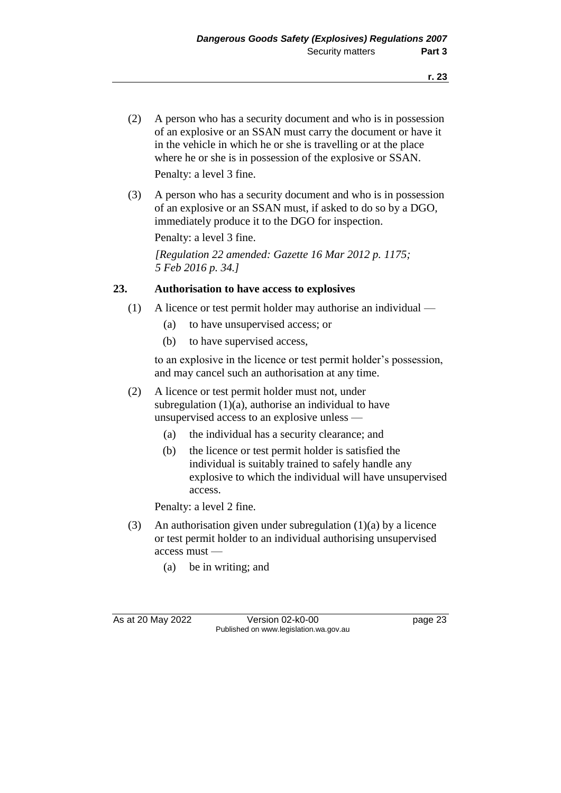- (2) A person who has a security document and who is in possession of an explosive or an SSAN must carry the document or have it in the vehicle in which he or she is travelling or at the place where he or she is in possession of the explosive or SSAN. Penalty: a level 3 fine.
- (3) A person who has a security document and who is in possession of an explosive or an SSAN must, if asked to do so by a DGO, immediately produce it to the DGO for inspection.

Penalty: a level 3 fine.

*[Regulation 22 amended: Gazette 16 Mar 2012 p. 1175; 5 Feb 2016 p. 34.]*

#### **23. Authorisation to have access to explosives**

- (1) A licence or test permit holder may authorise an individual
	- (a) to have unsupervised access; or
	- (b) to have supervised access,

to an explosive in the licence or test permit holder's possession, and may cancel such an authorisation at any time.

- (2) A licence or test permit holder must not, under subregulation  $(1)(a)$ , authorise an individual to have unsupervised access to an explosive unless —
	- (a) the individual has a security clearance; and
	- (b) the licence or test permit holder is satisfied the individual is suitably trained to safely handle any explosive to which the individual will have unsupervised access.

Penalty: a level 2 fine.

- (3) An authorisation given under subregulation (1)(a) by a licence or test permit holder to an individual authorising unsupervised access must —
	- (a) be in writing; and

As at 20 May 2022 Version 02-k0-00 Published on www.legislation.wa.gov.au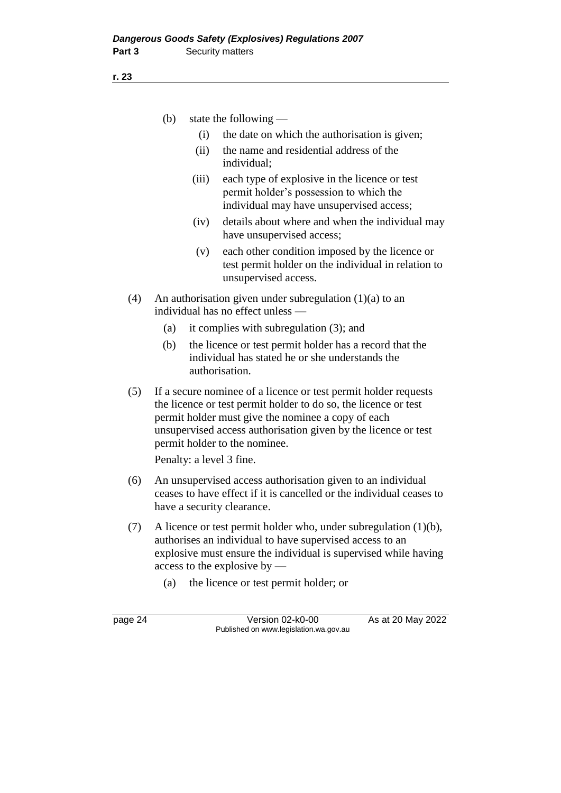(b) state the following —

- (i) the date on which the authorisation is given;
- (ii) the name and residential address of the individual;
- (iii) each type of explosive in the licence or test permit holder's possession to which the individual may have unsupervised access;
- (iv) details about where and when the individual may have unsupervised access;
- (v) each other condition imposed by the licence or test permit holder on the individual in relation to unsupervised access.
- (4) An authorisation given under subregulation (1)(a) to an individual has no effect unless —
	- (a) it complies with subregulation (3); and
	- (b) the licence or test permit holder has a record that the individual has stated he or she understands the authorisation.
- (5) If a secure nominee of a licence or test permit holder requests the licence or test permit holder to do so, the licence or test permit holder must give the nominee a copy of each unsupervised access authorisation given by the licence or test permit holder to the nominee.

Penalty: a level 3 fine.

- (6) An unsupervised access authorisation given to an individual ceases to have effect if it is cancelled or the individual ceases to have a security clearance.
- (7) A licence or test permit holder who, under subregulation (1)(b), authorises an individual to have supervised access to an explosive must ensure the individual is supervised while having access to the explosive by —
	- (a) the licence or test permit holder; or

page 24 Version 02-k0-00 As at 20 May 2022 Published on www.legislation.wa.gov.au

**r. 23**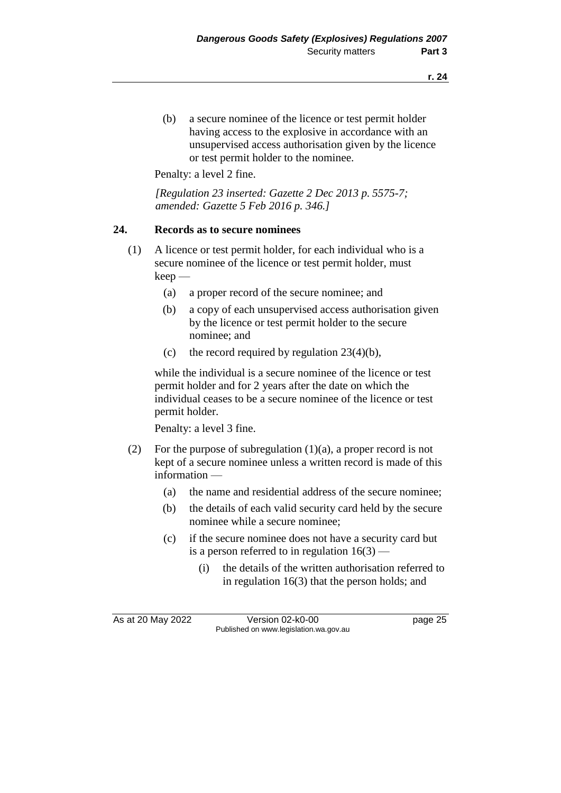(b) a secure nominee of the licence or test permit holder having access to the explosive in accordance with an unsupervised access authorisation given by the licence or test permit holder to the nominee.

Penalty: a level 2 fine.

*[Regulation 23 inserted: Gazette 2 Dec 2013 p. 5575-7; amended: Gazette 5 Feb 2016 p. 346.]*

#### **24. Records as to secure nominees**

- (1) A licence or test permit holder, for each individual who is a secure nominee of the licence or test permit holder, must keep —
	- (a) a proper record of the secure nominee; and
	- (b) a copy of each unsupervised access authorisation given by the licence or test permit holder to the secure nominee; and
	- (c) the record required by regulation  $23(4)(b)$ ,

while the individual is a secure nominee of the licence or test permit holder and for 2 years after the date on which the individual ceases to be a secure nominee of the licence or test permit holder.

Penalty: a level 3 fine.

- (2) For the purpose of subregulation  $(1)(a)$ , a proper record is not kept of a secure nominee unless a written record is made of this information —
	- (a) the name and residential address of the secure nominee;
	- (b) the details of each valid security card held by the secure nominee while a secure nominee;
	- (c) if the secure nominee does not have a security card but is a person referred to in regulation  $16(3)$  —
		- (i) the details of the written authorisation referred to in regulation 16(3) that the person holds; and

As at 20 May 2022 Version 02-k0-00 Published on www.legislation.wa.gov.au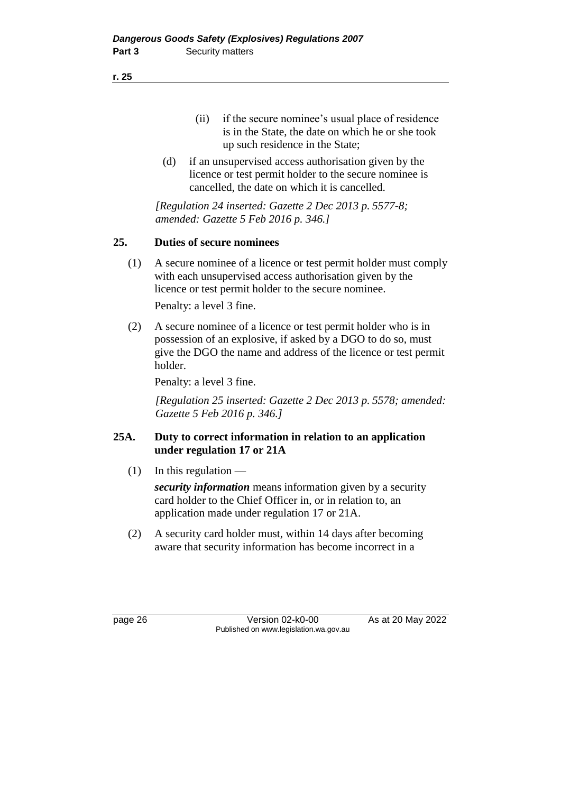**r. 25**

- (ii) if the secure nominee's usual place of residence is in the State, the date on which he or she took up such residence in the State;
- (d) if an unsupervised access authorisation given by the licence or test permit holder to the secure nominee is cancelled, the date on which it is cancelled.

*[Regulation 24 inserted: Gazette 2 Dec 2013 p. 5577-8; amended: Gazette 5 Feb 2016 p. 346.]*

# **25. Duties of secure nominees**

(1) A secure nominee of a licence or test permit holder must comply with each unsupervised access authorisation given by the licence or test permit holder to the secure nominee.

Penalty: a level 3 fine.

(2) A secure nominee of a licence or test permit holder who is in possession of an explosive, if asked by a DGO to do so, must give the DGO the name and address of the licence or test permit holder.

Penalty: a level 3 fine.

*[Regulation 25 inserted: Gazette 2 Dec 2013 p. 5578; amended: Gazette 5 Feb 2016 p. 346.]*

## **25A. Duty to correct information in relation to an application under regulation 17 or 21A**

 $(1)$  In this regulation —

*security information* means information given by a security card holder to the Chief Officer in, or in relation to, an application made under regulation 17 or 21A.

(2) A security card holder must, within 14 days after becoming aware that security information has become incorrect in a

page 26 Version 02-k0-00 As at 20 May 2022 Published on www.legislation.wa.gov.au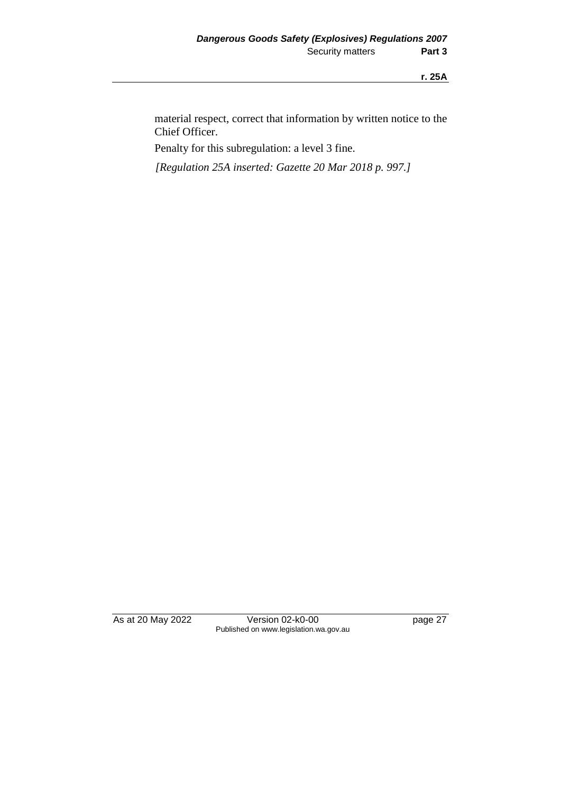material respect, correct that information by written notice to the Chief Officer.

Penalty for this subregulation: a level 3 fine.

*[Regulation 25A inserted: Gazette 20 Mar 2018 p. 997.]*

As at 20 May 2022 Version 02-k0-00 Page 27 Published on www.legislation.wa.gov.au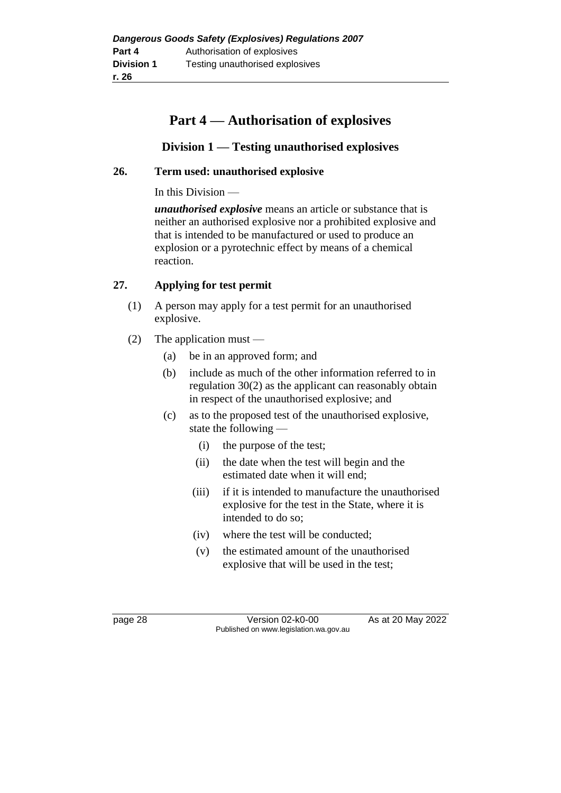# **Part 4 — Authorisation of explosives**

# **Division 1 — Testing unauthorised explosives**

#### **26. Term used: unauthorised explosive**

In this Division —

*unauthorised explosive* means an article or substance that is neither an authorised explosive nor a prohibited explosive and that is intended to be manufactured or used to produce an explosion or a pyrotechnic effect by means of a chemical reaction.

## **27. Applying for test permit**

- (1) A person may apply for a test permit for an unauthorised explosive.
- (2) The application must
	- (a) be in an approved form; and
	- (b) include as much of the other information referred to in regulation 30(2) as the applicant can reasonably obtain in respect of the unauthorised explosive; and
	- (c) as to the proposed test of the unauthorised explosive, state the following —
		- (i) the purpose of the test;
		- (ii) the date when the test will begin and the estimated date when it will end;
		- (iii) if it is intended to manufacture the unauthorised explosive for the test in the State, where it is intended to do so;
		- (iv) where the test will be conducted;
		- (v) the estimated amount of the unauthorised explosive that will be used in the test;

page 28 Version 02-k0-00 As at 20 May 2022 Published on www.legislation.wa.gov.au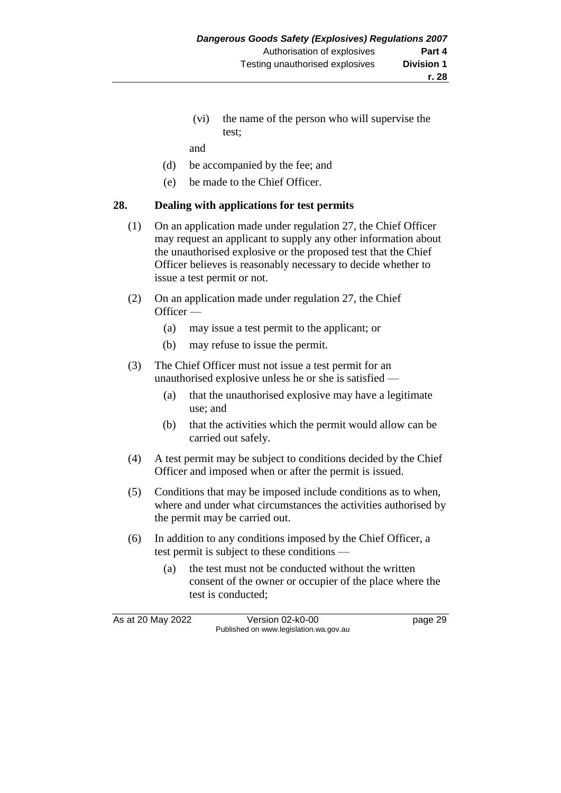(vi) the name of the person who will supervise the test;

and

- (d) be accompanied by the fee; and
- (e) be made to the Chief Officer.

#### **28. Dealing with applications for test permits**

- (1) On an application made under regulation 27, the Chief Officer may request an applicant to supply any other information about the unauthorised explosive or the proposed test that the Chief Officer believes is reasonably necessary to decide whether to issue a test permit or not.
- (2) On an application made under regulation 27, the Chief Officer —
	- (a) may issue a test permit to the applicant; or
	- (b) may refuse to issue the permit.
- (3) The Chief Officer must not issue a test permit for an unauthorised explosive unless he or she is satisfied —
	- (a) that the unauthorised explosive may have a legitimate use; and
	- (b) that the activities which the permit would allow can be carried out safely.
- (4) A test permit may be subject to conditions decided by the Chief Officer and imposed when or after the permit is issued.
- (5) Conditions that may be imposed include conditions as to when, where and under what circumstances the activities authorised by the permit may be carried out.
- (6) In addition to any conditions imposed by the Chief Officer, a test permit is subject to these conditions —
	- (a) the test must not be conducted without the written consent of the owner or occupier of the place where the test is conducted;

As at 20 May 2022 Version 02-k0-00 Page 29 Published on www.legislation.wa.gov.au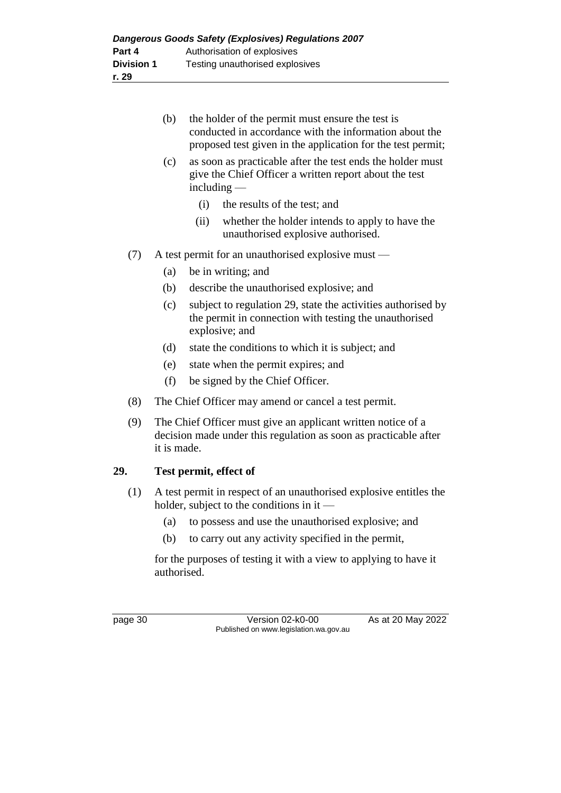|     | (b)                                                                                                                                             | the holder of the permit must ensure the test is<br>conducted in accordance with the information about the<br>proposed test given in the application for the test permit; |  |  |  |
|-----|-------------------------------------------------------------------------------------------------------------------------------------------------|---------------------------------------------------------------------------------------------------------------------------------------------------------------------------|--|--|--|
|     | (c)                                                                                                                                             | as soon as practicable after the test ends the holder must<br>give the Chief Officer a written report about the test<br>$including -$                                     |  |  |  |
|     |                                                                                                                                                 | (i)<br>the results of the test; and                                                                                                                                       |  |  |  |
|     |                                                                                                                                                 | (ii)<br>whether the holder intends to apply to have the<br>unauthorised explosive authorised.                                                                             |  |  |  |
| (7) | A test permit for an unauthorised explosive must —                                                                                              |                                                                                                                                                                           |  |  |  |
|     | (a)                                                                                                                                             | be in writing; and                                                                                                                                                        |  |  |  |
|     | (b)                                                                                                                                             | describe the unauthorised explosive; and                                                                                                                                  |  |  |  |
|     | (c)                                                                                                                                             | subject to regulation 29, state the activities authorised by<br>the permit in connection with testing the unauthorised<br>explosive; and                                  |  |  |  |
|     | (d)                                                                                                                                             | state the conditions to which it is subject; and                                                                                                                          |  |  |  |
|     | (e)                                                                                                                                             | state when the permit expires; and                                                                                                                                        |  |  |  |
|     | (f)                                                                                                                                             | be signed by the Chief Officer.                                                                                                                                           |  |  |  |
| (8) |                                                                                                                                                 | The Chief Officer may amend or cancel a test permit.                                                                                                                      |  |  |  |
| (9) | The Chief Officer must give an applicant written notice of a<br>decision made under this regulation as soon as practicable after<br>it is made. |                                                                                                                                                                           |  |  |  |
| 29. |                                                                                                                                                 | Test permit, effect of                                                                                                                                                    |  |  |  |
| (1) | A test permit in respect of an unauthorised explosive entitles the<br>holder, subject to the conditions in it $-$                               |                                                                                                                                                                           |  |  |  |
|     | (a)                                                                                                                                             | to possess and use the unauthorised explosive; and                                                                                                                        |  |  |  |
|     | (b)                                                                                                                                             | to carry out any activity specified in the permit,                                                                                                                        |  |  |  |
|     | for the purposes of testing it with a view to applying to have it<br>authorised.                                                                |                                                                                                                                                                           |  |  |  |

page 30 Version 02-k0-00 As at 20 May 2022 Published on www.legislation.wa.gov.au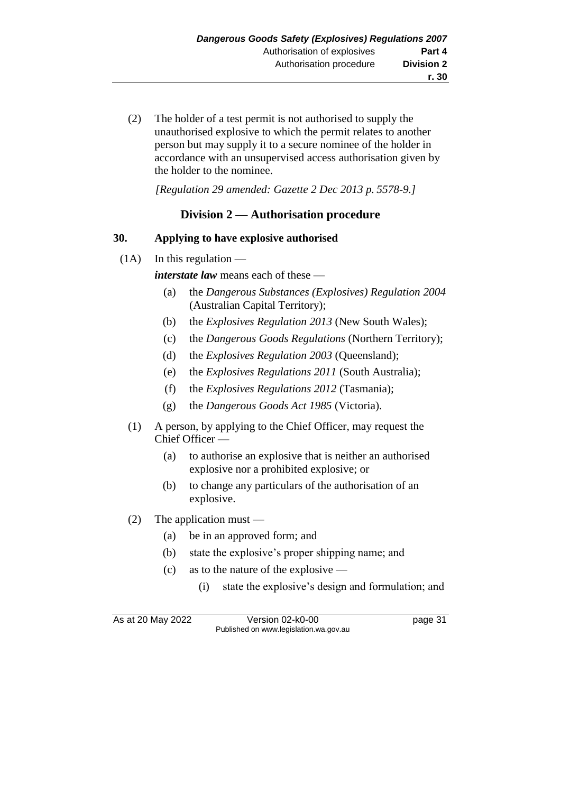(2) The holder of a test permit is not authorised to supply the unauthorised explosive to which the permit relates to another person but may supply it to a secure nominee of the holder in accordance with an unsupervised access authorisation given by the holder to the nominee.

*[Regulation 29 amended: Gazette 2 Dec 2013 p. 5578-9.]*

# **Division 2 — Authorisation procedure**

## **30. Applying to have explosive authorised**

 $(1A)$  In this regulation —

*interstate law* means each of these —

- (a) the *Dangerous Substances (Explosives) Regulation 2004* (Australian Capital Territory);
- (b) the *Explosives Regulation 2013* (New South Wales);
- (c) the *Dangerous Goods Regulations* (Northern Territory);
- (d) the *Explosives Regulation 2003* (Queensland);
- (e) the *Explosives Regulations 2011* (South Australia);
- (f) the *Explosives Regulations 2012* (Tasmania);
- (g) the *Dangerous Goods Act 1985* (Victoria).
- (1) A person, by applying to the Chief Officer, may request the Chief Officer —
	- (a) to authorise an explosive that is neither an authorised explosive nor a prohibited explosive; or
	- (b) to change any particulars of the authorisation of an explosive.
- (2) The application must
	- (a) be in an approved form; and
	- (b) state the explosive's proper shipping name; and
	- (c) as to the nature of the explosive
		- (i) state the explosive's design and formulation; and

As at 20 May 2022 Version 02-k0-00 Page 31 Published on www.legislation.wa.gov.au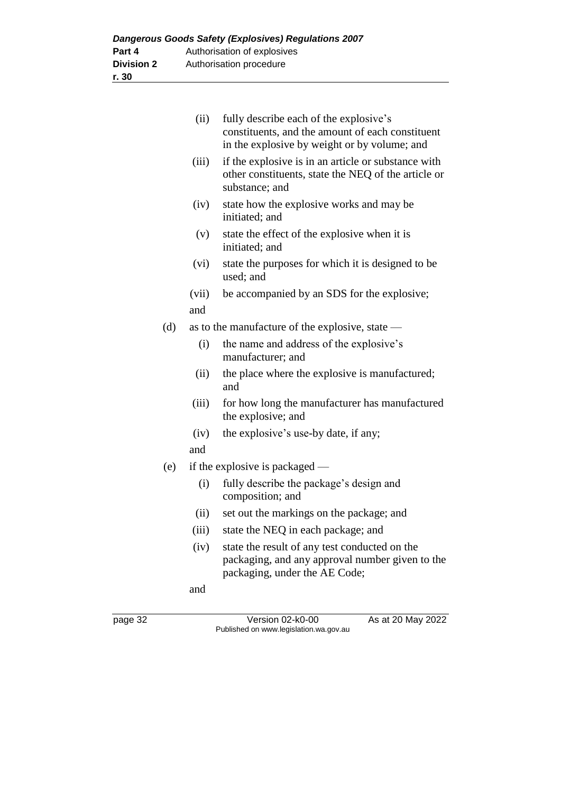| <b>Dangerous Goods Safety (Explosives) Regulations 2007</b> |                             |  |  |  |  |
|-------------------------------------------------------------|-----------------------------|--|--|--|--|
| Part 4                                                      | Authorisation of explosives |  |  |  |  |
| <b>Division 2</b>                                           | Authorisation procedure     |  |  |  |  |
| r. 30                                                       |                             |  |  |  |  |

|     | (ii)  | fully describe each of the explosive's<br>constituents, and the amount of each constituent<br>in the explosive by weight or by volume; and |
|-----|-------|--------------------------------------------------------------------------------------------------------------------------------------------|
|     | (iii) | if the explosive is in an article or substance with<br>other constituents, state the NEQ of the article or<br>substance; and               |
|     | (iv)  | state how the explosive works and may be<br>initiated; and                                                                                 |
|     | (v)   | state the effect of the explosive when it is<br>initiated; and                                                                             |
|     | (vi)  | state the purposes for which it is designed to be<br>used; and                                                                             |
|     | (vii) | be accompanied by an SDS for the explosive;                                                                                                |
|     | and   |                                                                                                                                            |
| (d) |       | as to the manufacture of the explosive, state —                                                                                            |
|     | (i)   | the name and address of the explosive's<br>manufacturer; and                                                                               |
|     | (ii)  | the place where the explosive is manufactured;<br>and                                                                                      |
|     | (iii) | for how long the manufacturer has manufactured<br>the explosive; and                                                                       |
|     | (iv)  | the explosive's use-by date, if any;                                                                                                       |
|     | and   |                                                                                                                                            |
| (e) |       | if the explosive is packaged $-$                                                                                                           |
|     | (i)   | fully describe the package's design and<br>composition; and                                                                                |
|     | (ii)  | set out the markings on the package; and                                                                                                   |
|     | (iii) | state the NEQ in each package; and                                                                                                         |
|     | (iv)  | state the result of any test conducted on the<br>packaging, and any approval number given to the<br>packaging, under the AE Code;          |
|     | and   |                                                                                                                                            |

page 32 Version 02-k0-00 As at 20 May 2022 Published on www.legislation.wa.gov.au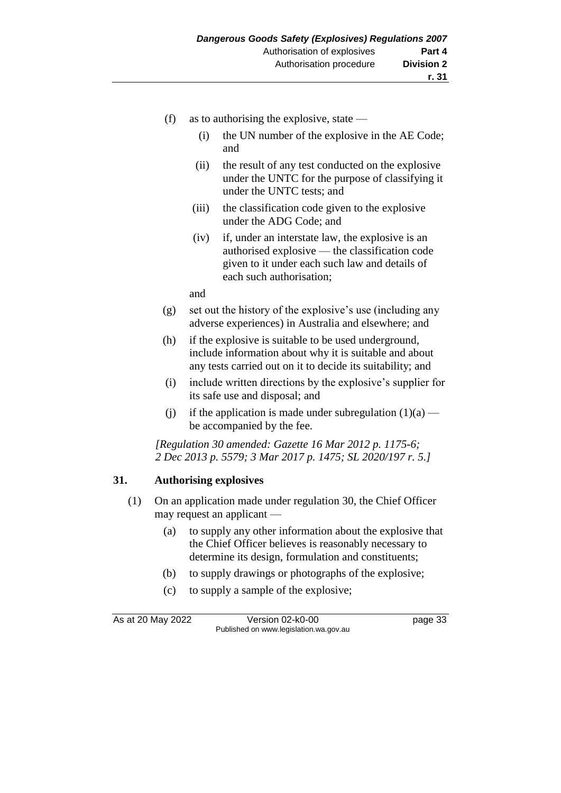- (f) as to authorising the explosive, state  $-$ 
	- (i) the UN number of the explosive in the AE Code; and
	- (ii) the result of any test conducted on the explosive under the UNTC for the purpose of classifying it under the UNTC tests; and
	- (iii) the classification code given to the explosive under the ADG Code; and
	- (iv) if, under an interstate law, the explosive is an authorised explosive — the classification code given to it under each such law and details of each such authorisation;

and

- (g) set out the history of the explosive's use (including any adverse experiences) in Australia and elsewhere; and
- (h) if the explosive is suitable to be used underground, include information about why it is suitable and about any tests carried out on it to decide its suitability; and
- (i) include written directions by the explosive's supplier for its safe use and disposal; and
- (i) if the application is made under subregulation  $(1)(a)$  be accompanied by the fee.

*[Regulation 30 amended: Gazette 16 Mar 2012 p. 1175-6; 2 Dec 2013 p. 5579; 3 Mar 2017 p. 1475; SL 2020/197 r. 5.]*

## **31. Authorising explosives**

- (1) On an application made under regulation 30, the Chief Officer may request an applicant —
	- (a) to supply any other information about the explosive that the Chief Officer believes is reasonably necessary to determine its design, formulation and constituents;
	- (b) to supply drawings or photographs of the explosive;
	- (c) to supply a sample of the explosive;

As at 20 May 2022 Version 02-k0-00 page 33 Published on www.legislation.wa.gov.au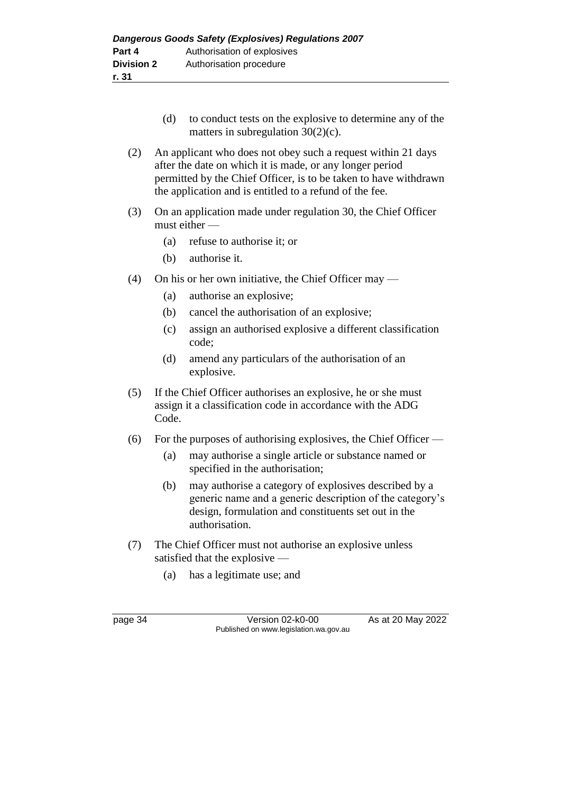- (d) to conduct tests on the explosive to determine any of the matters in subregulation 30(2)(c).
- (2) An applicant who does not obey such a request within 21 days after the date on which it is made, or any longer period permitted by the Chief Officer, is to be taken to have withdrawn the application and is entitled to a refund of the fee.
- (3) On an application made under regulation 30, the Chief Officer must either —
	- (a) refuse to authorise it; or
	- (b) authorise it.
- (4) On his or her own initiative, the Chief Officer may
	- (a) authorise an explosive;
	- (b) cancel the authorisation of an explosive;
	- (c) assign an authorised explosive a different classification code;
	- (d) amend any particulars of the authorisation of an explosive.
- (5) If the Chief Officer authorises an explosive, he or she must assign it a classification code in accordance with the ADG Code.
- (6) For the purposes of authorising explosives, the Chief Officer
	- (a) may authorise a single article or substance named or specified in the authorisation;
	- (b) may authorise a category of explosives described by a generic name and a generic description of the category's design, formulation and constituents set out in the authorisation.
- (7) The Chief Officer must not authorise an explosive unless satisfied that the explosive —
	- (a) has a legitimate use; and

page 34 Version 02-k0-00 As at 20 May 2022 Published on www.legislation.wa.gov.au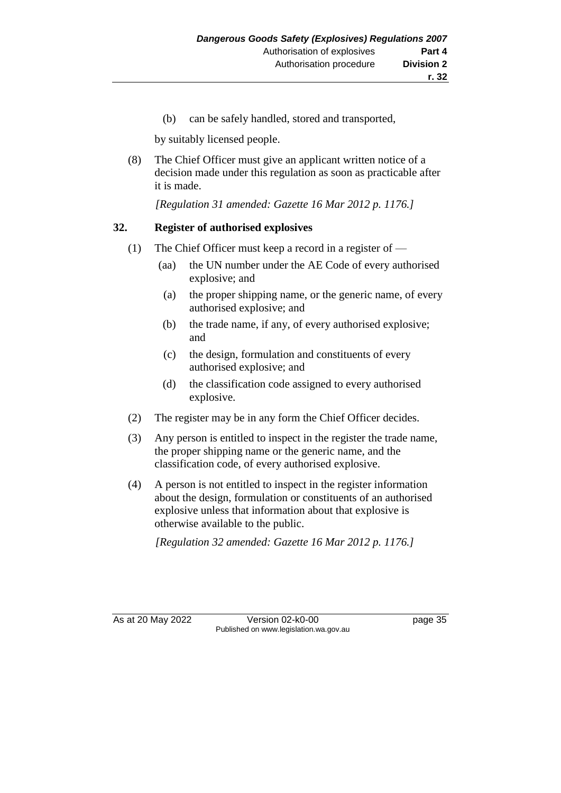(b) can be safely handled, stored and transported,

by suitably licensed people.

(8) The Chief Officer must give an applicant written notice of a decision made under this regulation as soon as practicable after it is made.

*[Regulation 31 amended: Gazette 16 Mar 2012 p. 1176.]*

#### **32. Register of authorised explosives**

- (1) The Chief Officer must keep a record in a register of
	- (aa) the UN number under the AE Code of every authorised explosive; and
	- (a) the proper shipping name, or the generic name, of every authorised explosive; and
	- (b) the trade name, if any, of every authorised explosive; and
	- (c) the design, formulation and constituents of every authorised explosive; and
	- (d) the classification code assigned to every authorised explosive.
- (2) The register may be in any form the Chief Officer decides.
- (3) Any person is entitled to inspect in the register the trade name, the proper shipping name or the generic name, and the classification code, of every authorised explosive.
- (4) A person is not entitled to inspect in the register information about the design, formulation or constituents of an authorised explosive unless that information about that explosive is otherwise available to the public.

*[Regulation 32 amended: Gazette 16 Mar 2012 p. 1176.]*

As at 20 May 2022 Version 02-k0-00 Page 35 Published on www.legislation.wa.gov.au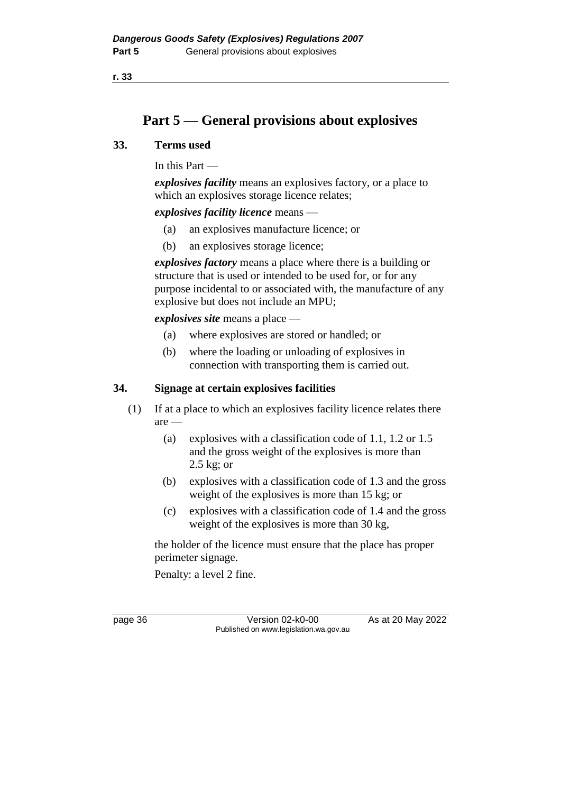**r. 33**

# **Part 5 — General provisions about explosives**

#### **33. Terms used**

In this Part —

*explosives facility* means an explosives factory, or a place to which an explosives storage licence relates;

*explosives facility licence* means —

- (a) an explosives manufacture licence; or
- (b) an explosives storage licence;

*explosives factory* means a place where there is a building or structure that is used or intended to be used for, or for any purpose incidental to or associated with, the manufacture of any explosive but does not include an MPU;

*explosives site* means a place —

- (a) where explosives are stored or handled; or
- (b) where the loading or unloading of explosives in connection with transporting them is carried out.

## **34. Signage at certain explosives facilities**

- (1) If at a place to which an explosives facility licence relates there are —
	- (a) explosives with a classification code of 1.1, 1.2 or 1.5 and the gross weight of the explosives is more than 2.5 kg; or
	- (b) explosives with a classification code of 1.3 and the gross weight of the explosives is more than 15 kg; or
	- (c) explosives with a classification code of 1.4 and the gross weight of the explosives is more than 30 kg,

the holder of the licence must ensure that the place has proper perimeter signage.

Penalty: a level 2 fine.

page 36 Version 02-k0-00 As at 20 May 2022 Published on www.legislation.wa.gov.au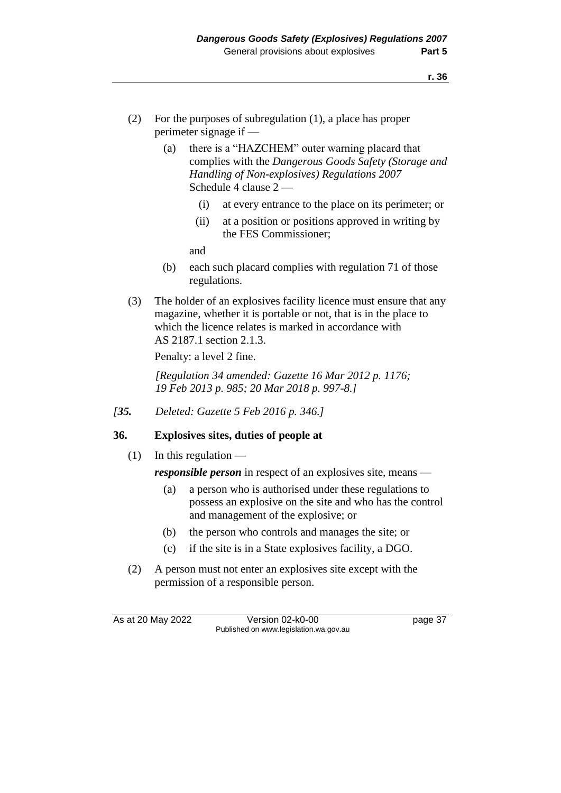- (2) For the purposes of subregulation (1), a place has proper perimeter signage if —
	- (a) there is a "HAZCHEM" outer warning placard that complies with the *Dangerous Goods Safety (Storage and Handling of Non-explosives) Regulations 2007*  Schedule 4 clause 2 —
		- (i) at every entrance to the place on its perimeter; or
		- (ii) at a position or positions approved in writing by the FES Commissioner;

and

- (b) each such placard complies with regulation 71 of those regulations.
- (3) The holder of an explosives facility licence must ensure that any magazine, whether it is portable or not, that is in the place to which the licence relates is marked in accordance with AS 2187.1 section 2.1.3.

Penalty: a level 2 fine.

*[Regulation 34 amended: Gazette 16 Mar 2012 p. 1176; 19 Feb 2013 p. 985; 20 Mar 2018 p. 997-8.]*

*[35. Deleted: Gazette 5 Feb 2016 p. 346.]*

## **36. Explosives sites, duties of people at**

(1) In this regulation  $-$ 

*responsible person* in respect of an explosives site, means —

- (a) a person who is authorised under these regulations to possess an explosive on the site and who has the control and management of the explosive; or
- (b) the person who controls and manages the site; or
- (c) if the site is in a State explosives facility, a DGO.
- (2) A person must not enter an explosives site except with the permission of a responsible person.

As at 20 May 2022 Version 02-k0-00 Page 37 Published on www.legislation.wa.gov.au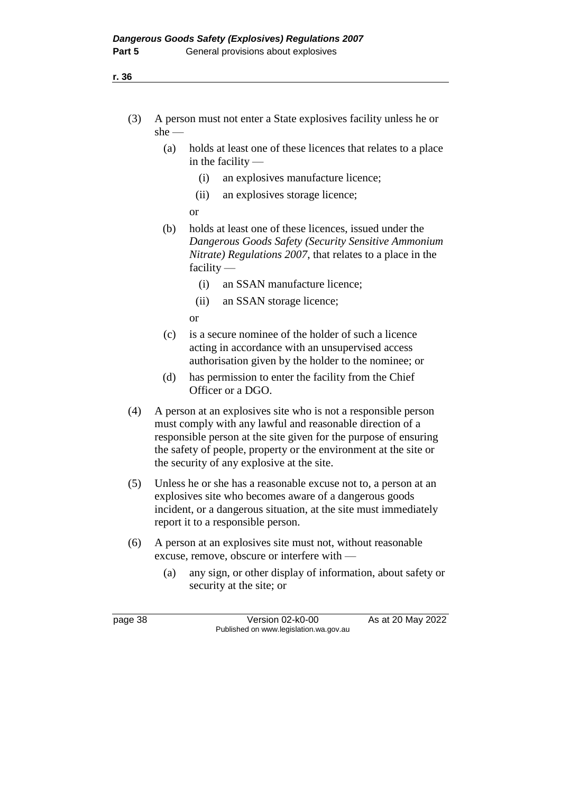- (3) A person must not enter a State explosives facility unless he or she —
	- (a) holds at least one of these licences that relates to a place in the facility —
		- (i) an explosives manufacture licence;
		- (ii) an explosives storage licence;
		- or
	- (b) holds at least one of these licences, issued under the *Dangerous Goods Safety (Security Sensitive Ammonium Nitrate) Regulations 2007*, that relates to a place in the facility —
		- (i) an SSAN manufacture licence;
		- (ii) an SSAN storage licence;

or

- (c) is a secure nominee of the holder of such a licence acting in accordance with an unsupervised access authorisation given by the holder to the nominee; or
- (d) has permission to enter the facility from the Chief Officer or a DGO.
- (4) A person at an explosives site who is not a responsible person must comply with any lawful and reasonable direction of a responsible person at the site given for the purpose of ensuring the safety of people, property or the environment at the site or the security of any explosive at the site.
- (5) Unless he or she has a reasonable excuse not to, a person at an explosives site who becomes aware of a dangerous goods incident, or a dangerous situation, at the site must immediately report it to a responsible person.
- (6) A person at an explosives site must not, without reasonable excuse, remove, obscure or interfere with —
	- (a) any sign, or other display of information, about safety or security at the site; or

page 38 Version 02-k0-00 As at 20 May 2022 Published on www.legislation.wa.gov.au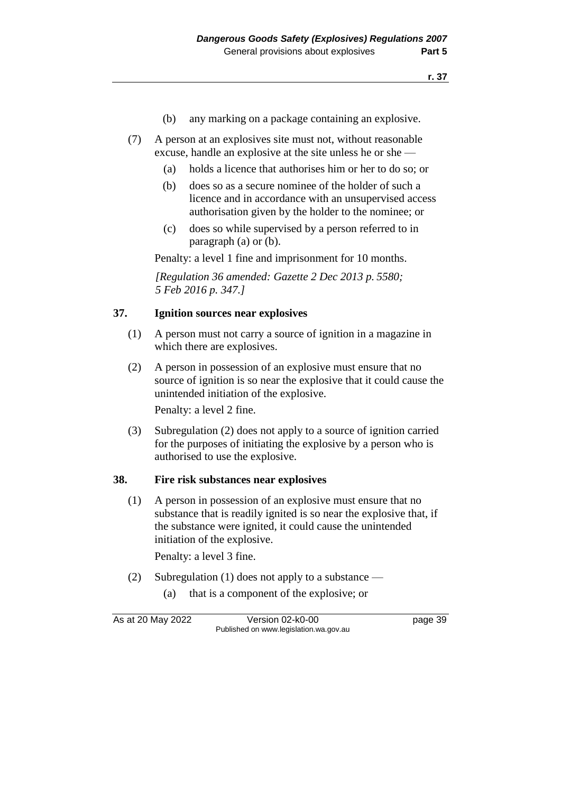- (b) any marking on a package containing an explosive.
- (7) A person at an explosives site must not, without reasonable excuse, handle an explosive at the site unless he or she —
	- (a) holds a licence that authorises him or her to do so; or
	- (b) does so as a secure nominee of the holder of such a licence and in accordance with an unsupervised access authorisation given by the holder to the nominee; or
	- (c) does so while supervised by a person referred to in paragraph (a) or (b).

Penalty: a level 1 fine and imprisonment for 10 months.

*[Regulation 36 amended: Gazette 2 Dec 2013 p. 5580; 5 Feb 2016 p. 347.]*

#### **37. Ignition sources near explosives**

- (1) A person must not carry a source of ignition in a magazine in which there are explosives.
- (2) A person in possession of an explosive must ensure that no source of ignition is so near the explosive that it could cause the unintended initiation of the explosive.

Penalty: a level 2 fine.

(3) Subregulation (2) does not apply to a source of ignition carried for the purposes of initiating the explosive by a person who is authorised to use the explosive.

#### **38. Fire risk substances near explosives**

(1) A person in possession of an explosive must ensure that no substance that is readily ignited is so near the explosive that, if the substance were ignited, it could cause the unintended initiation of the explosive.

Penalty: a level 3 fine.

- (2) Subregulation (1) does not apply to a substance
	- (a) that is a component of the explosive; or

As at 20 May 2022 Version 02-k0-00 Page 39 Published on www.legislation.wa.gov.au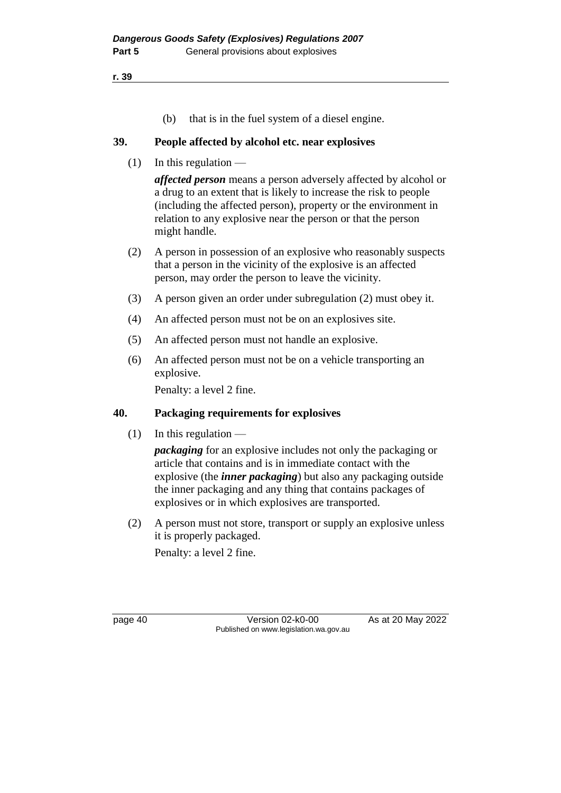**r. 39**

(b) that is in the fuel system of a diesel engine.

#### **39. People affected by alcohol etc. near explosives**

 $(1)$  In this regulation —

*affected person* means a person adversely affected by alcohol or a drug to an extent that is likely to increase the risk to people (including the affected person), property or the environment in relation to any explosive near the person or that the person might handle.

- (2) A person in possession of an explosive who reasonably suspects that a person in the vicinity of the explosive is an affected person, may order the person to leave the vicinity.
- (3) A person given an order under subregulation (2) must obey it.
- (4) An affected person must not be on an explosives site.
- (5) An affected person must not handle an explosive.
- (6) An affected person must not be on a vehicle transporting an explosive.

Penalty: a level 2 fine.

## **40. Packaging requirements for explosives**

(1) In this regulation  $-$ 

*packaging* for an explosive includes not only the packaging or article that contains and is in immediate contact with the explosive (the *inner packaging*) but also any packaging outside the inner packaging and any thing that contains packages of explosives or in which explosives are transported.

(2) A person must not store, transport or supply an explosive unless it is properly packaged.

Penalty: a level 2 fine.

page 40 Version 02-k0-00 As at 20 May 2022 Published on www.legislation.wa.gov.au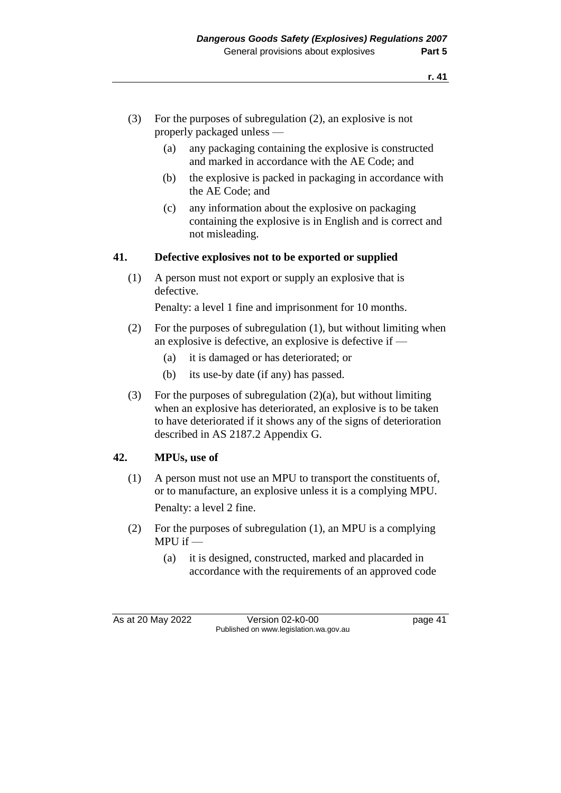- (3) For the purposes of subregulation (2), an explosive is not properly packaged unless —
	- (a) any packaging containing the explosive is constructed and marked in accordance with the AE Code; and
	- (b) the explosive is packed in packaging in accordance with the AE Code; and
	- (c) any information about the explosive on packaging containing the explosive is in English and is correct and not misleading.

#### **41. Defective explosives not to be exported or supplied**

(1) A person must not export or supply an explosive that is defective.

Penalty: a level 1 fine and imprisonment for 10 months.

- (2) For the purposes of subregulation (1), but without limiting when an explosive is defective, an explosive is defective if —
	- (a) it is damaged or has deteriorated; or
	- (b) its use-by date (if any) has passed.
- (3) For the purposes of subregulation  $(2)(a)$ , but without limiting when an explosive has deteriorated, an explosive is to be taken to have deteriorated if it shows any of the signs of deterioration described in AS 2187.2 Appendix G.

## **42. MPUs, use of**

- (1) A person must not use an MPU to transport the constituents of, or to manufacture, an explosive unless it is a complying MPU. Penalty: a level 2 fine.
- (2) For the purposes of subregulation (1), an MPU is a complying MPU if —
	- (a) it is designed, constructed, marked and placarded in accordance with the requirements of an approved code

As at 20 May 2022 Version 02-k0-00 page 41 Published on www.legislation.wa.gov.au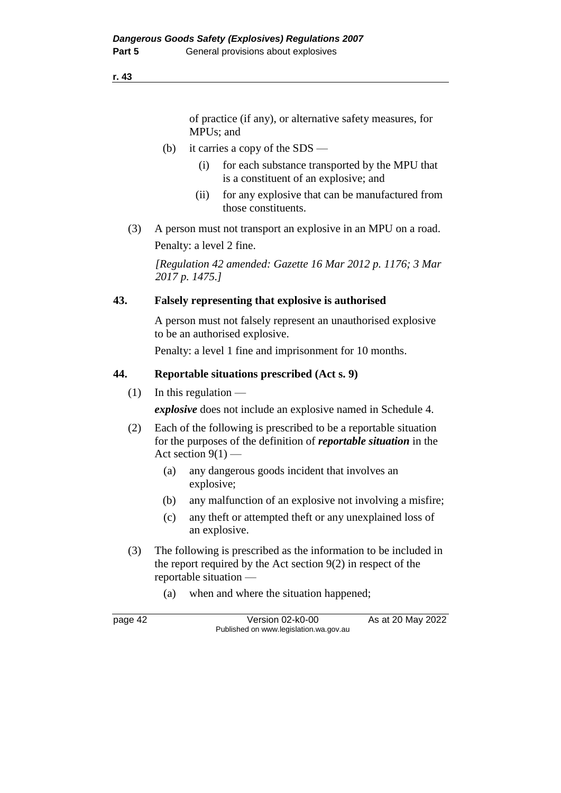#### **r. 43**

of practice (if any), or alternative safety measures, for MPUs; and

- (b) it carries a copy of the SDS
	- (i) for each substance transported by the MPU that is a constituent of an explosive; and
	- (ii) for any explosive that can be manufactured from those constituents.
- (3) A person must not transport an explosive in an MPU on a road.

Penalty: a level 2 fine.

*[Regulation 42 amended: Gazette 16 Mar 2012 p. 1176; 3 Mar 2017 p. 1475.]*

#### **43. Falsely representing that explosive is authorised**

A person must not falsely represent an unauthorised explosive to be an authorised explosive.

Penalty: a level 1 fine and imprisonment for 10 months.

#### **44. Reportable situations prescribed (Act s. 9)**

 $(1)$  In this regulation —

*explosive* does not include an explosive named in Schedule 4.

- (2) Each of the following is prescribed to be a reportable situation for the purposes of the definition of *reportable situation* in the Act section  $9(1)$  –
	- (a) any dangerous goods incident that involves an explosive;
	- (b) any malfunction of an explosive not involving a misfire;
	- (c) any theft or attempted theft or any unexplained loss of an explosive.
- (3) The following is prescribed as the information to be included in the report required by the Act section 9(2) in respect of the reportable situation —
	- (a) when and where the situation happened;

page 42 Version 02-k0-00 As at 20 May 2022 Published on www.legislation.wa.gov.au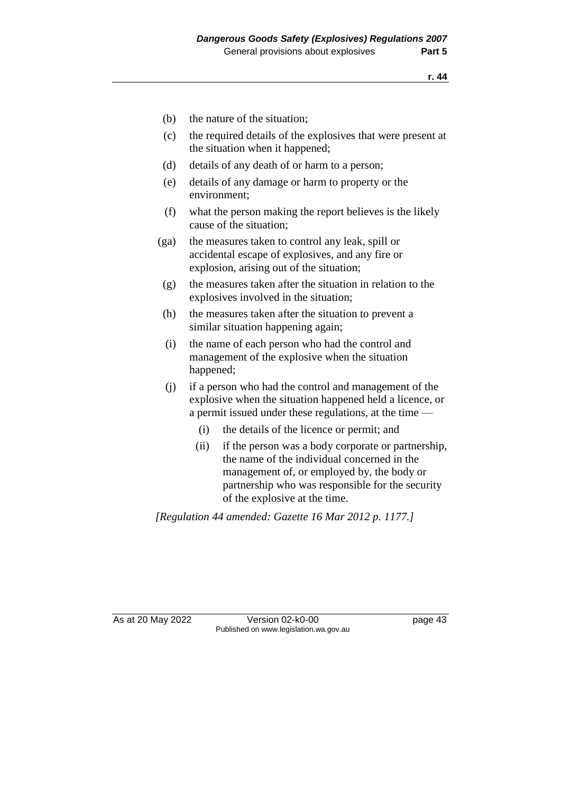- (b) the nature of the situation;
- (c) the required details of the explosives that were present at the situation when it happened;
- (d) details of any death of or harm to a person;
- (e) details of any damage or harm to property or the environment;
- (f) what the person making the report believes is the likely cause of the situation;
- (ga) the measures taken to control any leak, spill or accidental escape of explosives, and any fire or explosion, arising out of the situation;
- (g) the measures taken after the situation in relation to the explosives involved in the situation;
- (h) the measures taken after the situation to prevent a similar situation happening again;
- (i) the name of each person who had the control and management of the explosive when the situation happened;
- (j) if a person who had the control and management of the explosive when the situation happened held a licence, or a permit issued under these regulations, at the time —
	- (i) the details of the licence or permit; and
	- (ii) if the person was a body corporate or partnership, the name of the individual concerned in the management of, or employed by, the body or partnership who was responsible for the security of the explosive at the time.

*[Regulation 44 amended: Gazette 16 Mar 2012 p. 1177.]*

As at 20 May 2022 Version 02-k0-00 Published on www.legislation.wa.gov.au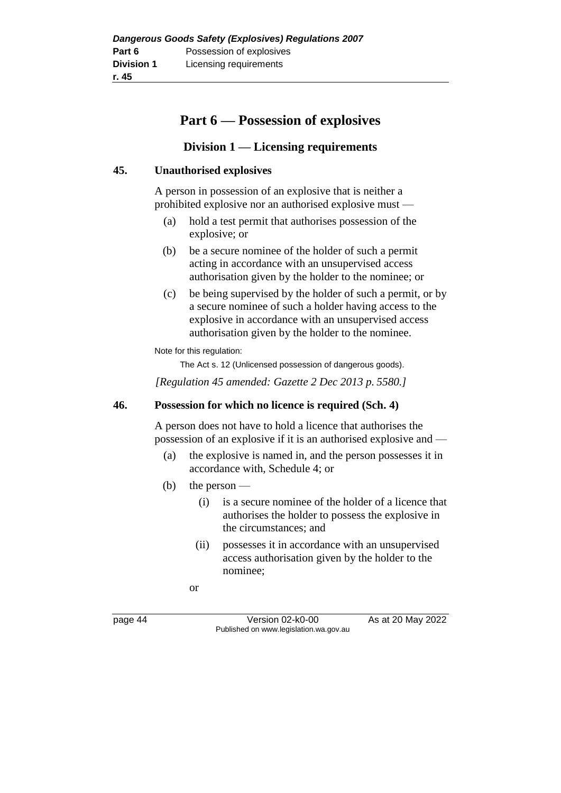# **Part 6 — Possession of explosives**

## **Division 1 — Licensing requirements**

## **45. Unauthorised explosives**

A person in possession of an explosive that is neither a prohibited explosive nor an authorised explosive must —

- (a) hold a test permit that authorises possession of the explosive; or
- (b) be a secure nominee of the holder of such a permit acting in accordance with an unsupervised access authorisation given by the holder to the nominee; or
- (c) be being supervised by the holder of such a permit, or by a secure nominee of such a holder having access to the explosive in accordance with an unsupervised access authorisation given by the holder to the nominee.

Note for this regulation:

The Act s. 12 (Unlicensed possession of dangerous goods).

*[Regulation 45 amended: Gazette 2 Dec 2013 p. 5580.]*

#### **46. Possession for which no licence is required (Sch. 4)**

A person does not have to hold a licence that authorises the possession of an explosive if it is an authorised explosive and —

- (a) the explosive is named in, and the person possesses it in accordance with, Schedule 4; or
- (b) the person
	- (i) is a secure nominee of the holder of a licence that authorises the holder to possess the explosive in the circumstances; and
	- (ii) possesses it in accordance with an unsupervised access authorisation given by the holder to the nominee;

or

page 44 Version 02-k0-00 As at 20 May 2022 Published on www.legislation.wa.gov.au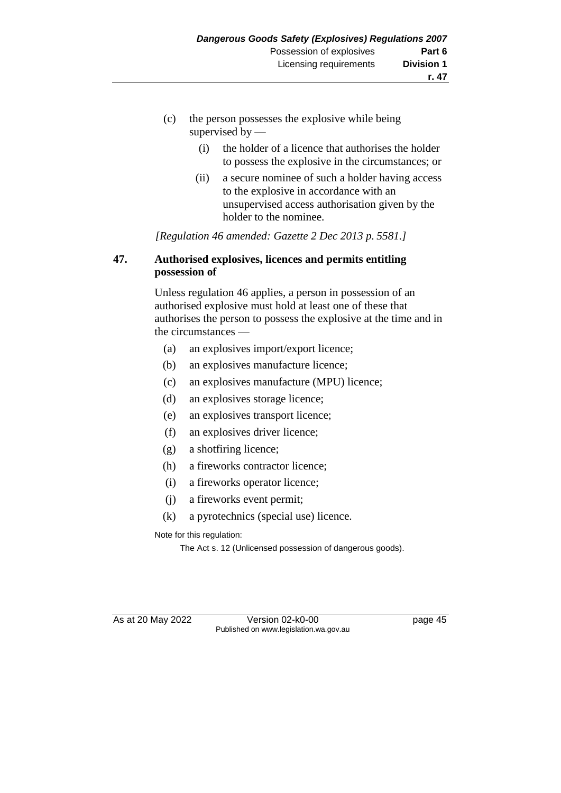- (c) the person possesses the explosive while being supervised by —
	- (i) the holder of a licence that authorises the holder to possess the explosive in the circumstances; or
	- (ii) a secure nominee of such a holder having access to the explosive in accordance with an unsupervised access authorisation given by the holder to the nominee.

*[Regulation 46 amended: Gazette 2 Dec 2013 p. 5581.]*

## **47. Authorised explosives, licences and permits entitling possession of**

Unless regulation 46 applies, a person in possession of an authorised explosive must hold at least one of these that authorises the person to possess the explosive at the time and in the circumstances —

- (a) an explosives import/export licence;
- (b) an explosives manufacture licence;
- (c) an explosives manufacture (MPU) licence;
- (d) an explosives storage licence;
- (e) an explosives transport licence;
- (f) an explosives driver licence;
- (g) a shotfiring licence;
- (h) a fireworks contractor licence;
- (i) a fireworks operator licence;
- (j) a fireworks event permit;
- (k) a pyrotechnics (special use) licence.

Note for this regulation:

The Act s. 12 (Unlicensed possession of dangerous goods).

As at 20 May 2022 Version 02-k0-00 Published on www.legislation.wa.gov.au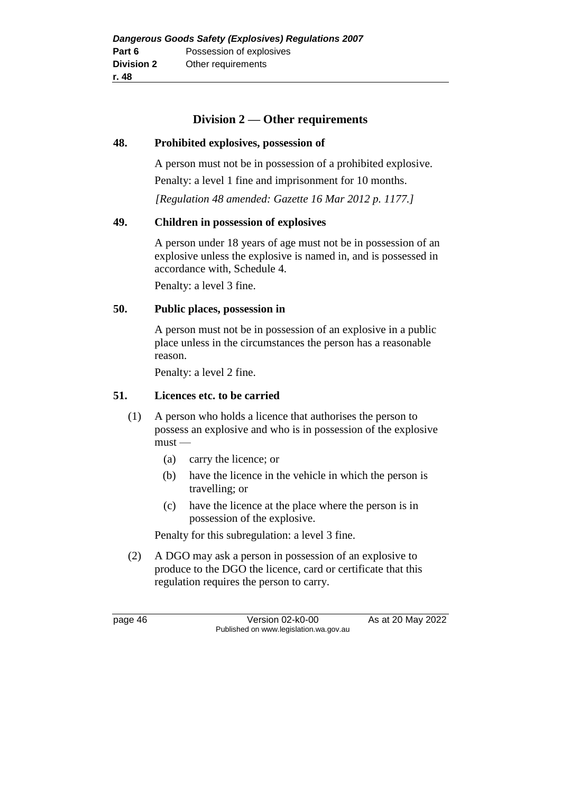#### **Division 2 — Other requirements**

#### **48. Prohibited explosives, possession of**

A person must not be in possession of a prohibited explosive. Penalty: a level 1 fine and imprisonment for 10 months.

*[Regulation 48 amended: Gazette 16 Mar 2012 p. 1177.]*

#### **49. Children in possession of explosives**

A person under 18 years of age must not be in possession of an explosive unless the explosive is named in, and is possessed in accordance with, Schedule 4.

Penalty: a level 3 fine.

#### **50. Public places, possession in**

A person must not be in possession of an explosive in a public place unless in the circumstances the person has a reasonable reason.

Penalty: a level 2 fine.

#### **51. Licences etc. to be carried**

- (1) A person who holds a licence that authorises the person to possess an explosive and who is in possession of the explosive must —
	- (a) carry the licence; or
	- (b) have the licence in the vehicle in which the person is travelling; or
	- (c) have the licence at the place where the person is in possession of the explosive.

Penalty for this subregulation: a level 3 fine.

(2) A DGO may ask a person in possession of an explosive to produce to the DGO the licence, card or certificate that this regulation requires the person to carry.

page 46 Version 02-k0-00 As at 20 May 2022 Published on www.legislation.wa.gov.au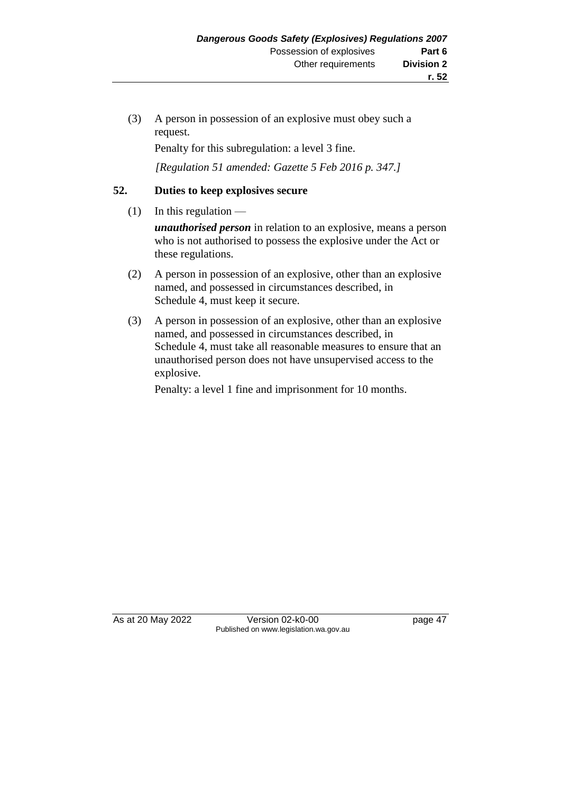(3) A person in possession of an explosive must obey such a request.

Penalty for this subregulation: a level 3 fine.

*[Regulation 51 amended: Gazette 5 Feb 2016 p. 347.]*

#### **52. Duties to keep explosives secure**

 $(1)$  In this regulation —

*unauthorised person* in relation to an explosive, means a person who is not authorised to possess the explosive under the Act or these regulations.

- (2) A person in possession of an explosive, other than an explosive named, and possessed in circumstances described, in Schedule 4, must keep it secure.
- (3) A person in possession of an explosive, other than an explosive named, and possessed in circumstances described, in Schedule 4, must take all reasonable measures to ensure that an unauthorised person does not have unsupervised access to the explosive.

Penalty: a level 1 fine and imprisonment for 10 months.

As at 20 May 2022 Version 02-k0-00 Page 47 Published on www.legislation.wa.gov.au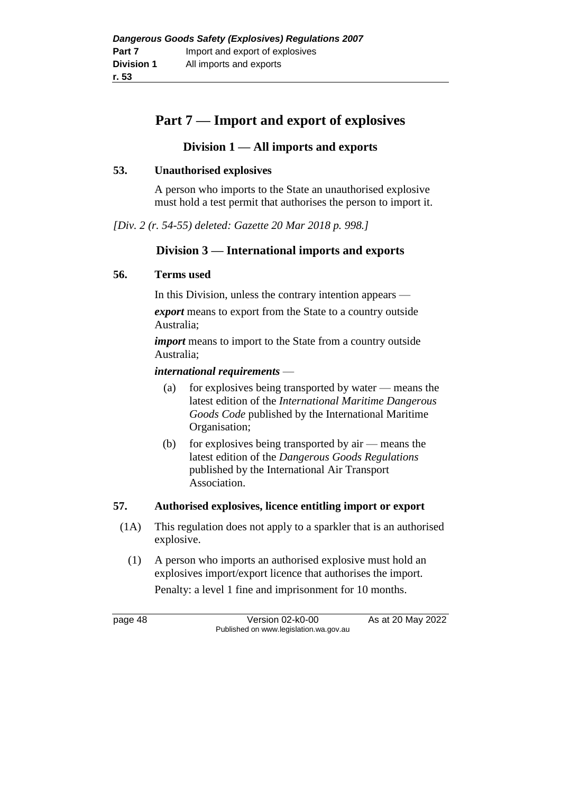# **Part 7 — Import and export of explosives**

## **Division 1 — All imports and exports**

#### **53. Unauthorised explosives**

A person who imports to the State an unauthorised explosive must hold a test permit that authorises the person to import it.

*[Div. 2 (r. 54-55) deleted: Gazette 20 Mar 2018 p. 998.]*

## **Division 3 — International imports and exports**

#### **56. Terms used**

In this Division, unless the contrary intention appears —

*export* means to export from the State to a country outside Australia;

*import* means to import to the State from a country outside Australia;

#### *international requirements* —

- (a) for explosives being transported by water means the latest edition of the *International Maritime Dangerous Goods Code* published by the International Maritime Organisation;
- (b) for explosives being transported by air means the latest edition of the *Dangerous Goods Regulations* published by the International Air Transport Association.

#### **57. Authorised explosives, licence entitling import or export**

- (1A) This regulation does not apply to a sparkler that is an authorised explosive.
	- (1) A person who imports an authorised explosive must hold an explosives import/export licence that authorises the import.

Penalty: a level 1 fine and imprisonment for 10 months.

page 48 Version 02-k0-00 As at 20 May 2022 Published on www.legislation.wa.gov.au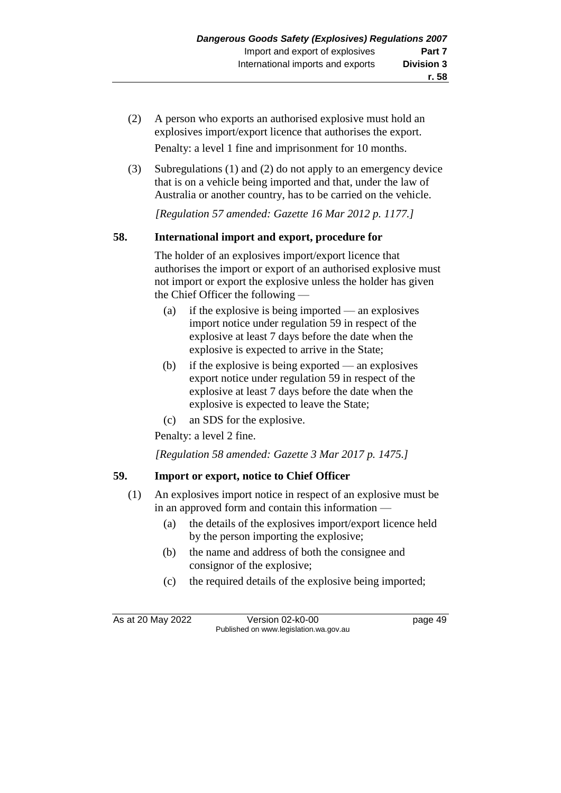- (2) A person who exports an authorised explosive must hold an explosives import/export licence that authorises the export. Penalty: a level 1 fine and imprisonment for 10 months.
- (3) Subregulations (1) and (2) do not apply to an emergency device that is on a vehicle being imported and that, under the law of Australia or another country, has to be carried on the vehicle.

*[Regulation 57 amended: Gazette 16 Mar 2012 p. 1177.]*

## **58. International import and export, procedure for**

The holder of an explosives import/export licence that authorises the import or export of an authorised explosive must not import or export the explosive unless the holder has given the Chief Officer the following —

- (a) if the explosive is being imported an explosives import notice under regulation 59 in respect of the explosive at least 7 days before the date when the explosive is expected to arrive in the State;
- (b) if the explosive is being exported an explosives export notice under regulation 59 in respect of the explosive at least 7 days before the date when the explosive is expected to leave the State;
- (c) an SDS for the explosive.

Penalty: a level 2 fine.

*[Regulation 58 amended: Gazette 3 Mar 2017 p. 1475.]*

## **59. Import or export, notice to Chief Officer**

- (1) An explosives import notice in respect of an explosive must be in an approved form and contain this information —
	- (a) the details of the explosives import/export licence held by the person importing the explosive;
	- (b) the name and address of both the consignee and consignor of the explosive;
	- (c) the required details of the explosive being imported;

As at 20 May 2022 Version 02-k0-00 Page 49 Published on www.legislation.wa.gov.au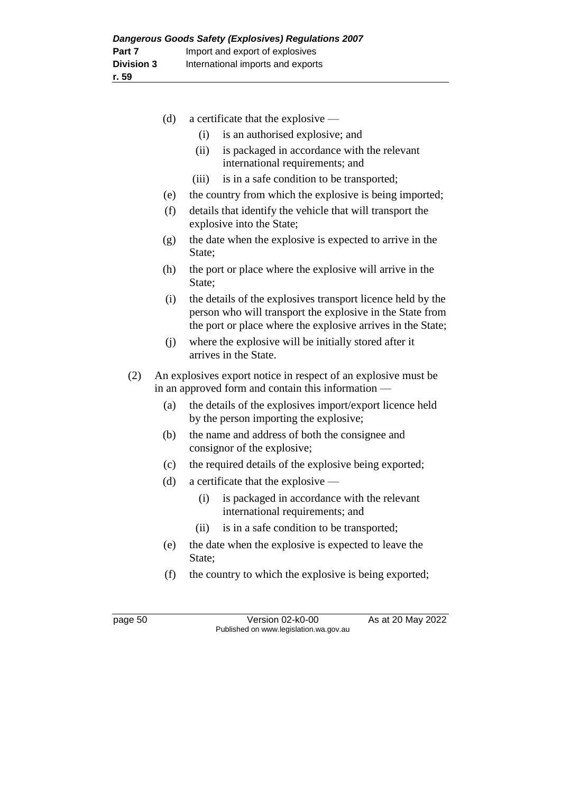| (d) | a certificate that the explosive —                                                                                                                                                      |  |  |  |  |
|-----|-----------------------------------------------------------------------------------------------------------------------------------------------------------------------------------------|--|--|--|--|
|     | is an authorised explosive; and<br>(i)                                                                                                                                                  |  |  |  |  |
|     | (ii)<br>is packaged in accordance with the relevant<br>international requirements; and                                                                                                  |  |  |  |  |
|     | is in a safe condition to be transported;<br>(iii)                                                                                                                                      |  |  |  |  |
| (e) | the country from which the explosive is being imported;                                                                                                                                 |  |  |  |  |
| (f) | details that identify the vehicle that will transport the<br>explosive into the State;                                                                                                  |  |  |  |  |
| (g) | the date when the explosive is expected to arrive in the<br>State:                                                                                                                      |  |  |  |  |
| (h) | the port or place where the explosive will arrive in the<br>State;                                                                                                                      |  |  |  |  |
| (i) | the details of the explosives transport licence held by the<br>person who will transport the explosive in the State from<br>the port or place where the explosive arrives in the State; |  |  |  |  |
| (i) | where the explosive will be initially stored after it<br>arrives in the State.                                                                                                          |  |  |  |  |
| (2) | An explosives export notice in respect of an explosive must be<br>in an approved form and contain this information —                                                                    |  |  |  |  |
| (a) | the details of the explosives import/export licence held<br>by the person importing the explosive;                                                                                      |  |  |  |  |
| (b) | the name and address of both the consignee and<br>consignor of the explosive;                                                                                                           |  |  |  |  |
| (c) | the required details of the explosive being exported;                                                                                                                                   |  |  |  |  |
| (d) | a certificate that the explosive —                                                                                                                                                      |  |  |  |  |
|     | (i)<br>is packaged in accordance with the relevant<br>international requirements; and                                                                                                   |  |  |  |  |
|     | is in a safe condition to be transported;<br>(ii)                                                                                                                                       |  |  |  |  |
| (e) | the date when the explosive is expected to leave the<br>State;                                                                                                                          |  |  |  |  |
| (f) | the country to which the explosive is being exported;                                                                                                                                   |  |  |  |  |

page 50 Version 02-k0-00 As at 20 May 2022 Published on www.legislation.wa.gov.au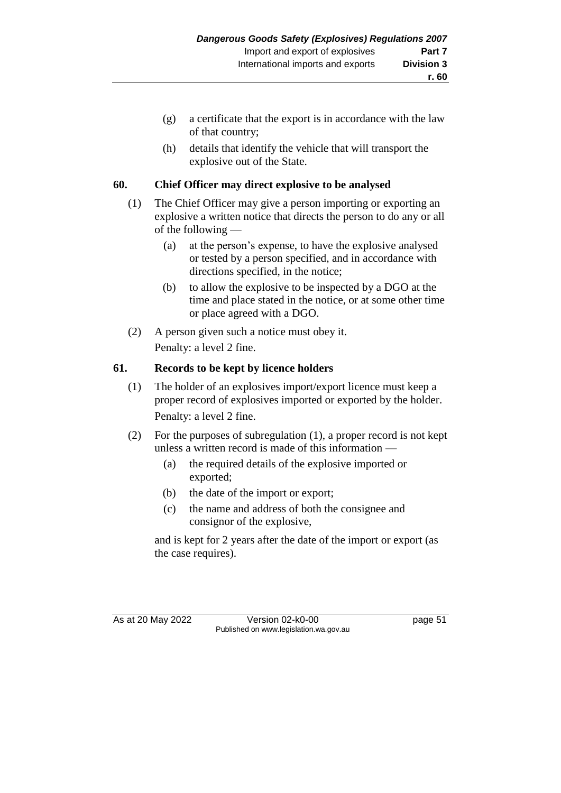- (g) a certificate that the export is in accordance with the law of that country;
- (h) details that identify the vehicle that will transport the explosive out of the State.

## **60. Chief Officer may direct explosive to be analysed**

- (1) The Chief Officer may give a person importing or exporting an explosive a written notice that directs the person to do any or all of the following —
	- (a) at the person's expense, to have the explosive analysed or tested by a person specified, and in accordance with directions specified, in the notice;
	- (b) to allow the explosive to be inspected by a DGO at the time and place stated in the notice, or at some other time or place agreed with a DGO.
- (2) A person given such a notice must obey it. Penalty: a level 2 fine.

## **61. Records to be kept by licence holders**

- (1) The holder of an explosives import/export licence must keep a proper record of explosives imported or exported by the holder. Penalty: a level 2 fine.
- (2) For the purposes of subregulation (1), a proper record is not kept unless a written record is made of this information —
	- (a) the required details of the explosive imported or exported;
	- (b) the date of the import or export;
	- (c) the name and address of both the consignee and consignor of the explosive,

and is kept for 2 years after the date of the import or export (as the case requires).

As at 20 May 2022 Version 02-k0-00 Page 51 Published on www.legislation.wa.gov.au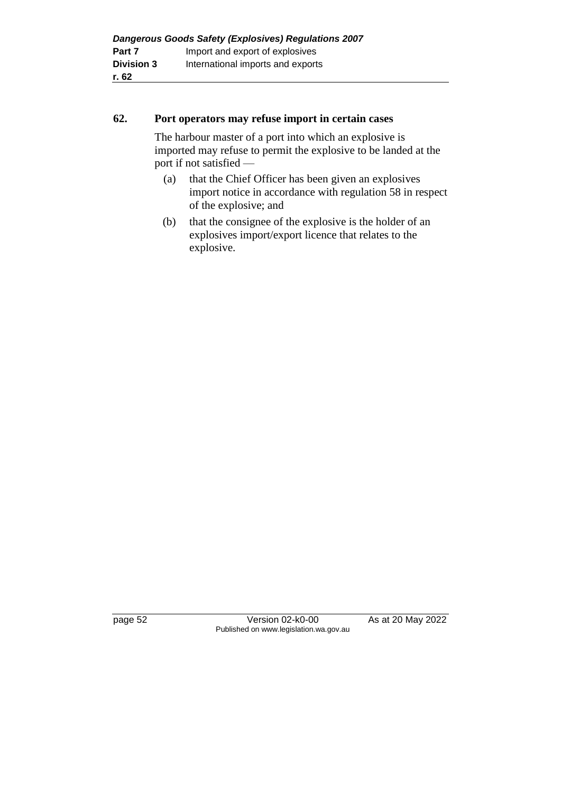#### **62. Port operators may refuse import in certain cases**

The harbour master of a port into which an explosive is imported may refuse to permit the explosive to be landed at the port if not satisfied —

- (a) that the Chief Officer has been given an explosives import notice in accordance with regulation 58 in respect of the explosive; and
- (b) that the consignee of the explosive is the holder of an explosives import/export licence that relates to the explosive.

page 52 Version 02-k0-00 As at 20 May 2022 Published on www.legislation.wa.gov.au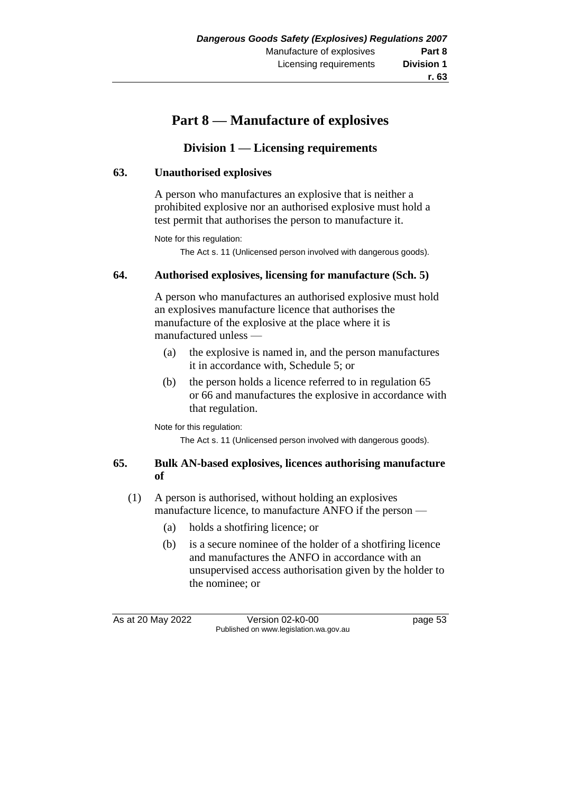# **r. 63**

# **Part 8 — Manufacture of explosives**

# **Division 1 — Licensing requirements**

## **63. Unauthorised explosives**

A person who manufactures an explosive that is neither a prohibited explosive nor an authorised explosive must hold a test permit that authorises the person to manufacture it.

Note for this regulation:

The Act s. 11 (Unlicensed person involved with dangerous goods).

#### **64. Authorised explosives, licensing for manufacture (Sch. 5)**

A person who manufactures an authorised explosive must hold an explosives manufacture licence that authorises the manufacture of the explosive at the place where it is manufactured unless —

- (a) the explosive is named in, and the person manufactures it in accordance with, Schedule 5; or
- (b) the person holds a licence referred to in regulation 65 or 66 and manufactures the explosive in accordance with that regulation.

Note for this regulation:

The Act s. 11 (Unlicensed person involved with dangerous goods).

#### **65. Bulk AN-based explosives, licences authorising manufacture of**

- (1) A person is authorised, without holding an explosives manufacture licence, to manufacture ANFO if the person —
	- (a) holds a shotfiring licence; or
	- (b) is a secure nominee of the holder of a shotfiring licence and manufactures the ANFO in accordance with an unsupervised access authorisation given by the holder to the nominee; or

As at 20 May 2022 Version 02-k0-00 Published on www.legislation.wa.gov.au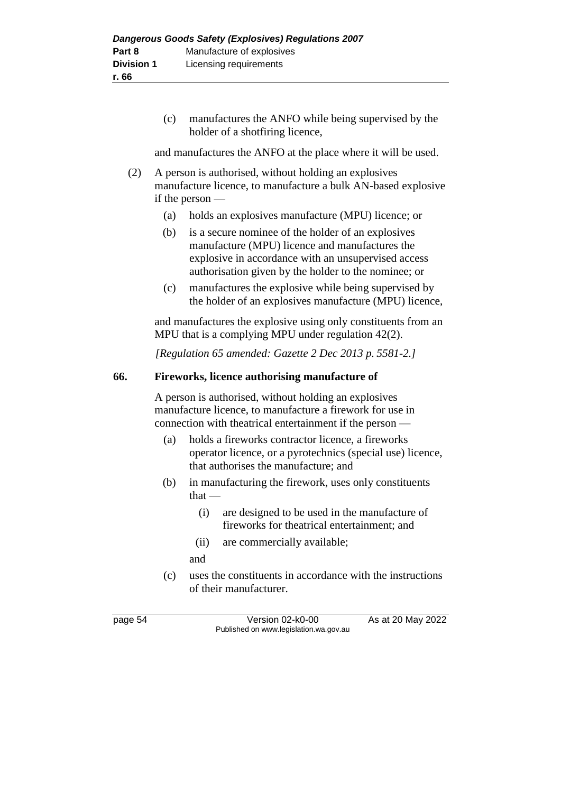(c) manufactures the ANFO while being supervised by the holder of a shotfiring licence,

and manufactures the ANFO at the place where it will be used.

- (2) A person is authorised, without holding an explosives manufacture licence, to manufacture a bulk AN-based explosive if the person —
	- (a) holds an explosives manufacture (MPU) licence; or
	- (b) is a secure nominee of the holder of an explosives manufacture (MPU) licence and manufactures the explosive in accordance with an unsupervised access authorisation given by the holder to the nominee; or
	- (c) manufactures the explosive while being supervised by the holder of an explosives manufacture (MPU) licence,

and manufactures the explosive using only constituents from an MPU that is a complying MPU under regulation 42(2).

*[Regulation 65 amended: Gazette 2 Dec 2013 p. 5581-2.]*

## **66. Fireworks, licence authorising manufacture of**

A person is authorised, without holding an explosives manufacture licence, to manufacture a firework for use in connection with theatrical entertainment if the person —

- (a) holds a fireworks contractor licence, a fireworks operator licence, or a pyrotechnics (special use) licence, that authorises the manufacture; and
- (b) in manufacturing the firework, uses only constituents that —
	- (i) are designed to be used in the manufacture of fireworks for theatrical entertainment; and
	- (ii) are commercially available;
	- and
- (c) uses the constituents in accordance with the instructions of their manufacturer.

page 54 Version 02-k0-00 As at 20 May 2022 Published on www.legislation.wa.gov.au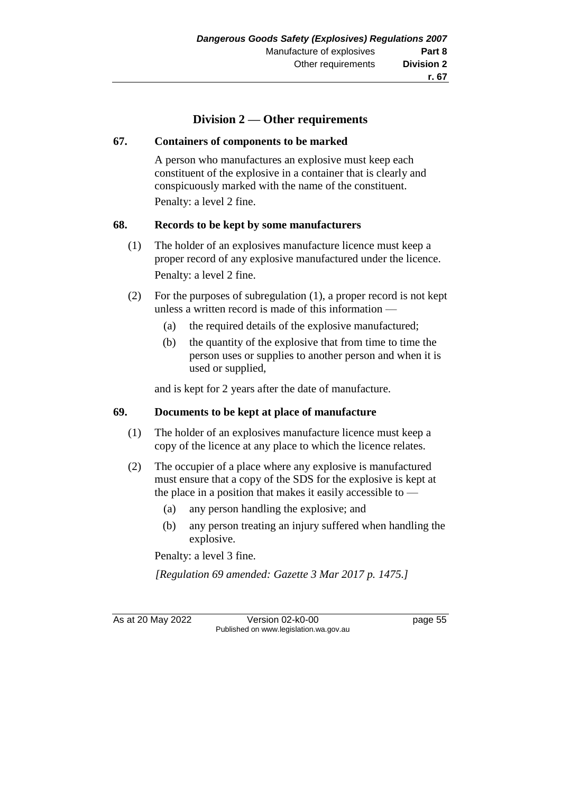# **Division 2 — Other requirements**

#### **67. Containers of components to be marked**

A person who manufactures an explosive must keep each constituent of the explosive in a container that is clearly and conspicuously marked with the name of the constituent. Penalty: a level 2 fine.

#### **68. Records to be kept by some manufacturers**

- (1) The holder of an explosives manufacture licence must keep a proper record of any explosive manufactured under the licence. Penalty: a level 2 fine.
- (2) For the purposes of subregulation (1), a proper record is not kept unless a written record is made of this information —
	- (a) the required details of the explosive manufactured;
	- (b) the quantity of the explosive that from time to time the person uses or supplies to another person and when it is used or supplied,

and is kept for 2 years after the date of manufacture.

## **69. Documents to be kept at place of manufacture**

- (1) The holder of an explosives manufacture licence must keep a copy of the licence at any place to which the licence relates.
- (2) The occupier of a place where any explosive is manufactured must ensure that a copy of the SDS for the explosive is kept at the place in a position that makes it easily accessible to —
	- (a) any person handling the explosive; and
	- (b) any person treating an injury suffered when handling the explosive.

Penalty: a level 3 fine.

*[Regulation 69 amended: Gazette 3 Mar 2017 p. 1475.]*

As at 20 May 2022 Version 02-k0-00 Page 55 Published on www.legislation.wa.gov.au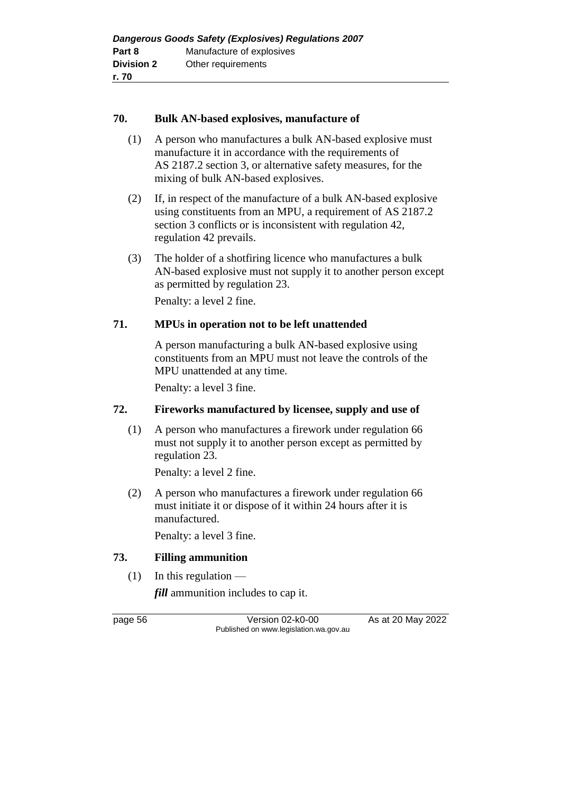#### **70. Bulk AN-based explosives, manufacture of**

- (1) A person who manufactures a bulk AN-based explosive must manufacture it in accordance with the requirements of AS 2187.2 section 3, or alternative safety measures, for the mixing of bulk AN-based explosives.
- (2) If, in respect of the manufacture of a bulk AN-based explosive using constituents from an MPU, a requirement of AS 2187.2 section 3 conflicts or is inconsistent with regulation 42, regulation 42 prevails.
- (3) The holder of a shotfiring licence who manufactures a bulk AN-based explosive must not supply it to another person except as permitted by regulation 23.

Penalty: a level 2 fine.

## **71. MPUs in operation not to be left unattended**

A person manufacturing a bulk AN-based explosive using constituents from an MPU must not leave the controls of the MPU unattended at any time.

Penalty: a level 3 fine.

## **72. Fireworks manufactured by licensee, supply and use of**

(1) A person who manufactures a firework under regulation 66 must not supply it to another person except as permitted by regulation 23.

Penalty: a level 2 fine.

(2) A person who manufactures a firework under regulation 66 must initiate it or dispose of it within 24 hours after it is manufactured.

Penalty: a level 3 fine.

## **73. Filling ammunition**

 $(1)$  In this regulation —

*fill* ammunition includes to cap it.

page 56 Version 02-k0-00 As at 20 May 2022 Published on www.legislation.wa.gov.au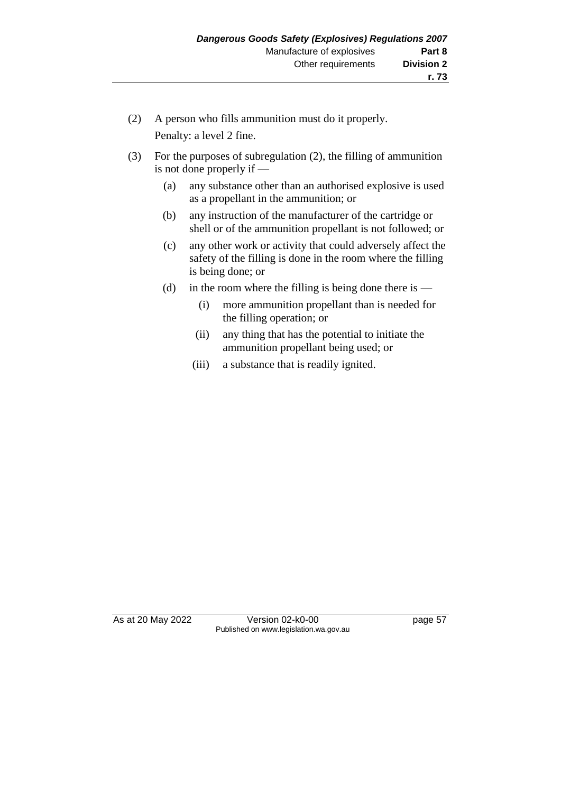- (2) A person who fills ammunition must do it properly. Penalty: a level 2 fine.
- (3) For the purposes of subregulation (2), the filling of ammunition is not done properly if —
	- (a) any substance other than an authorised explosive is used as a propellant in the ammunition; or
	- (b) any instruction of the manufacturer of the cartridge or shell or of the ammunition propellant is not followed; or
	- (c) any other work or activity that could adversely affect the safety of the filling is done in the room where the filling is being done; or
	- (d) in the room where the filling is being done there is
		- (i) more ammunition propellant than is needed for the filling operation; or
		- (ii) any thing that has the potential to initiate the ammunition propellant being used; or
		- (iii) a substance that is readily ignited.

As at 20 May 2022 Version 02-k0-00 page 57 Published on www.legislation.wa.gov.au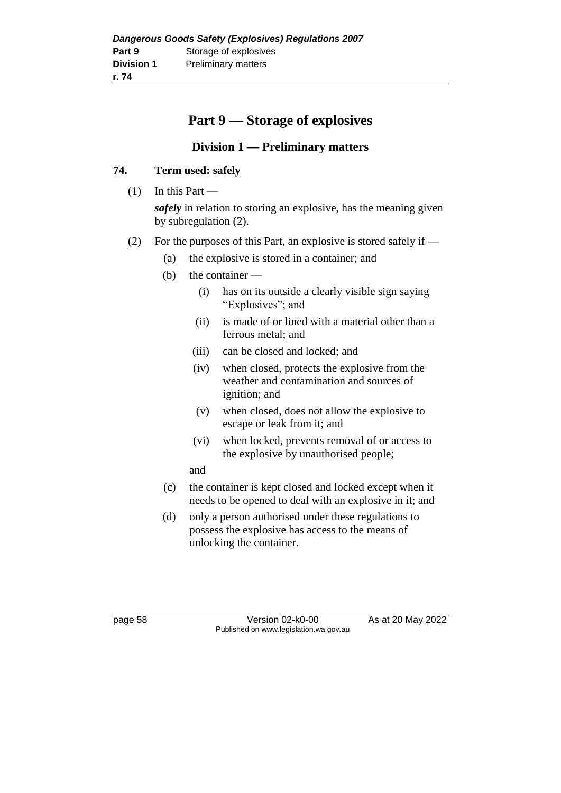# **Part 9 — Storage of explosives**

# **Division 1 — Preliminary matters**

## **74. Term used: safely**

- $(1)$  In this Part *safely* in relation to storing an explosive, has the meaning given by subregulation (2).
- (2) For the purposes of this Part, an explosive is stored safely if
	- (a) the explosive is stored in a container; and
	- (b) the container
		- (i) has on its outside a clearly visible sign saying "Explosives"; and
		- (ii) is made of or lined with a material other than a ferrous metal; and
		- (iii) can be closed and locked; and
		- (iv) when closed, protects the explosive from the weather and contamination and sources of ignition; and
		- (v) when closed, does not allow the explosive to escape or leak from it; and
		- (vi) when locked, prevents removal of or access to the explosive by unauthorised people;

and

- (c) the container is kept closed and locked except when it needs to be opened to deal with an explosive in it; and
- (d) only a person authorised under these regulations to possess the explosive has access to the means of unlocking the container.

page 58 Version 02-k0-00 As at 20 May 2022 Published on www.legislation.wa.gov.au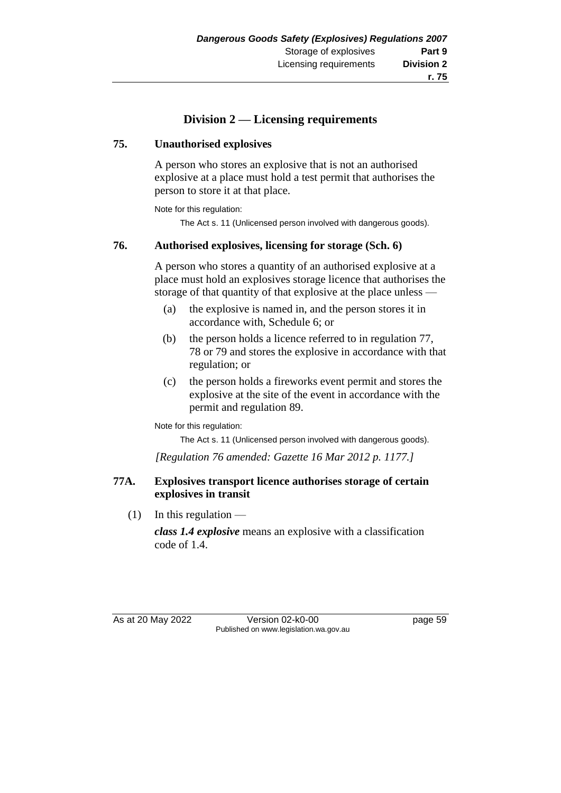# **r. 75**

# **Division 2 — Licensing requirements**

## **75. Unauthorised explosives**

A person who stores an explosive that is not an authorised explosive at a place must hold a test permit that authorises the person to store it at that place.

Note for this regulation:

The Act s. 11 (Unlicensed person involved with dangerous goods).

## **76. Authorised explosives, licensing for storage (Sch. 6)**

A person who stores a quantity of an authorised explosive at a place must hold an explosives storage licence that authorises the storage of that quantity of that explosive at the place unless —

- (a) the explosive is named in, and the person stores it in accordance with, Schedule 6; or
- (b) the person holds a licence referred to in regulation 77, 78 or 79 and stores the explosive in accordance with that regulation; or
- (c) the person holds a fireworks event permit and stores the explosive at the site of the event in accordance with the permit and regulation 89.

Note for this regulation:

The Act s. 11 (Unlicensed person involved with dangerous goods).

*[Regulation 76 amended: Gazette 16 Mar 2012 p. 1177.]*

#### **77A. Explosives transport licence authorises storage of certain explosives in transit**

 $(1)$  In this regulation —

*class 1.4 explosive* means an explosive with a classification code of 1.4.

As at 20 May 2022 Version 02-k0-00 page 59 Published on www.legislation.wa.gov.au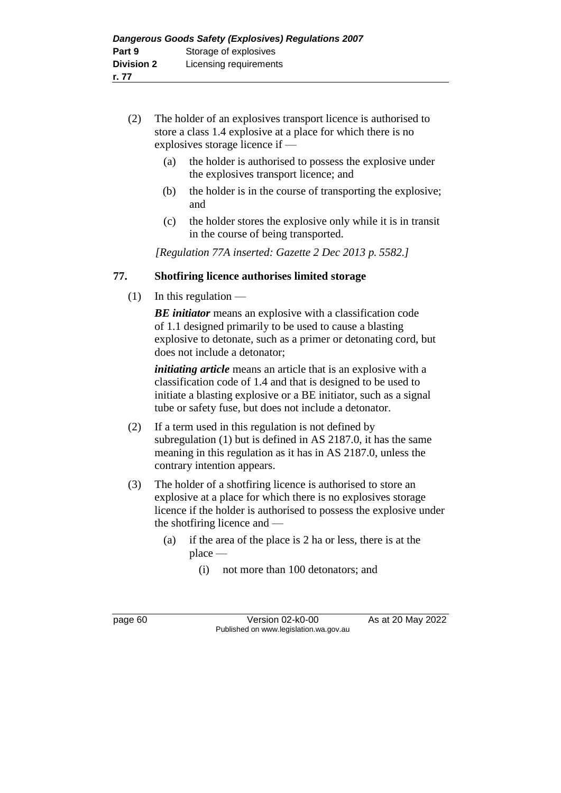- (2) The holder of an explosives transport licence is authorised to store a class 1.4 explosive at a place for which there is no explosives storage licence if —
	- (a) the holder is authorised to possess the explosive under the explosives transport licence; and
	- (b) the holder is in the course of transporting the explosive; and
	- (c) the holder stores the explosive only while it is in transit in the course of being transported.

*[Regulation 77A inserted: Gazette 2 Dec 2013 p. 5582.]*

# **77. Shotfiring licence authorises limited storage**

 $(1)$  In this regulation —

*BE initiator* means an explosive with a classification code of 1.1 designed primarily to be used to cause a blasting explosive to detonate, such as a primer or detonating cord, but does not include a detonator;

*initiating article* means an article that is an explosive with a classification code of 1.4 and that is designed to be used to initiate a blasting explosive or a BE initiator, such as a signal tube or safety fuse, but does not include a detonator.

- (2) If a term used in this regulation is not defined by subregulation (1) but is defined in AS 2187.0, it has the same meaning in this regulation as it has in AS 2187.0, unless the contrary intention appears.
- (3) The holder of a shotfiring licence is authorised to store an explosive at a place for which there is no explosives storage licence if the holder is authorised to possess the explosive under the shotfiring licence and —
	- (a) if the area of the place is 2 ha or less, there is at the place —
		- (i) not more than 100 detonators; and

page 60 Version 02-k0-00 As at 20 May 2022 Published on www.legislation.wa.gov.au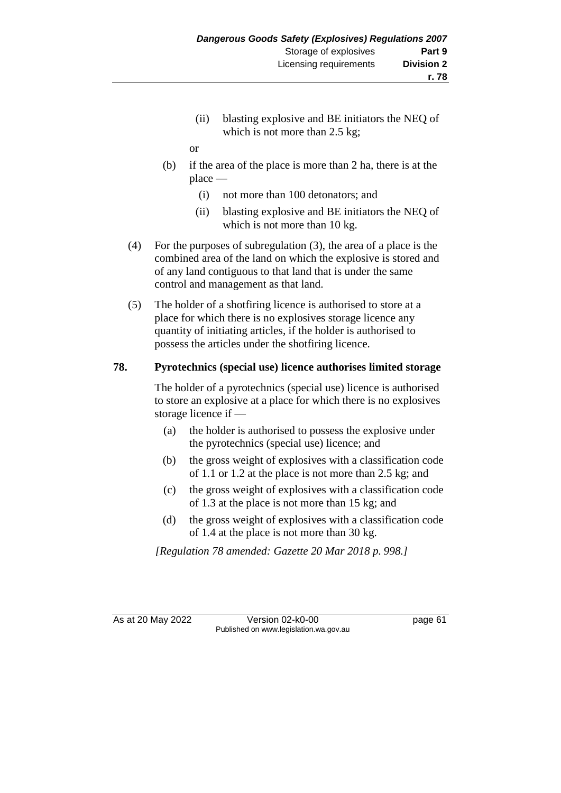(ii) blasting explosive and BE initiators the NEQ of which is not more than 2.5 kg;

or

- (b) if the area of the place is more than 2 ha, there is at the place —
	- (i) not more than 100 detonators; and
	- (ii) blasting explosive and BE initiators the NEQ of which is not more than 10 kg.
- (4) For the purposes of subregulation (3), the area of a place is the combined area of the land on which the explosive is stored and of any land contiguous to that land that is under the same control and management as that land.
- (5) The holder of a shotfiring licence is authorised to store at a place for which there is no explosives storage licence any quantity of initiating articles, if the holder is authorised to possess the articles under the shotfiring licence.

# **78. Pyrotechnics (special use) licence authorises limited storage**

The holder of a pyrotechnics (special use) licence is authorised to store an explosive at a place for which there is no explosives storage licence if —

- (a) the holder is authorised to possess the explosive under the pyrotechnics (special use) licence; and
- (b) the gross weight of explosives with a classification code of 1.1 or 1.2 at the place is not more than 2.5 kg; and
- (c) the gross weight of explosives with a classification code of 1.3 at the place is not more than 15 kg; and
- (d) the gross weight of explosives with a classification code of 1.4 at the place is not more than 30 kg.

*[Regulation 78 amended: Gazette 20 Mar 2018 p. 998.]*

As at 20 May 2022 Version 02-k0-00 Page 61 Published on www.legislation.wa.gov.au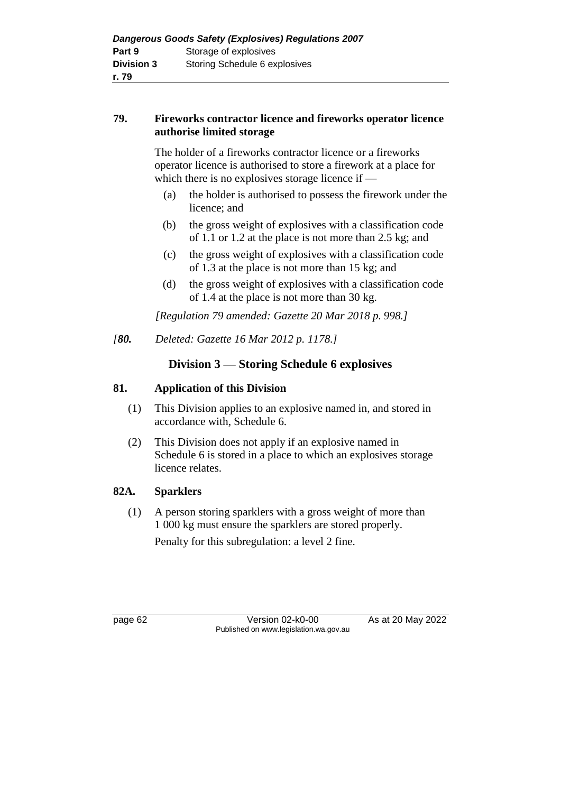## **79. Fireworks contractor licence and fireworks operator licence authorise limited storage**

The holder of a fireworks contractor licence or a fireworks operator licence is authorised to store a firework at a place for which there is no explosives storage licence if —

- (a) the holder is authorised to possess the firework under the licence; and
- (b) the gross weight of explosives with a classification code of 1.1 or 1.2 at the place is not more than 2.5 kg; and
- (c) the gross weight of explosives with a classification code of 1.3 at the place is not more than 15 kg; and
- (d) the gross weight of explosives with a classification code of 1.4 at the place is not more than 30 kg.

*[Regulation 79 amended: Gazette 20 Mar 2018 p. 998.]*

*[80. Deleted: Gazette 16 Mar 2012 p. 1178.]*

# **Division 3 — Storing Schedule 6 explosives**

# **81. Application of this Division**

- (1) This Division applies to an explosive named in, and stored in accordance with, Schedule 6.
- (2) This Division does not apply if an explosive named in Schedule 6 is stored in a place to which an explosives storage licence relates.

# **82A. Sparklers**

(1) A person storing sparklers with a gross weight of more than 1 000 kg must ensure the sparklers are stored properly. Penalty for this subregulation: a level 2 fine.

page 62 Version 02-k0-00 As at 20 May 2022 Published on www.legislation.wa.gov.au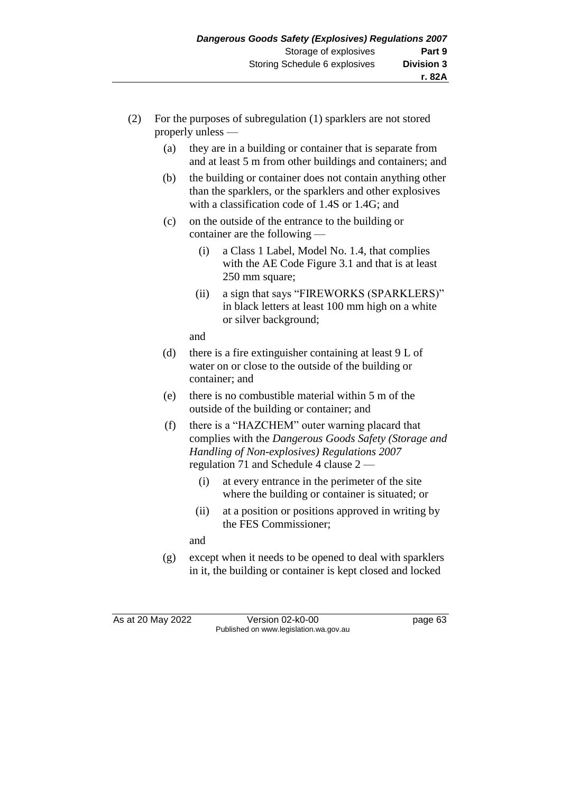- (2) For the purposes of subregulation (1) sparklers are not stored properly unless —
	- (a) they are in a building or container that is separate from and at least 5 m from other buildings and containers; and
	- (b) the building or container does not contain anything other than the sparklers, or the sparklers and other explosives with a classification code of 1.4S or 1.4G; and
	- (c) on the outside of the entrance to the building or container are the following —
		- (i) a Class 1 Label, Model No. 1.4, that complies with the AE Code Figure 3.1 and that is at least 250 mm square;
		- (ii) a sign that says "FIREWORKS (SPARKLERS)" in black letters at least 100 mm high on a white or silver background;

and

- (d) there is a fire extinguisher containing at least  $9 L of$ water on or close to the outside of the building or container; and
- (e) there is no combustible material within 5 m of the outside of the building or container; and
- (f) there is a "HAZCHEM" outer warning placard that complies with the *Dangerous Goods Safety (Storage and Handling of Non-explosives) Regulations 2007*  regulation 71 and Schedule 4 clause 2 —
	- (i) at every entrance in the perimeter of the site where the building or container is situated; or
	- (ii) at a position or positions approved in writing by the FES Commissioner;

and

(g) except when it needs to be opened to deal with sparklers in it, the building or container is kept closed and locked

As at 20 May 2022 Version 02-k0-00 page 63 Published on www.legislation.wa.gov.au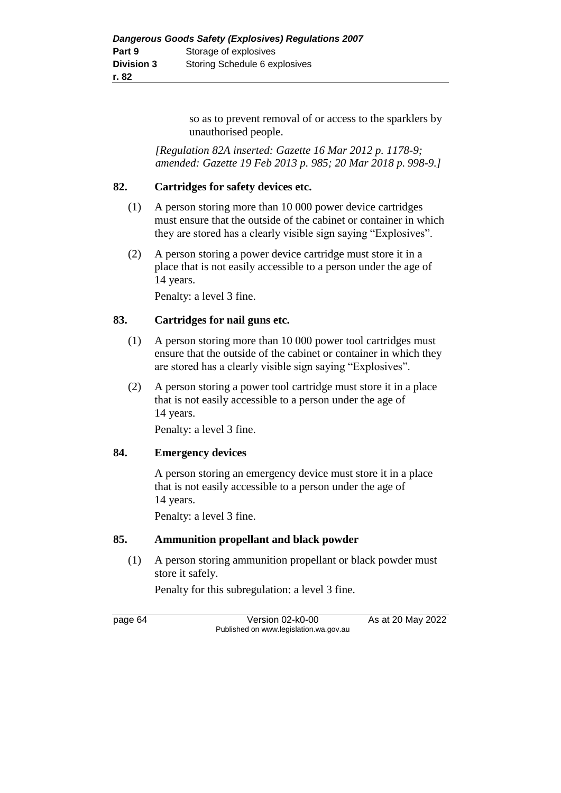so as to prevent removal of or access to the sparklers by unauthorised people.

*[Regulation 82A inserted: Gazette 16 Mar 2012 p. 1178-9; amended: Gazette 19 Feb 2013 p. 985; 20 Mar 2018 p. 998-9.]*

#### **82. Cartridges for safety devices etc.**

- (1) A person storing more than 10 000 power device cartridges must ensure that the outside of the cabinet or container in which they are stored has a clearly visible sign saying "Explosives".
- (2) A person storing a power device cartridge must store it in a place that is not easily accessible to a person under the age of 14 years.

Penalty: a level 3 fine.

#### **83. Cartridges for nail guns etc.**

- (1) A person storing more than 10 000 power tool cartridges must ensure that the outside of the cabinet or container in which they are stored has a clearly visible sign saying "Explosives".
- (2) A person storing a power tool cartridge must store it in a place that is not easily accessible to a person under the age of 14 years.

Penalty: a level 3 fine.

#### **84. Emergency devices**

A person storing an emergency device must store it in a place that is not easily accessible to a person under the age of 14 years.

Penalty: a level 3 fine.

#### **85. Ammunition propellant and black powder**

(1) A person storing ammunition propellant or black powder must store it safely.

Penalty for this subregulation: a level 3 fine.

page 64 Version 02-k0-00 As at 20 May 2022 Published on www.legislation.wa.gov.au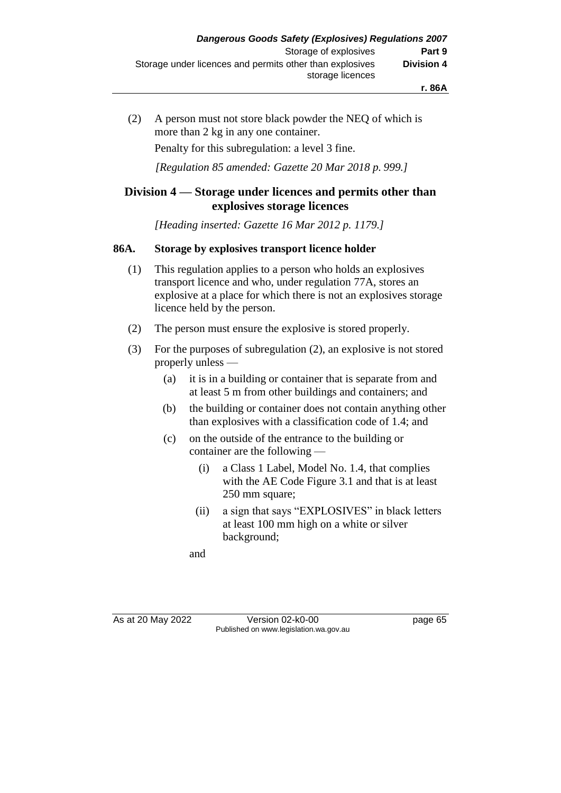(2) A person must not store black powder the NEQ of which is more than 2 kg in any one container. Penalty for this subregulation: a level 3 fine.

*[Regulation 85 amended: Gazette 20 Mar 2018 p. 999.]*

## **Division 4 — Storage under licences and permits other than explosives storage licences**

*[Heading inserted: Gazette 16 Mar 2012 p. 1179.]*

#### **86A. Storage by explosives transport licence holder**

- (1) This regulation applies to a person who holds an explosives transport licence and who, under regulation 77A, stores an explosive at a place for which there is not an explosives storage licence held by the person.
- (2) The person must ensure the explosive is stored properly.
- (3) For the purposes of subregulation (2), an explosive is not stored properly unless —
	- (a) it is in a building or container that is separate from and at least 5 m from other buildings and containers; and
	- (b) the building or container does not contain anything other than explosives with a classification code of 1.4; and
	- (c) on the outside of the entrance to the building or container are the following —
		- (i) a Class 1 Label, Model No. 1.4, that complies with the AE Code Figure 3.1 and that is at least 250 mm square;
		- (ii) a sign that says "EXPLOSIVES" in black letters at least 100 mm high on a white or silver background;

and

As at 20 May 2022 Version 02-k0-00 Page 65 Published on www.legislation.wa.gov.au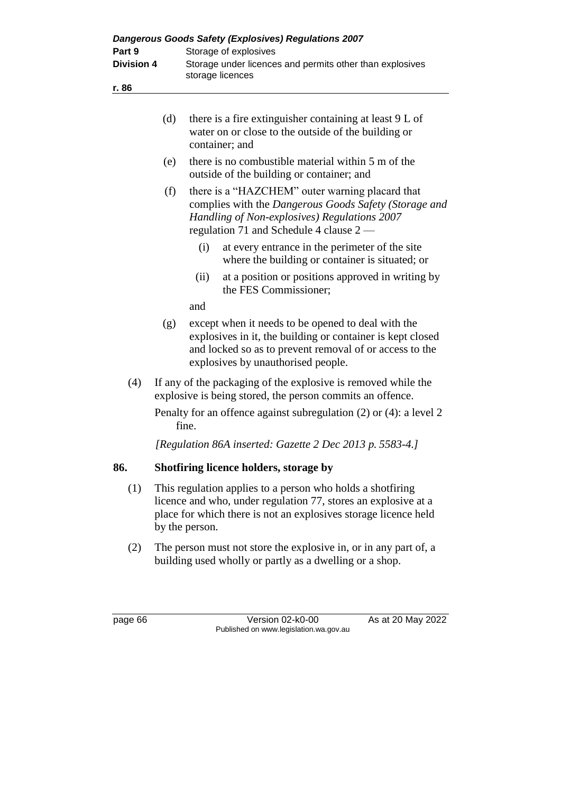| Dangerous Goods Safety (Explosives) Regulations 2007<br>Storage of explosives<br>Part 9 |                                                                                                                                                                                                                   |                                                                                                                                                                                                     |                                                                                                                                                                                                                   |                   |
|-----------------------------------------------------------------------------------------|-------------------------------------------------------------------------------------------------------------------------------------------------------------------------------------------------------------------|-----------------------------------------------------------------------------------------------------------------------------------------------------------------------------------------------------|-------------------------------------------------------------------------------------------------------------------------------------------------------------------------------------------------------------------|-------------------|
| <b>Division 4</b>                                                                       |                                                                                                                                                                                                                   | Storage under licences and permits other than explosives<br>storage licences                                                                                                                        |                                                                                                                                                                                                                   |                   |
| r. 86                                                                                   |                                                                                                                                                                                                                   |                                                                                                                                                                                                     |                                                                                                                                                                                                                   |                   |
|                                                                                         | (d)                                                                                                                                                                                                               |                                                                                                                                                                                                     | there is a fire extinguisher containing at least 9 L of<br>water on or close to the outside of the building or<br>container; and                                                                                  |                   |
|                                                                                         | (e)                                                                                                                                                                                                               |                                                                                                                                                                                                     | there is no combustible material within 5 m of the<br>outside of the building or container; and                                                                                                                   |                   |
|                                                                                         | (f)                                                                                                                                                                                                               | there is a "HAZCHEM" outer warning placard that<br>complies with the Dangerous Goods Safety (Storage and<br>Handling of Non-explosives) Regulations 2007<br>regulation 71 and Schedule 4 clause 2 — |                                                                                                                                                                                                                   |                   |
|                                                                                         |                                                                                                                                                                                                                   | (i)                                                                                                                                                                                                 | at every entrance in the perimeter of the site<br>where the building or container is situated; or                                                                                                                 |                   |
|                                                                                         |                                                                                                                                                                                                                   | (ii)                                                                                                                                                                                                | at a position or positions approved in writing by<br>the FES Commissioner;                                                                                                                                        |                   |
|                                                                                         |                                                                                                                                                                                                                   | and                                                                                                                                                                                                 |                                                                                                                                                                                                                   |                   |
|                                                                                         | (g)                                                                                                                                                                                                               |                                                                                                                                                                                                     | except when it needs to be opened to deal with the<br>explosives in it, the building or container is kept closed<br>and locked so as to prevent removal of or access to the<br>explosives by unauthorised people. |                   |
| (4)                                                                                     | If any of the packaging of the explosive is removed while the<br>explosive is being stored, the person commits an offence.                                                                                        |                                                                                                                                                                                                     |                                                                                                                                                                                                                   |                   |
|                                                                                         | Penalty for an offence against subregulation $(2)$ or $(4)$ : a level 2<br>fine.                                                                                                                                  |                                                                                                                                                                                                     |                                                                                                                                                                                                                   |                   |
|                                                                                         | [Regulation 86A inserted: Gazette 2 Dec 2013 p. 5583-4.]                                                                                                                                                          |                                                                                                                                                                                                     |                                                                                                                                                                                                                   |                   |
| 86.                                                                                     | Shotfiring licence holders, storage by                                                                                                                                                                            |                                                                                                                                                                                                     |                                                                                                                                                                                                                   |                   |
| (1)                                                                                     | This regulation applies to a person who holds a shotfiring<br>licence and who, under regulation 77, stores an explosive at a<br>place for which there is not an explosives storage licence held<br>by the person. |                                                                                                                                                                                                     |                                                                                                                                                                                                                   |                   |
| (2)                                                                                     | The person must not store the explosive in, or in any part of, a<br>building used wholly or partly as a dwelling or a shop.                                                                                       |                                                                                                                                                                                                     |                                                                                                                                                                                                                   |                   |
| page 66                                                                                 |                                                                                                                                                                                                                   |                                                                                                                                                                                                     | Version 02-k0-00                                                                                                                                                                                                  | As at 20 May 2022 |

Published on www.legislation.wa.gov.au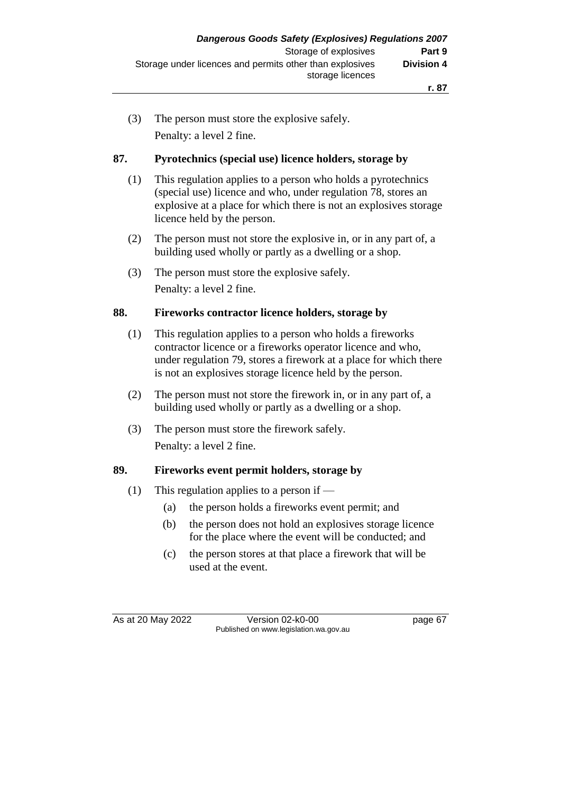(3) The person must store the explosive safely. Penalty: a level 2 fine.

#### **87. Pyrotechnics (special use) licence holders, storage by**

- (1) This regulation applies to a person who holds a pyrotechnics (special use) licence and who, under regulation 78, stores an explosive at a place for which there is not an explosives storage licence held by the person.
- (2) The person must not store the explosive in, or in any part of, a building used wholly or partly as a dwelling or a shop.
- (3) The person must store the explosive safely. Penalty: a level 2 fine.

#### **88. Fireworks contractor licence holders, storage by**

- (1) This regulation applies to a person who holds a fireworks contractor licence or a fireworks operator licence and who, under regulation 79, stores a firework at a place for which there is not an explosives storage licence held by the person.
- (2) The person must not store the firework in, or in any part of, a building used wholly or partly as a dwelling or a shop.
- (3) The person must store the firework safely. Penalty: a level 2 fine.

#### **89. Fireworks event permit holders, storage by**

- (1) This regulation applies to a person if
	- (a) the person holds a fireworks event permit; and
	- (b) the person does not hold an explosives storage licence for the place where the event will be conducted; and
	- (c) the person stores at that place a firework that will be used at the event.

As at 20 May 2022 Version 02-k0-00 Page 67 Published on www.legislation.wa.gov.au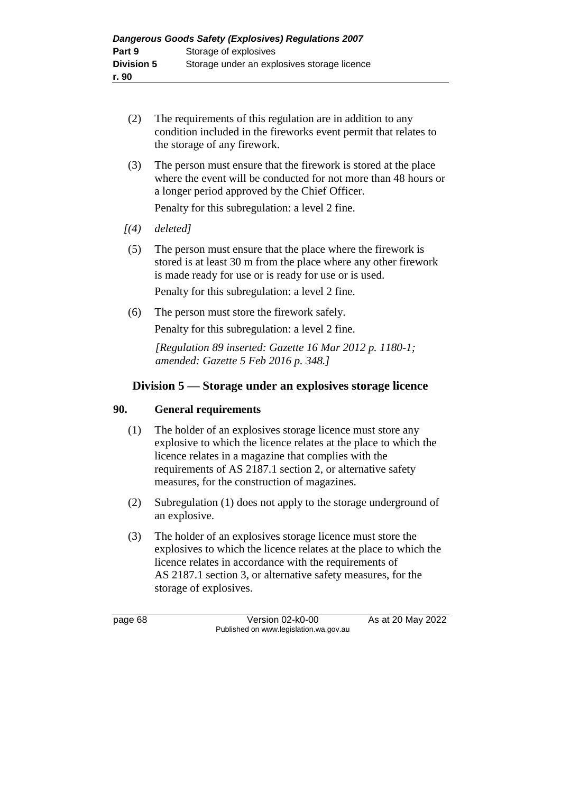- (2) The requirements of this regulation are in addition to any condition included in the fireworks event permit that relates to the storage of any firework.
- (3) The person must ensure that the firework is stored at the place where the event will be conducted for not more than 48 hours or a longer period approved by the Chief Officer.

Penalty for this subregulation: a level 2 fine.

- *[(4) deleted]*
- (5) The person must ensure that the place where the firework is stored is at least 30 m from the place where any other firework is made ready for use or is ready for use or is used.

Penalty for this subregulation: a level 2 fine.

(6) The person must store the firework safely. Penalty for this subregulation: a level 2 fine.

> *[Regulation 89 inserted: Gazette 16 Mar 2012 p. 1180-1; amended: Gazette 5 Feb 2016 p. 348.]*

# **Division 5 — Storage under an explosives storage licence**

## **90. General requirements**

- (1) The holder of an explosives storage licence must store any explosive to which the licence relates at the place to which the licence relates in a magazine that complies with the requirements of AS 2187.1 section 2, or alternative safety measures, for the construction of magazines.
- (2) Subregulation (1) does not apply to the storage underground of an explosive.
- (3) The holder of an explosives storage licence must store the explosives to which the licence relates at the place to which the licence relates in accordance with the requirements of AS 2187.1 section 3, or alternative safety measures, for the storage of explosives.

page 68 Version 02-k0-00 As at 20 May 2022 Published on www.legislation.wa.gov.au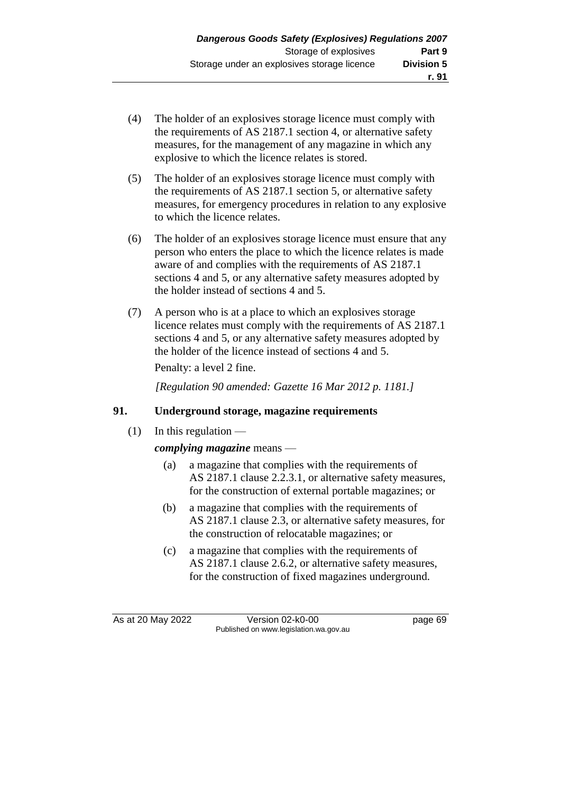- (4) The holder of an explosives storage licence must comply with the requirements of AS 2187.1 section 4, or alternative safety measures, for the management of any magazine in which any explosive to which the licence relates is stored.
- (5) The holder of an explosives storage licence must comply with the requirements of AS 2187.1 section 5, or alternative safety measures, for emergency procedures in relation to any explosive to which the licence relates.
- (6) The holder of an explosives storage licence must ensure that any person who enters the place to which the licence relates is made aware of and complies with the requirements of AS 2187.1 sections 4 and 5, or any alternative safety measures adopted by the holder instead of sections 4 and 5.
- (7) A person who is at a place to which an explosives storage licence relates must comply with the requirements of AS 2187.1 sections 4 and 5, or any alternative safety measures adopted by the holder of the licence instead of sections 4 and 5.

Penalty: a level 2 fine.

*[Regulation 90 amended: Gazette 16 Mar 2012 p. 1181.]*

## **91. Underground storage, magazine requirements**

 $(1)$  In this regulation —

## *complying magazine* means —

- (a) a magazine that complies with the requirements of AS 2187.1 clause 2.2.3.1, or alternative safety measures, for the construction of external portable magazines; or
- (b) a magazine that complies with the requirements of AS 2187.1 clause 2.3, or alternative safety measures, for the construction of relocatable magazines; or
- (c) a magazine that complies with the requirements of AS 2187.1 clause 2.6.2, or alternative safety measures, for the construction of fixed magazines underground.

As at 20 May 2022 Version 02-k0-00 page 69 Published on www.legislation.wa.gov.au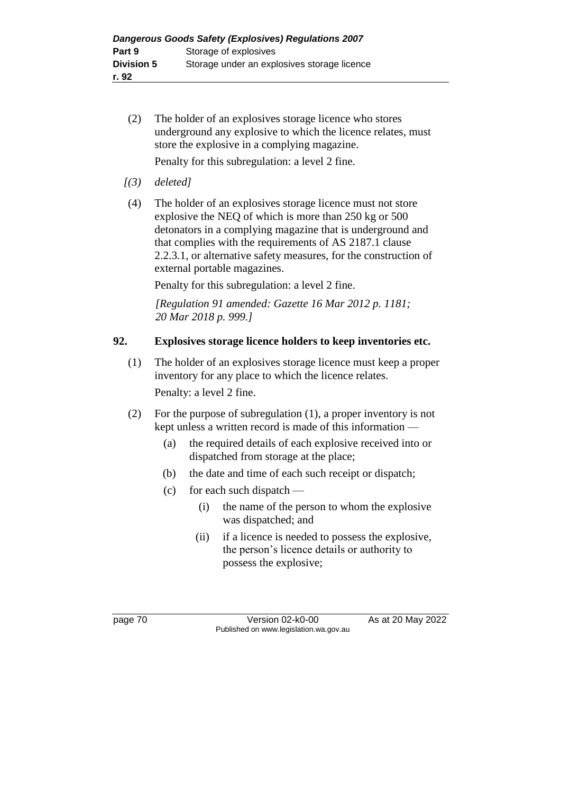(2) The holder of an explosives storage licence who stores underground any explosive to which the licence relates, must store the explosive in a complying magazine.

Penalty for this subregulation: a level 2 fine.

- *[(3) deleted]*
- (4) The holder of an explosives storage licence must not store explosive the NEQ of which is more than 250 kg or 500 detonators in a complying magazine that is underground and that complies with the requirements of AS 2187.1 clause 2.2.3.1, or alternative safety measures, for the construction of external portable magazines.

Penalty for this subregulation: a level 2 fine.

*[Regulation 91 amended: Gazette 16 Mar 2012 p. 1181; 20 Mar 2018 p. 999.]*

## **92. Explosives storage licence holders to keep inventories etc.**

- (1) The holder of an explosives storage licence must keep a proper inventory for any place to which the licence relates. Penalty: a level 2 fine.
- (2) For the purpose of subregulation (1), a proper inventory is not kept unless a written record is made of this information —
	- (a) the required details of each explosive received into or dispatched from storage at the place;
	- (b) the date and time of each such receipt or dispatch;
	- (c) for each such dispatch
		- (i) the name of the person to whom the explosive was dispatched; and
		- (ii) if a licence is needed to possess the explosive, the person's licence details or authority to possess the explosive;

page 70 Version 02-k0-00 As at 20 May 2022 Published on www.legislation.wa.gov.au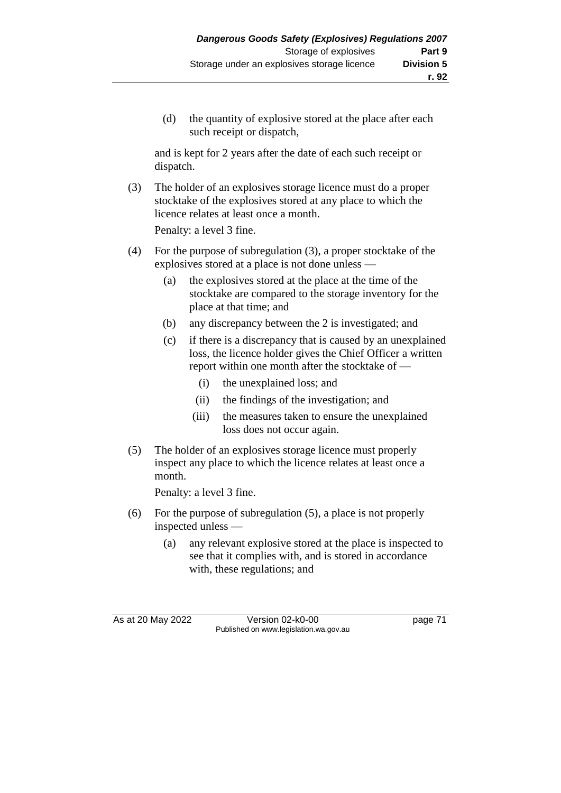(d) the quantity of explosive stored at the place after each such receipt or dispatch,

and is kept for 2 years after the date of each such receipt or dispatch.

(3) The holder of an explosives storage licence must do a proper stocktake of the explosives stored at any place to which the licence relates at least once a month.

Penalty: a level 3 fine.

- (4) For the purpose of subregulation (3), a proper stocktake of the explosives stored at a place is not done unless —
	- (a) the explosives stored at the place at the time of the stocktake are compared to the storage inventory for the place at that time; and
	- (b) any discrepancy between the 2 is investigated; and
	- (c) if there is a discrepancy that is caused by an unexplained loss, the licence holder gives the Chief Officer a written report within one month after the stocktake of —
		- (i) the unexplained loss; and
		- (ii) the findings of the investigation; and
		- (iii) the measures taken to ensure the unexplained loss does not occur again.
- (5) The holder of an explosives storage licence must properly inspect any place to which the licence relates at least once a month.

Penalty: a level 3 fine.

- (6) For the purpose of subregulation (5), a place is not properly inspected unless —
	- (a) any relevant explosive stored at the place is inspected to see that it complies with, and is stored in accordance with, these regulations; and

As at 20 May 2022 Version 02-k0-00 Page 71 Published on www.legislation.wa.gov.au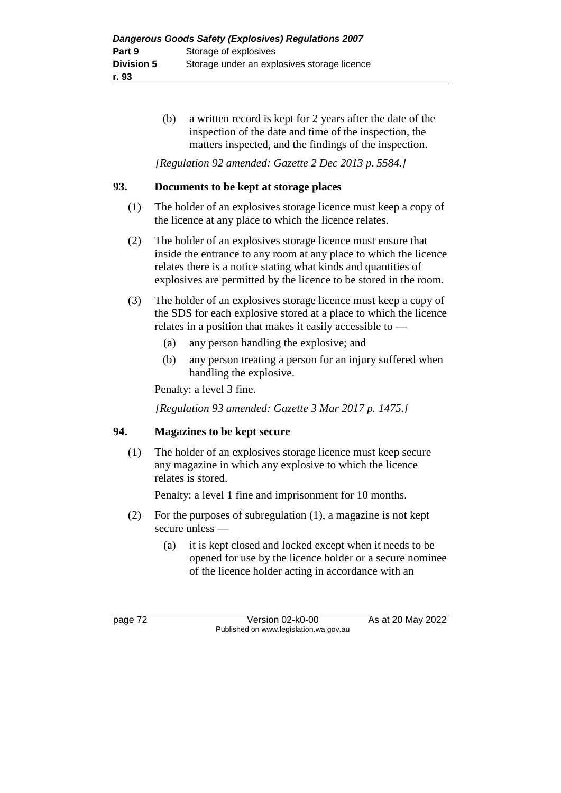(b) a written record is kept for 2 years after the date of the inspection of the date and time of the inspection, the matters inspected, and the findings of the inspection.

*[Regulation 92 amended: Gazette 2 Dec 2013 p. 5584.]*

## **93. Documents to be kept at storage places**

- (1) The holder of an explosives storage licence must keep a copy of the licence at any place to which the licence relates.
- (2) The holder of an explosives storage licence must ensure that inside the entrance to any room at any place to which the licence relates there is a notice stating what kinds and quantities of explosives are permitted by the licence to be stored in the room.
- (3) The holder of an explosives storage licence must keep a copy of the SDS for each explosive stored at a place to which the licence relates in a position that makes it easily accessible to —
	- (a) any person handling the explosive; and
	- (b) any person treating a person for an injury suffered when handling the explosive.

Penalty: a level 3 fine.

*[Regulation 93 amended: Gazette 3 Mar 2017 p. 1475.]*

## **94. Magazines to be kept secure**

(1) The holder of an explosives storage licence must keep secure any magazine in which any explosive to which the licence relates is stored.

Penalty: a level 1 fine and imprisonment for 10 months.

- (2) For the purposes of subregulation (1), a magazine is not kept secure unless —
	- (a) it is kept closed and locked except when it needs to be opened for use by the licence holder or a secure nominee of the licence holder acting in accordance with an

page 72 Version 02-k0-00 As at 20 May 2022 Published on www.legislation.wa.gov.au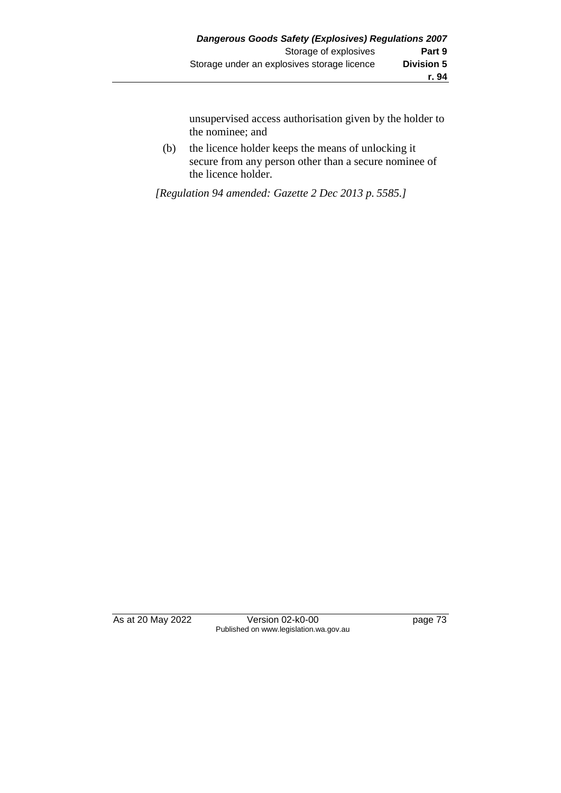unsupervised access authorisation given by the holder to the nominee; and

(b) the licence holder keeps the means of unlocking it secure from any person other than a secure nominee of the licence holder.

*[Regulation 94 amended: Gazette 2 Dec 2013 p. 5585.]*

As at 20 May 2022 Version 02-k0-00 Page 73 Published on www.legislation.wa.gov.au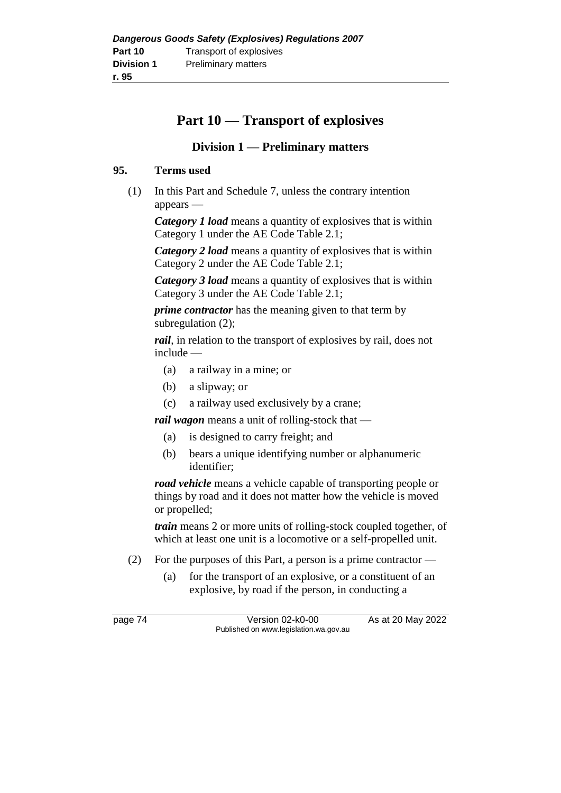# **Part 10 — Transport of explosives**

# **Division 1 — Preliminary matters**

#### **95. Terms used**

(1) In this Part and Schedule 7, unless the contrary intention appears —

*Category 1 load* means a quantity of explosives that is within Category 1 under the AE Code Table 2.1;

*Category 2 load* means a quantity of explosives that is within Category 2 under the AE Code Table 2.1;

*Category 3 load* means a quantity of explosives that is within Category 3 under the AE Code Table 2.1;

*prime contractor* has the meaning given to that term by subregulation (2);

*rail*, in relation to the transport of explosives by rail, does not include —

- (a) a railway in a mine; or
- (b) a slipway; or
- (c) a railway used exclusively by a crane;

*rail wagon* means a unit of rolling-stock that —

- (a) is designed to carry freight; and
- (b) bears a unique identifying number or alphanumeric identifier;

*road vehicle* means a vehicle capable of transporting people or things by road and it does not matter how the vehicle is moved or propelled;

*train* means 2 or more units of rolling-stock coupled together, of which at least one unit is a locomotive or a self-propelled unit.

- (2) For the purposes of this Part, a person is a prime contractor
	- (a) for the transport of an explosive, or a constituent of an explosive, by road if the person, in conducting a

page 74 Version 02-k0-00 As at 20 May 2022 Published on www.legislation.wa.gov.au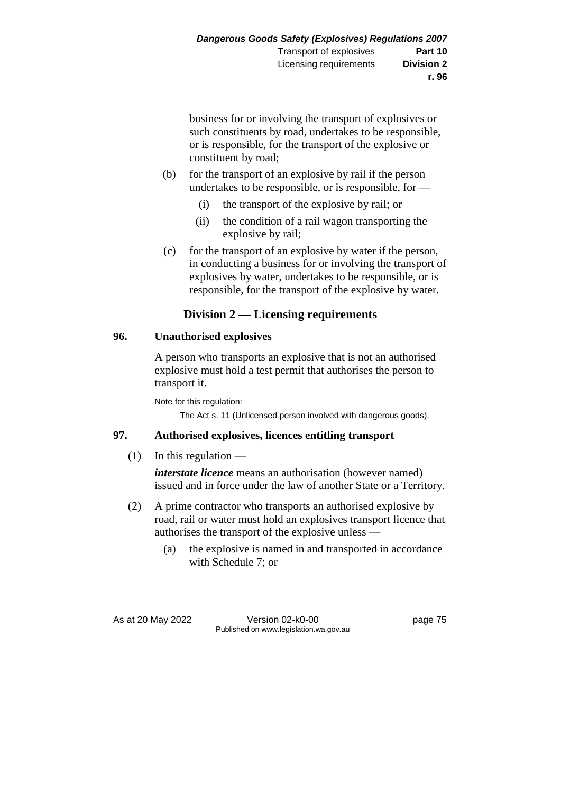business for or involving the transport of explosives or such constituents by road, undertakes to be responsible, or is responsible, for the transport of the explosive or constituent by road;

- (b) for the transport of an explosive by rail if the person undertakes to be responsible, or is responsible, for —
	- (i) the transport of the explosive by rail; or
	- (ii) the condition of a rail wagon transporting the explosive by rail;
- (c) for the transport of an explosive by water if the person, in conducting a business for or involving the transport of explosives by water, undertakes to be responsible, or is responsible, for the transport of the explosive by water.

# **Division 2 — Licensing requirements**

#### **96. Unauthorised explosives**

A person who transports an explosive that is not an authorised explosive must hold a test permit that authorises the person to transport it.

Note for this regulation:

The Act s. 11 (Unlicensed person involved with dangerous goods).

## **97. Authorised explosives, licences entitling transport**

## (1) In this regulation —

*interstate licence* means an authorisation (however named) issued and in force under the law of another State or a Territory.

- (2) A prime contractor who transports an authorised explosive by road, rail or water must hold an explosives transport licence that authorises the transport of the explosive unless —
	- (a) the explosive is named in and transported in accordance with Schedule 7; or

As at 20 May 2022 Version 02-k0-00 Published on www.legislation.wa.gov.au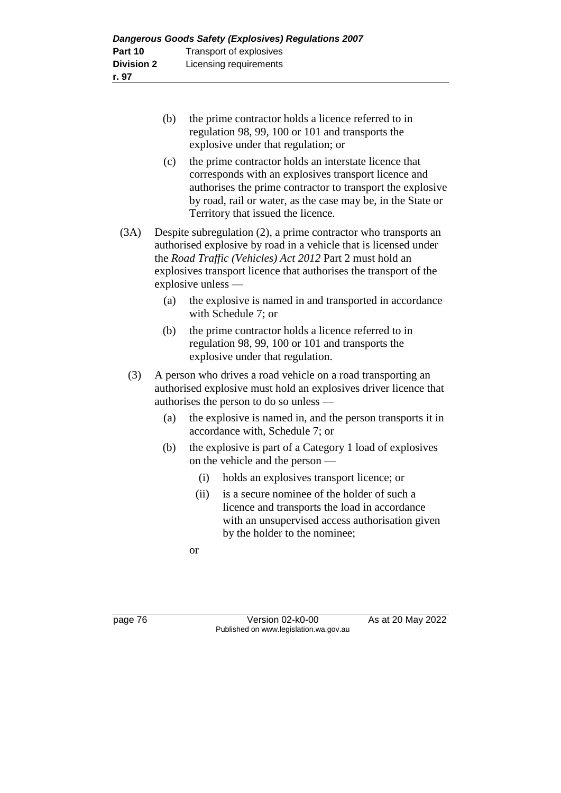- (b) the prime contractor holds a licence referred to in regulation 98, 99, 100 or 101 and transports the explosive under that regulation; or
- (c) the prime contractor holds an interstate licence that corresponds with an explosives transport licence and authorises the prime contractor to transport the explosive by road, rail or water, as the case may be, in the State or Territory that issued the licence.
- (3A) Despite subregulation (2), a prime contractor who transports an authorised explosive by road in a vehicle that is licensed under the *Road Traffic (Vehicles) Act 2012* Part 2 must hold an explosives transport licence that authorises the transport of the explosive unless —
	- (a) the explosive is named in and transported in accordance with Schedule 7; or
	- (b) the prime contractor holds a licence referred to in regulation 98, 99, 100 or 101 and transports the explosive under that regulation.
	- (3) A person who drives a road vehicle on a road transporting an authorised explosive must hold an explosives driver licence that authorises the person to do so unless —
		- (a) the explosive is named in, and the person transports it in accordance with, Schedule 7; or
		- (b) the explosive is part of a Category 1 load of explosives on the vehicle and the person —
			- (i) holds an explosives transport licence; or
			- (ii) is a secure nominee of the holder of such a licence and transports the load in accordance with an unsupervised access authorisation given by the holder to the nominee;
			- or

page 76 Version 02-k0-00 As at 20 May 2022 Published on www.legislation.wa.gov.au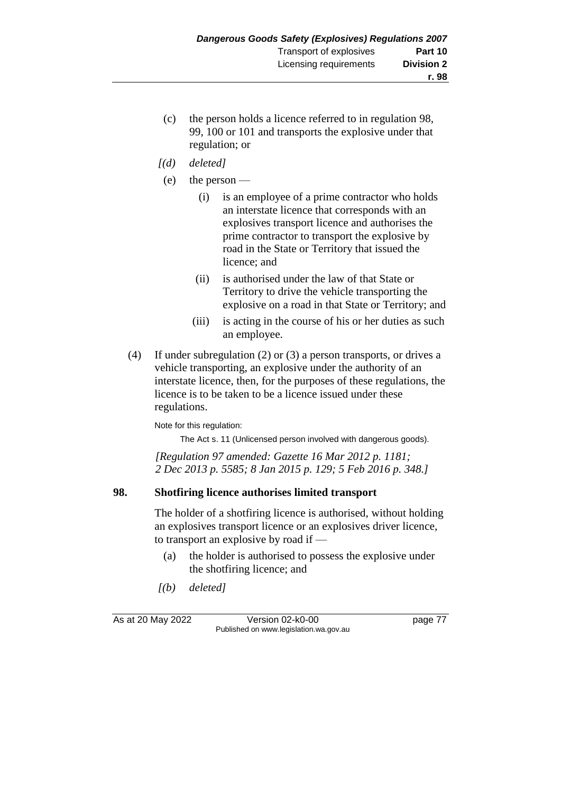- (c) the person holds a licence referred to in regulation 98, 99, 100 or 101 and transports the explosive under that regulation; or
- *[(d) deleted]*
- (e) the person
	- (i) is an employee of a prime contractor who holds an interstate licence that corresponds with an explosives transport licence and authorises the prime contractor to transport the explosive by road in the State or Territory that issued the licence; and
	- (ii) is authorised under the law of that State or Territory to drive the vehicle transporting the explosive on a road in that State or Territory; and
	- (iii) is acting in the course of his or her duties as such an employee.
- (4) If under subregulation (2) or (3) a person transports, or drives a vehicle transporting, an explosive under the authority of an interstate licence, then, for the purposes of these regulations, the licence is to be taken to be a licence issued under these regulations.

Note for this regulation:

The Act s. 11 (Unlicensed person involved with dangerous goods).

*[Regulation 97 amended: Gazette 16 Mar 2012 p. 1181; 2 Dec 2013 p. 5585; 8 Jan 2015 p. 129; 5 Feb 2016 p. 348.]*

## **98. Shotfiring licence authorises limited transport**

The holder of a shotfiring licence is authorised, without holding an explosives transport licence or an explosives driver licence, to transport an explosive by road if —

- (a) the holder is authorised to possess the explosive under the shotfiring licence; and
- *[(b) deleted]*

As at 20 May 2022 Version 02-k0-00 Published on www.legislation.wa.gov.au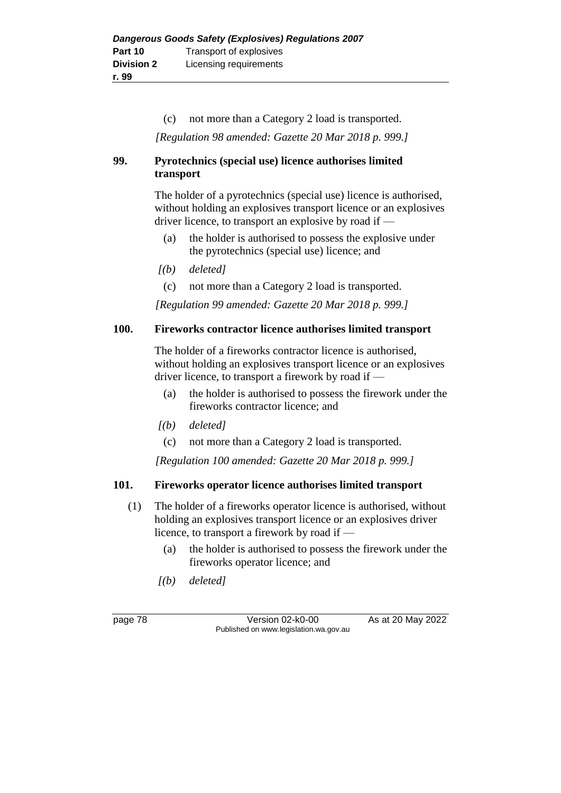(c) not more than a Category 2 load is transported.

*[Regulation 98 amended: Gazette 20 Mar 2018 p. 999.]*

## **99. Pyrotechnics (special use) licence authorises limited transport**

The holder of a pyrotechnics (special use) licence is authorised, without holding an explosives transport licence or an explosives driver licence, to transport an explosive by road if —

- (a) the holder is authorised to possess the explosive under the pyrotechnics (special use) licence; and
- *[(b) deleted]*
	- (c) not more than a Category 2 load is transported.

*[Regulation 99 amended: Gazette 20 Mar 2018 p. 999.]*

## **100. Fireworks contractor licence authorises limited transport**

The holder of a fireworks contractor licence is authorised, without holding an explosives transport licence or an explosives driver licence, to transport a firework by road if —

- (a) the holder is authorised to possess the firework under the fireworks contractor licence; and
- *[(b) deleted]*
	- (c) not more than a Category 2 load is transported.

*[Regulation 100 amended: Gazette 20 Mar 2018 p. 999.]*

## **101. Fireworks operator licence authorises limited transport**

- (1) The holder of a fireworks operator licence is authorised, without holding an explosives transport licence or an explosives driver licence, to transport a firework by road if —
	- (a) the holder is authorised to possess the firework under the fireworks operator licence; and
	- *[(b) deleted]*

page 78 Version 02-k0-00 As at 20 May 2022 Published on www.legislation.wa.gov.au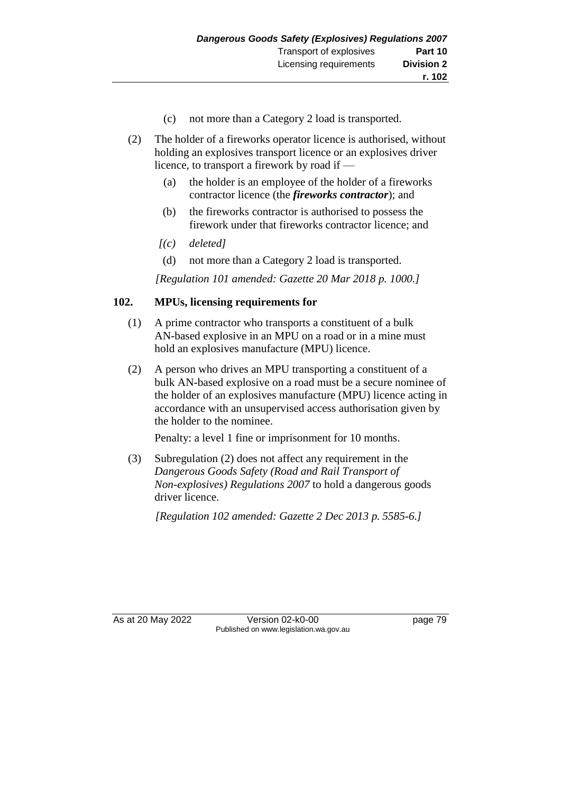- (c) not more than a Category 2 load is transported.
- (2) The holder of a fireworks operator licence is authorised, without holding an explosives transport licence or an explosives driver licence, to transport a firework by road if —
	- (a) the holder is an employee of the holder of a fireworks contractor licence (the *fireworks contractor*); and
	- (b) the fireworks contractor is authorised to possess the firework under that fireworks contractor licence; and
	- *[(c) deleted]*
	- (d) not more than a Category 2 load is transported.

*[Regulation 101 amended: Gazette 20 Mar 2018 p. 1000.]*

#### **102. MPUs, licensing requirements for**

- (1) A prime contractor who transports a constituent of a bulk AN-based explosive in an MPU on a road or in a mine must hold an explosives manufacture (MPU) licence.
- (2) A person who drives an MPU transporting a constituent of a bulk AN-based explosive on a road must be a secure nominee of the holder of an explosives manufacture (MPU) licence acting in accordance with an unsupervised access authorisation given by the holder to the nominee.

Penalty: a level 1 fine or imprisonment for 10 months.

(3) Subregulation (2) does not affect any requirement in the *Dangerous Goods Safety (Road and Rail Transport of Non-explosives) Regulations 2007* to hold a dangerous goods driver licence.

*[Regulation 102 amended: Gazette 2 Dec 2013 p. 5585-6.]*

As at 20 May 2022 Version 02-k0-00 Published on www.legislation.wa.gov.au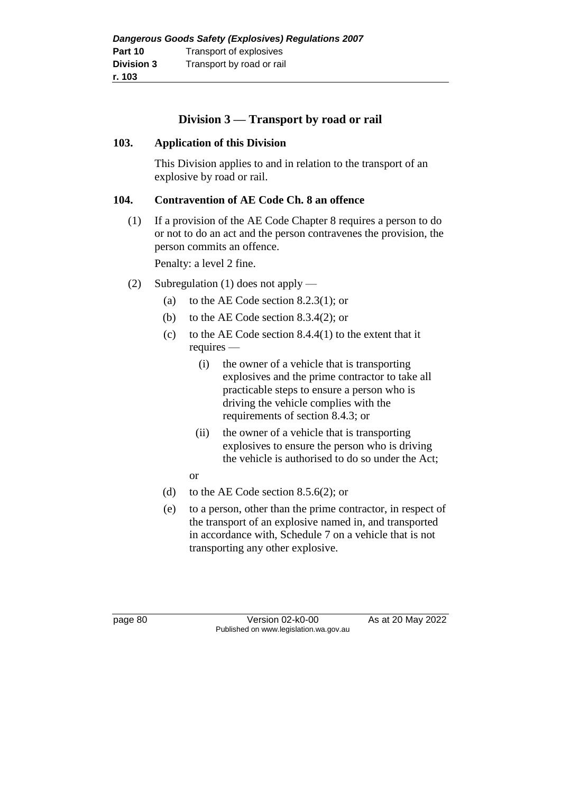# **Division 3 — Transport by road or rail**

#### **103. Application of this Division**

This Division applies to and in relation to the transport of an explosive by road or rail.

#### **104. Contravention of AE Code Ch. 8 an offence**

(1) If a provision of the AE Code Chapter 8 requires a person to do or not to do an act and the person contravenes the provision, the person commits an offence.

Penalty: a level 2 fine.

- (2) Subregulation (1) does not apply
	- (a) to the AE Code section 8.2.3(1); or
	- (b) to the AE Code section 8.3.4(2); or
	- (c) to the AE Code section  $8.4.4(1)$  to the extent that it requires —
		- (i) the owner of a vehicle that is transporting explosives and the prime contractor to take all practicable steps to ensure a person who is driving the vehicle complies with the requirements of section 8.4.3; or
		- (ii) the owner of a vehicle that is transporting explosives to ensure the person who is driving the vehicle is authorised to do so under the Act;
		- or
	- (d) to the AE Code section 8.5.6(2); or
	- (e) to a person, other than the prime contractor, in respect of the transport of an explosive named in, and transported in accordance with, Schedule 7 on a vehicle that is not transporting any other explosive.

page 80 Version 02-k0-00 As at 20 May 2022 Published on www.legislation.wa.gov.au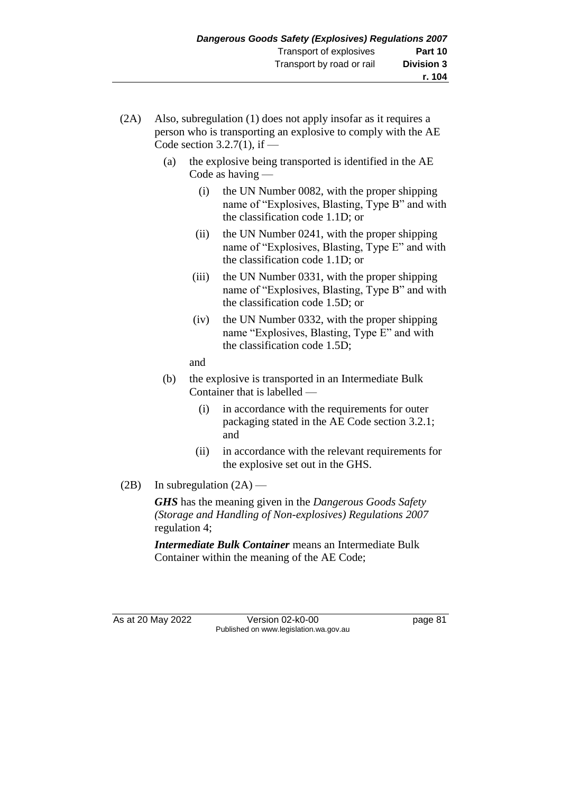- (2A) Also, subregulation (1) does not apply insofar as it requires a person who is transporting an explosive to comply with the AE Code section  $3.2.7(1)$ , if  $-$ 
	- (a) the explosive being transported is identified in the AE Code as having —
		- (i) the UN Number 0082, with the proper shipping name of "Explosives, Blasting, Type B" and with the classification code 1.1D; or
		- (ii) the UN Number 0241, with the proper shipping name of "Explosives, Blasting, Type E" and with the classification code 1.1D; or
		- (iii) the UN Number 0331, with the proper shipping name of "Explosives, Blasting, Type B" and with the classification code 1.5D; or
		- (iv) the UN Number 0332, with the proper shipping name "Explosives, Blasting, Type E" and with the classification code 1.5D;

and

- (b) the explosive is transported in an Intermediate Bulk Container that is labelled —
	- (i) in accordance with the requirements for outer packaging stated in the AE Code section 3.2.1; and
	- (ii) in accordance with the relevant requirements for the explosive set out in the GHS.
- (2B) In subregulation  $(2A)$  —

*GHS* has the meaning given in the *Dangerous Goods Safety (Storage and Handling of Non-explosives) Regulations 2007* regulation 4;

*Intermediate Bulk Container* means an Intermediate Bulk Container within the meaning of the AE Code;

As at 20 May 2022 Version 02-k0-00 Page 81 Published on www.legislation.wa.gov.au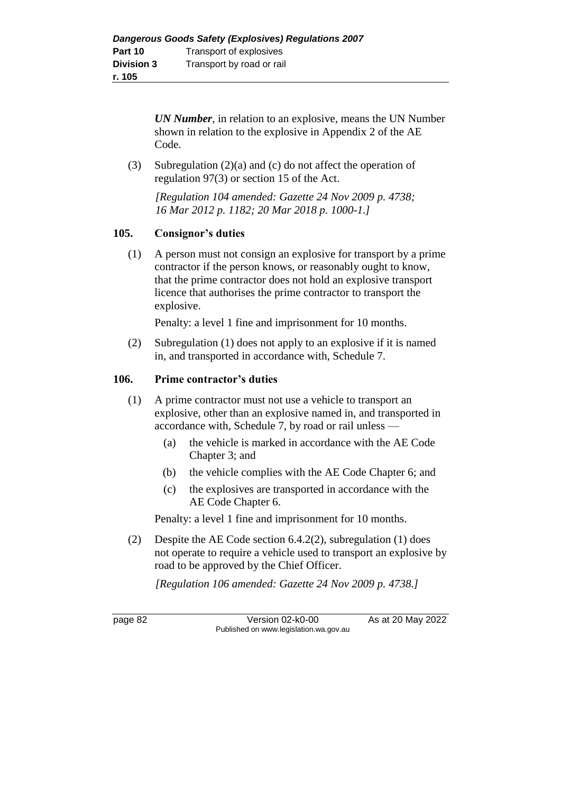*UN Number*, in relation to an explosive, means the UN Number shown in relation to the explosive in Appendix 2 of the AE Code.

(3) Subregulation (2)(a) and (c) do not affect the operation of regulation 97(3) or section 15 of the Act.

*[Regulation 104 amended: Gazette 24 Nov 2009 p. 4738; 16 Mar 2012 p. 1182; 20 Mar 2018 p. 1000-1.]*

## **105. Consignor's duties**

(1) A person must not consign an explosive for transport by a prime contractor if the person knows, or reasonably ought to know, that the prime contractor does not hold an explosive transport licence that authorises the prime contractor to transport the explosive.

Penalty: a level 1 fine and imprisonment for 10 months.

(2) Subregulation (1) does not apply to an explosive if it is named in, and transported in accordance with, Schedule 7.

#### **106. Prime contractor's duties**

- (1) A prime contractor must not use a vehicle to transport an explosive, other than an explosive named in, and transported in accordance with, Schedule 7, by road or rail unless —
	- (a) the vehicle is marked in accordance with the AE Code Chapter 3; and
	- (b) the vehicle complies with the AE Code Chapter 6; and
	- (c) the explosives are transported in accordance with the AE Code Chapter 6.

Penalty: a level 1 fine and imprisonment for 10 months.

(2) Despite the AE Code section 6.4.2(2), subregulation (1) does not operate to require a vehicle used to transport an explosive by road to be approved by the Chief Officer.

*[Regulation 106 amended: Gazette 24 Nov 2009 p. 4738.]*

page 82 Version 02-k0-00 As at 20 May 2022 Published on www.legislation.wa.gov.au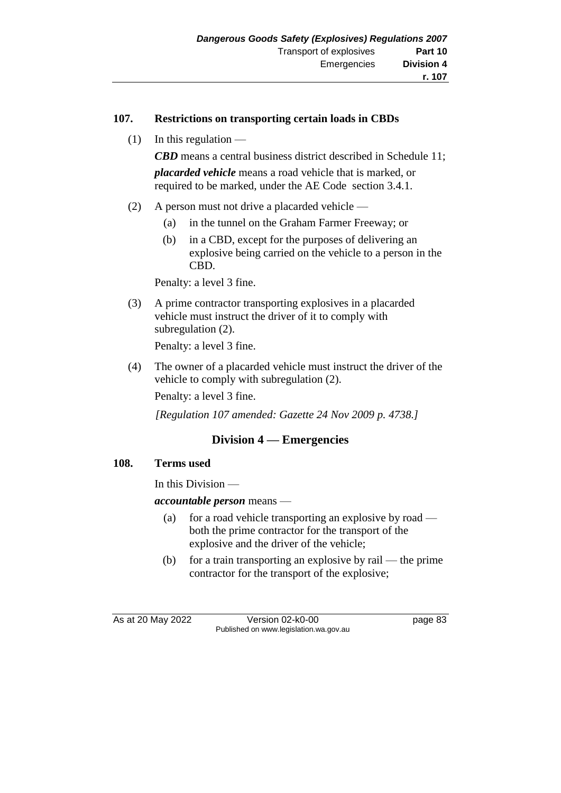#### **107. Restrictions on transporting certain loads in CBDs**

 $(1)$  In this regulation —

*CBD* means a central business district described in Schedule 11; *placarded vehicle* means a road vehicle that is marked, or required to be marked, under the AE Code section 3.4.1.

- (2) A person must not drive a placarded vehicle
	- (a) in the tunnel on the Graham Farmer Freeway; or
	- (b) in a CBD, except for the purposes of delivering an explosive being carried on the vehicle to a person in the CBD.

Penalty: a level 3 fine.

(3) A prime contractor transporting explosives in a placarded vehicle must instruct the driver of it to comply with subregulation (2).

Penalty: a level 3 fine.

(4) The owner of a placarded vehicle must instruct the driver of the vehicle to comply with subregulation (2).

Penalty: a level 3 fine.

*[Regulation 107 amended: Gazette 24 Nov 2009 p. 4738.]*

# **Division 4 — Emergencies**

#### **108. Terms used**

In this Division —

*accountable person* means —

- (a) for a road vehicle transporting an explosive by road both the prime contractor for the transport of the explosive and the driver of the vehicle;
- (b) for a train transporting an explosive by rail the prime contractor for the transport of the explosive;

As at 20 May 2022 Version 02-k0-00 Published on www.legislation.wa.gov.au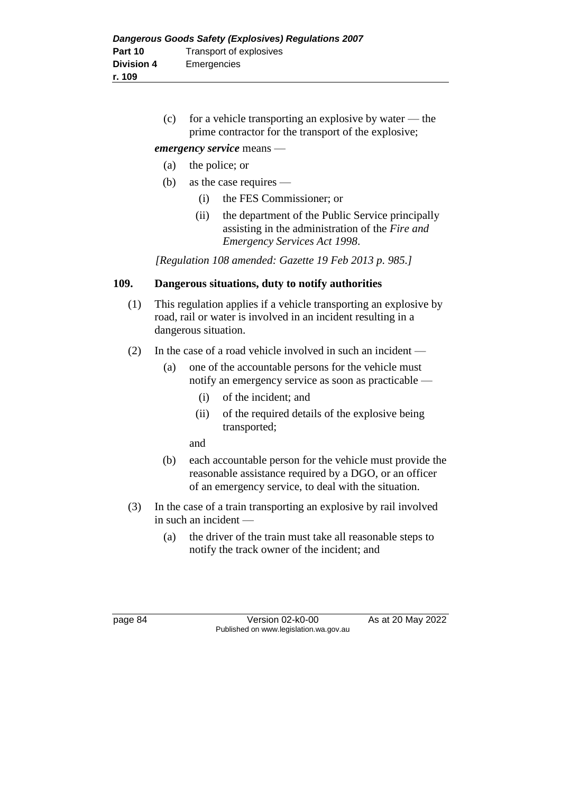(c) for a vehicle transporting an explosive by water — the prime contractor for the transport of the explosive;

#### *emergency service* means —

- (a) the police; or
- (b) as the case requires
	- (i) the FES Commissioner; or
	- (ii) the department of the Public Service principally assisting in the administration of the *Fire and Emergency Services Act 1998*.

*[Regulation 108 amended: Gazette 19 Feb 2013 p. 985.]*

## **109. Dangerous situations, duty to notify authorities**

- (1) This regulation applies if a vehicle transporting an explosive by road, rail or water is involved in an incident resulting in a dangerous situation.
- (2) In the case of a road vehicle involved in such an incident
	- (a) one of the accountable persons for the vehicle must notify an emergency service as soon as practicable —
		- (i) of the incident; and
		- (ii) of the required details of the explosive being transported;

and

- (b) each accountable person for the vehicle must provide the reasonable assistance required by a DGO, or an officer of an emergency service, to deal with the situation.
- (3) In the case of a train transporting an explosive by rail involved in such an incident —
	- (a) the driver of the train must take all reasonable steps to notify the track owner of the incident; and

page 84 Version 02-k0-00 As at 20 May 2022 Published on www.legislation.wa.gov.au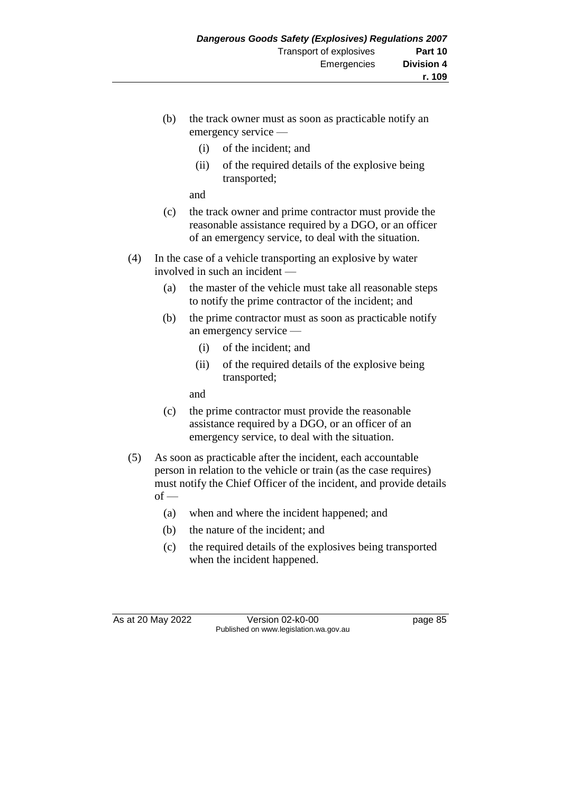- (b) the track owner must as soon as practicable notify an emergency service —
	- (i) of the incident; and
	- (ii) of the required details of the explosive being transported;

and

- (c) the track owner and prime contractor must provide the reasonable assistance required by a DGO, or an officer of an emergency service, to deal with the situation.
- (4) In the case of a vehicle transporting an explosive by water involved in such an incident —
	- (a) the master of the vehicle must take all reasonable steps to notify the prime contractor of the incident; and
	- (b) the prime contractor must as soon as practicable notify an emergency service —
		- (i) of the incident; and
		- (ii) of the required details of the explosive being transported;

and

- (c) the prime contractor must provide the reasonable assistance required by a DGO, or an officer of an emergency service, to deal with the situation.
- (5) As soon as practicable after the incident, each accountable person in relation to the vehicle or train (as the case requires) must notify the Chief Officer of the incident, and provide details  $of -$ 
	- (a) when and where the incident happened; and
	- (b) the nature of the incident; and
	- (c) the required details of the explosives being transported when the incident happened.

As at 20 May 2022 Version 02-k0-00 Page 85 Published on www.legislation.wa.gov.au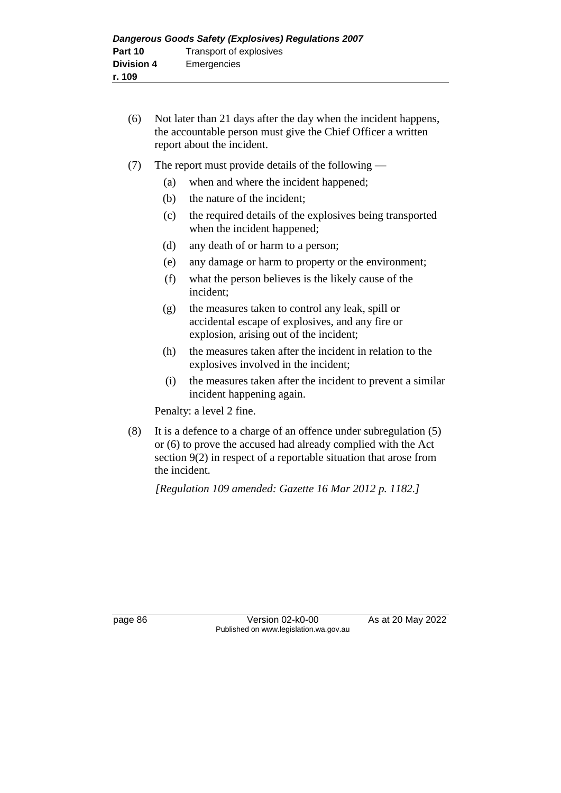- (6) Not later than 21 days after the day when the incident happens, the accountable person must give the Chief Officer a written report about the incident.
- (7) The report must provide details of the following
	- (a) when and where the incident happened;
	- (b) the nature of the incident;
	- (c) the required details of the explosives being transported when the incident happened;
	- (d) any death of or harm to a person;
	- (e) any damage or harm to property or the environment;
	- (f) what the person believes is the likely cause of the incident;
	- (g) the measures taken to control any leak, spill or accidental escape of explosives, and any fire or explosion, arising out of the incident;
	- (h) the measures taken after the incident in relation to the explosives involved in the incident;
	- (i) the measures taken after the incident to prevent a similar incident happening again.

Penalty: a level 2 fine.

(8) It is a defence to a charge of an offence under subregulation (5) or (6) to prove the accused had already complied with the Act section 9(2) in respect of a reportable situation that arose from the incident.

*[Regulation 109 amended: Gazette 16 Mar 2012 p. 1182.]*

page 86 Version 02-k0-00 As at 20 May 2022 Published on www.legislation.wa.gov.au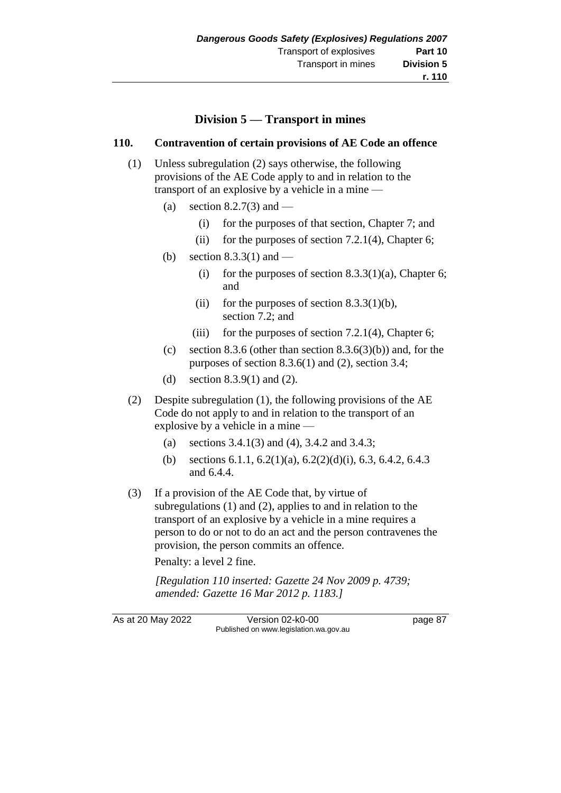# **Division 5 — Transport in mines**

#### **110. Contravention of certain provisions of AE Code an offence**

- (1) Unless subregulation (2) says otherwise, the following provisions of the AE Code apply to and in relation to the transport of an explosive by a vehicle in a mine —
	- (a) section 8.2.7(3) and
		- (i) for the purposes of that section, Chapter 7; and
		- (ii) for the purposes of section 7.2.1(4), Chapter 6;
	- (b) section  $8.3.3(1)$  and
		- (i) for the purposes of section  $8.3.3(1)(a)$ , Chapter 6; and
		- (ii) for the purposes of section  $8.3.3(1)(b)$ , section 7.2; and
		- (iii) for the purposes of section  $7.2.1(4)$ , Chapter 6;
	- (c) section 8.3.6 (other than section 8.3.6(3)(b)) and, for the purposes of section 8.3.6(1) and (2), section 3.4;
	- (d) section 8.3.9(1) and (2).
- (2) Despite subregulation (1), the following provisions of the AE Code do not apply to and in relation to the transport of an explosive by a vehicle in a mine —
	- (a) sections 3.4.1(3) and (4), 3.4.2 and 3.4.3;
	- (b) sections 6.1.1, 6.2(1)(a), 6.2(2)(d)(i), 6.3, 6.4.2, 6.4.3 and 6.4.4.
- (3) If a provision of the AE Code that, by virtue of subregulations (1) and (2), applies to and in relation to the transport of an explosive by a vehicle in a mine requires a person to do or not to do an act and the person contravenes the provision, the person commits an offence.

Penalty: a level 2 fine.

*[Regulation 110 inserted: Gazette 24 Nov 2009 p. 4739; amended: Gazette 16 Mar 2012 p. 1183.]*

As at 20 May 2022 Version 02-k0-00 page 87 Published on www.legislation.wa.gov.au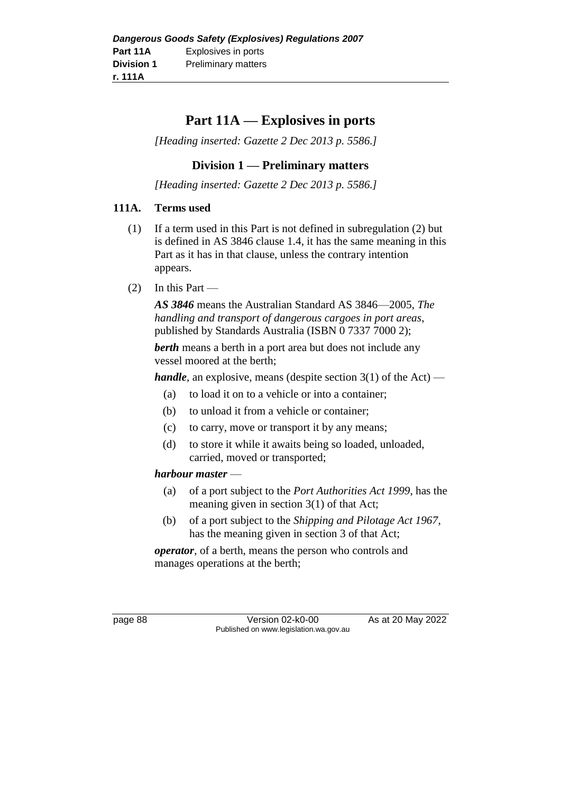# **Part 11A — Explosives in ports**

*[Heading inserted: Gazette 2 Dec 2013 p. 5586.]*

# **Division 1 — Preliminary matters**

*[Heading inserted: Gazette 2 Dec 2013 p. 5586.]*

#### **111A. Terms used**

- (1) If a term used in this Part is not defined in subregulation (2) but is defined in AS 3846 clause 1.4, it has the same meaning in this Part as it has in that clause, unless the contrary intention appears.
- $(2)$  In this Part —

*AS 3846* means the Australian Standard AS 3846—2005, *The handling and transport of dangerous cargoes in port areas*, published by Standards Australia (ISBN 0 7337 7000 2);

*berth* means a berth in a port area but does not include any vessel moored at the berth;

*handle*, an explosive, means (despite section 3(1) of the Act) —

- (a) to load it on to a vehicle or into a container;
- (b) to unload it from a vehicle or container;
- (c) to carry, move or transport it by any means;
- (d) to store it while it awaits being so loaded, unloaded, carried, moved or transported;

## *harbour master* —

- (a) of a port subject to the *Port Authorities Act 1999*, has the meaning given in section 3(1) of that Act;
- (b) of a port subject to the *Shipping and Pilotage Act 1967*, has the meaning given in section 3 of that Act;

*operator*, of a berth, means the person who controls and manages operations at the berth;

page 88 Version 02-k0-00 As at 20 May 2022 Published on www.legislation.wa.gov.au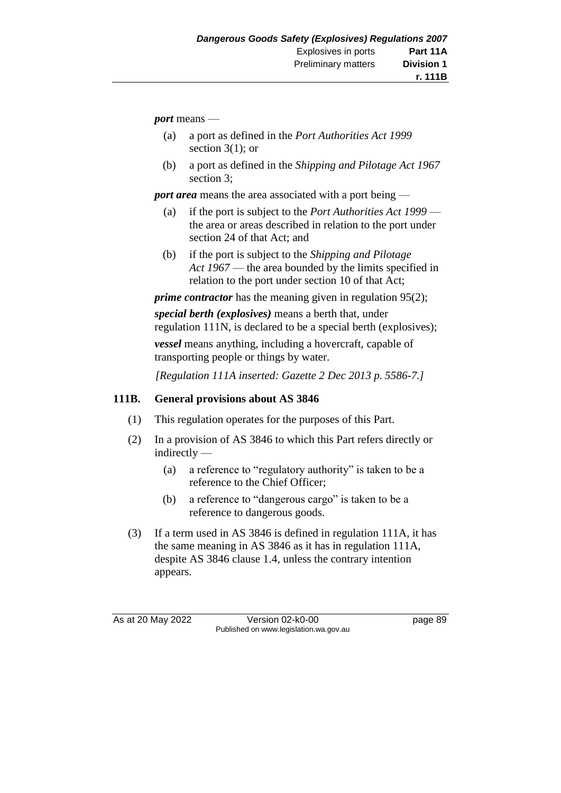*port* means —

- (a) a port as defined in the *Port Authorities Act 1999* section  $3(1)$ ; or
- (b) a port as defined in the *Shipping and Pilotage Act 1967* section 3;

*port area* means the area associated with a port being —

- (a) if the port is subject to the *Port Authorities Act 1999* the area or areas described in relation to the port under section 24 of that Act; and
- (b) if the port is subject to the *Shipping and Pilotage Act 1967* — the area bounded by the limits specified in relation to the port under section 10 of that Act;

*prime contractor* has the meaning given in regulation 95(2);

*special berth (explosives)* means a berth that, under regulation 111N, is declared to be a special berth (explosives); *vessel* means anything, including a hovercraft, capable of

transporting people or things by water.

*[Regulation 111A inserted: Gazette 2 Dec 2013 p. 5586-7.]*

## **111B. General provisions about AS 3846**

- (1) This regulation operates for the purposes of this Part.
- (2) In a provision of AS 3846 to which this Part refers directly or indirectly —
	- (a) a reference to "regulatory authority" is taken to be a reference to the Chief Officer;
	- (b) a reference to "dangerous cargo" is taken to be a reference to dangerous goods.
- (3) If a term used in AS 3846 is defined in regulation 111A, it has the same meaning in AS 3846 as it has in regulation 111A, despite AS 3846 clause 1.4, unless the contrary intention appears.

As at 20 May 2022 Version 02-k0-00 Page 89 Published on www.legislation.wa.gov.au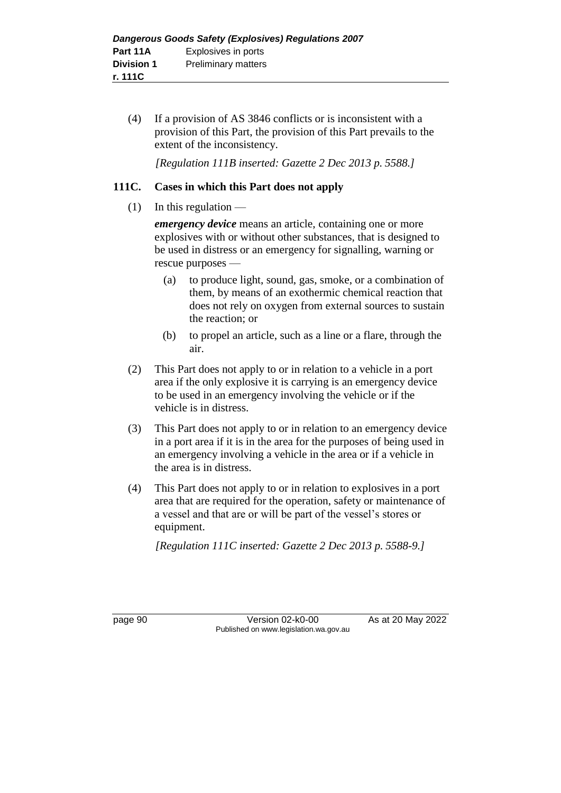(4) If a provision of AS 3846 conflicts or is inconsistent with a provision of this Part, the provision of this Part prevails to the extent of the inconsistency.

*[Regulation 111B inserted: Gazette 2 Dec 2013 p. 5588.]*

## **111C. Cases in which this Part does not apply**

 $(1)$  In this regulation —

*emergency device* means an article, containing one or more explosives with or without other substances, that is designed to be used in distress or an emergency for signalling, warning or rescue purposes —

- (a) to produce light, sound, gas, smoke, or a combination of them, by means of an exothermic chemical reaction that does not rely on oxygen from external sources to sustain the reaction; or
- (b) to propel an article, such as a line or a flare, through the air.
- (2) This Part does not apply to or in relation to a vehicle in a port area if the only explosive it is carrying is an emergency device to be used in an emergency involving the vehicle or if the vehicle is in distress.
- (3) This Part does not apply to or in relation to an emergency device in a port area if it is in the area for the purposes of being used in an emergency involving a vehicle in the area or if a vehicle in the area is in distress.
- (4) This Part does not apply to or in relation to explosives in a port area that are required for the operation, safety or maintenance of a vessel and that are or will be part of the vessel's stores or equipment.

*[Regulation 111C inserted: Gazette 2 Dec 2013 p. 5588-9.]*

page 90 Version 02-k0-00 As at 20 May 2022 Published on www.legislation.wa.gov.au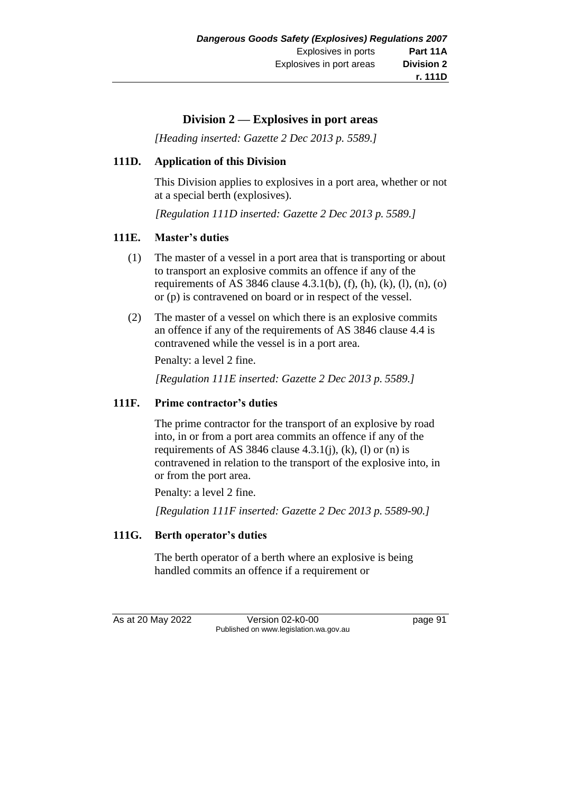# **Division 2 — Explosives in port areas**

*[Heading inserted: Gazette 2 Dec 2013 p. 5589.]*

#### **111D. Application of this Division**

This Division applies to explosives in a port area, whether or not at a special berth (explosives).

*[Regulation 111D inserted: Gazette 2 Dec 2013 p. 5589.]*

#### **111E. Master's duties**

- (1) The master of a vessel in a port area that is transporting or about to transport an explosive commits an offence if any of the requirements of AS 3846 clause 4.3.1(b), (f), (h), (k), (l), (n), (o) or (p) is contravened on board or in respect of the vessel.
- (2) The master of a vessel on which there is an explosive commits an offence if any of the requirements of AS 3846 clause 4.4 is contravened while the vessel is in a port area.

Penalty: a level 2 fine.

*[Regulation 111E inserted: Gazette 2 Dec 2013 p. 5589.]*

## **111F. Prime contractor's duties**

The prime contractor for the transport of an explosive by road into, in or from a port area commits an offence if any of the requirements of AS 3846 clause 4.3.1(j), (k), (l) or (n) is contravened in relation to the transport of the explosive into, in or from the port area.

Penalty: a level 2 fine.

*[Regulation 111F inserted: Gazette 2 Dec 2013 p. 5589-90.]*

## **111G. Berth operator's duties**

The berth operator of a berth where an explosive is being handled commits an offence if a requirement or

As at 20 May 2022 Version 02-k0-00 Page 91 Published on www.legislation.wa.gov.au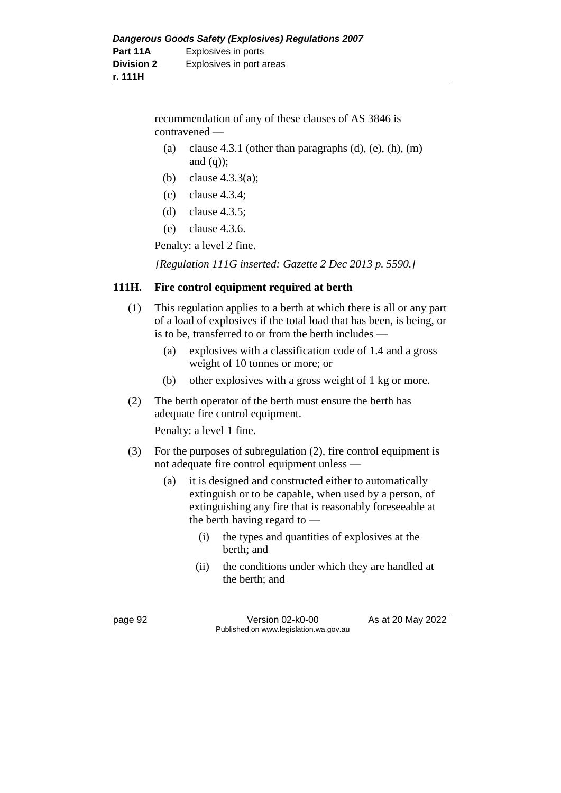recommendation of any of these clauses of AS 3846 is contravened —

- (a) clause 4.3.1 (other than paragraphs  $(d)$ ,  $(e)$ ,  $(h)$ ,  $(m)$ and  $(q)$ ;
- (b) clause 4.3.3(a);
- (c) clause 4.3.4;
- (d) clause 4.3.5;
- (e) clause 4.3.6.

Penalty: a level 2 fine.

*[Regulation 111G inserted: Gazette 2 Dec 2013 p. 5590.]*

#### **111H. Fire control equipment required at berth**

- (1) This regulation applies to a berth at which there is all or any part of a load of explosives if the total load that has been, is being, or is to be, transferred to or from the berth includes —
	- (a) explosives with a classification code of 1.4 and a gross weight of 10 tonnes or more; or
	- (b) other explosives with a gross weight of 1 kg or more.
- (2) The berth operator of the berth must ensure the berth has adequate fire control equipment.

Penalty: a level 1 fine.

- (3) For the purposes of subregulation (2), fire control equipment is not adequate fire control equipment unless —
	- (a) it is designed and constructed either to automatically extinguish or to be capable, when used by a person, of extinguishing any fire that is reasonably foreseeable at the berth having regard to —
		- (i) the types and quantities of explosives at the berth; and
		- (ii) the conditions under which they are handled at the berth; and

page 92 Version 02-k0-00 As at 20 May 2022 Published on www.legislation.wa.gov.au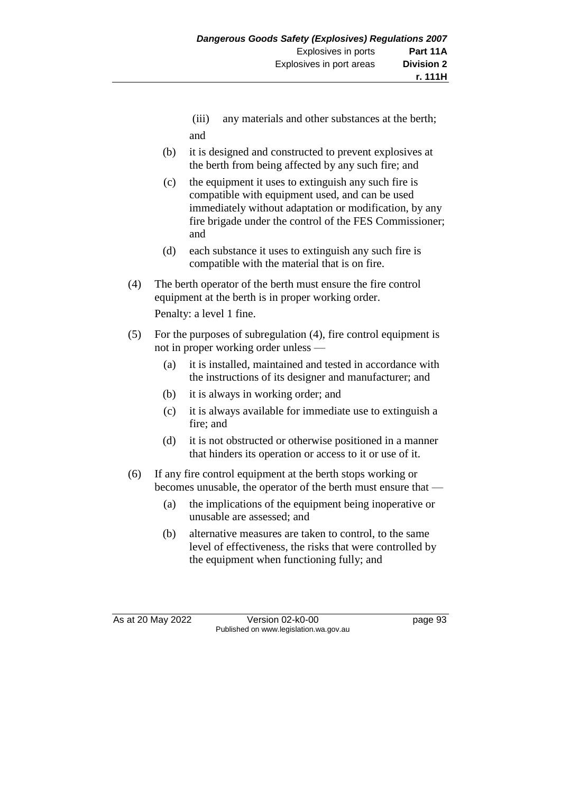- (iii) any materials and other substances at the berth; and
- (b) it is designed and constructed to prevent explosives at the berth from being affected by any such fire; and
- (c) the equipment it uses to extinguish any such fire is compatible with equipment used, and can be used immediately without adaptation or modification, by any fire brigade under the control of the FES Commissioner; and
- (d) each substance it uses to extinguish any such fire is compatible with the material that is on fire.
- (4) The berth operator of the berth must ensure the fire control equipment at the berth is in proper working order.

Penalty: a level 1 fine.

- (5) For the purposes of subregulation (4), fire control equipment is not in proper working order unless —
	- (a) it is installed, maintained and tested in accordance with the instructions of its designer and manufacturer; and
	- (b) it is always in working order; and
	- (c) it is always available for immediate use to extinguish a fire; and
	- (d) it is not obstructed or otherwise positioned in a manner that hinders its operation or access to it or use of it.
- (6) If any fire control equipment at the berth stops working or becomes unusable, the operator of the berth must ensure that —
	- (a) the implications of the equipment being inoperative or unusable are assessed; and
	- (b) alternative measures are taken to control, to the same level of effectiveness, the risks that were controlled by the equipment when functioning fully; and

As at 20 May 2022 Version 02-k0-00 page 93 Published on www.legislation.wa.gov.au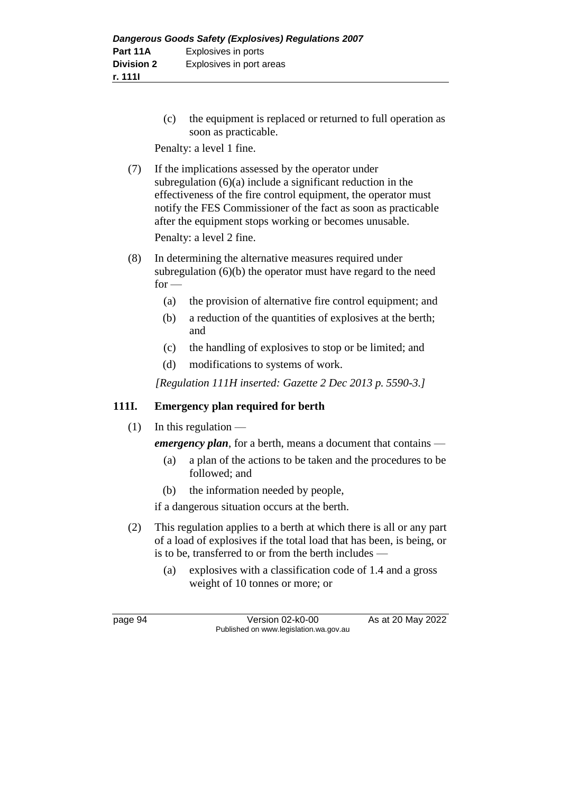(c) the equipment is replaced or returned to full operation as soon as practicable.

Penalty: a level 1 fine.

(7) If the implications assessed by the operator under subregulation (6)(a) include a significant reduction in the effectiveness of the fire control equipment, the operator must notify the FES Commissioner of the fact as soon as practicable after the equipment stops working or becomes unusable.

Penalty: a level 2 fine.

- (8) In determining the alternative measures required under subregulation (6)(b) the operator must have regard to the need  $for -$ 
	- (a) the provision of alternative fire control equipment; and
	- (b) a reduction of the quantities of explosives at the berth; and
	- (c) the handling of explosives to stop or be limited; and
	- (d) modifications to systems of work.

*[Regulation 111H inserted: Gazette 2 Dec 2013 p. 5590-3.]*

#### **111I. Emergency plan required for berth**

 $(1)$  In this regulation —

*emergency plan*, for a berth, means a document that contains —

- (a) a plan of the actions to be taken and the procedures to be followed; and
- (b) the information needed by people,

if a dangerous situation occurs at the berth.

- (2) This regulation applies to a berth at which there is all or any part of a load of explosives if the total load that has been, is being, or is to be, transferred to or from the berth includes —
	- (a) explosives with a classification code of 1.4 and a gross weight of 10 tonnes or more; or

page 94 Version 02-k0-00 As at 20 May 2022 Published on www.legislation.wa.gov.au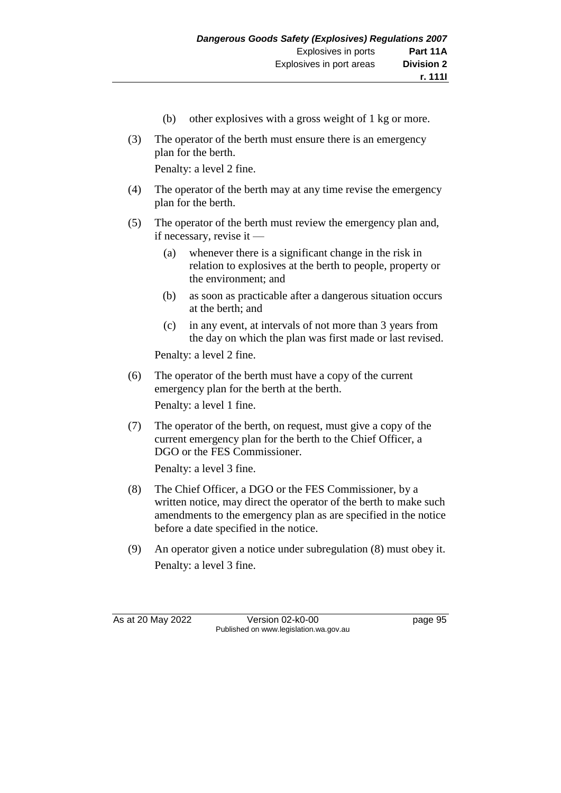- (b) other explosives with a gross weight of 1 kg or more.
- (3) The operator of the berth must ensure there is an emergency plan for the berth.

Penalty: a level 2 fine.

- (4) The operator of the berth may at any time revise the emergency plan for the berth.
- (5) The operator of the berth must review the emergency plan and, if necessary, revise it —
	- (a) whenever there is a significant change in the risk in relation to explosives at the berth to people, property or the environment; and
	- (b) as soon as practicable after a dangerous situation occurs at the berth; and
	- (c) in any event, at intervals of not more than 3 years from the day on which the plan was first made or last revised.

Penalty: a level 2 fine.

- (6) The operator of the berth must have a copy of the current emergency plan for the berth at the berth. Penalty: a level 1 fine.
- (7) The operator of the berth, on request, must give a copy of the current emergency plan for the berth to the Chief Officer, a DGO or the FES Commissioner.

Penalty: a level 3 fine.

- (8) The Chief Officer, a DGO or the FES Commissioner, by a written notice, may direct the operator of the berth to make such amendments to the emergency plan as are specified in the notice before a date specified in the notice.
- (9) An operator given a notice under subregulation (8) must obey it. Penalty: a level 3 fine.

As at 20 May 2022 Version 02-k0-00 page 95 Published on www.legislation.wa.gov.au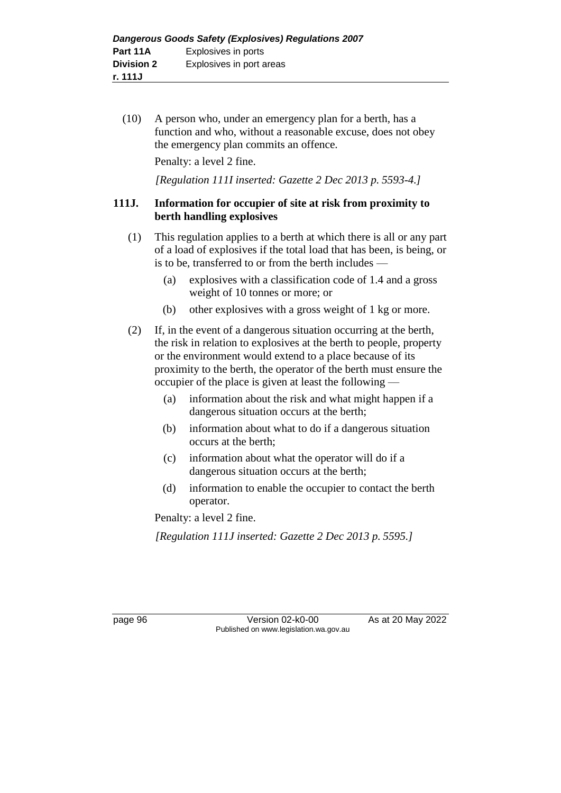(10) A person who, under an emergency plan for a berth, has a function and who, without a reasonable excuse, does not obey the emergency plan commits an offence.

Penalty: a level 2 fine.

*[Regulation 111I inserted: Gazette 2 Dec 2013 p. 5593-4.]*

## **111J. Information for occupier of site at risk from proximity to berth handling explosives**

- (1) This regulation applies to a berth at which there is all or any part of a load of explosives if the total load that has been, is being, or is to be, transferred to or from the berth includes —
	- (a) explosives with a classification code of 1.4 and a gross weight of 10 tonnes or more; or
	- (b) other explosives with a gross weight of 1 kg or more.
- (2) If, in the event of a dangerous situation occurring at the berth, the risk in relation to explosives at the berth to people, property or the environment would extend to a place because of its proximity to the berth, the operator of the berth must ensure the occupier of the place is given at least the following —
	- (a) information about the risk and what might happen if a dangerous situation occurs at the berth;
	- (b) information about what to do if a dangerous situation occurs at the berth;
	- (c) information about what the operator will do if a dangerous situation occurs at the berth;
	- (d) information to enable the occupier to contact the berth operator.

Penalty: a level 2 fine.

*[Regulation 111J inserted: Gazette 2 Dec 2013 p. 5595.]*

page 96 Version 02-k0-00 As at 20 May 2022 Published on www.legislation.wa.gov.au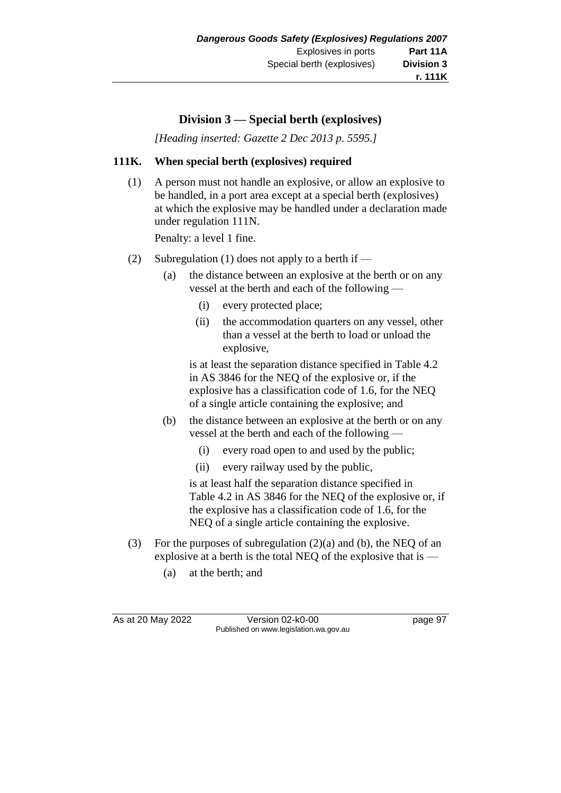# **Division 3 — Special berth (explosives)**

*[Heading inserted: Gazette 2 Dec 2013 p. 5595.]*

## **111K. When special berth (explosives) required**

(1) A person must not handle an explosive, or allow an explosive to be handled, in a port area except at a special berth (explosives) at which the explosive may be handled under a declaration made under regulation 111N.

Penalty: a level 1 fine.

- (2) Subregulation (1) does not apply to a berth if
	- (a) the distance between an explosive at the berth or on any vessel at the berth and each of the following —
		- (i) every protected place;
		- (ii) the accommodation quarters on any vessel, other than a vessel at the berth to load or unload the explosive,

is at least the separation distance specified in Table 4.2 in AS 3846 for the NEQ of the explosive or, if the explosive has a classification code of 1.6, for the NEQ of a single article containing the explosive; and

- (b) the distance between an explosive at the berth or on any vessel at the berth and each of the following —
	- (i) every road open to and used by the public;
	- (ii) every railway used by the public,

is at least half the separation distance specified in Table 4.2 in AS 3846 for the NEQ of the explosive or, if the explosive has a classification code of 1.6, for the NEQ of a single article containing the explosive.

- (3) For the purposes of subregulation (2)(a) and (b), the NEQ of an explosive at a berth is the total NEQ of the explosive that is —
	- (a) at the berth; and

As at 20 May 2022 Version 02-k0-00 Page 97 Published on www.legislation.wa.gov.au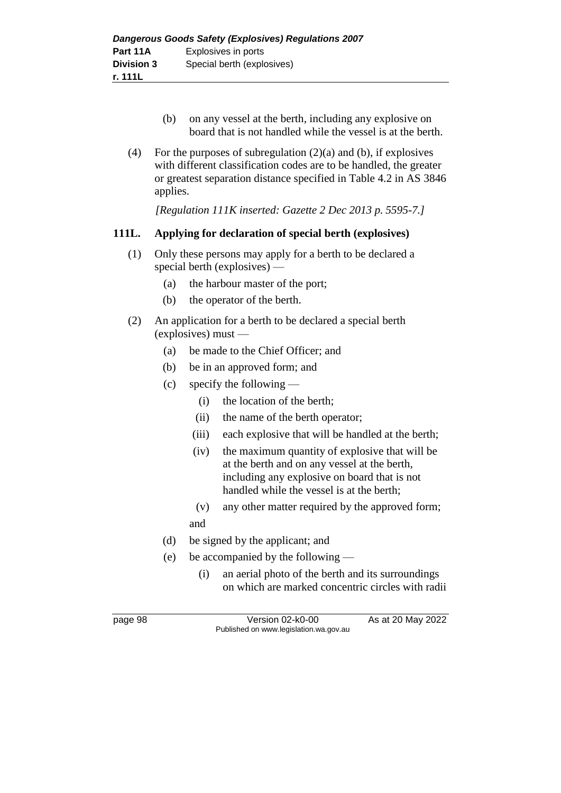- (b) on any vessel at the berth, including any explosive on board that is not handled while the vessel is at the berth.
- (4) For the purposes of subregulation  $(2)(a)$  and (b), if explosives with different classification codes are to be handled, the greater or greatest separation distance specified in Table 4.2 in AS 3846 applies.

*[Regulation 111K inserted: Gazette 2 Dec 2013 p. 5595-7.]*

## **111L. Applying for declaration of special berth (explosives)**

- (1) Only these persons may apply for a berth to be declared a special berth (explosives) —
	- (a) the harbour master of the port;
	- (b) the operator of the berth.
- (2) An application for a berth to be declared a special berth (explosives) must —
	- (a) be made to the Chief Officer; and
	- (b) be in an approved form; and
	- (c) specify the following
		- (i) the location of the berth;
		- (ii) the name of the berth operator;
		- (iii) each explosive that will be handled at the berth;
		- (iv) the maximum quantity of explosive that will be at the berth and on any vessel at the berth, including any explosive on board that is not handled while the vessel is at the berth;
		- (v) any other matter required by the approved form; and
	- (d) be signed by the applicant; and
	- (e) be accompanied by the following
		- (i) an aerial photo of the berth and its surroundings on which are marked concentric circles with radii

page 98 Version 02-k0-00 As at 20 May 2022 Published on www.legislation.wa.gov.au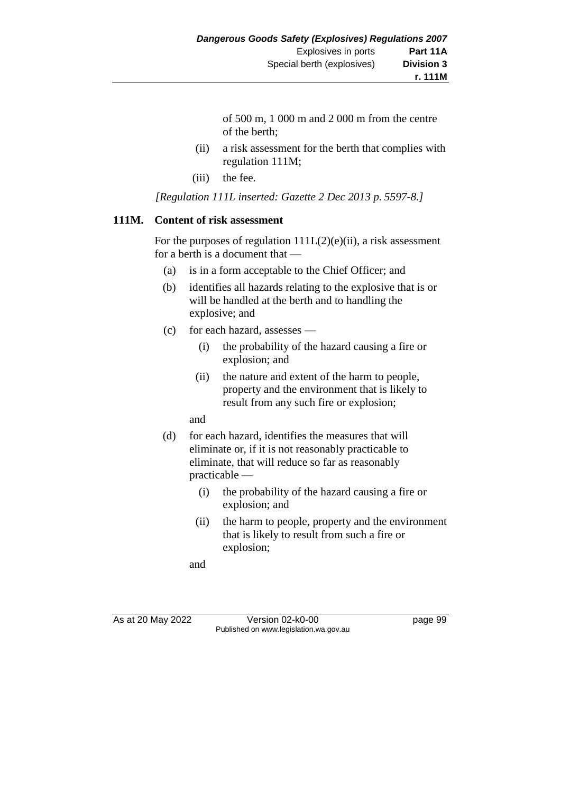of 500 m, 1 000 m and 2 000 m from the centre of the berth;

- (ii) a risk assessment for the berth that complies with regulation 111M;
- (iii) the fee.

*[Regulation 111L inserted: Gazette 2 Dec 2013 p. 5597-8.]*

## **111M. Content of risk assessment**

For the purposes of regulation  $111L(2)(e)(ii)$ , a risk assessment for a berth is a document that —

- (a) is in a form acceptable to the Chief Officer; and
- (b) identifies all hazards relating to the explosive that is or will be handled at the berth and to handling the explosive; and
- (c) for each hazard, assesses
	- (i) the probability of the hazard causing a fire or explosion; and
	- (ii) the nature and extent of the harm to people, property and the environment that is likely to result from any such fire or explosion;
	- and
- (d) for each hazard, identifies the measures that will eliminate or, if it is not reasonably practicable to eliminate, that will reduce so far as reasonably practicable —
	- (i) the probability of the hazard causing a fire or explosion; and
	- (ii) the harm to people, property and the environment that is likely to result from such a fire or explosion;

and

As at 20 May 2022 Version 02-k0-00 Published on www.legislation.wa.gov.au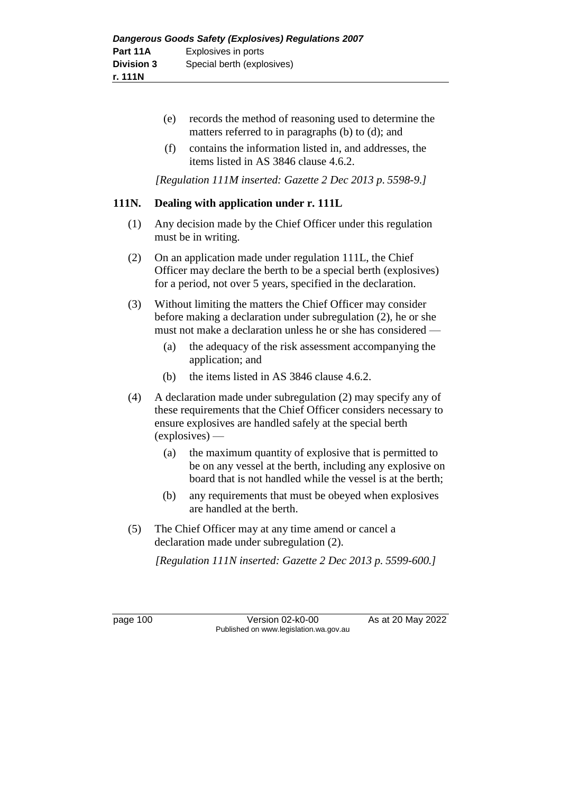- (e) records the method of reasoning used to determine the matters referred to in paragraphs (b) to (d); and
- (f) contains the information listed in, and addresses, the items listed in AS 3846 clause 4.6.2.

*[Regulation 111M inserted: Gazette 2 Dec 2013 p. 5598-9.]*

## **111N. Dealing with application under r. 111L**

- (1) Any decision made by the Chief Officer under this regulation must be in writing.
- (2) On an application made under regulation 111L, the Chief Officer may declare the berth to be a special berth (explosives) for a period, not over 5 years, specified in the declaration.
- (3) Without limiting the matters the Chief Officer may consider before making a declaration under subregulation (2), he or she must not make a declaration unless he or she has considered —
	- (a) the adequacy of the risk assessment accompanying the application; and
	- (b) the items listed in AS 3846 clause 4.6.2.
- (4) A declaration made under subregulation (2) may specify any of these requirements that the Chief Officer considers necessary to ensure explosives are handled safely at the special berth (explosives) —
	- (a) the maximum quantity of explosive that is permitted to be on any vessel at the berth, including any explosive on board that is not handled while the vessel is at the berth;
	- (b) any requirements that must be obeyed when explosives are handled at the berth.
- (5) The Chief Officer may at any time amend or cancel a declaration made under subregulation (2).

*[Regulation 111N inserted: Gazette 2 Dec 2013 p. 5599-600.]*

page 100 Version 02-k0-00 As at 20 May 2022 Published on www.legislation.wa.gov.au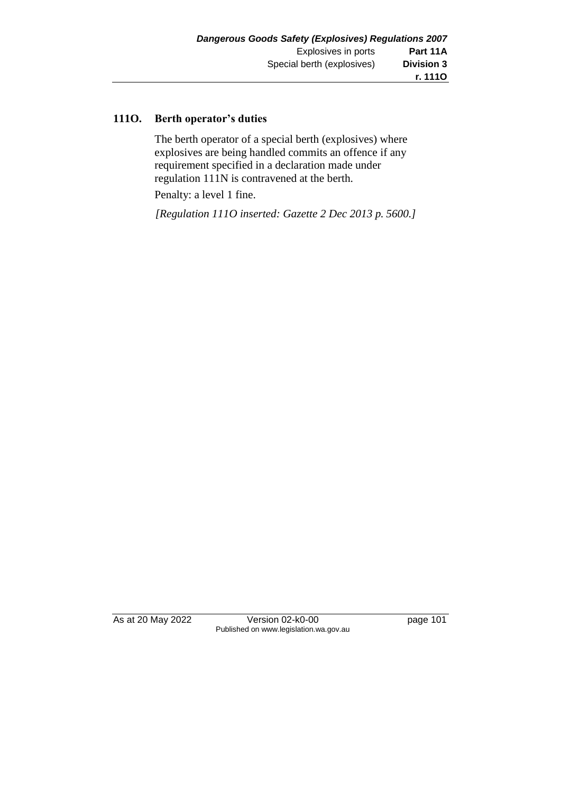#### **111O. Berth operator's duties**

The berth operator of a special berth (explosives) where explosives are being handled commits an offence if any requirement specified in a declaration made under regulation 111N is contravened at the berth.

Penalty: a level 1 fine.

*[Regulation 111O inserted: Gazette 2 Dec 2013 p. 5600.]*

As at 20 May 2022 Version 02-k0-00 Page 101 Published on www.legislation.wa.gov.au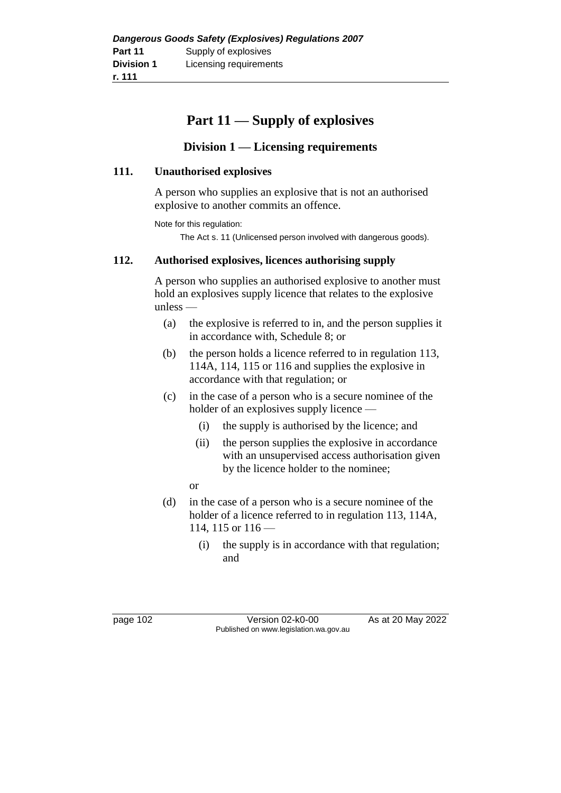|                   | Dangerous Goods Safety (Explosives) Regulations 2007 |
|-------------------|------------------------------------------------------|
| Part 11           | Supply of explosives                                 |
| <b>Division 1</b> | Licensing requirements                               |
| r. 111            |                                                      |

# **Part 11 — Supply of explosives**

# **Division 1 — Licensing requirements**

#### **111. Unauthorised explosives**

A person who supplies an explosive that is not an authorised explosive to another commits an offence.

Note for this regulation:

The Act s. 11 (Unlicensed person involved with dangerous goods).

## **112. Authorised explosives, licences authorising supply**

A person who supplies an authorised explosive to another must hold an explosives supply licence that relates to the explosive unless —

- (a) the explosive is referred to in, and the person supplies it in accordance with, Schedule 8; or
- (b) the person holds a licence referred to in regulation 113, 114A, 114, 115 or 116 and supplies the explosive in accordance with that regulation; or
- (c) in the case of a person who is a secure nominee of the holder of an explosives supply licence —
	- (i) the supply is authorised by the licence; and
	- (ii) the person supplies the explosive in accordance with an unsupervised access authorisation given by the licence holder to the nominee;
	- or
- (d) in the case of a person who is a secure nominee of the holder of a licence referred to in regulation 113, 114A, 114, 115 or  $116$  —
	- (i) the supply is in accordance with that regulation; and

page 102 Version 02-k0-00 As at 20 May 2022 Published on www.legislation.wa.gov.au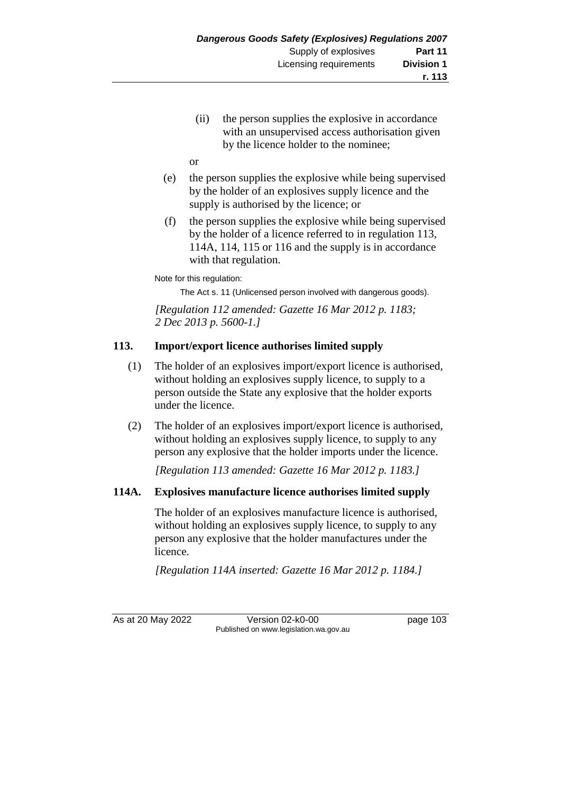(ii) the person supplies the explosive in accordance with an unsupervised access authorisation given by the licence holder to the nominee;

or

- (e) the person supplies the explosive while being supervised by the holder of an explosives supply licence and the supply is authorised by the licence; or
- (f) the person supplies the explosive while being supervised by the holder of a licence referred to in regulation 113, 114A, 114, 115 or 116 and the supply is in accordance with that regulation.

Note for this regulation:

The Act s. 11 (Unlicensed person involved with dangerous goods).

*[Regulation 112 amended: Gazette 16 Mar 2012 p. 1183; 2 Dec 2013 p. 5600-1.]*

# **113. Import/export licence authorises limited supply**

- (1) The holder of an explosives import/export licence is authorised, without holding an explosives supply licence, to supply to a person outside the State any explosive that the holder exports under the licence.
- (2) The holder of an explosives import/export licence is authorised, without holding an explosives supply licence, to supply to any person any explosive that the holder imports under the licence.

*[Regulation 113 amended: Gazette 16 Mar 2012 p. 1183.]*

## **114A. Explosives manufacture licence authorises limited supply**

The holder of an explosives manufacture licence is authorised, without holding an explosives supply licence, to supply to any person any explosive that the holder manufactures under the licence.

*[Regulation 114A inserted: Gazette 16 Mar 2012 p. 1184.]*

As at 20 May 2022 Version 02-k0-00 page 103 Published on www.legislation.wa.gov.au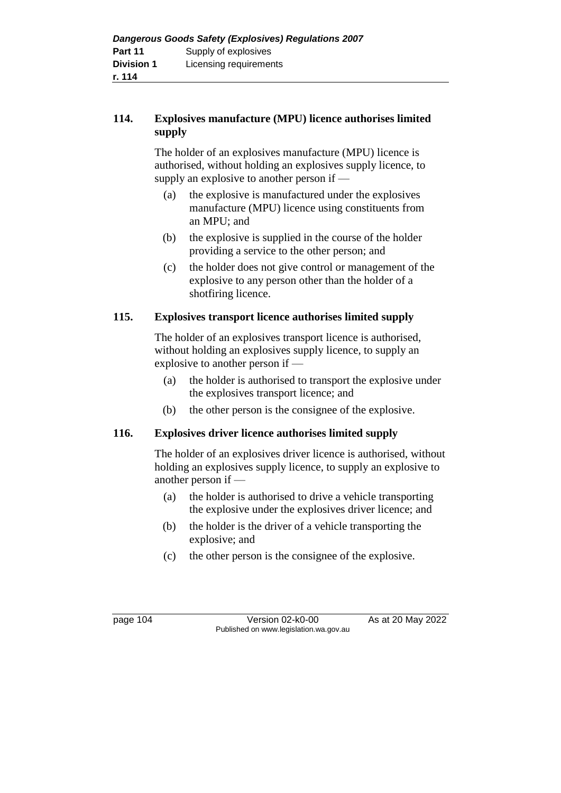## **114. Explosives manufacture (MPU) licence authorises limited supply**

The holder of an explosives manufacture (MPU) licence is authorised, without holding an explosives supply licence, to supply an explosive to another person if —

- (a) the explosive is manufactured under the explosives manufacture (MPU) licence using constituents from an MPU; and
- (b) the explosive is supplied in the course of the holder providing a service to the other person; and
- (c) the holder does not give control or management of the explosive to any person other than the holder of a shotfiring licence.

## **115. Explosives transport licence authorises limited supply**

The holder of an explosives transport licence is authorised, without holding an explosives supply licence, to supply an explosive to another person if —

- (a) the holder is authorised to transport the explosive under the explosives transport licence; and
- (b) the other person is the consignee of the explosive.

## **116. Explosives driver licence authorises limited supply**

The holder of an explosives driver licence is authorised, without holding an explosives supply licence, to supply an explosive to another person if —

- (a) the holder is authorised to drive a vehicle transporting the explosive under the explosives driver licence; and
- (b) the holder is the driver of a vehicle transporting the explosive; and
- (c) the other person is the consignee of the explosive.

page 104 Version 02-k0-00 As at 20 May 2022 Published on www.legislation.wa.gov.au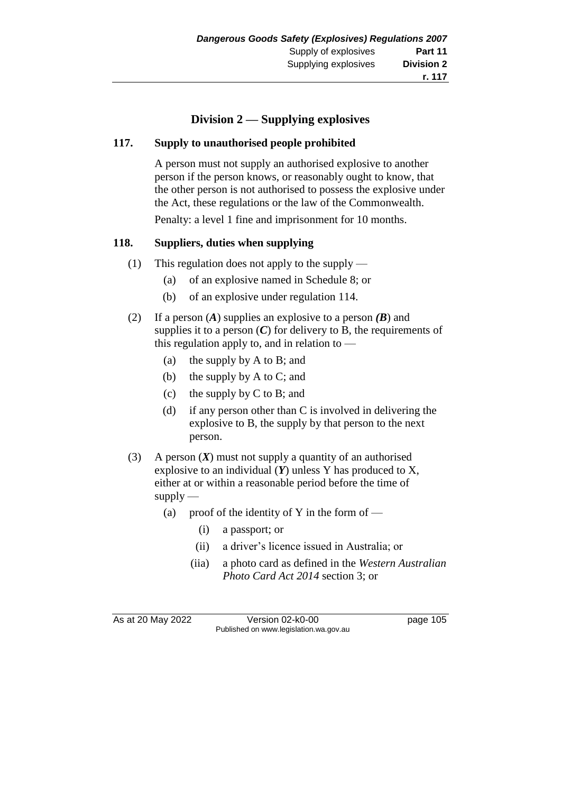# **Division 2 — Supplying explosives**

#### **117. Supply to unauthorised people prohibited**

A person must not supply an authorised explosive to another person if the person knows, or reasonably ought to know, that the other person is not authorised to possess the explosive under the Act, these regulations or the law of the Commonwealth.

Penalty: a level 1 fine and imprisonment for 10 months.

#### **118. Suppliers, duties when supplying**

- (1) This regulation does not apply to the supply
	- (a) of an explosive named in Schedule 8; or
	- (b) of an explosive under regulation 114.
- (2) If a person (*A*) supplies an explosive to a person *(B*) and supplies it to a person  $(C)$  for delivery to B, the requirements of this regulation apply to, and in relation to —
	- (a) the supply by A to B; and
	- (b) the supply by A to C; and
	- (c) the supply by C to B; and
	- (d) if any person other than C is involved in delivering the explosive to B, the supply by that person to the next person.
- (3) A person (*X*) must not supply a quantity of an authorised explosive to an individual (*Y*) unless Y has produced to X, either at or within a reasonable period before the time of  $supply$ 
	- (a) proof of the identity of Y in the form of  $-$ 
		- (i) a passport; or
		- (ii) a driver's licence issued in Australia; or
		- (iia) a photo card as defined in the *Western Australian Photo Card Act 2014* section 3; or

As at 20 May 2022 Version 02-k0-00 Page 105 Published on www.legislation.wa.gov.au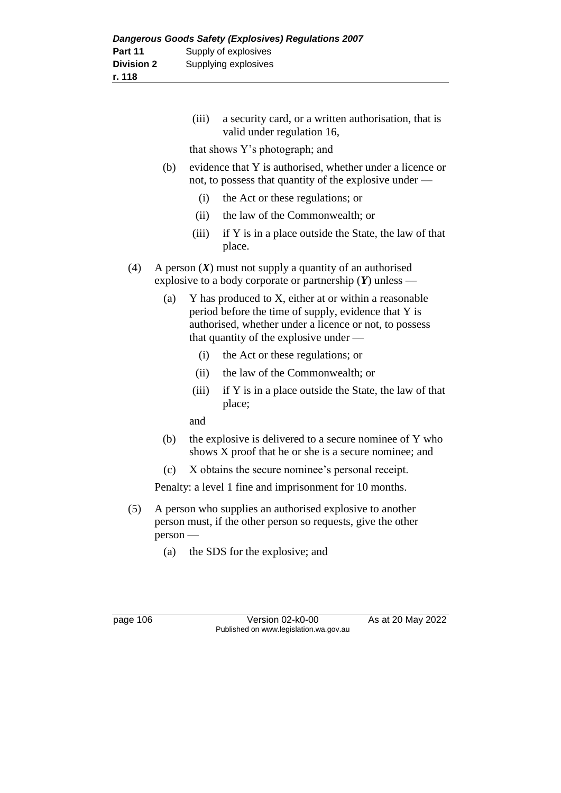(iii) a security card, or a written authorisation, that is valid under regulation 16,

that shows Y's photograph; and

- (b) evidence that Y is authorised, whether under a licence or not, to possess that quantity of the explosive under —
	- (i) the Act or these regulations; or
	- (ii) the law of the Commonwealth; or
	- (iii) if Y is in a place outside the State, the law of that place.
- (4) A person (*X*) must not supply a quantity of an authorised explosive to a body corporate or partnership (*Y*) unless —
	- (a) Y has produced to X, either at or within a reasonable period before the time of supply, evidence that Y is authorised, whether under a licence or not, to possess that quantity of the explosive under —
		- (i) the Act or these regulations; or
		- (ii) the law of the Commonwealth; or
		- (iii) if Y is in a place outside the State, the law of that place;

and

- (b) the explosive is delivered to a secure nominee of Y who shows X proof that he or she is a secure nominee; and
- (c) X obtains the secure nominee's personal receipt.

Penalty: a level 1 fine and imprisonment for 10 months.

- (5) A person who supplies an authorised explosive to another person must, if the other person so requests, give the other person —
	- (a) the SDS for the explosive; and

page 106 Version 02-k0-00 As at 20 May 2022 Published on www.legislation.wa.gov.au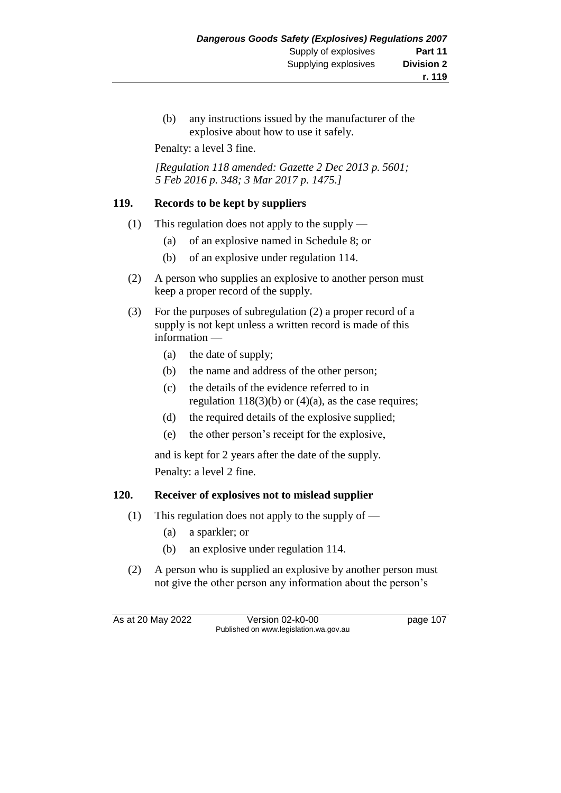(b) any instructions issued by the manufacturer of the explosive about how to use it safely.

Penalty: a level 3 fine.

*[Regulation 118 amended: Gazette 2 Dec 2013 p. 5601; 5 Feb 2016 p. 348; 3 Mar 2017 p. 1475.]*

#### **119. Records to be kept by suppliers**

- (1) This regulation does not apply to the supply
	- (a) of an explosive named in Schedule 8; or
	- (b) of an explosive under regulation 114.
- (2) A person who supplies an explosive to another person must keep a proper record of the supply.
- (3) For the purposes of subregulation (2) a proper record of a supply is not kept unless a written record is made of this information —
	- (a) the date of supply;
	- (b) the name and address of the other person;
	- (c) the details of the evidence referred to in regulation  $118(3)(b)$  or  $(4)(a)$ , as the case requires;
	- (d) the required details of the explosive supplied;
	- (e) the other person's receipt for the explosive,

and is kept for 2 years after the date of the supply. Penalty: a level 2 fine.

## **120. Receiver of explosives not to mislead supplier**

- (1) This regulation does not apply to the supply of
	- (a) a sparkler; or
	- (b) an explosive under regulation 114.
- (2) A person who is supplied an explosive by another person must not give the other person any information about the person's

As at 20 May 2022 Version 02-k0-00 page 107 Published on www.legislation.wa.gov.au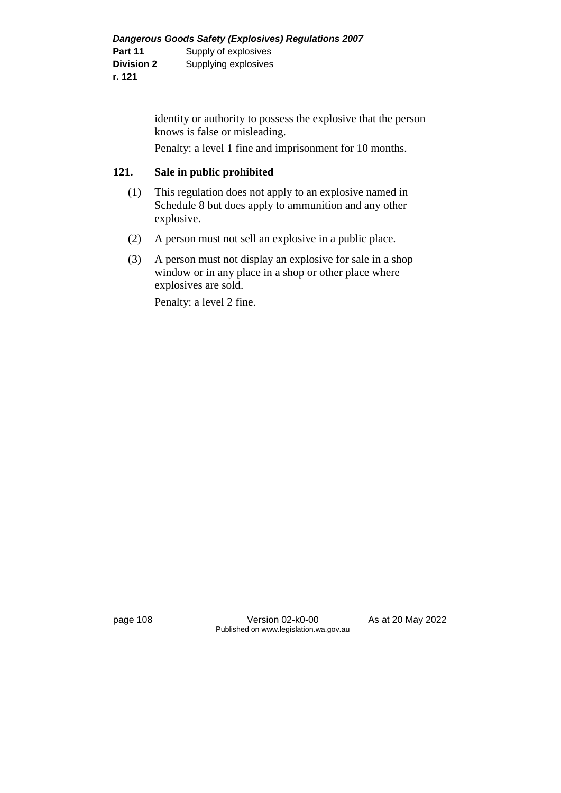identity or authority to possess the explosive that the person knows is false or misleading.

Penalty: a level 1 fine and imprisonment for 10 months.

#### **121. Sale in public prohibited**

- (1) This regulation does not apply to an explosive named in Schedule 8 but does apply to ammunition and any other explosive.
- (2) A person must not sell an explosive in a public place.
- (3) A person must not display an explosive for sale in a shop window or in any place in a shop or other place where explosives are sold.

Penalty: a level 2 fine.

page 108 Version 02-k0-00 As at 20 May 2022 Published on www.legislation.wa.gov.au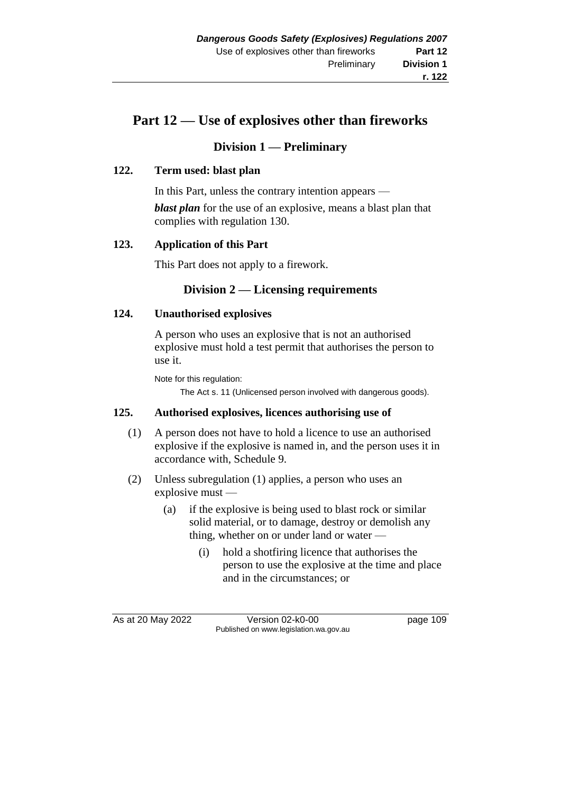# **Part 12 — Use of explosives other than fireworks**

## **Division 1 — Preliminary**

#### **122. Term used: blast plan**

In this Part, unless the contrary intention appears *blast plan* for the use of an explosive, means a blast plan that complies with regulation 130.

#### **123. Application of this Part**

This Part does not apply to a firework.

# **Division 2 — Licensing requirements**

#### **124. Unauthorised explosives**

A person who uses an explosive that is not an authorised explosive must hold a test permit that authorises the person to use it.

Note for this regulation:

The Act s. 11 (Unlicensed person involved with dangerous goods).

#### **125. Authorised explosives, licences authorising use of**

- (1) A person does not have to hold a licence to use an authorised explosive if the explosive is named in, and the person uses it in accordance with, Schedule 9.
- (2) Unless subregulation (1) applies, a person who uses an explosive must —
	- (a) if the explosive is being used to blast rock or similar solid material, or to damage, destroy or demolish any thing, whether on or under land or water —
		- (i) hold a shotfiring licence that authorises the person to use the explosive at the time and place and in the circumstances; or

As at 20 May 2022 Version 02-k0-00 page 109 Published on www.legislation.wa.gov.au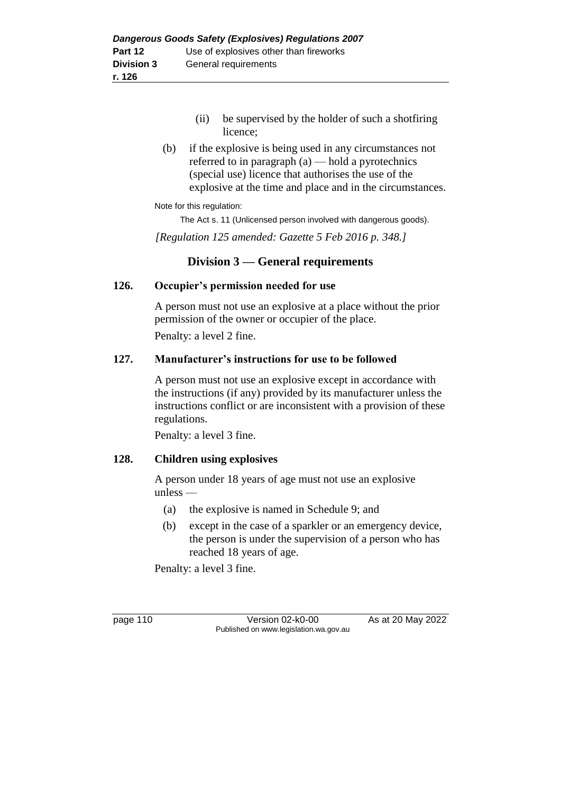- (ii) be supervised by the holder of such a shotfiring licence;
- (b) if the explosive is being used in any circumstances not referred to in paragraph (a) — hold a pyrotechnics (special use) licence that authorises the use of the explosive at the time and place and in the circumstances.

#### Note for this regulation:

The Act s. 11 (Unlicensed person involved with dangerous goods).

*[Regulation 125 amended: Gazette 5 Feb 2016 p. 348.]*

## **Division 3 — General requirements**

#### **126. Occupier's permission needed for use**

A person must not use an explosive at a place without the prior permission of the owner or occupier of the place.

Penalty: a level 2 fine.

#### **127. Manufacturer's instructions for use to be followed**

A person must not use an explosive except in accordance with the instructions (if any) provided by its manufacturer unless the instructions conflict or are inconsistent with a provision of these regulations.

Penalty: a level 3 fine.

#### **128. Children using explosives**

A person under 18 years of age must not use an explosive unless —

- (a) the explosive is named in Schedule 9; and
- (b) except in the case of a sparkler or an emergency device, the person is under the supervision of a person who has reached 18 years of age.

Penalty: a level 3 fine.

page 110 Version 02-k0-00 As at 20 May 2022 Published on www.legislation.wa.gov.au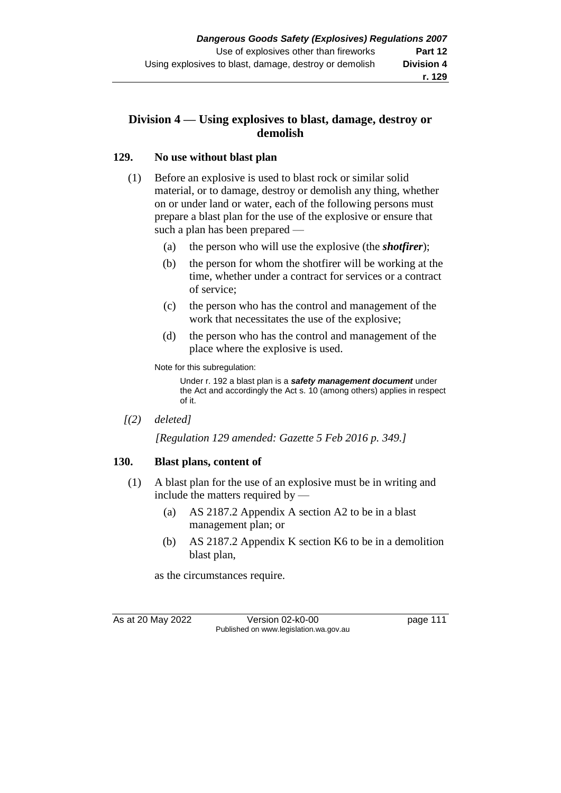## **Division 4 — Using explosives to blast, damage, destroy or demolish**

#### **129. No use without blast plan**

- (1) Before an explosive is used to blast rock or similar solid material, or to damage, destroy or demolish any thing, whether on or under land or water, each of the following persons must prepare a blast plan for the use of the explosive or ensure that such a plan has been prepared —
	- (a) the person who will use the explosive (the *shotfirer*);
	- (b) the person for whom the shotfirer will be working at the time, whether under a contract for services or a contract of service;
	- (c) the person who has the control and management of the work that necessitates the use of the explosive;
	- (d) the person who has the control and management of the place where the explosive is used.

Note for this subregulation:

Under r. 192 a blast plan is a *safety management document* under the Act and accordingly the Act s. 10 (among others) applies in respect of it.

*[(2) deleted]*

*[Regulation 129 amended: Gazette 5 Feb 2016 p. 349.]*

## **130. Blast plans, content of**

- (1) A blast plan for the use of an explosive must be in writing and include the matters required by —
	- (a) AS 2187.2 Appendix A section A2 to be in a blast management plan; or
	- (b) AS 2187.2 Appendix K section K6 to be in a demolition blast plan,

as the circumstances require.

As at 20 May 2022 Version 02-k0-00 Page 111 Published on www.legislation.wa.gov.au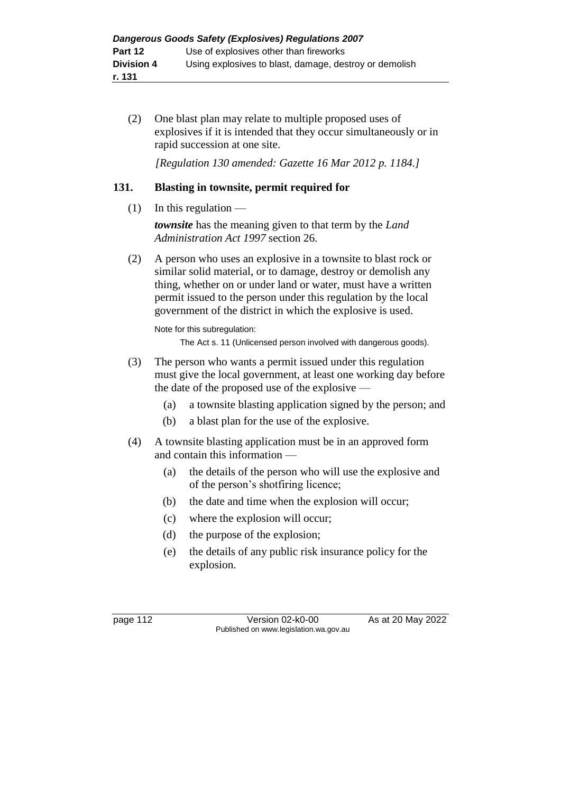(2) One blast plan may relate to multiple proposed uses of explosives if it is intended that they occur simultaneously or in rapid succession at one site.

*[Regulation 130 amended: Gazette 16 Mar 2012 p. 1184.]*

## **131. Blasting in townsite, permit required for**

 $(1)$  In this regulation —

*townsite* has the meaning given to that term by the *Land Administration Act 1997* section 26.

(2) A person who uses an explosive in a townsite to blast rock or similar solid material, or to damage, destroy or demolish any thing, whether on or under land or water, must have a written permit issued to the person under this regulation by the local government of the district in which the explosive is used.

Note for this subregulation:

The Act s. 11 (Unlicensed person involved with dangerous goods).

- (3) The person who wants a permit issued under this regulation must give the local government, at least one working day before the date of the proposed use of the explosive —
	- (a) a townsite blasting application signed by the person; and
	- (b) a blast plan for the use of the explosive.
- (4) A townsite blasting application must be in an approved form and contain this information —
	- (a) the details of the person who will use the explosive and of the person's shotfiring licence;
	- (b) the date and time when the explosion will occur;
	- (c) where the explosion will occur;
	- (d) the purpose of the explosion;
	- (e) the details of any public risk insurance policy for the explosion.

page 112 Version 02-k0-00 As at 20 May 2022 Published on www.legislation.wa.gov.au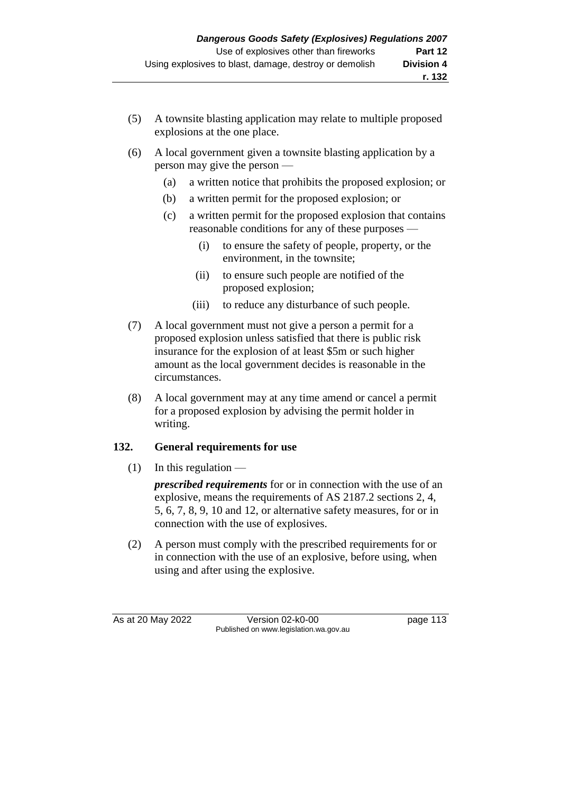- (5) A townsite blasting application may relate to multiple proposed explosions at the one place.
- (6) A local government given a townsite blasting application by a person may give the person —
	- (a) a written notice that prohibits the proposed explosion; or
	- (b) a written permit for the proposed explosion; or
	- (c) a written permit for the proposed explosion that contains reasonable conditions for any of these purposes —
		- (i) to ensure the safety of people, property, or the environment, in the townsite;
		- (ii) to ensure such people are notified of the proposed explosion;
		- (iii) to reduce any disturbance of such people.
- (7) A local government must not give a person a permit for a proposed explosion unless satisfied that there is public risk insurance for the explosion of at least \$5m or such higher amount as the local government decides is reasonable in the circumstances.
- (8) A local government may at any time amend or cancel a permit for a proposed explosion by advising the permit holder in writing.

# **132. General requirements for use**

 $(1)$  In this regulation —

*prescribed requirements* for or in connection with the use of an explosive, means the requirements of AS 2187.2 sections 2, 4, 5, 6, 7, 8, 9, 10 and 12, or alternative safety measures, for or in connection with the use of explosives.

(2) A person must comply with the prescribed requirements for or in connection with the use of an explosive, before using, when using and after using the explosive.

As at 20 May 2022 Version 02-k0-00 page 113 Published on www.legislation.wa.gov.au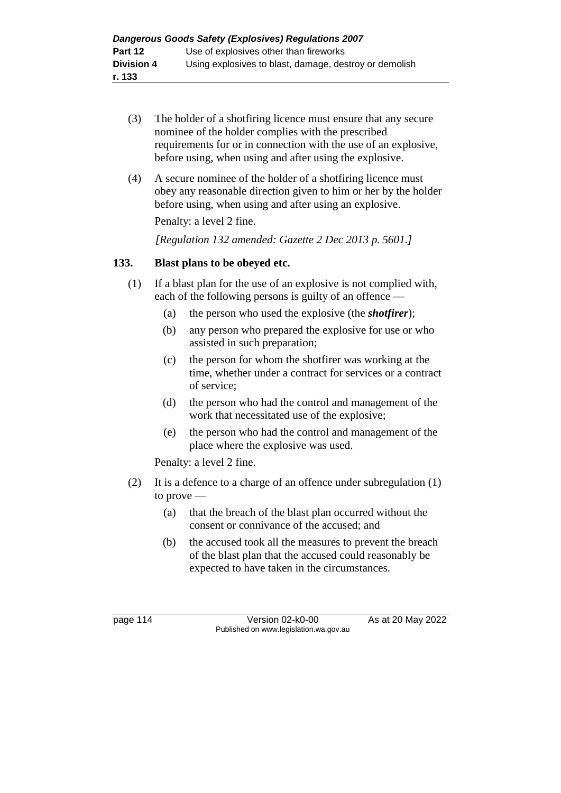- (3) The holder of a shotfiring licence must ensure that any secure nominee of the holder complies with the prescribed requirements for or in connection with the use of an explosive, before using, when using and after using the explosive.
- (4) A secure nominee of the holder of a shotfiring licence must obey any reasonable direction given to him or her by the holder before using, when using and after using an explosive. Penalty: a level 2 fine.

*[Regulation 132 amended: Gazette 2 Dec 2013 p. 5601.]*

## **133. Blast plans to be obeyed etc.**

- (1) If a blast plan for the use of an explosive is not complied with, each of the following persons is guilty of an offence —
	- (a) the person who used the explosive (the *shotfirer*);
	- (b) any person who prepared the explosive for use or who assisted in such preparation;
	- (c) the person for whom the shotfirer was working at the time, whether under a contract for services or a contract of service;
	- (d) the person who had the control and management of the work that necessitated use of the explosive;
	- (e) the person who had the control and management of the place where the explosive was used.

Penalty: a level 2 fine.

- (2) It is a defence to a charge of an offence under subregulation (1) to prove —
	- (a) that the breach of the blast plan occurred without the consent or connivance of the accused; and
	- (b) the accused took all the measures to prevent the breach of the blast plan that the accused could reasonably be expected to have taken in the circumstances.

page 114 Version 02-k0-00 As at 20 May 2022 Published on www.legislation.wa.gov.au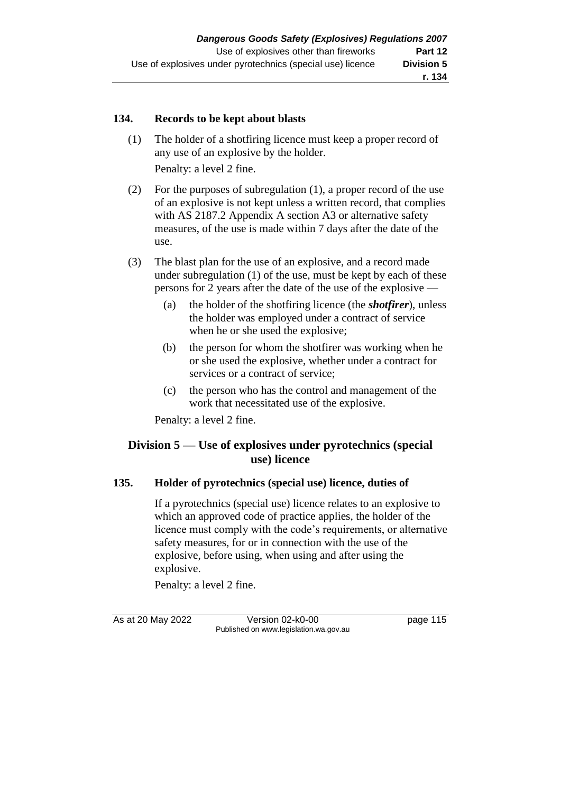#### **134. Records to be kept about blasts**

(1) The holder of a shotfiring licence must keep a proper record of any use of an explosive by the holder.

Penalty: a level 2 fine.

- (2) For the purposes of subregulation (1), a proper record of the use of an explosive is not kept unless a written record, that complies with AS 2187.2 Appendix A section A3 or alternative safety measures, of the use is made within 7 days after the date of the use.
- (3) The blast plan for the use of an explosive, and a record made under subregulation (1) of the use, must be kept by each of these persons for 2 years after the date of the use of the explosive —
	- (a) the holder of the shotfiring licence (the *shotfirer*), unless the holder was employed under a contract of service when he or she used the explosive;
	- (b) the person for whom the shotfirer was working when he or she used the explosive, whether under a contract for services or a contract of service;
	- (c) the person who has the control and management of the work that necessitated use of the explosive.

Penalty: a level 2 fine.

## **Division 5 — Use of explosives under pyrotechnics (special use) licence**

#### **135. Holder of pyrotechnics (special use) licence, duties of**

If a pyrotechnics (special use) licence relates to an explosive to which an approved code of practice applies, the holder of the licence must comply with the code's requirements, or alternative safety measures, for or in connection with the use of the explosive, before using, when using and after using the explosive.

Penalty: a level 2 fine.

As at 20 May 2022 Version 02-k0-00 Page 115 Published on www.legislation.wa.gov.au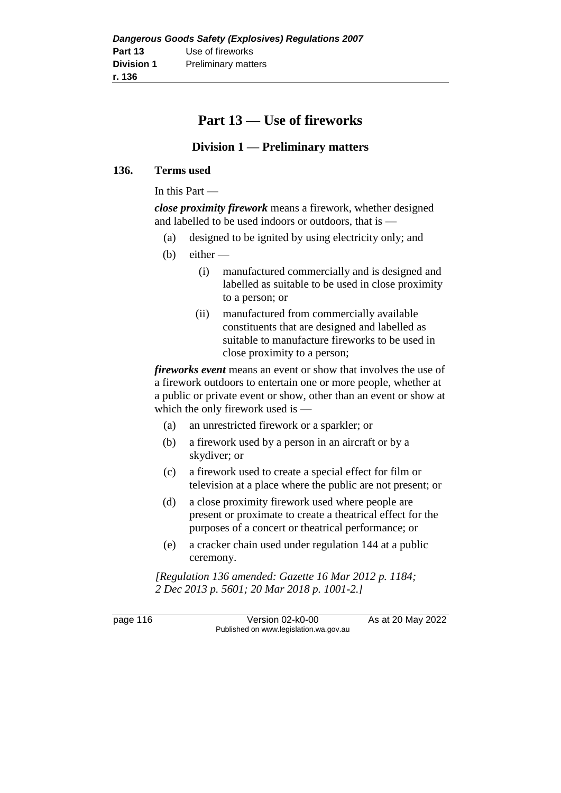# **Part 13 — Use of fireworks**

# **Division 1 — Preliminary matters**

#### **136. Terms used**

In this Part —

*close proximity firework* means a firework, whether designed and labelled to be used indoors or outdoors, that is —

- (a) designed to be ignited by using electricity only; and
- $(b)$  either
	- (i) manufactured commercially and is designed and labelled as suitable to be used in close proximity to a person; or
	- (ii) manufactured from commercially available constituents that are designed and labelled as suitable to manufacture fireworks to be used in close proximity to a person;

*fireworks event* means an event or show that involves the use of a firework outdoors to entertain one or more people, whether at a public or private event or show, other than an event or show at which the only firework used is —

- (a) an unrestricted firework or a sparkler; or
- (b) a firework used by a person in an aircraft or by a skydiver; or
- (c) a firework used to create a special effect for film or television at a place where the public are not present; or
- (d) a close proximity firework used where people are present or proximate to create a theatrical effect for the purposes of a concert or theatrical performance; or
- (e) a cracker chain used under regulation 144 at a public ceremony.

*[Regulation 136 amended: Gazette 16 Mar 2012 p. 1184; 2 Dec 2013 p. 5601; 20 Mar 2018 p. 1001-2.]*

page 116 Version 02-k0-00 As at 20 May 2022 Published on www.legislation.wa.gov.au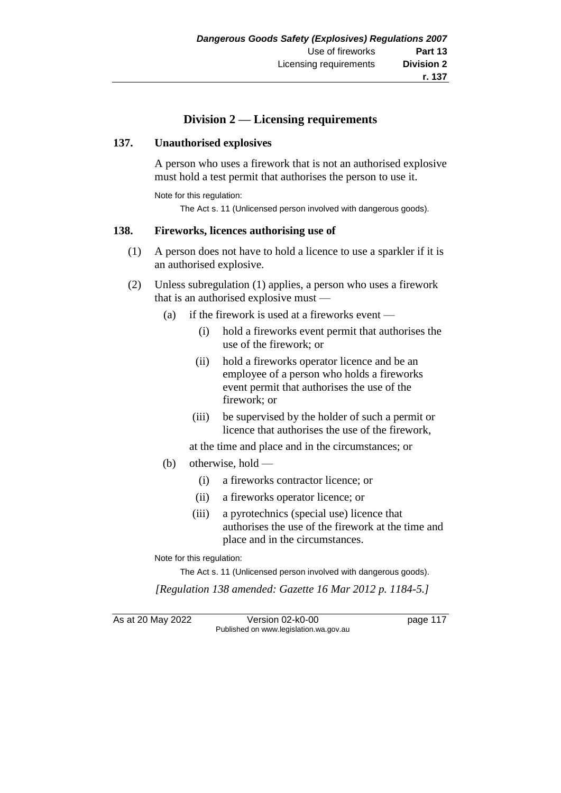## **Division 2 — Licensing requirements**

#### **137. Unauthorised explosives**

A person who uses a firework that is not an authorised explosive must hold a test permit that authorises the person to use it.

Note for this regulation:

The Act s. 11 (Unlicensed person involved with dangerous goods).

#### **138. Fireworks, licences authorising use of**

- (1) A person does not have to hold a licence to use a sparkler if it is an authorised explosive.
- (2) Unless subregulation (1) applies, a person who uses a firework that is an authorised explosive must —
	- (a) if the firework is used at a fireworks event  $-$ 
		- (i) hold a fireworks event permit that authorises the use of the firework; or
		- (ii) hold a fireworks operator licence and be an employee of a person who holds a fireworks event permit that authorises the use of the firework; or
		- (iii) be supervised by the holder of such a permit or licence that authorises the use of the firework,

at the time and place and in the circumstances; or

- (b) otherwise, hold
	- (i) a fireworks contractor licence; or
	- (ii) a fireworks operator licence; or
	- (iii) a pyrotechnics (special use) licence that authorises the use of the firework at the time and place and in the circumstances.

Note for this regulation:

The Act s. 11 (Unlicensed person involved with dangerous goods).

*[Regulation 138 amended: Gazette 16 Mar 2012 p. 1184-5.]*

As at 20 May 2022 Version 02-k0-00 Page 117 Published on www.legislation.wa.gov.au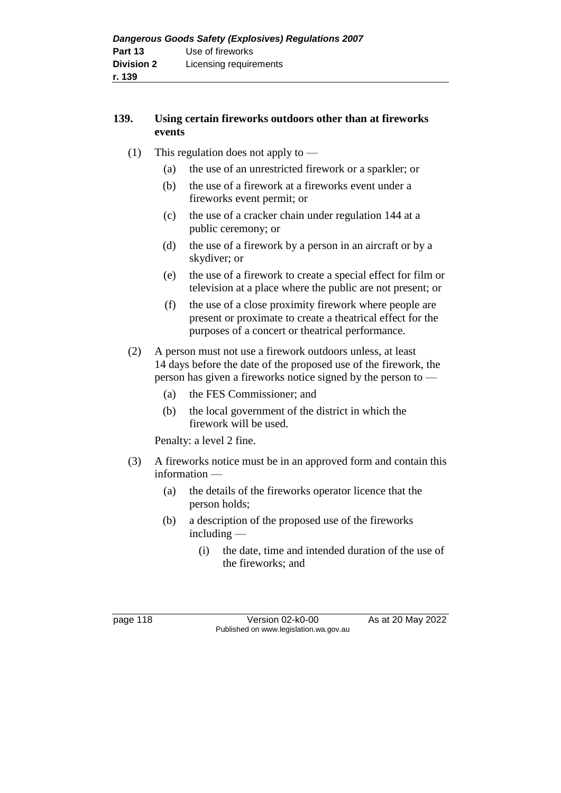## **139. Using certain fireworks outdoors other than at fireworks events**

- (1) This regulation does not apply to
	- (a) the use of an unrestricted firework or a sparkler; or
	- (b) the use of a firework at a fireworks event under a fireworks event permit; or
	- (c) the use of a cracker chain under regulation 144 at a public ceremony; or
	- (d) the use of a firework by a person in an aircraft or by a skydiver; or
	- (e) the use of a firework to create a special effect for film or television at a place where the public are not present; or
	- (f) the use of a close proximity firework where people are present or proximate to create a theatrical effect for the purposes of a concert or theatrical performance.
- (2) A person must not use a firework outdoors unless, at least 14 days before the date of the proposed use of the firework, the person has given a fireworks notice signed by the person to —
	- (a) the FES Commissioner; and
	- (b) the local government of the district in which the firework will be used.

Penalty: a level 2 fine.

- (3) A fireworks notice must be in an approved form and contain this information —
	- (a) the details of the fireworks operator licence that the person holds;
	- (b) a description of the proposed use of the fireworks including —
		- (i) the date, time and intended duration of the use of the fireworks; and

page 118 Version 02-k0-00 As at 20 May 2022 Published on www.legislation.wa.gov.au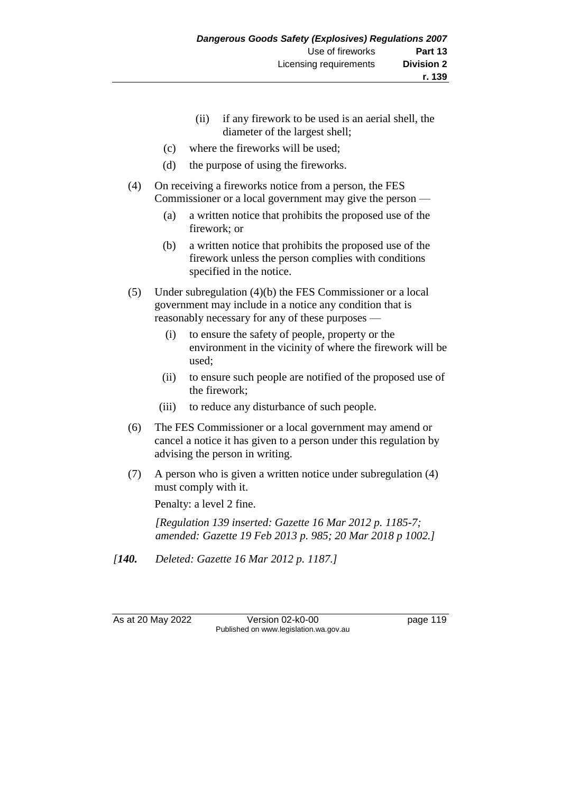- (ii) if any firework to be used is an aerial shell, the diameter of the largest shell;
- (c) where the fireworks will be used;
- (d) the purpose of using the fireworks.
- (4) On receiving a fireworks notice from a person, the FES Commissioner or a local government may give the person —
	- (a) a written notice that prohibits the proposed use of the firework; or
	- (b) a written notice that prohibits the proposed use of the firework unless the person complies with conditions specified in the notice.
- (5) Under subregulation (4)(b) the FES Commissioner or a local government may include in a notice any condition that is reasonably necessary for any of these purposes —
	- (i) to ensure the safety of people, property or the environment in the vicinity of where the firework will be used;
	- (ii) to ensure such people are notified of the proposed use of the firework;
	- (iii) to reduce any disturbance of such people.
- (6) The FES Commissioner or a local government may amend or cancel a notice it has given to a person under this regulation by advising the person in writing.
- (7) A person who is given a written notice under subregulation (4) must comply with it.

Penalty: a level 2 fine.

*[Regulation 139 inserted: Gazette 16 Mar 2012 p. 1185-7; amended: Gazette 19 Feb 2013 p. 985; 20 Mar 2018 p 1002.]*

*[140. Deleted: Gazette 16 Mar 2012 p. 1187.]*

As at 20 May 2022 Version 02-k0-00 page 119 Published on www.legislation.wa.gov.au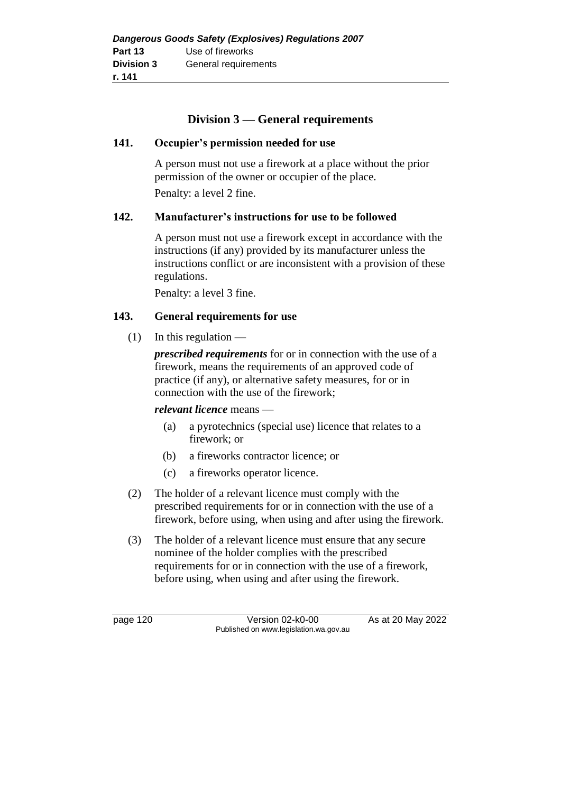## **Division 3 — General requirements**

#### **141. Occupier's permission needed for use**

A person must not use a firework at a place without the prior permission of the owner or occupier of the place.

Penalty: a level 2 fine.

## **142. Manufacturer's instructions for use to be followed**

A person must not use a firework except in accordance with the instructions (if any) provided by its manufacturer unless the instructions conflict or are inconsistent with a provision of these regulations.

Penalty: a level 3 fine.

#### **143. General requirements for use**

 $(1)$  In this regulation —

*prescribed requirements* for or in connection with the use of a firework, means the requirements of an approved code of practice (if any), or alternative safety measures, for or in connection with the use of the firework;

#### *relevant licence* means —

- (a) a pyrotechnics (special use) licence that relates to a firework; or
- (b) a fireworks contractor licence; or
- (c) a fireworks operator licence.
- (2) The holder of a relevant licence must comply with the prescribed requirements for or in connection with the use of a firework, before using, when using and after using the firework.
- (3) The holder of a relevant licence must ensure that any secure nominee of the holder complies with the prescribed requirements for or in connection with the use of a firework, before using, when using and after using the firework.

page 120 Version 02-k0-00 As at 20 May 2022 Published on www.legislation.wa.gov.au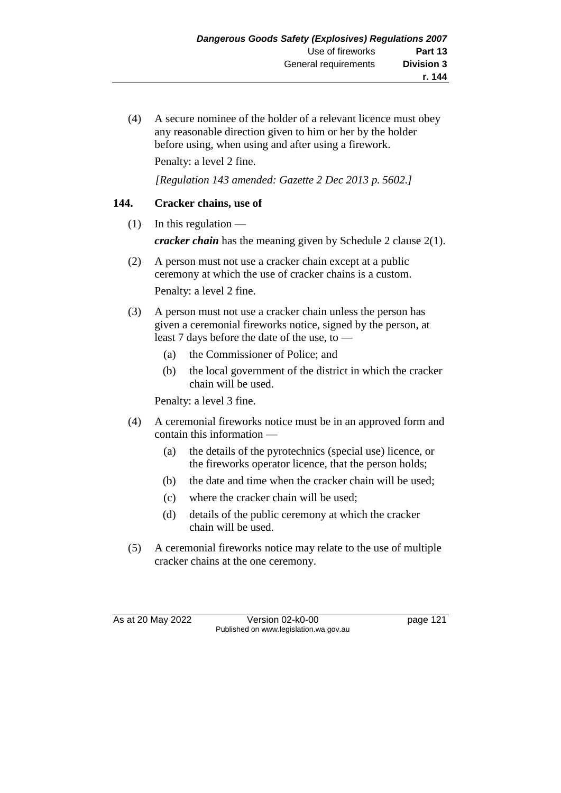(4) A secure nominee of the holder of a relevant licence must obey any reasonable direction given to him or her by the holder before using, when using and after using a firework.

Penalty: a level 2 fine.

*[Regulation 143 amended: Gazette 2 Dec 2013 p. 5602.]*

## **144. Cracker chains, use of**

- $(1)$  In this regulation *cracker chain* has the meaning given by Schedule 2 clause 2(1).
- (2) A person must not use a cracker chain except at a public ceremony at which the use of cracker chains is a custom. Penalty: a level 2 fine.
- (3) A person must not use a cracker chain unless the person has given a ceremonial fireworks notice, signed by the person, at least 7 days before the date of the use, to —
	- (a) the Commissioner of Police; and
	- (b) the local government of the district in which the cracker chain will be used.

Penalty: a level 3 fine.

- (4) A ceremonial fireworks notice must be in an approved form and contain this information —
	- (a) the details of the pyrotechnics (special use) licence, or the fireworks operator licence, that the person holds;
	- (b) the date and time when the cracker chain will be used;
	- (c) where the cracker chain will be used;
	- (d) details of the public ceremony at which the cracker chain will be used.
- (5) A ceremonial fireworks notice may relate to the use of multiple cracker chains at the one ceremony.

As at 20 May 2022 Version 02-k0-00 Page 121 Published on www.legislation.wa.gov.au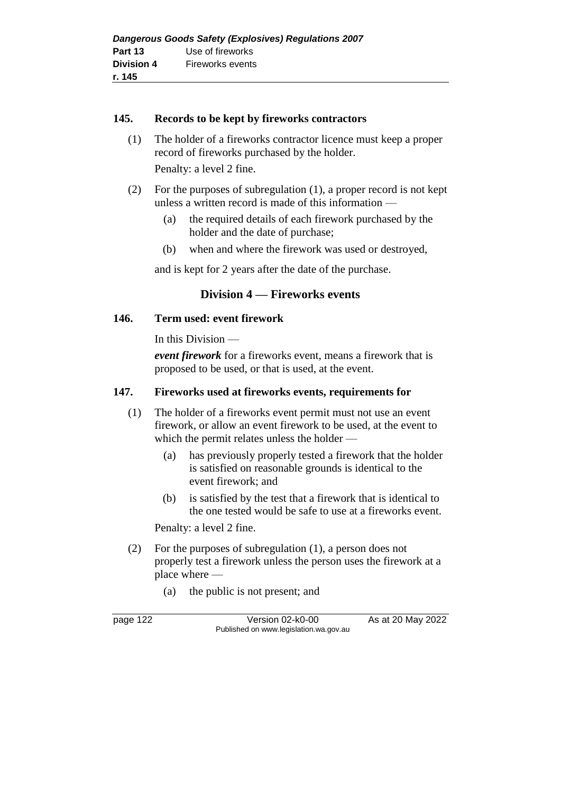#### **145. Records to be kept by fireworks contractors**

(1) The holder of a fireworks contractor licence must keep a proper record of fireworks purchased by the holder.

Penalty: a level 2 fine.

- (2) For the purposes of subregulation (1), a proper record is not kept unless a written record is made of this information —
	- (a) the required details of each firework purchased by the holder and the date of purchase;
	- (b) when and where the firework was used or destroyed,

and is kept for 2 years after the date of the purchase.

## **Division 4 — Fireworks events**

#### **146. Term used: event firework**

In this Division —

*event firework* for a fireworks event, means a firework that is proposed to be used, or that is used, at the event.

#### **147. Fireworks used at fireworks events, requirements for**

- (1) The holder of a fireworks event permit must not use an event firework, or allow an event firework to be used, at the event to which the permit relates unless the holder —
	- (a) has previously properly tested a firework that the holder is satisfied on reasonable grounds is identical to the event firework; and
	- (b) is satisfied by the test that a firework that is identical to the one tested would be safe to use at a fireworks event.

Penalty: a level 2 fine.

- (2) For the purposes of subregulation (1), a person does not properly test a firework unless the person uses the firework at a place where —
	- (a) the public is not present; and

page 122 Version 02-k0-00 As at 20 May 2022 Published on www.legislation.wa.gov.au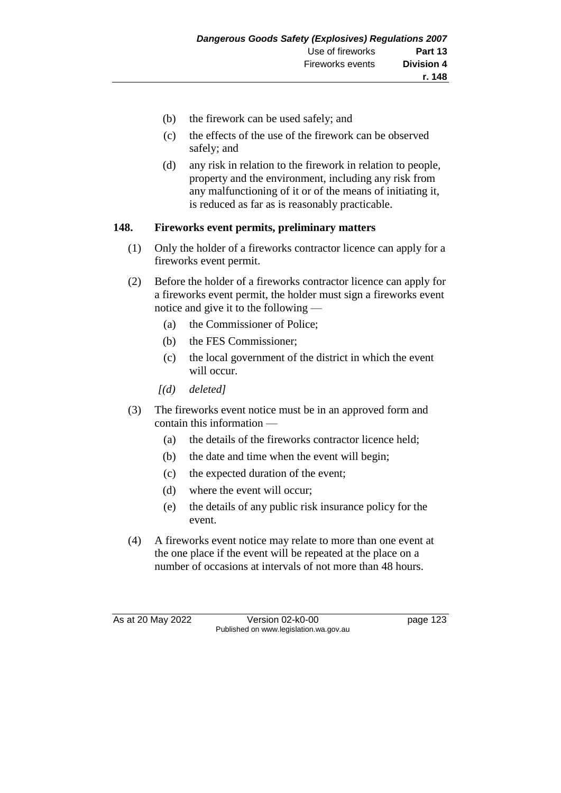- (b) the firework can be used safely; and
- (c) the effects of the use of the firework can be observed safely; and
- (d) any risk in relation to the firework in relation to people, property and the environment, including any risk from any malfunctioning of it or of the means of initiating it, is reduced as far as is reasonably practicable.

## **148. Fireworks event permits, preliminary matters**

- (1) Only the holder of a fireworks contractor licence can apply for a fireworks event permit.
- (2) Before the holder of a fireworks contractor licence can apply for a fireworks event permit, the holder must sign a fireworks event notice and give it to the following —
	- (a) the Commissioner of Police;
	- (b) the FES Commissioner;
	- (c) the local government of the district in which the event will occur.
	- *[(d) deleted]*
- (3) The fireworks event notice must be in an approved form and contain this information —
	- (a) the details of the fireworks contractor licence held;
	- (b) the date and time when the event will begin;
	- (c) the expected duration of the event;
	- (d) where the event will occur;
	- (e) the details of any public risk insurance policy for the event.
- (4) A fireworks event notice may relate to more than one event at the one place if the event will be repeated at the place on a number of occasions at intervals of not more than 48 hours.

As at 20 May 2022 Version 02-k0-00 Page 123 Published on www.legislation.wa.gov.au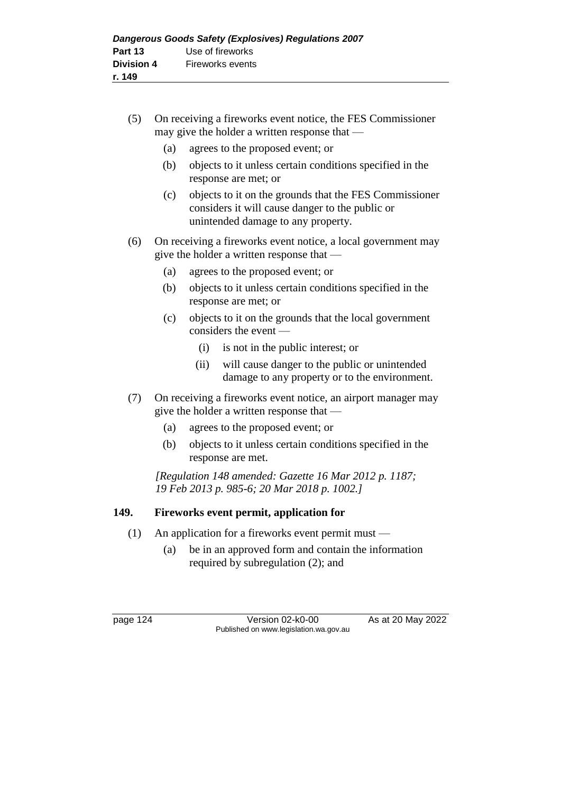- (5) On receiving a fireworks event notice, the FES Commissioner may give the holder a written response that —
	- (a) agrees to the proposed event; or
	- (b) objects to it unless certain conditions specified in the response are met; or
	- (c) objects to it on the grounds that the FES Commissioner considers it will cause danger to the public or unintended damage to any property.
- (6) On receiving a fireworks event notice, a local government may give the holder a written response that —
	- (a) agrees to the proposed event; or
	- (b) objects to it unless certain conditions specified in the response are met; or
	- (c) objects to it on the grounds that the local government considers the event —
		- (i) is not in the public interest; or
		- (ii) will cause danger to the public or unintended damage to any property or to the environment.
- (7) On receiving a fireworks event notice, an airport manager may give the holder a written response that —
	- (a) agrees to the proposed event; or
	- (b) objects to it unless certain conditions specified in the response are met.

*[Regulation 148 amended: Gazette 16 Mar 2012 p. 1187; 19 Feb 2013 p. 985-6; 20 Mar 2018 p. 1002.]*

## **149. Fireworks event permit, application for**

- (1) An application for a fireworks event permit must
	- (a) be in an approved form and contain the information required by subregulation (2); and

page 124 Version 02-k0-00 As at 20 May 2022 Published on www.legislation.wa.gov.au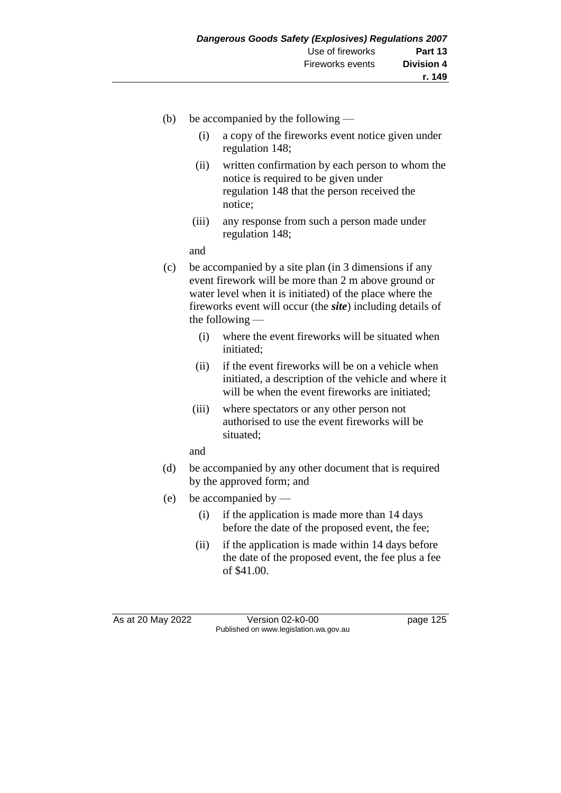- (b) be accompanied by the following
	- (i) a copy of the fireworks event notice given under regulation 148;
	- (ii) written confirmation by each person to whom the notice is required to be given under regulation 148 that the person received the notice;
	- (iii) any response from such a person made under regulation 148;

and

- (c) be accompanied by a site plan (in 3 dimensions if any event firework will be more than 2 m above ground or water level when it is initiated) of the place where the fireworks event will occur (the *site*) including details of the following —
	- (i) where the event fireworks will be situated when initiated;
	- (ii) if the event fireworks will be on a vehicle when initiated, a description of the vehicle and where it will be when the event fireworks are initiated;
	- (iii) where spectators or any other person not authorised to use the event fireworks will be situated;

and

- (d) be accompanied by any other document that is required by the approved form; and
- (e) be accompanied by
	- (i) if the application is made more than 14 days before the date of the proposed event, the fee;
	- (ii) if the application is made within 14 days before the date of the proposed event, the fee plus a fee of \$41.00.

As at 20 May 2022 Version 02-k0-00 Published on www.legislation.wa.gov.au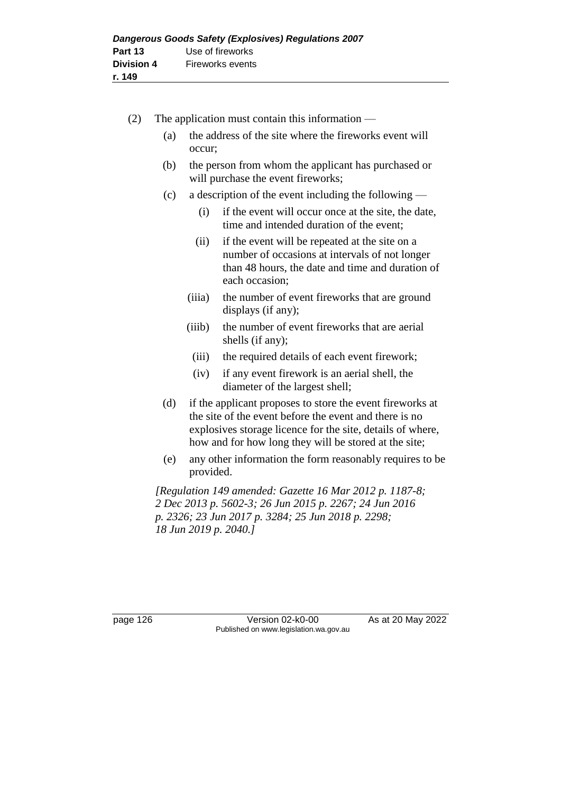| (2) | The application must contain this information $-$ |                                                                                           |                                                                                                                                                                                                                                            |  |
|-----|---------------------------------------------------|-------------------------------------------------------------------------------------------|--------------------------------------------------------------------------------------------------------------------------------------------------------------------------------------------------------------------------------------------|--|
|     | (a)                                               | the address of the site where the fireworks event will<br>occur;                          |                                                                                                                                                                                                                                            |  |
|     | (b)                                               | the person from whom the applicant has purchased or<br>will purchase the event fireworks; |                                                                                                                                                                                                                                            |  |
|     | (c)                                               |                                                                                           | a description of the event including the following —                                                                                                                                                                                       |  |
|     |                                                   | (i)                                                                                       | if the event will occur once at the site, the date,<br>time and intended duration of the event;                                                                                                                                            |  |
|     |                                                   | (ii)                                                                                      | if the event will be repeated at the site on a<br>number of occasions at intervals of not longer<br>than 48 hours, the date and time and duration of<br>each occasion;                                                                     |  |
|     |                                                   | (iii)                                                                                     | the number of event fireworks that are ground<br>displays (if any);                                                                                                                                                                        |  |
|     |                                                   | (iiib)                                                                                    | the number of event fireworks that are aerial<br>shells (if any);                                                                                                                                                                          |  |
|     |                                                   | (iii)                                                                                     | the required details of each event firework;                                                                                                                                                                                               |  |
|     |                                                   | (iv)                                                                                      | if any event firework is an aerial shell, the<br>diameter of the largest shell;                                                                                                                                                            |  |
| (d) |                                                   |                                                                                           | if the applicant proposes to store the event fireworks at<br>the site of the event before the event and there is no<br>explosives storage licence for the site, details of where,<br>how and for how long they will be stored at the site; |  |
|     | (e)                                               | any other information the form reasonably requires to be<br>provided.                     |                                                                                                                                                                                                                                            |  |
|     |                                                   |                                                                                           | [Regulation 149 amended: Gazette 16 Mar 2012 p. 1187-8;<br>2 Dec 2013 p. 5602-3; 26 Jun 2015 p. 2267; 24 Jun 2016<br>p. 2326; 23 Jun 2017 p. 3284; 25 Jun 2018 p. 2298;<br>18 Jun 2019 p. 2040.]                                           |  |

page 126 Version 02-k0-00 As at 20 May 2022 Published on www.legislation.wa.gov.au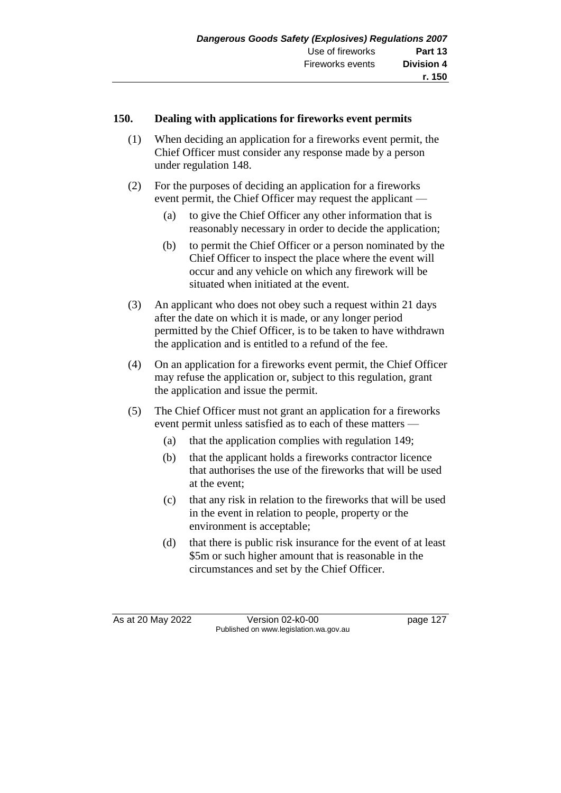#### **150. Dealing with applications for fireworks event permits**

- (1) When deciding an application for a fireworks event permit, the Chief Officer must consider any response made by a person under regulation 148.
- (2) For the purposes of deciding an application for a fireworks event permit, the Chief Officer may request the applicant —
	- (a) to give the Chief Officer any other information that is reasonably necessary in order to decide the application;
	- (b) to permit the Chief Officer or a person nominated by the Chief Officer to inspect the place where the event will occur and any vehicle on which any firework will be situated when initiated at the event.
- (3) An applicant who does not obey such a request within 21 days after the date on which it is made, or any longer period permitted by the Chief Officer, is to be taken to have withdrawn the application and is entitled to a refund of the fee.
- (4) On an application for a fireworks event permit, the Chief Officer may refuse the application or, subject to this regulation, grant the application and issue the permit.
- (5) The Chief Officer must not grant an application for a fireworks event permit unless satisfied as to each of these matters —
	- (a) that the application complies with regulation 149;
	- (b) that the applicant holds a fireworks contractor licence that authorises the use of the fireworks that will be used at the event;
	- (c) that any risk in relation to the fireworks that will be used in the event in relation to people, property or the environment is acceptable;
	- (d) that there is public risk insurance for the event of at least \$5m or such higher amount that is reasonable in the circumstances and set by the Chief Officer.

As at 20 May 2022 Version 02-k0-00 Page 127 Published on www.legislation.wa.gov.au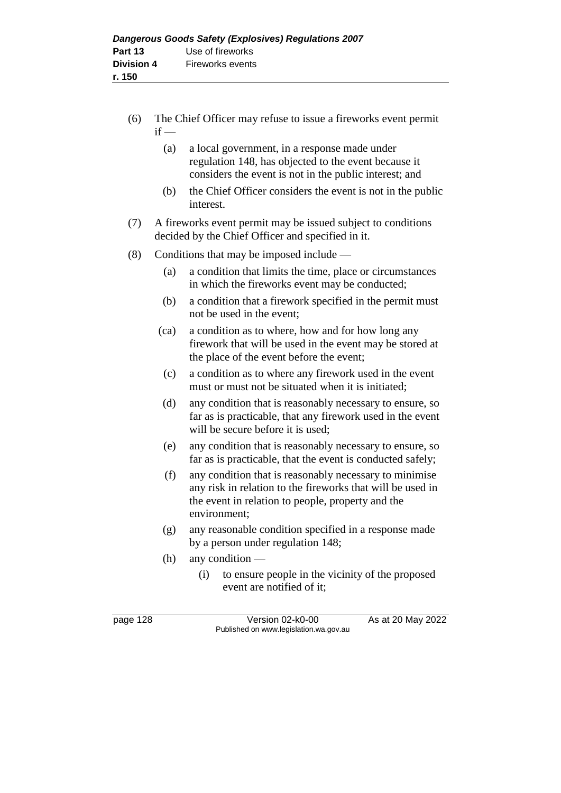- (6) The Chief Officer may refuse to issue a fireworks event permit  $if -$ 
	- (a) a local government, in a response made under regulation 148, has objected to the event because it considers the event is not in the public interest; and
	- (b) the Chief Officer considers the event is not in the public interest.
- (7) A fireworks event permit may be issued subject to conditions decided by the Chief Officer and specified in it.
- (8) Conditions that may be imposed include
	- (a) a condition that limits the time, place or circumstances in which the fireworks event may be conducted;
	- (b) a condition that a firework specified in the permit must not be used in the event;
	- (ca) a condition as to where, how and for how long any firework that will be used in the event may be stored at the place of the event before the event;
	- (c) a condition as to where any firework used in the event must or must not be situated when it is initiated;
	- (d) any condition that is reasonably necessary to ensure, so far as is practicable, that any firework used in the event will be secure before it is used;
	- (e) any condition that is reasonably necessary to ensure, so far as is practicable, that the event is conducted safely;
	- (f) any condition that is reasonably necessary to minimise any risk in relation to the fireworks that will be used in the event in relation to people, property and the environment;
	- (g) any reasonable condition specified in a response made by a person under regulation 148;
	- (h) any condition
		- (i) to ensure people in the vicinity of the proposed event are notified of it;

page 128 Version 02-k0-00 As at 20 May 2022 Published on www.legislation.wa.gov.au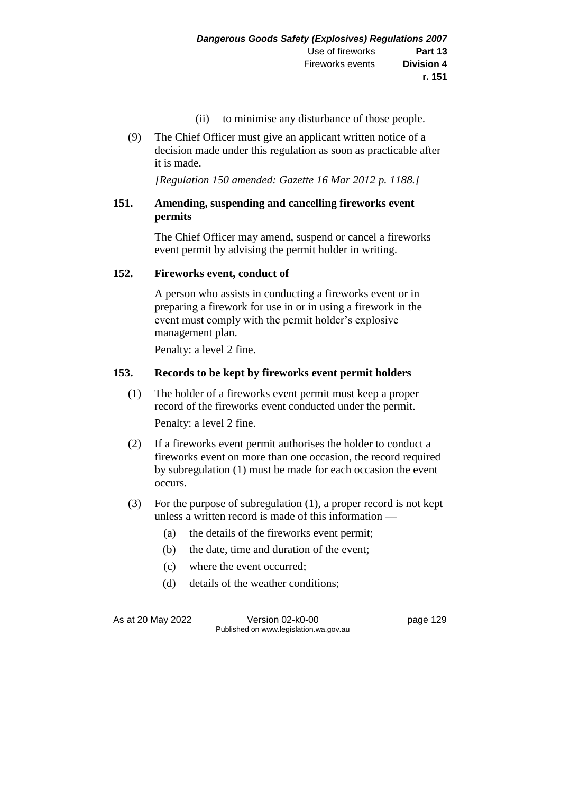- (ii) to minimise any disturbance of those people.
- (9) The Chief Officer must give an applicant written notice of a decision made under this regulation as soon as practicable after it is made.

*[Regulation 150 amended: Gazette 16 Mar 2012 p. 1188.]*

## **151. Amending, suspending and cancelling fireworks event permits**

The Chief Officer may amend, suspend or cancel a fireworks event permit by advising the permit holder in writing.

#### **152. Fireworks event, conduct of**

A person who assists in conducting a fireworks event or in preparing a firework for use in or in using a firework in the event must comply with the permit holder's explosive management plan.

Penalty: a level 2 fine.

#### **153. Records to be kept by fireworks event permit holders**

- (1) The holder of a fireworks event permit must keep a proper record of the fireworks event conducted under the permit. Penalty: a level 2 fine.
- (2) If a fireworks event permit authorises the holder to conduct a fireworks event on more than one occasion, the record required by subregulation (1) must be made for each occasion the event occurs.
- (3) For the purpose of subregulation (1), a proper record is not kept unless a written record is made of this information —
	- (a) the details of the fireworks event permit;
	- (b) the date, time and duration of the event;
	- (c) where the event occurred;
	- (d) details of the weather conditions;

As at 20 May 2022 Version 02-k0-00 Published on www.legislation.wa.gov.au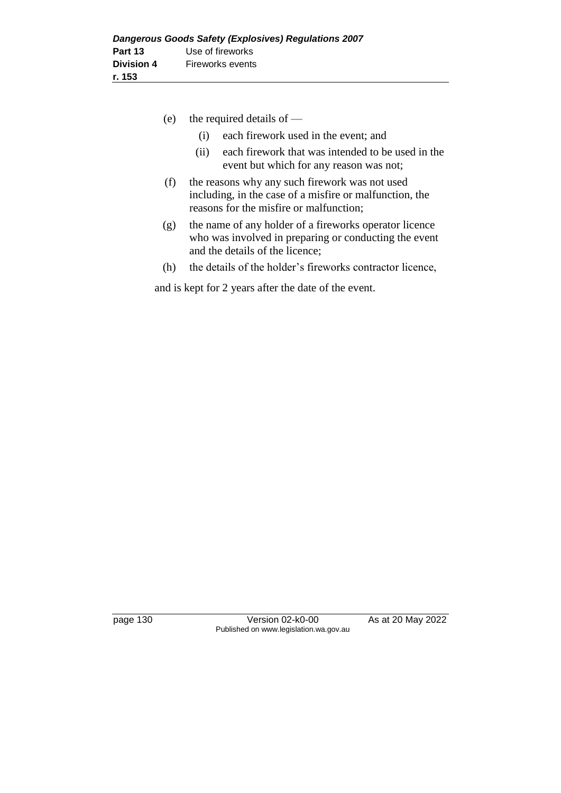- (e) the required details of
	- (i) each firework used in the event; and
	- (ii) each firework that was intended to be used in the event but which for any reason was not;
- (f) the reasons why any such firework was not used including, in the case of a misfire or malfunction, the reasons for the misfire or malfunction;
- (g) the name of any holder of a fireworks operator licence who was involved in preparing or conducting the event and the details of the licence;
- (h) the details of the holder's fireworks contractor licence,

and is kept for 2 years after the date of the event.

page 130 Version 02-k0-00 As at 20 May 2022 Published on www.legislation.wa.gov.au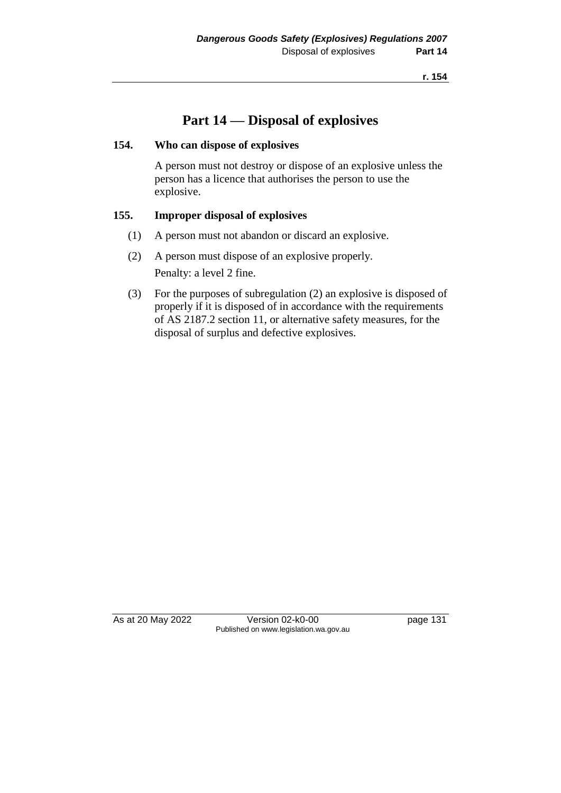**r. 154**

# **Part 14 — Disposal of explosives**

#### **154. Who can dispose of explosives**

A person must not destroy or dispose of an explosive unless the person has a licence that authorises the person to use the explosive.

# **155. Improper disposal of explosives**

- (1) A person must not abandon or discard an explosive.
- (2) A person must dispose of an explosive properly. Penalty: a level 2 fine.
- (3) For the purposes of subregulation (2) an explosive is disposed of properly if it is disposed of in accordance with the requirements of AS 2187.2 section 11, or alternative safety measures, for the disposal of surplus and defective explosives.

As at 20 May 2022 Version 02-k0-00 page 131 Published on www.legislation.wa.gov.au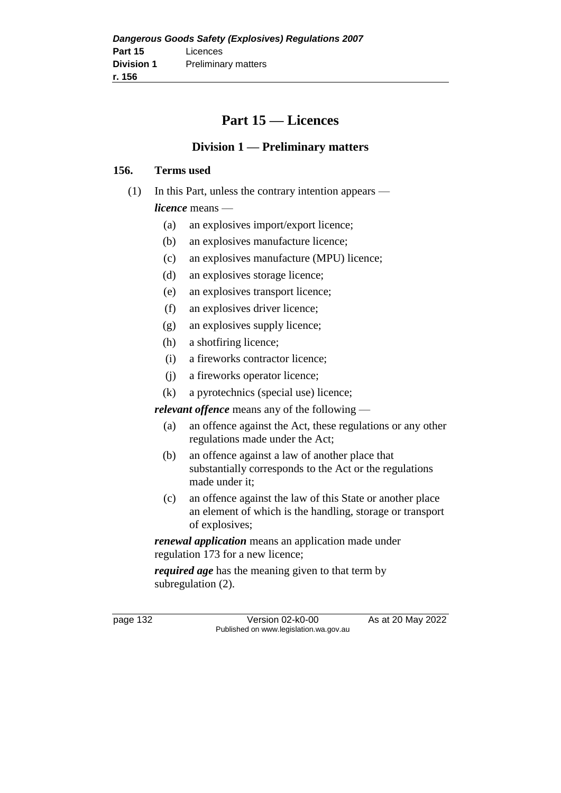# **Part 15 — Licences**

# **Division 1 — Preliminary matters**

#### **156. Terms used**

- (1) In this Part, unless the contrary intention appears *licence* means —
	- (a) an explosives import/export licence;
	- (b) an explosives manufacture licence;
	- (c) an explosives manufacture (MPU) licence;
	- (d) an explosives storage licence;
	- (e) an explosives transport licence;
	- (f) an explosives driver licence;
	- (g) an explosives supply licence;
	- (h) a shotfiring licence;
	- (i) a fireworks contractor licence;
	- (j) a fireworks operator licence;
	- (k) a pyrotechnics (special use) licence;

*relevant offence* means any of the following —

- (a) an offence against the Act, these regulations or any other regulations made under the Act;
- (b) an offence against a law of another place that substantially corresponds to the Act or the regulations made under it;
- (c) an offence against the law of this State or another place an element of which is the handling, storage or transport of explosives;

*renewal application* means an application made under regulation 173 for a new licence;

*required age* has the meaning given to that term by subregulation (2).

page 132 Version 02-k0-00 As at 20 May 2022 Published on www.legislation.wa.gov.au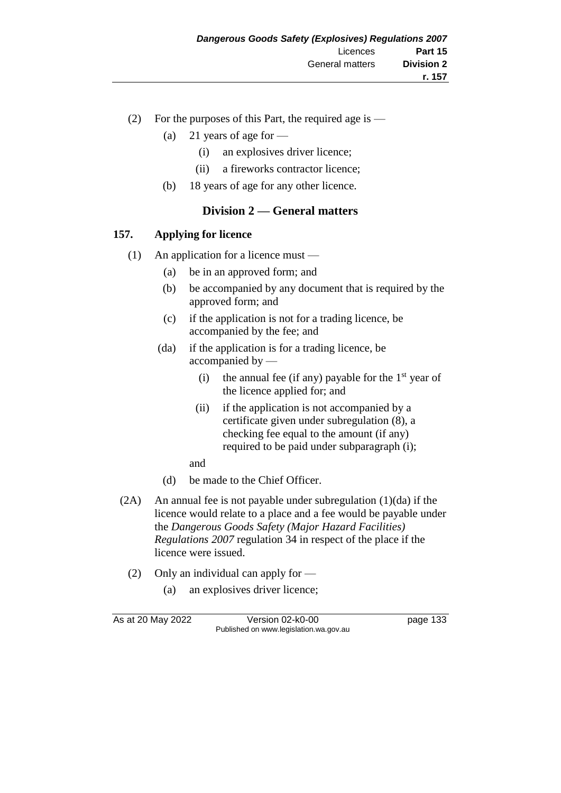- (2) For the purposes of this Part, the required age is
	- (a) 21 years of age for  $-$ 
		- (i) an explosives driver licence;
		- (ii) a fireworks contractor licence;
	- (b) 18 years of age for any other licence.

#### **Division 2 — General matters**

#### **157. Applying for licence**

- (1) An application for a licence must
	- (a) be in an approved form; and
	- (b) be accompanied by any document that is required by the approved form; and
	- (c) if the application is not for a trading licence, be accompanied by the fee; and
	- (da) if the application is for a trading licence, be accompanied by —
		- (i) the annual fee (if any) payable for the  $1<sup>st</sup>$  year of the licence applied for; and
		- (ii) if the application is not accompanied by a certificate given under subregulation (8), a checking fee equal to the amount (if any) required to be paid under subparagraph (i);

and

- (d) be made to the Chief Officer.
- (2A) An annual fee is not payable under subregulation (1)(da) if the licence would relate to a place and a fee would be payable under the *Dangerous Goods Safety (Major Hazard Facilities) Regulations 2007* regulation 34 in respect of the place if the licence were issued.
	- (2) Only an individual can apply for
		- (a) an explosives driver licence;

As at 20 May 2022 Version 02-k0-00 page 133 Published on www.legislation.wa.gov.au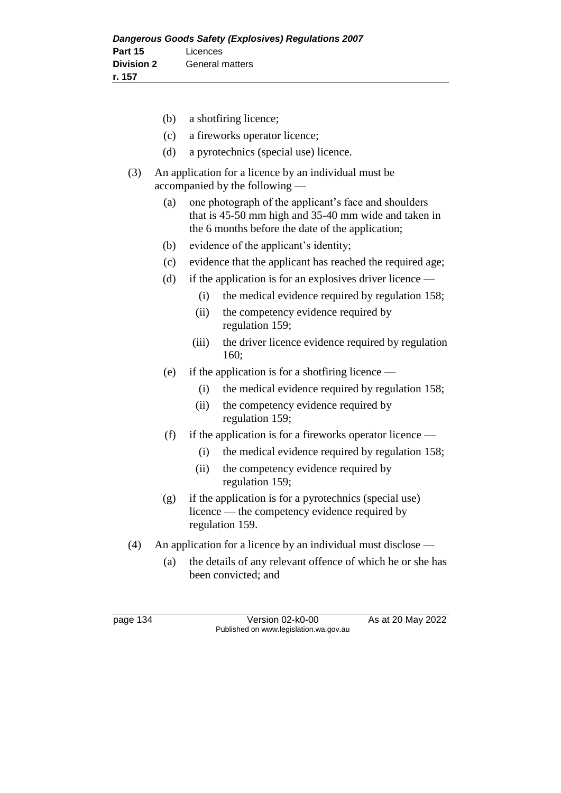- (b) a shotfiring licence; (c) a fireworks operator licence; (d) a pyrotechnics (special use) licence. (3) An application for a licence by an individual must be accompanied by the following —
	- (a) one photograph of the applicant's face and shoulders that is 45-50 mm high and 35-40 mm wide and taken in the 6 months before the date of the application;
	- (b) evidence of the applicant's identity;
	- (c) evidence that the applicant has reached the required age;
	- (d) if the application is for an explosives driver licence
		- (i) the medical evidence required by regulation 158;
		- (ii) the competency evidence required by regulation 159;
		- (iii) the driver licence evidence required by regulation 160;
	- (e) if the application is for a shotfiring licence
		- (i) the medical evidence required by regulation 158;
		- (ii) the competency evidence required by regulation 159;
	- (f) if the application is for a fireworks operator licence
		- (i) the medical evidence required by regulation 158;
		- (ii) the competency evidence required by regulation 159;
	- (g) if the application is for a pyrotechnics (special use) licence — the competency evidence required by regulation 159.
- (4) An application for a licence by an individual must disclose
	- (a) the details of any relevant offence of which he or she has been convicted; and

page 134 Version 02-k0-00 As at 20 May 2022 Published on www.legislation.wa.gov.au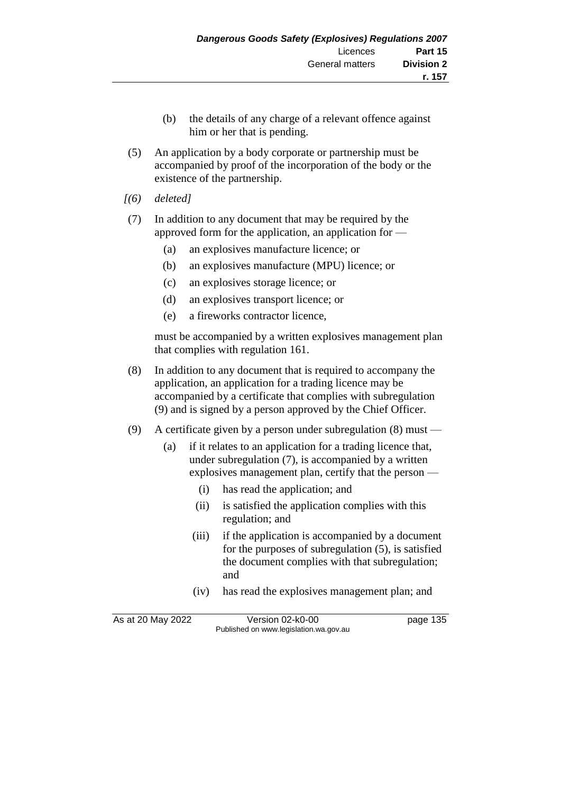- (b) the details of any charge of a relevant offence against him or her that is pending.
- (5) An application by a body corporate or partnership must be accompanied by proof of the incorporation of the body or the existence of the partnership.
- *[(6) deleted]*
- (7) In addition to any document that may be required by the approved form for the application, an application for —
	- (a) an explosives manufacture licence; or
	- (b) an explosives manufacture (MPU) licence; or
	- (c) an explosives storage licence; or
	- (d) an explosives transport licence; or
	- (e) a fireworks contractor licence,

must be accompanied by a written explosives management plan that complies with regulation 161.

- (8) In addition to any document that is required to accompany the application, an application for a trading licence may be accompanied by a certificate that complies with subregulation (9) and is signed by a person approved by the Chief Officer.
- (9) A certificate given by a person under subregulation (8) must
	- (a) if it relates to an application for a trading licence that, under subregulation (7), is accompanied by a written explosives management plan, certify that the person —
		- (i) has read the application; and
		- (ii) is satisfied the application complies with this regulation; and
		- (iii) if the application is accompanied by a document for the purposes of subregulation (5), is satisfied the document complies with that subregulation; and
		- (iv) has read the explosives management plan; and

As at 20 May 2022 Version 02-k0-00 page 135 Published on www.legislation.wa.gov.au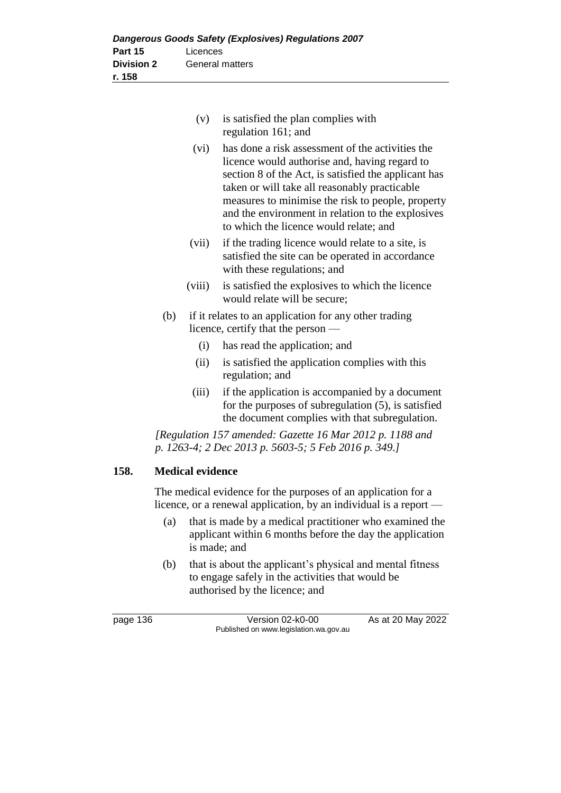| $(v)$ is satisfied the plan complies with |
|-------------------------------------------|
| regulation 161; and                       |

- (vi) has done a risk assessment of the activities the licence would authorise and, having regard to section 8 of the Act, is satisfied the applicant has taken or will take all reasonably practicable measures to minimise the risk to people, property and the environment in relation to the explosives to which the licence would relate; and
- (vii) if the trading licence would relate to a site, is satisfied the site can be operated in accordance with these regulations; and
- (viii) is satisfied the explosives to which the licence would relate will be secure;
- (b) if it relates to an application for any other trading licence, certify that the person —
	- (i) has read the application; and
	- (ii) is satisfied the application complies with this regulation; and
	- (iii) if the application is accompanied by a document for the purposes of subregulation (5), is satisfied the document complies with that subregulation.

*[Regulation 157 amended: Gazette 16 Mar 2012 p. 1188 and p. 1263-4; 2 Dec 2013 p. 5603-5; 5 Feb 2016 p. 349.]*

# **158. Medical evidence**

The medical evidence for the purposes of an application for a licence, or a renewal application, by an individual is a report —

- (a) that is made by a medical practitioner who examined the applicant within 6 months before the day the application is made; and
- (b) that is about the applicant's physical and mental fitness to engage safely in the activities that would be authorised by the licence; and

page 136 Version 02-k0-00 As at 20 May 2022 Published on www.legislation.wa.gov.au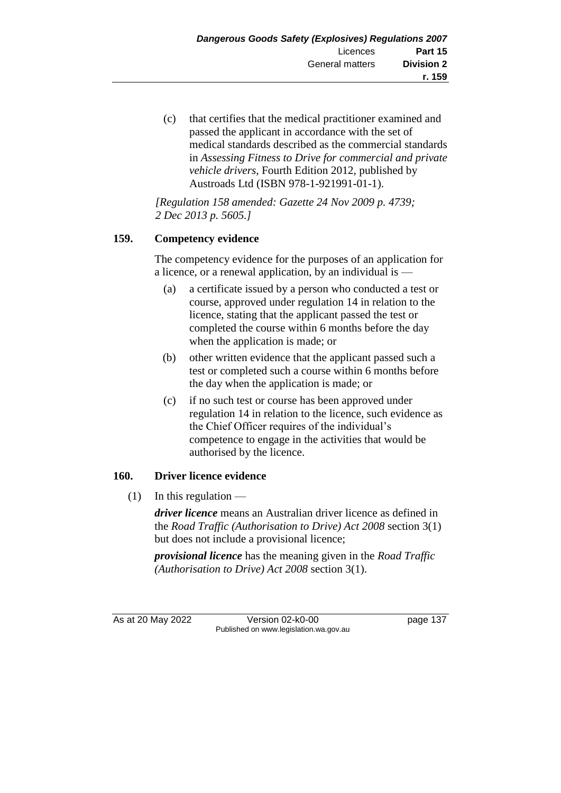(c) that certifies that the medical practitioner examined and passed the applicant in accordance with the set of medical standards described as the commercial standards in *Assessing Fitness to Drive for commercial and private vehicle drivers*, Fourth Edition 2012, published by Austroads Ltd (ISBN 978-1-921991-01-1).

*[Regulation 158 amended: Gazette 24 Nov 2009 p. 4739; 2 Dec 2013 p. 5605.]*

# **159. Competency evidence**

The competency evidence for the purposes of an application for a licence, or a renewal application, by an individual is —

- (a) a certificate issued by a person who conducted a test or course, approved under regulation 14 in relation to the licence, stating that the applicant passed the test or completed the course within 6 months before the day when the application is made; or
- (b) other written evidence that the applicant passed such a test or completed such a course within 6 months before the day when the application is made; or
- (c) if no such test or course has been approved under regulation 14 in relation to the licence, such evidence as the Chief Officer requires of the individual's competence to engage in the activities that would be authorised by the licence.

# **160. Driver licence evidence**

 $(1)$  In this regulation —

*driver licence* means an Australian driver licence as defined in the *Road Traffic (Authorisation to Drive) Act 2008* section 3(1) but does not include a provisional licence;

*provisional licence* has the meaning given in the *Road Traffic (Authorisation to Drive) Act 2008* section 3(1).

As at 20 May 2022 Version 02-k0-00 page 137 Published on www.legislation.wa.gov.au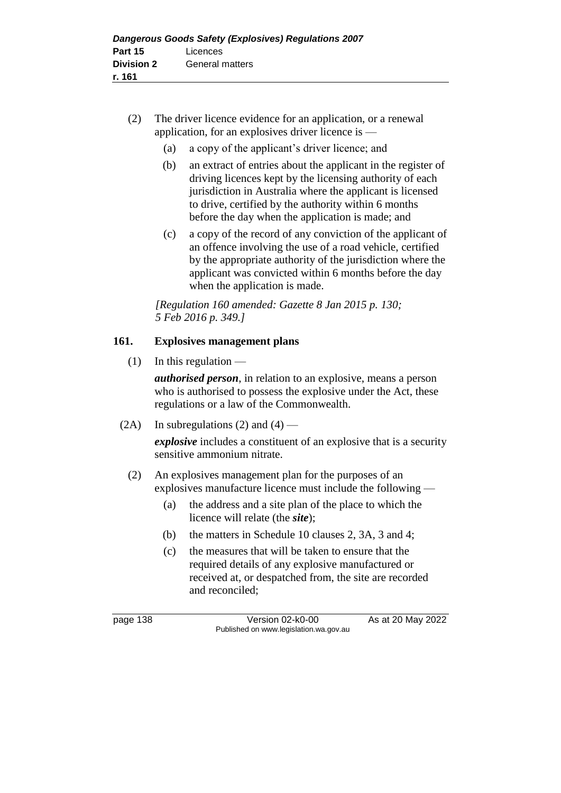- (2) The driver licence evidence for an application, or a renewal application, for an explosives driver licence is —
	- (a) a copy of the applicant's driver licence; and
	- (b) an extract of entries about the applicant in the register of driving licences kept by the licensing authority of each jurisdiction in Australia where the applicant is licensed to drive, certified by the authority within 6 months before the day when the application is made; and
	- (c) a copy of the record of any conviction of the applicant of an offence involving the use of a road vehicle, certified by the appropriate authority of the jurisdiction where the applicant was convicted within 6 months before the day when the application is made.

*[Regulation 160 amended: Gazette 8 Jan 2015 p. 130; 5 Feb 2016 p. 349.]*

# **161. Explosives management plans**

 $(1)$  In this regulation —

*authorised person*, in relation to an explosive, means a person who is authorised to possess the explosive under the Act, these regulations or a law of the Commonwealth.

(2A) In subregulations (2) and (4) —

*explosive* includes a constituent of an explosive that is a security sensitive ammonium nitrate.

- (2) An explosives management plan for the purposes of an explosives manufacture licence must include the following —
	- (a) the address and a site plan of the place to which the licence will relate (the *site*);
	- (b) the matters in Schedule 10 clauses 2, 3A, 3 and 4;
	- (c) the measures that will be taken to ensure that the required details of any explosive manufactured or received at, or despatched from, the site are recorded and reconciled;

page 138 Version 02-k0-00 As at 20 May 2022 Published on www.legislation.wa.gov.au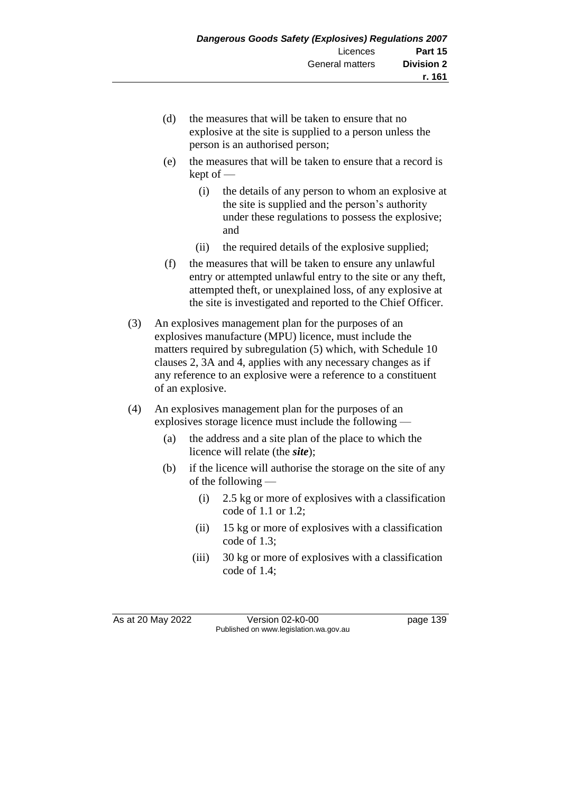- (d) the measures that will be taken to ensure that no explosive at the site is supplied to a person unless the person is an authorised person;
- (e) the measures that will be taken to ensure that a record is kept of —
	- (i) the details of any person to whom an explosive at the site is supplied and the person's authority under these regulations to possess the explosive; and
	- (ii) the required details of the explosive supplied;
- (f) the measures that will be taken to ensure any unlawful entry or attempted unlawful entry to the site or any theft, attempted theft, or unexplained loss, of any explosive at the site is investigated and reported to the Chief Officer.
- (3) An explosives management plan for the purposes of an explosives manufacture (MPU) licence, must include the matters required by subregulation (5) which, with Schedule 10 clauses 2, 3A and 4, applies with any necessary changes as if any reference to an explosive were a reference to a constituent of an explosive.
- (4) An explosives management plan for the purposes of an explosives storage licence must include the following —
	- (a) the address and a site plan of the place to which the licence will relate (the *site*);
	- (b) if the licence will authorise the storage on the site of any of the following —
		- (i) 2.5 kg or more of explosives with a classification code of 1.1 or 1.2;
		- (ii) 15 kg or more of explosives with a classification code of 1.3;
		- (iii) 30 kg or more of explosives with a classification code of 1.4;

As at 20 May 2022 Version 02-k0-00 page 139 Published on www.legislation.wa.gov.au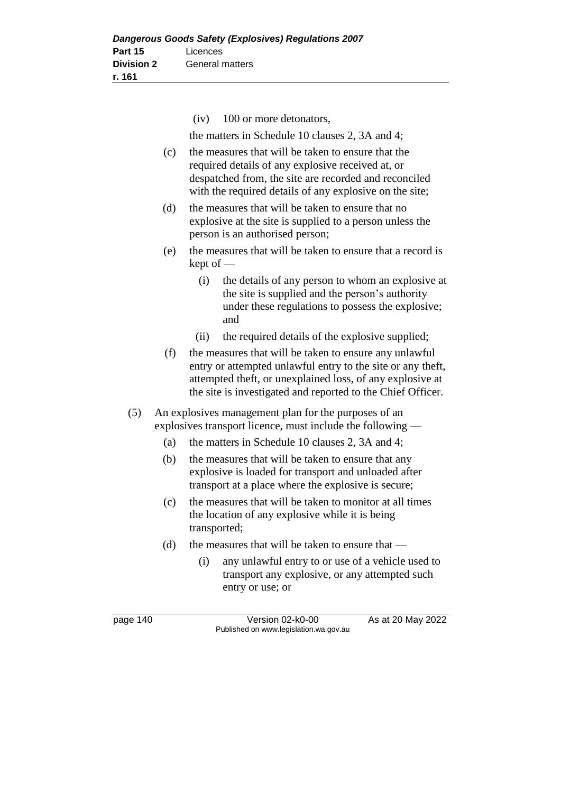(iv) 100 or more detonators,

the matters in Schedule 10 clauses 2, 3A and 4;

- (c) the measures that will be taken to ensure that the required details of any explosive received at, or despatched from, the site are recorded and reconciled with the required details of any explosive on the site;
- (d) the measures that will be taken to ensure that no explosive at the site is supplied to a person unless the person is an authorised person;
- (e) the measures that will be taken to ensure that a record is kept of —
	- (i) the details of any person to whom an explosive at the site is supplied and the person's authority under these regulations to possess the explosive; and
	- (ii) the required details of the explosive supplied;
- (f) the measures that will be taken to ensure any unlawful entry or attempted unlawful entry to the site or any theft, attempted theft, or unexplained loss, of any explosive at the site is investigated and reported to the Chief Officer.
- (5) An explosives management plan for the purposes of an explosives transport licence, must include the following —
	- (a) the matters in Schedule 10 clauses 2, 3A and 4;
	- (b) the measures that will be taken to ensure that any explosive is loaded for transport and unloaded after transport at a place where the explosive is secure;
	- (c) the measures that will be taken to monitor at all times the location of any explosive while it is being transported;
	- (d) the measures that will be taken to ensure that
		- (i) any unlawful entry to or use of a vehicle used to transport any explosive, or any attempted such entry or use; or

page 140 Version 02-k0-00 As at 20 May 2022 Published on www.legislation.wa.gov.au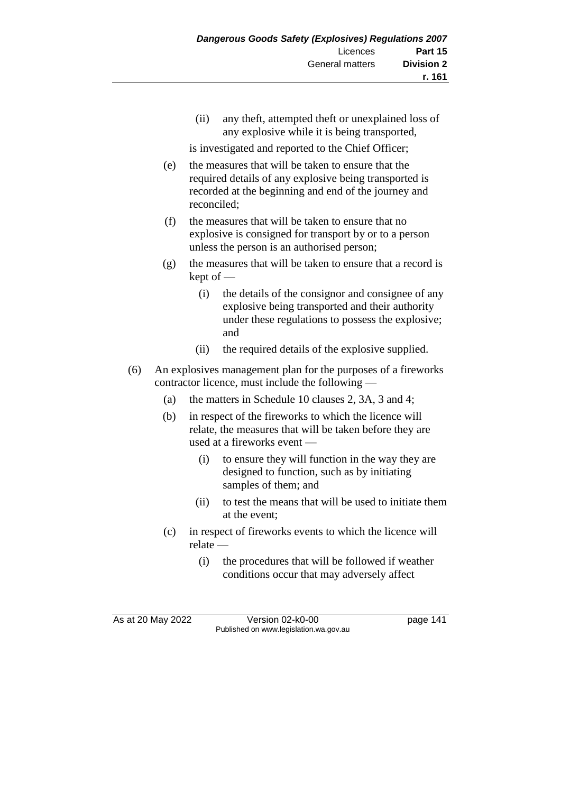(ii) any theft, attempted theft or unexplained loss of any explosive while it is being transported,

is investigated and reported to the Chief Officer;

- (e) the measures that will be taken to ensure that the required details of any explosive being transported is recorded at the beginning and end of the journey and reconciled;
- (f) the measures that will be taken to ensure that no explosive is consigned for transport by or to a person unless the person is an authorised person;
- (g) the measures that will be taken to ensure that a record is kept of —
	- (i) the details of the consignor and consignee of any explosive being transported and their authority under these regulations to possess the explosive; and
	- (ii) the required details of the explosive supplied.
- (6) An explosives management plan for the purposes of a fireworks contractor licence, must include the following —
	- (a) the matters in Schedule 10 clauses 2, 3A, 3 and 4;
	- (b) in respect of the fireworks to which the licence will relate, the measures that will be taken before they are used at a fireworks event —
		- (i) to ensure they will function in the way they are designed to function, such as by initiating samples of them; and
		- (ii) to test the means that will be used to initiate them at the event;
	- (c) in respect of fireworks events to which the licence will relate —
		- (i) the procedures that will be followed if weather conditions occur that may adversely affect

As at 20 May 2022 Version 02-k0-00 Page 141 Published on www.legislation.wa.gov.au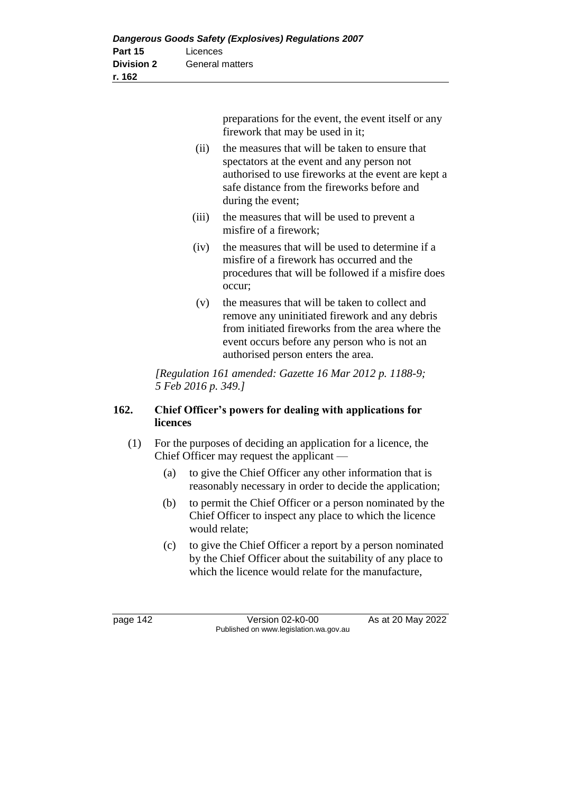preparations for the event, the event itself or any firework that may be used in it;

- (ii) the measures that will be taken to ensure that spectators at the event and any person not authorised to use fireworks at the event are kept a safe distance from the fireworks before and during the event;
- (iii) the measures that will be used to prevent a misfire of a firework;
- (iv) the measures that will be used to determine if a misfire of a firework has occurred and the procedures that will be followed if a misfire does occur;
- (v) the measures that will be taken to collect and remove any uninitiated firework and any debris from initiated fireworks from the area where the event occurs before any person who is not an authorised person enters the area.

*[Regulation 161 amended: Gazette 16 Mar 2012 p. 1188-9; 5 Feb 2016 p. 349.]*

# **162. Chief Officer's powers for dealing with applications for licences**

- (1) For the purposes of deciding an application for a licence, the Chief Officer may request the applicant —
	- (a) to give the Chief Officer any other information that is reasonably necessary in order to decide the application;
	- (b) to permit the Chief Officer or a person nominated by the Chief Officer to inspect any place to which the licence would relate;
	- (c) to give the Chief Officer a report by a person nominated by the Chief Officer about the suitability of any place to which the licence would relate for the manufacture,

page 142 Version 02-k0-00 As at 20 May 2022 Published on www.legislation.wa.gov.au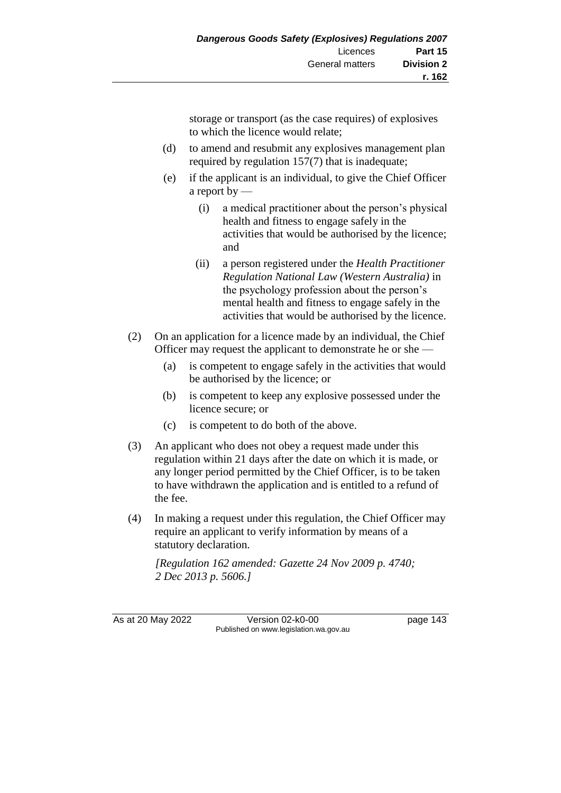storage or transport (as the case requires) of explosives to which the licence would relate;

- (d) to amend and resubmit any explosives management plan required by regulation 157(7) that is inadequate;
- (e) if the applicant is an individual, to give the Chief Officer a report by —
	- (i) a medical practitioner about the person's physical health and fitness to engage safely in the activities that would be authorised by the licence; and
	- (ii) a person registered under the *Health Practitioner Regulation National Law (Western Australia)* in the psychology profession about the person's mental health and fitness to engage safely in the activities that would be authorised by the licence.
- (2) On an application for a licence made by an individual, the Chief Officer may request the applicant to demonstrate he or she —
	- (a) is competent to engage safely in the activities that would be authorised by the licence; or
	- (b) is competent to keep any explosive possessed under the licence secure; or
	- (c) is competent to do both of the above.
- (3) An applicant who does not obey a request made under this regulation within 21 days after the date on which it is made, or any longer period permitted by the Chief Officer, is to be taken to have withdrawn the application and is entitled to a refund of the fee.
- (4) In making a request under this regulation, the Chief Officer may require an applicant to verify information by means of a statutory declaration.

*[Regulation 162 amended: Gazette 24 Nov 2009 p. 4740; 2 Dec 2013 p. 5606.]*

As at 20 May 2022 Version 02-k0-00 Page 143 Published on www.legislation.wa.gov.au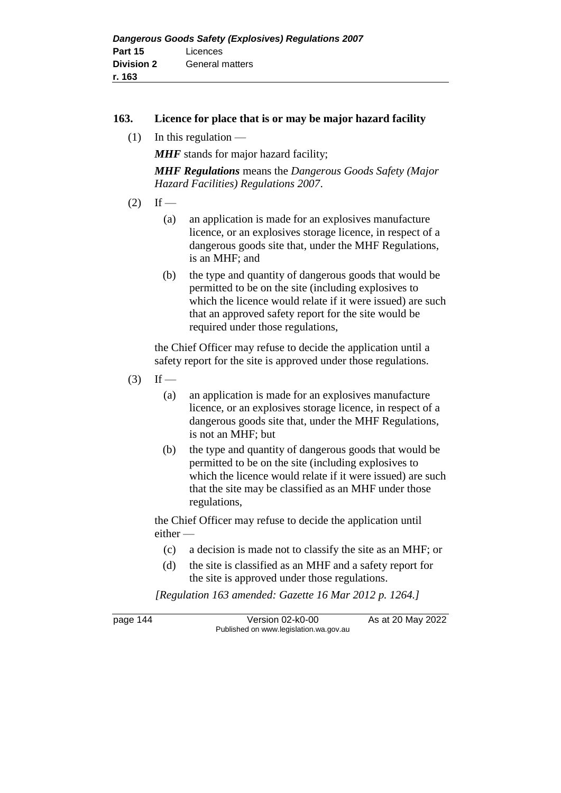#### **163. Licence for place that is or may be major hazard facility**

 $(1)$  In this regulation —

**MHF** stands for major hazard facility;

*MHF Regulations* means the *Dangerous Goods Safety (Major Hazard Facilities) Regulations 2007*.

- $(2)$  If
	- (a) an application is made for an explosives manufacture licence, or an explosives storage licence, in respect of a dangerous goods site that, under the MHF Regulations, is an MHF; and
	- (b) the type and quantity of dangerous goods that would be permitted to be on the site (including explosives to which the licence would relate if it were issued) are such that an approved safety report for the site would be required under those regulations,

the Chief Officer may refuse to decide the application until a safety report for the site is approved under those regulations.

- $(3)$  If
	- (a) an application is made for an explosives manufacture licence, or an explosives storage licence, in respect of a dangerous goods site that, under the MHF Regulations, is not an MHF; but
	- (b) the type and quantity of dangerous goods that would be permitted to be on the site (including explosives to which the licence would relate if it were issued) are such that the site may be classified as an MHF under those regulations,

the Chief Officer may refuse to decide the application until either —

- (c) a decision is made not to classify the site as an MHF; or
- (d) the site is classified as an MHF and a safety report for the site is approved under those regulations.

*[Regulation 163 amended: Gazette 16 Mar 2012 p. 1264.]*

page 144 Version 02-k0-00 As at 20 May 2022 Published on www.legislation.wa.gov.au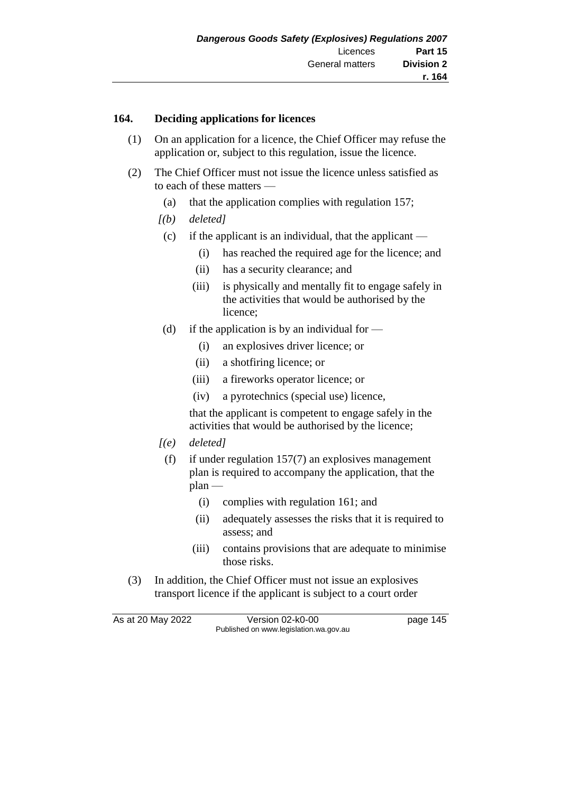#### **164. Deciding applications for licences**

- (1) On an application for a licence, the Chief Officer may refuse the application or, subject to this regulation, issue the licence.
- (2) The Chief Officer must not issue the licence unless satisfied as to each of these matters —
	- (a) that the application complies with regulation 157;
	- *[(b) deleted]*
		- (c) if the applicant is an individual, that the applicant
			- (i) has reached the required age for the licence; and
			- (ii) has a security clearance; and
			- (iii) is physically and mentally fit to engage safely in the activities that would be authorised by the licence;
		- (d) if the application is by an individual for  $\overline{\phantom{a}}$ 
			- (i) an explosives driver licence; or
			- (ii) a shotfiring licence; or
			- (iii) a fireworks operator licence; or
			- (iv) a pyrotechnics (special use) licence,

that the applicant is competent to engage safely in the activities that would be authorised by the licence;

- *[(e) deleted]*
	- (f) if under regulation 157(7) an explosives management plan is required to accompany the application, that the  $plan$  —
		- (i) complies with regulation 161; and
		- (ii) adequately assesses the risks that it is required to assess; and
		- (iii) contains provisions that are adequate to minimise those risks.
- (3) In addition, the Chief Officer must not issue an explosives transport licence if the applicant is subject to a court order

As at 20 May 2022 Version 02-k0-00 Page 145 Published on www.legislation.wa.gov.au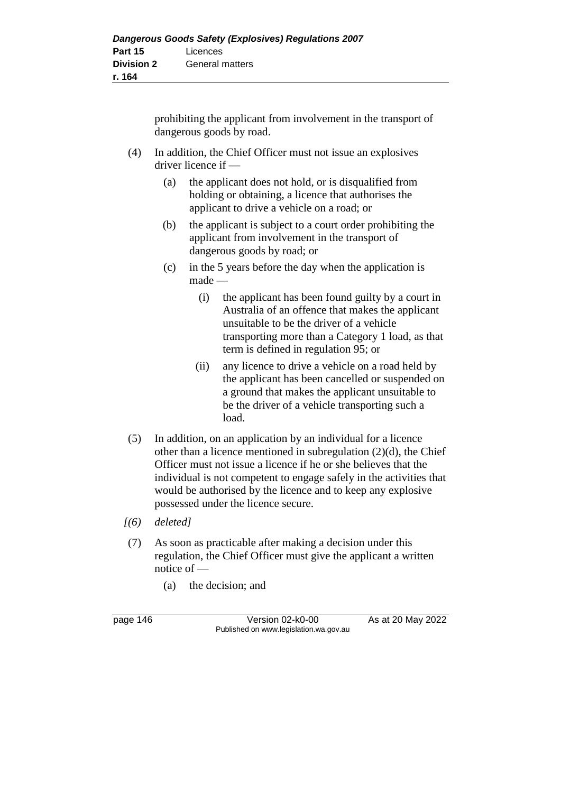prohibiting the applicant from involvement in the transport of dangerous goods by road.

- (4) In addition, the Chief Officer must not issue an explosives driver licence if —
	- (a) the applicant does not hold, or is disqualified from holding or obtaining, a licence that authorises the applicant to drive a vehicle on a road; or
	- (b) the applicant is subject to a court order prohibiting the applicant from involvement in the transport of dangerous goods by road; or
	- (c) in the 5 years before the day when the application is made —
		- (i) the applicant has been found guilty by a court in Australia of an offence that makes the applicant unsuitable to be the driver of a vehicle transporting more than a Category 1 load, as that term is defined in regulation 95; or
		- (ii) any licence to drive a vehicle on a road held by the applicant has been cancelled or suspended on a ground that makes the applicant unsuitable to be the driver of a vehicle transporting such a load.
- (5) In addition, on an application by an individual for a licence other than a licence mentioned in subregulation (2)(d), the Chief Officer must not issue a licence if he or she believes that the individual is not competent to engage safely in the activities that would be authorised by the licence and to keep any explosive possessed under the licence secure.
- *[(6) deleted]*
- (7) As soon as practicable after making a decision under this regulation, the Chief Officer must give the applicant a written notice of —
	- (a) the decision; and

page 146 Version 02-k0-00 As at 20 May 2022 Published on www.legislation.wa.gov.au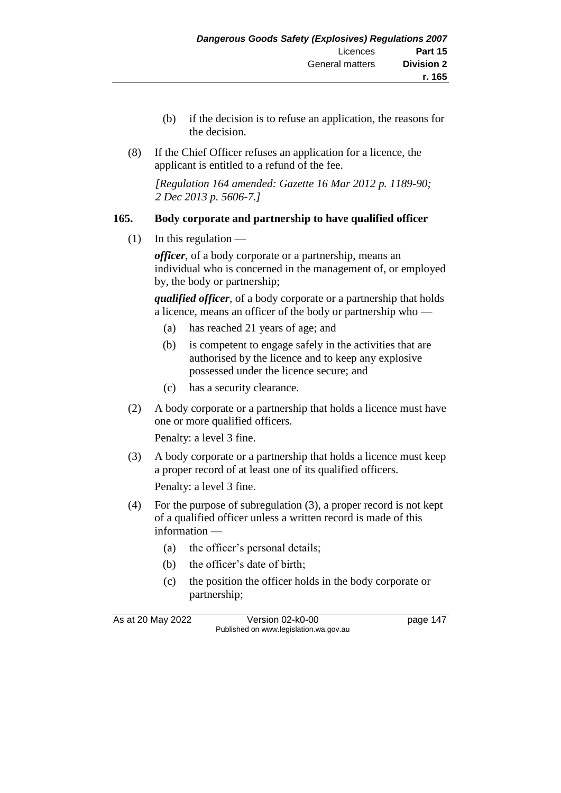- (b) if the decision is to refuse an application, the reasons for the decision.
- (8) If the Chief Officer refuses an application for a licence, the applicant is entitled to a refund of the fee.

*[Regulation 164 amended: Gazette 16 Mar 2012 p. 1189-90; 2 Dec 2013 p. 5606-7.]*

# **165. Body corporate and partnership to have qualified officer**

 $(1)$  In this regulation —

*officer*, of a body corporate or a partnership, means an individual who is concerned in the management of, or employed by, the body or partnership;

*qualified officer*, of a body corporate or a partnership that holds a licence, means an officer of the body or partnership who —

- (a) has reached 21 years of age; and
- (b) is competent to engage safely in the activities that are authorised by the licence and to keep any explosive possessed under the licence secure; and
- (c) has a security clearance.
- (2) A body corporate or a partnership that holds a licence must have one or more qualified officers.

Penalty: a level 3 fine.

(3) A body corporate or a partnership that holds a licence must keep a proper record of at least one of its qualified officers.

Penalty: a level 3 fine.

- (4) For the purpose of subregulation (3), a proper record is not kept of a qualified officer unless a written record is made of this information —
	- (a) the officer's personal details;
	- (b) the officer's date of birth;
	- (c) the position the officer holds in the body corporate or partnership;

As at 20 May 2022 Version 02-k0-00 Page 147 Published on www.legislation.wa.gov.au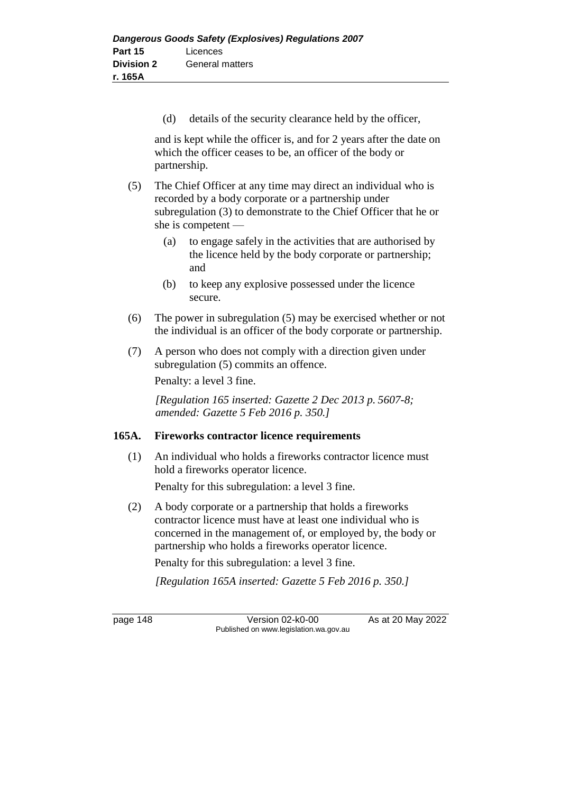(d) details of the security clearance held by the officer,

and is kept while the officer is, and for 2 years after the date on which the officer ceases to be, an officer of the body or partnership.

- (5) The Chief Officer at any time may direct an individual who is recorded by a body corporate or a partnership under subregulation (3) to demonstrate to the Chief Officer that he or she is competent —
	- (a) to engage safely in the activities that are authorised by the licence held by the body corporate or partnership; and
	- (b) to keep any explosive possessed under the licence secure.
- (6) The power in subregulation (5) may be exercised whether or not the individual is an officer of the body corporate or partnership.
- (7) A person who does not comply with a direction given under subregulation (5) commits an offence.

Penalty: a level 3 fine.

*[Regulation 165 inserted: Gazette 2 Dec 2013 p. 5607-8; amended: Gazette 5 Feb 2016 p. 350.]*

# **165A. Fireworks contractor licence requirements**

(1) An individual who holds a fireworks contractor licence must hold a fireworks operator licence.

Penalty for this subregulation: a level 3 fine.

(2) A body corporate or a partnership that holds a fireworks contractor licence must have at least one individual who is concerned in the management of, or employed by, the body or partnership who holds a fireworks operator licence.

Penalty for this subregulation: a level 3 fine.

*[Regulation 165A inserted: Gazette 5 Feb 2016 p. 350.]*

page 148 Version 02-k0-00 As at 20 May 2022 Published on www.legislation.wa.gov.au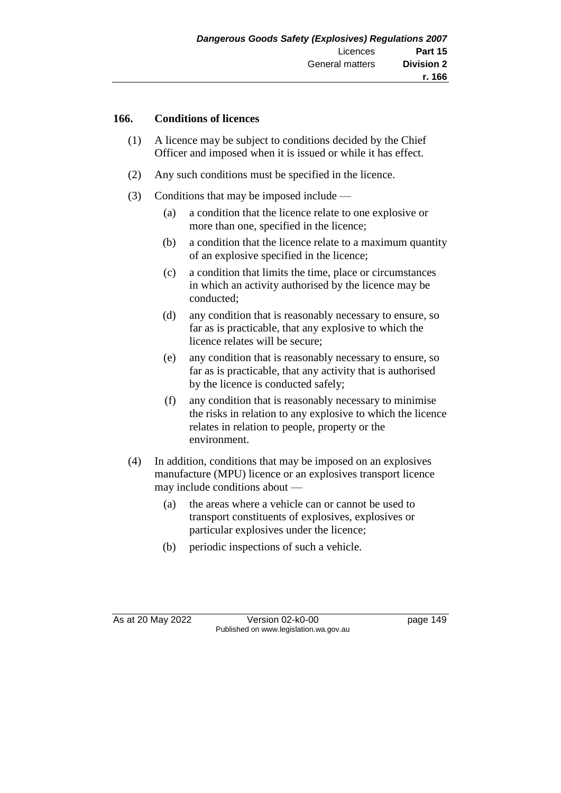#### **166. Conditions of licences**

- (1) A licence may be subject to conditions decided by the Chief Officer and imposed when it is issued or while it has effect.
- (2) Any such conditions must be specified in the licence.
- (3) Conditions that may be imposed include
	- (a) a condition that the licence relate to one explosive or more than one, specified in the licence;
	- (b) a condition that the licence relate to a maximum quantity of an explosive specified in the licence;
	- (c) a condition that limits the time, place or circumstances in which an activity authorised by the licence may be conducted;
	- (d) any condition that is reasonably necessary to ensure, so far as is practicable, that any explosive to which the licence relates will be secure;
	- (e) any condition that is reasonably necessary to ensure, so far as is practicable, that any activity that is authorised by the licence is conducted safely;
	- (f) any condition that is reasonably necessary to minimise the risks in relation to any explosive to which the licence relates in relation to people, property or the environment.
- (4) In addition, conditions that may be imposed on an explosives manufacture (MPU) licence or an explosives transport licence may include conditions about —
	- (a) the areas where a vehicle can or cannot be used to transport constituents of explosives, explosives or particular explosives under the licence;
	- (b) periodic inspections of such a vehicle.

As at 20 May 2022 Version 02-k0-00 Page 149 Published on www.legislation.wa.gov.au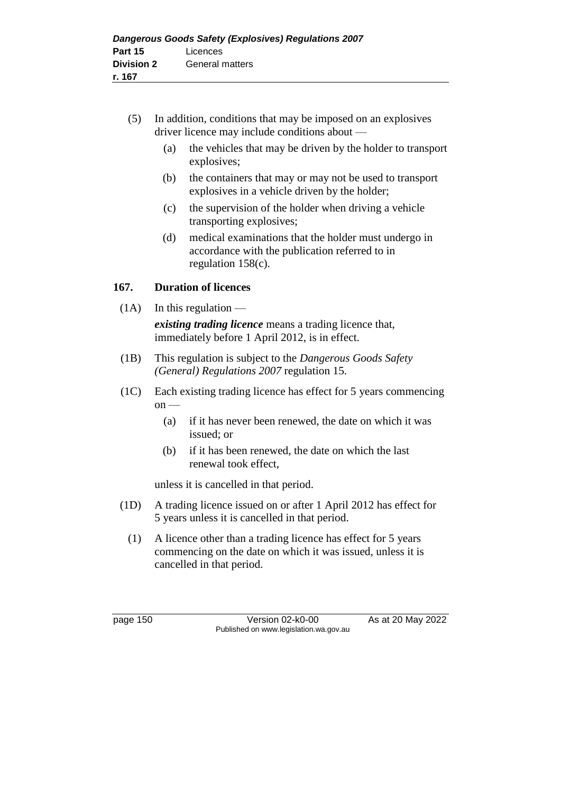- (5) In addition, conditions that may be imposed on an explosives driver licence may include conditions about —
	- (a) the vehicles that may be driven by the holder to transport explosives;
	- (b) the containers that may or may not be used to transport explosives in a vehicle driven by the holder;
	- (c) the supervision of the holder when driving a vehicle transporting explosives;
	- (d) medical examinations that the holder must undergo in accordance with the publication referred to in regulation 158(c).

# **167. Duration of licences**

 $(1A)$  In this regulation —

*existing trading licence* means a trading licence that, immediately before 1 April 2012, is in effect.

- (1B) This regulation is subject to the *Dangerous Goods Safety (General) Regulations 2007* regulation 15.
- (1C) Each existing trading licence has effect for 5 years commencing  $on$  —
	- (a) if it has never been renewed, the date on which it was issued; or
	- (b) if it has been renewed, the date on which the last renewal took effect,

unless it is cancelled in that period.

- (1D) A trading licence issued on or after 1 April 2012 has effect for 5 years unless it is cancelled in that period.
	- (1) A licence other than a trading licence has effect for 5 years commencing on the date on which it was issued, unless it is cancelled in that period.

page 150 Version 02-k0-00 As at 20 May 2022 Published on www.legislation.wa.gov.au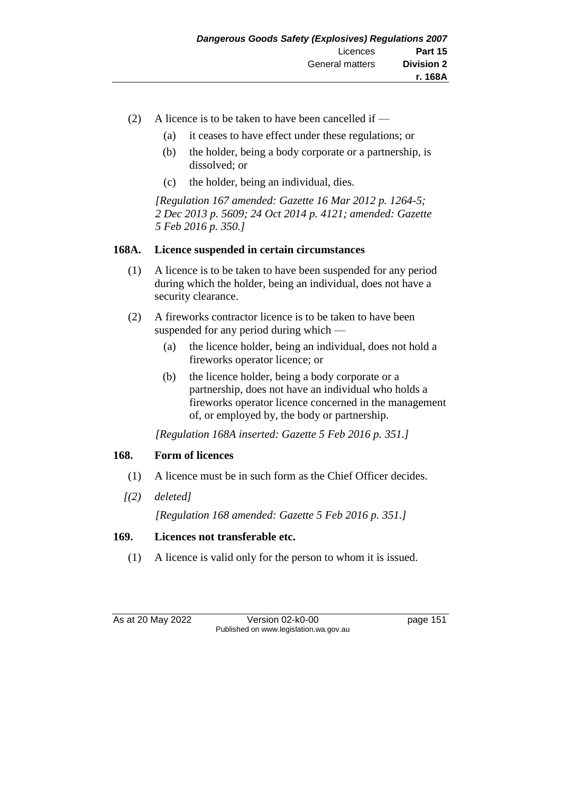- (2) A licence is to be taken to have been cancelled if
	- (a) it ceases to have effect under these regulations; or
	- (b) the holder, being a body corporate or a partnership, is dissolved; or
	- (c) the holder, being an individual, dies.

*[Regulation 167 amended: Gazette 16 Mar 2012 p. 1264-5; 2 Dec 2013 p. 5609; 24 Oct 2014 p. 4121; amended: Gazette 5 Feb 2016 p. 350.]*

# **168A. Licence suspended in certain circumstances**

- (1) A licence is to be taken to have been suspended for any period during which the holder, being an individual, does not have a security clearance.
- (2) A fireworks contractor licence is to be taken to have been suspended for any period during which —
	- (a) the licence holder, being an individual, does not hold a fireworks operator licence; or
	- (b) the licence holder, being a body corporate or a partnership, does not have an individual who holds a fireworks operator licence concerned in the management of, or employed by, the body or partnership.

*[Regulation 168A inserted: Gazette 5 Feb 2016 p. 351.]*

# **168. Form of licences**

- (1) A licence must be in such form as the Chief Officer decides.
- *[(2) deleted]*

*[Regulation 168 amended: Gazette 5 Feb 2016 p. 351.]*

# **169. Licences not transferable etc.**

(1) A licence is valid only for the person to whom it is issued.

As at 20 May 2022 Version 02-k0-00 Page 151 Published on www.legislation.wa.gov.au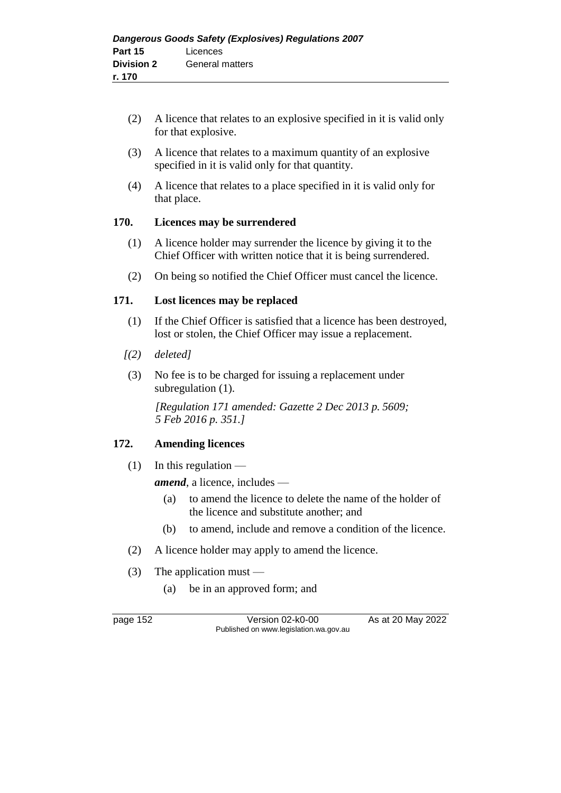- (2) A licence that relates to an explosive specified in it is valid only for that explosive.
- (3) A licence that relates to a maximum quantity of an explosive specified in it is valid only for that quantity.
- (4) A licence that relates to a place specified in it is valid only for that place.

# **170. Licences may be surrendered**

- (1) A licence holder may surrender the licence by giving it to the Chief Officer with written notice that it is being surrendered.
- (2) On being so notified the Chief Officer must cancel the licence.

# **171. Lost licences may be replaced**

- (1) If the Chief Officer is satisfied that a licence has been destroyed, lost or stolen, the Chief Officer may issue a replacement.
- *[(2) deleted]*
- (3) No fee is to be charged for issuing a replacement under subregulation  $(1)$ .

*[Regulation 171 amended: Gazette 2 Dec 2013 p. 5609; 5 Feb 2016 p. 351.]*

# **172. Amending licences**

 $(1)$  In this regulation —

*amend*, a licence, includes —

- (a) to amend the licence to delete the name of the holder of the licence and substitute another; and
- (b) to amend, include and remove a condition of the licence.
- (2) A licence holder may apply to amend the licence.
- (3) The application must
	- (a) be in an approved form; and

page 152 Version 02-k0-00 As at 20 May 2022 Published on www.legislation.wa.gov.au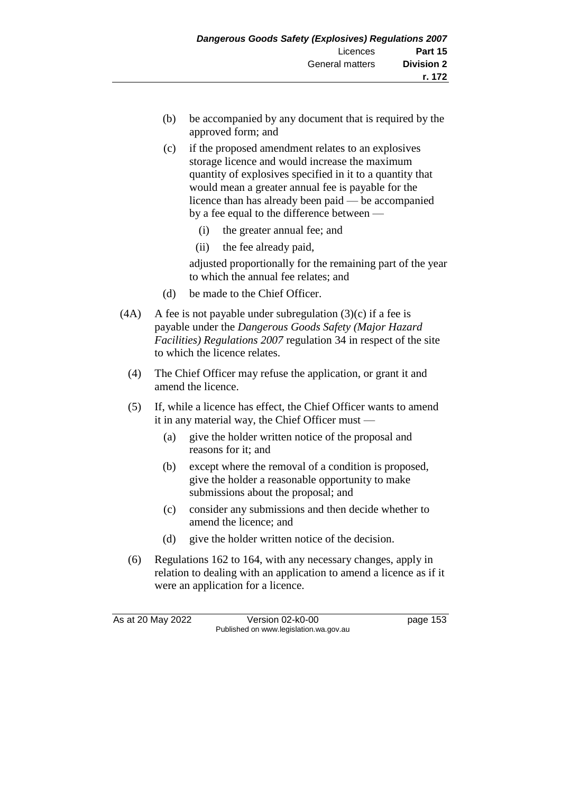- (b) be accompanied by any document that is required by the approved form; and
- (c) if the proposed amendment relates to an explosives storage licence and would increase the maximum quantity of explosives specified in it to a quantity that would mean a greater annual fee is payable for the licence than has already been paid — be accompanied by a fee equal to the difference between —
	- (i) the greater annual fee; and
	- (ii) the fee already paid,

adjusted proportionally for the remaining part of the year to which the annual fee relates; and

- (d) be made to the Chief Officer.
- (4A) A fee is not payable under subregulation  $(3)(c)$  if a fee is payable under the *Dangerous Goods Safety (Major Hazard Facilities) Regulations 2007* regulation 34 in respect of the site to which the licence relates.
	- (4) The Chief Officer may refuse the application, or grant it and amend the licence.
	- (5) If, while a licence has effect, the Chief Officer wants to amend it in any material way, the Chief Officer must —
		- (a) give the holder written notice of the proposal and reasons for it; and
		- (b) except where the removal of a condition is proposed, give the holder a reasonable opportunity to make submissions about the proposal; and
		- (c) consider any submissions and then decide whether to amend the licence; and
		- (d) give the holder written notice of the decision.
	- (6) Regulations 162 to 164, with any necessary changes, apply in relation to dealing with an application to amend a licence as if it were an application for a licence.

As at 20 May 2022 Version 02-k0-00 Published on www.legislation.wa.gov.au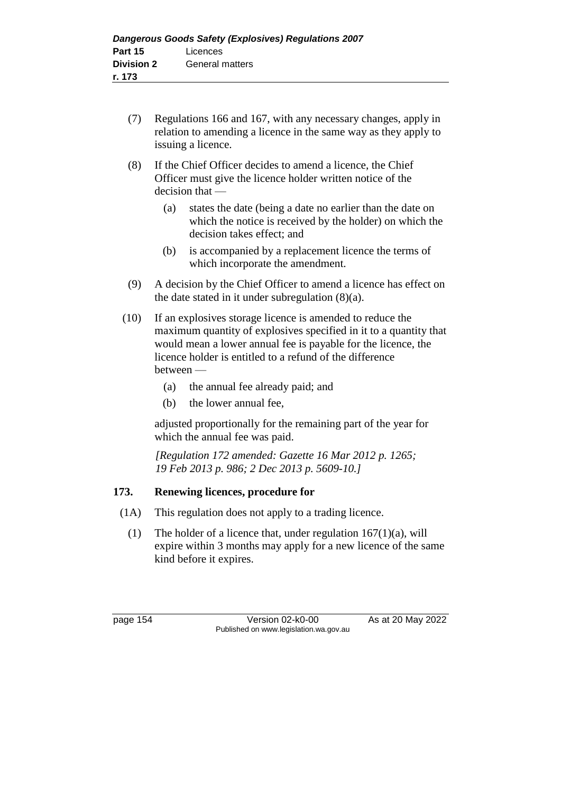- (7) Regulations 166 and 167, with any necessary changes, apply in relation to amending a licence in the same way as they apply to issuing a licence.
- (8) If the Chief Officer decides to amend a licence, the Chief Officer must give the licence holder written notice of the decision that —
	- (a) states the date (being a date no earlier than the date on which the notice is received by the holder) on which the decision takes effect; and
	- (b) is accompanied by a replacement licence the terms of which incorporate the amendment.
- (9) A decision by the Chief Officer to amend a licence has effect on the date stated in it under subregulation (8)(a).
- (10) If an explosives storage licence is amended to reduce the maximum quantity of explosives specified in it to a quantity that would mean a lower annual fee is payable for the licence, the licence holder is entitled to a refund of the difference between —
	- (a) the annual fee already paid; and
	- (b) the lower annual fee,

adjusted proportionally for the remaining part of the year for which the annual fee was paid.

*[Regulation 172 amended: Gazette 16 Mar 2012 p. 1265; 19 Feb 2013 p. 986; 2 Dec 2013 p. 5609-10.]*

# **173. Renewing licences, procedure for**

- (1A) This regulation does not apply to a trading licence.
	- (1) The holder of a licence that, under regulation  $167(1)(a)$ , will expire within 3 months may apply for a new licence of the same kind before it expires.

page 154 Version 02-k0-00 As at 20 May 2022 Published on www.legislation.wa.gov.au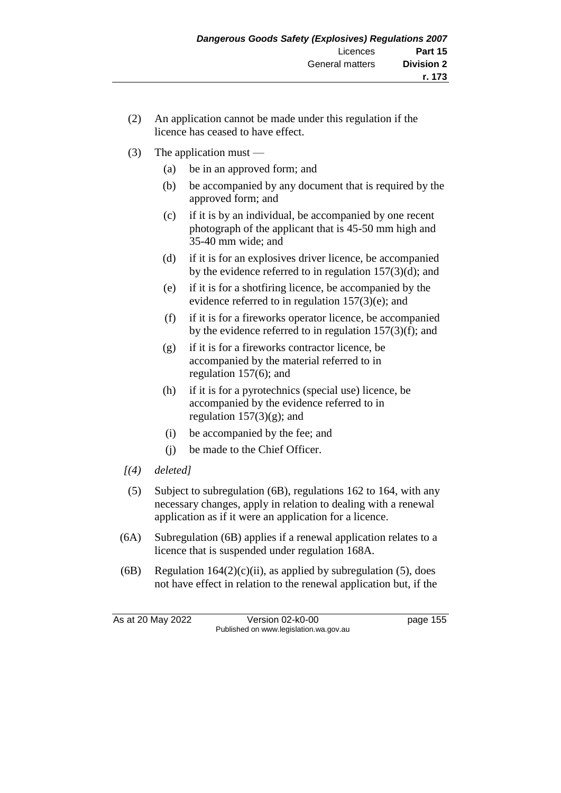- (2) An application cannot be made under this regulation if the licence has ceased to have effect.
- (3) The application must
	- (a) be in an approved form; and
	- (b) be accompanied by any document that is required by the approved form; and
	- (c) if it is by an individual, be accompanied by one recent photograph of the applicant that is 45-50 mm high and 35-40 mm wide; and
	- (d) if it is for an explosives driver licence, be accompanied by the evidence referred to in regulation 157(3)(d); and
	- (e) if it is for a shotfiring licence, be accompanied by the evidence referred to in regulation 157(3)(e); and
	- (f) if it is for a fireworks operator licence, be accompanied by the evidence referred to in regulation  $157(3)(f)$ ; and
	- (g) if it is for a fireworks contractor licence, be accompanied by the material referred to in regulation 157(6); and
	- (h) if it is for a pyrotechnics (special use) licence, be accompanied by the evidence referred to in regulation  $157(3)(g)$ ; and
	- (i) be accompanied by the fee; and
	- (j) be made to the Chief Officer.
- *[(4) deleted]*
- (5) Subject to subregulation (6B), regulations 162 to 164, with any necessary changes, apply in relation to dealing with a renewal application as if it were an application for a licence.
- (6A) Subregulation (6B) applies if a renewal application relates to a licence that is suspended under regulation 168A.
- (6B) Regulation  $164(2)(c)(ii)$ , as applied by subregulation (5), does not have effect in relation to the renewal application but, if the

As at 20 May 2022 Version 02-k0-00 page 155 Published on www.legislation.wa.gov.au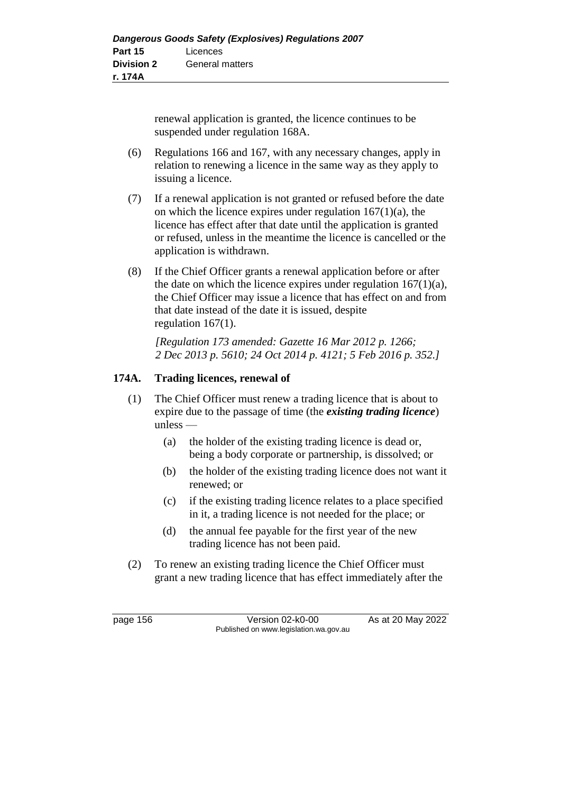renewal application is granted, the licence continues to be suspended under regulation 168A.

- (6) Regulations 166 and 167, with any necessary changes, apply in relation to renewing a licence in the same way as they apply to issuing a licence.
- (7) If a renewal application is not granted or refused before the date on which the licence expires under regulation  $167(1)(a)$ , the licence has effect after that date until the application is granted or refused, unless in the meantime the licence is cancelled or the application is withdrawn.
- (8) If the Chief Officer grants a renewal application before or after the date on which the licence expires under regulation  $167(1)(a)$ , the Chief Officer may issue a licence that has effect on and from that date instead of the date it is issued, despite regulation 167(1).

*[Regulation 173 amended: Gazette 16 Mar 2012 p. 1266; 2 Dec 2013 p. 5610; 24 Oct 2014 p. 4121; 5 Feb 2016 p. 352.]*

# **174A. Trading licences, renewal of**

- (1) The Chief Officer must renew a trading licence that is about to expire due to the passage of time (the *existing trading licence*)  $unless -$ 
	- (a) the holder of the existing trading licence is dead or, being a body corporate or partnership, is dissolved; or
	- (b) the holder of the existing trading licence does not want it renewed; or
	- (c) if the existing trading licence relates to a place specified in it, a trading licence is not needed for the place; or
	- (d) the annual fee payable for the first year of the new trading licence has not been paid.
- (2) To renew an existing trading licence the Chief Officer must grant a new trading licence that has effect immediately after the

page 156 Version 02-k0-00 As at 20 May 2022 Published on www.legislation.wa.gov.au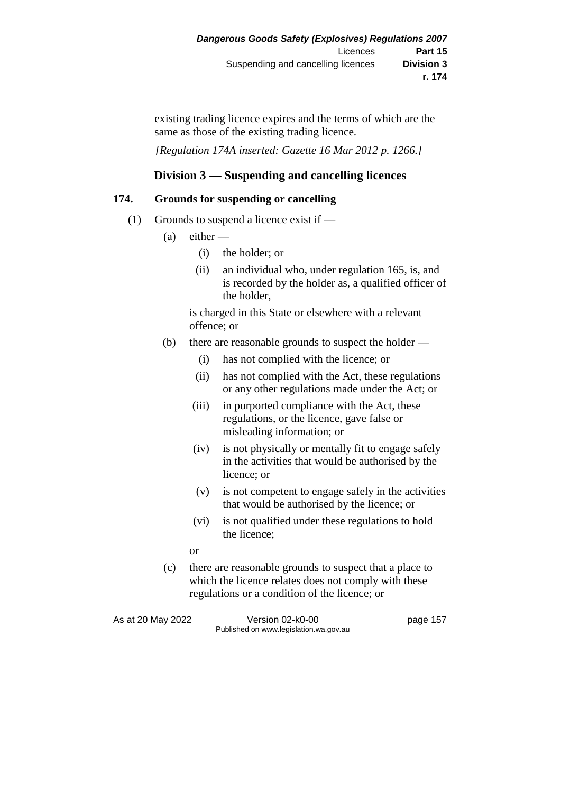existing trading licence expires and the terms of which are the same as those of the existing trading licence.

*[Regulation 174A inserted: Gazette 16 Mar 2012 p. 1266.]*

# **Division 3 — Suspending and cancelling licences**

# **174. Grounds for suspending or cancelling**

- (1) Grounds to suspend a licence exist if  $-$ 
	- $(a)$  either
		- (i) the holder; or
		- (ii) an individual who, under regulation 165, is, and is recorded by the holder as, a qualified officer of the holder,

is charged in this State or elsewhere with a relevant offence; or

- (b) there are reasonable grounds to suspect the holder
	- (i) has not complied with the licence; or
	- (ii) has not complied with the Act, these regulations or any other regulations made under the Act; or
	- (iii) in purported compliance with the Act, these regulations, or the licence, gave false or misleading information; or
	- (iv) is not physically or mentally fit to engage safely in the activities that would be authorised by the licence; or
	- (v) is not competent to engage safely in the activities that would be authorised by the licence; or
	- (vi) is not qualified under these regulations to hold the licence;
	- or
- (c) there are reasonable grounds to suspect that a place to which the licence relates does not comply with these regulations or a condition of the licence; or

As at 20 May 2022 Version 02-k0-00 Page 157 Published on www.legislation.wa.gov.au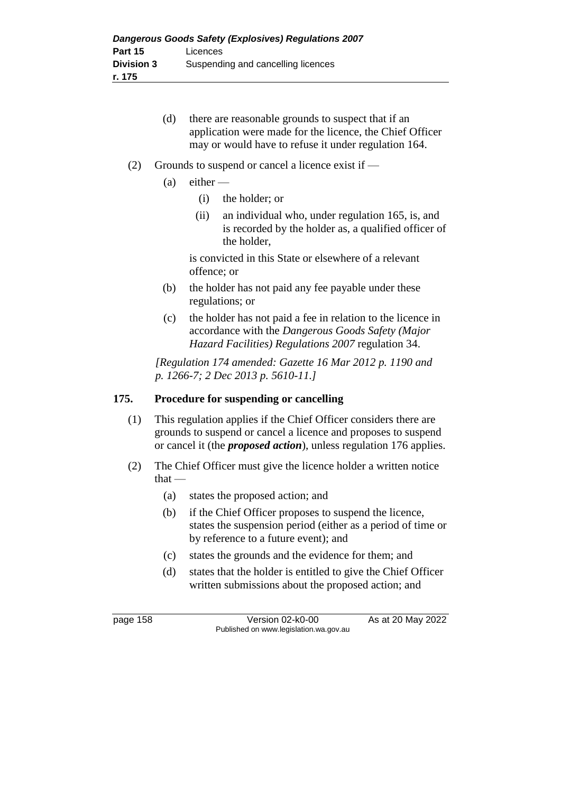- (d) there are reasonable grounds to suspect that if an application were made for the licence, the Chief Officer may or would have to refuse it under regulation 164.
- (2) Grounds to suspend or cancel a licence exist if  $-$ 
	- $(a)$  either
		- (i) the holder; or
		- (ii) an individual who, under regulation 165, is, and is recorded by the holder as, a qualified officer of the holder,

is convicted in this State or elsewhere of a relevant offence; or

- (b) the holder has not paid any fee payable under these regulations; or
- (c) the holder has not paid a fee in relation to the licence in accordance with the *Dangerous Goods Safety (Major Hazard Facilities) Regulations 2007* regulation 34.

*[Regulation 174 amended: Gazette 16 Mar 2012 p. 1190 and p. 1266-7; 2 Dec 2013 p. 5610-11.]*

# **175. Procedure for suspending or cancelling**

- (1) This regulation applies if the Chief Officer considers there are grounds to suspend or cancel a licence and proposes to suspend or cancel it (the *proposed action*), unless regulation 176 applies.
- (2) The Chief Officer must give the licence holder a written notice  $that -$ 
	- (a) states the proposed action; and
	- (b) if the Chief Officer proposes to suspend the licence, states the suspension period (either as a period of time or by reference to a future event); and
	- (c) states the grounds and the evidence for them; and
	- (d) states that the holder is entitled to give the Chief Officer written submissions about the proposed action; and

page 158 Version 02-k0-00 As at 20 May 2022 Published on www.legislation.wa.gov.au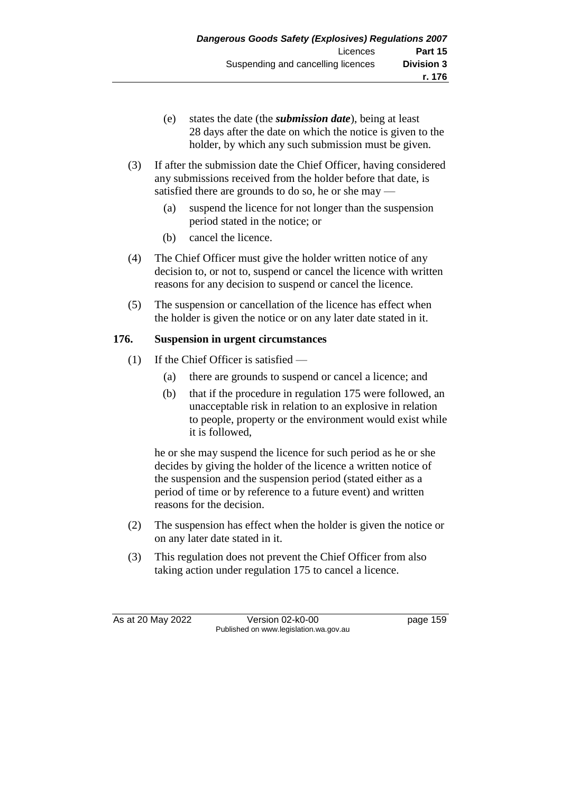- (e) states the date (the *submission date*), being at least 28 days after the date on which the notice is given to the holder, by which any such submission must be given.
- (3) If after the submission date the Chief Officer, having considered any submissions received from the holder before that date, is satisfied there are grounds to do so, he or she may —
	- (a) suspend the licence for not longer than the suspension period stated in the notice; or
	- (b) cancel the licence.
- (4) The Chief Officer must give the holder written notice of any decision to, or not to, suspend or cancel the licence with written reasons for any decision to suspend or cancel the licence.
- (5) The suspension or cancellation of the licence has effect when the holder is given the notice or on any later date stated in it.

# **176. Suspension in urgent circumstances**

- (1) If the Chief Officer is satisfied
	- (a) there are grounds to suspend or cancel a licence; and
	- (b) that if the procedure in regulation 175 were followed, an unacceptable risk in relation to an explosive in relation to people, property or the environment would exist while it is followed,

he or she may suspend the licence for such period as he or she decides by giving the holder of the licence a written notice of the suspension and the suspension period (stated either as a period of time or by reference to a future event) and written reasons for the decision.

- (2) The suspension has effect when the holder is given the notice or on any later date stated in it.
- (3) This regulation does not prevent the Chief Officer from also taking action under regulation 175 to cancel a licence.

As at 20 May 2022 Version 02-k0-00 page 159 Published on www.legislation.wa.gov.au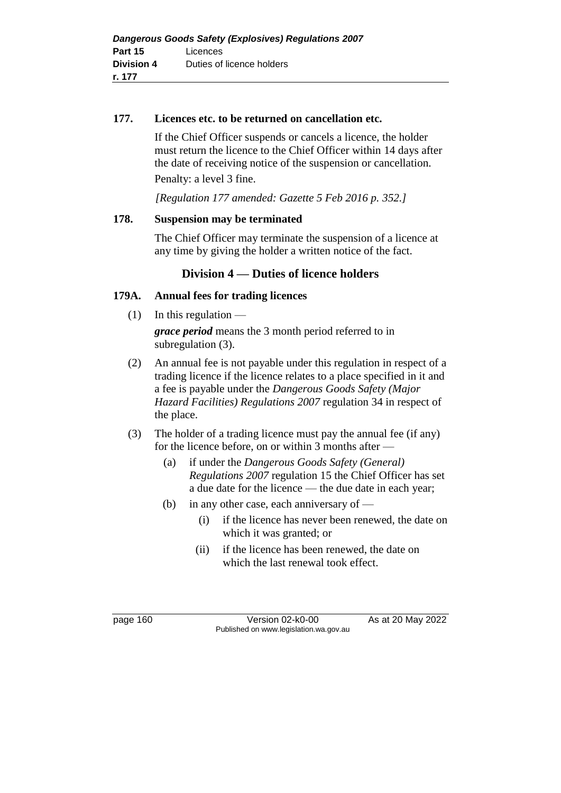#### **177. Licences etc. to be returned on cancellation etc.**

If the Chief Officer suspends or cancels a licence, the holder must return the licence to the Chief Officer within 14 days after the date of receiving notice of the suspension or cancellation. Penalty: a level 3 fine.

*[Regulation 177 amended: Gazette 5 Feb 2016 p. 352.]*

# **178. Suspension may be terminated**

The Chief Officer may terminate the suspension of a licence at any time by giving the holder a written notice of the fact.

# **Division 4 — Duties of licence holders**

# **179A. Annual fees for trading licences**

 $(1)$  In this regulation —

*grace period* means the 3 month period referred to in subregulation (3).

- (2) An annual fee is not payable under this regulation in respect of a trading licence if the licence relates to a place specified in it and a fee is payable under the *Dangerous Goods Safety (Major Hazard Facilities) Regulations 2007* regulation 34 in respect of the place.
- (3) The holder of a trading licence must pay the annual fee (if any) for the licence before, on or within 3 months after —
	- (a) if under the *Dangerous Goods Safety (General) Regulations 2007* regulation 15 the Chief Officer has set a due date for the licence — the due date in each year;
	- (b) in any other case, each anniversary of
		- (i) if the licence has never been renewed, the date on which it was granted; or
		- (ii) if the licence has been renewed, the date on which the last renewal took effect.

page 160 Version 02-k0-00 As at 20 May 2022 Published on www.legislation.wa.gov.au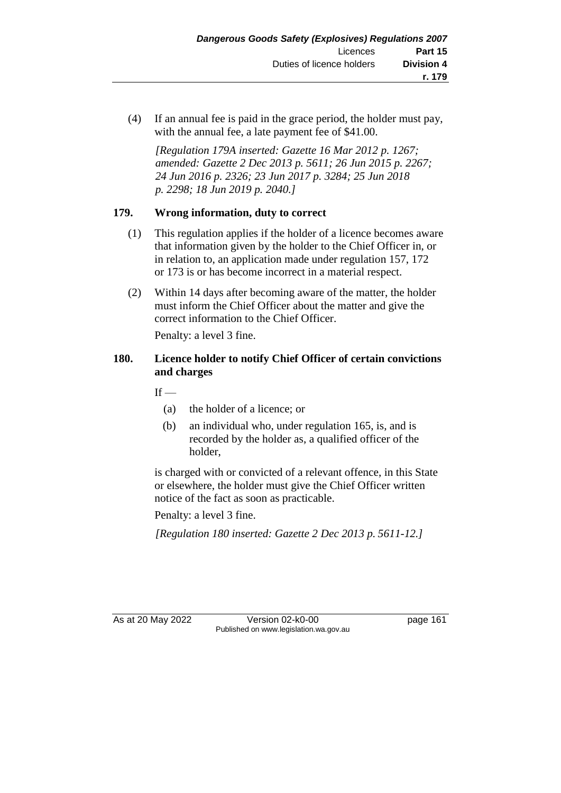(4) If an annual fee is paid in the grace period, the holder must pay, with the annual fee, a late payment fee of \$41.00.

*[Regulation 179A inserted: Gazette 16 Mar 2012 p. 1267; amended: Gazette 2 Dec 2013 p. 5611; 26 Jun 2015 p. 2267; 24 Jun 2016 p. 2326; 23 Jun 2017 p. 3284; 25 Jun 2018 p. 2298; 18 Jun 2019 p. 2040.]*

# **179. Wrong information, duty to correct**

- (1) This regulation applies if the holder of a licence becomes aware that information given by the holder to the Chief Officer in, or in relation to, an application made under regulation 157, 172 or 173 is or has become incorrect in a material respect.
- (2) Within 14 days after becoming aware of the matter, the holder must inform the Chief Officer about the matter and give the correct information to the Chief Officer.

Penalty: a level 3 fine.

# **180. Licence holder to notify Chief Officer of certain convictions and charges**

 $If -$ 

- (a) the holder of a licence; or
- (b) an individual who, under regulation 165, is, and is recorded by the holder as, a qualified officer of the holder,

is charged with or convicted of a relevant offence, in this State or elsewhere, the holder must give the Chief Officer written notice of the fact as soon as practicable.

Penalty: a level 3 fine.

*[Regulation 180 inserted: Gazette 2 Dec 2013 p. 5611-12.]*

As at 20 May 2022 Version 02-k0-00 Page 161 Published on www.legislation.wa.gov.au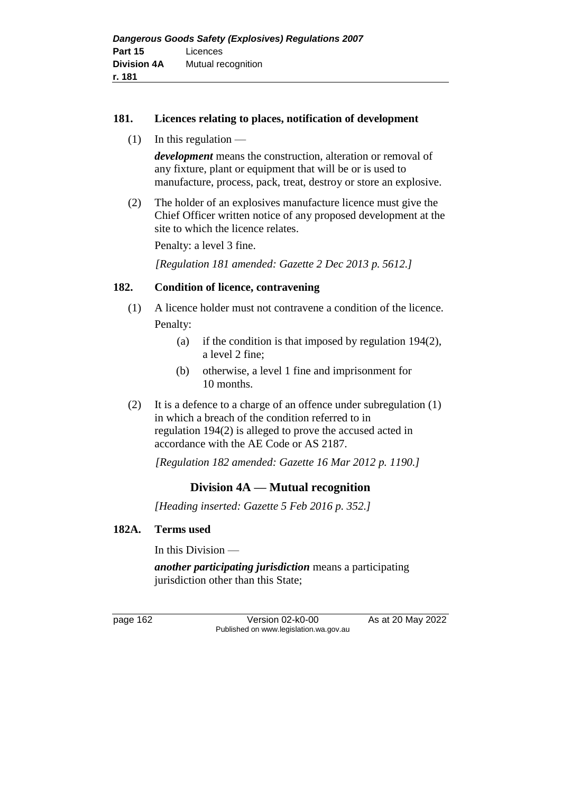#### **181. Licences relating to places, notification of development**

 $(1)$  In this regulation —

*development* means the construction, alteration or removal of any fixture, plant or equipment that will be or is used to manufacture, process, pack, treat, destroy or store an explosive.

(2) The holder of an explosives manufacture licence must give the Chief Officer written notice of any proposed development at the site to which the licence relates.

Penalty: a level 3 fine.

*[Regulation 181 amended: Gazette 2 Dec 2013 p. 5612.]*

#### **182. Condition of licence, contravening**

- (1) A licence holder must not contravene a condition of the licence. Penalty:
	- (a) if the condition is that imposed by regulation 194(2), a level 2 fine;
	- (b) otherwise, a level 1 fine and imprisonment for 10 months.
- (2) It is a defence to a charge of an offence under subregulation (1) in which a breach of the condition referred to in regulation 194(2) is alleged to prove the accused acted in accordance with the AE Code or AS 2187.

*[Regulation 182 amended: Gazette 16 Mar 2012 p. 1190.]*

# **Division 4A — Mutual recognition**

*[Heading inserted: Gazette 5 Feb 2016 p. 352.]*

#### **182A. Terms used**

In this Division —

*another participating jurisdiction* means a participating jurisdiction other than this State;

page 162 Version 02-k0-00 As at 20 May 2022 Published on www.legislation.wa.gov.au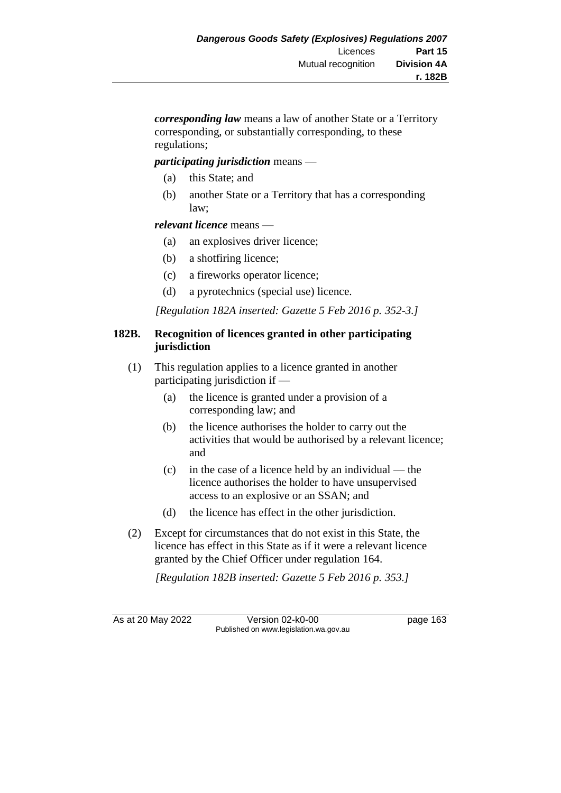*corresponding law* means a law of another State or a Territory corresponding, or substantially corresponding, to these regulations;

#### *participating jurisdiction* means —

- (a) this State; and
- (b) another State or a Territory that has a corresponding law;

#### *relevant licence* means —

- (a) an explosives driver licence;
- (b) a shotfiring licence;
- (c) a fireworks operator licence;
- (d) a pyrotechnics (special use) licence.

*[Regulation 182A inserted: Gazette 5 Feb 2016 p. 352-3.]*

#### **182B. Recognition of licences granted in other participating jurisdiction**

- (1) This regulation applies to a licence granted in another participating jurisdiction if —
	- (a) the licence is granted under a provision of a corresponding law; and
	- (b) the licence authorises the holder to carry out the activities that would be authorised by a relevant licence; and
	- (c) in the case of a licence held by an individual the licence authorises the holder to have unsupervised access to an explosive or an SSAN; and
	- (d) the licence has effect in the other jurisdiction.
- (2) Except for circumstances that do not exist in this State, the licence has effect in this State as if it were a relevant licence granted by the Chief Officer under regulation 164.

*[Regulation 182B inserted: Gazette 5 Feb 2016 p. 353.]*

As at 20 May 2022 Version 02-k0-00 page 163 Published on www.legislation.wa.gov.au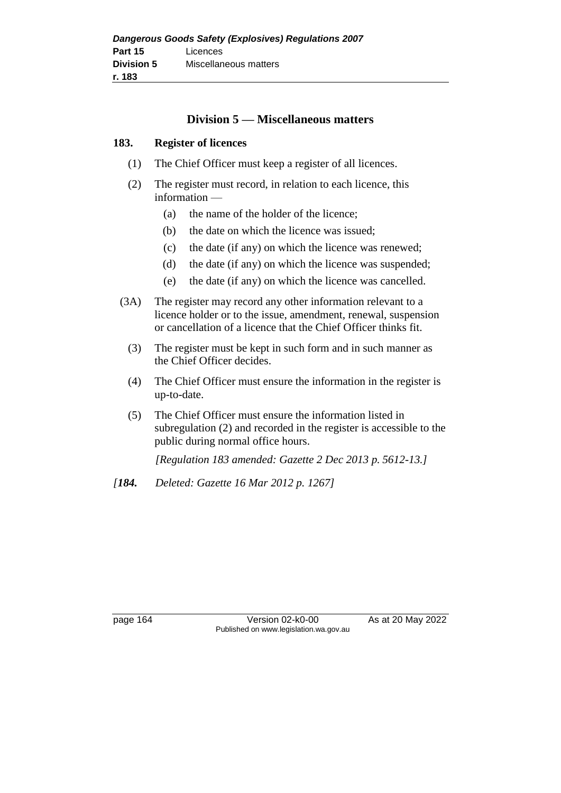# **Division 5 — Miscellaneous matters**

#### **183. Register of licences**

- (1) The Chief Officer must keep a register of all licences.
- (2) The register must record, in relation to each licence, this information —
	- (a) the name of the holder of the licence;
	- (b) the date on which the licence was issued;
	- (c) the date (if any) on which the licence was renewed;
	- (d) the date (if any) on which the licence was suspended;
	- (e) the date (if any) on which the licence was cancelled.
- (3A) The register may record any other information relevant to a licence holder or to the issue, amendment, renewal, suspension or cancellation of a licence that the Chief Officer thinks fit.
	- (3) The register must be kept in such form and in such manner as the Chief Officer decides.
	- (4) The Chief Officer must ensure the information in the register is up-to-date.
	- (5) The Chief Officer must ensure the information listed in subregulation (2) and recorded in the register is accessible to the public during normal office hours.

*[Regulation 183 amended: Gazette 2 Dec 2013 p. 5612-13.]*

*[184. Deleted: Gazette 16 Mar 2012 p. 1267]*

page 164 Version 02-k0-00 As at 20 May 2022 Published on www.legislation.wa.gov.au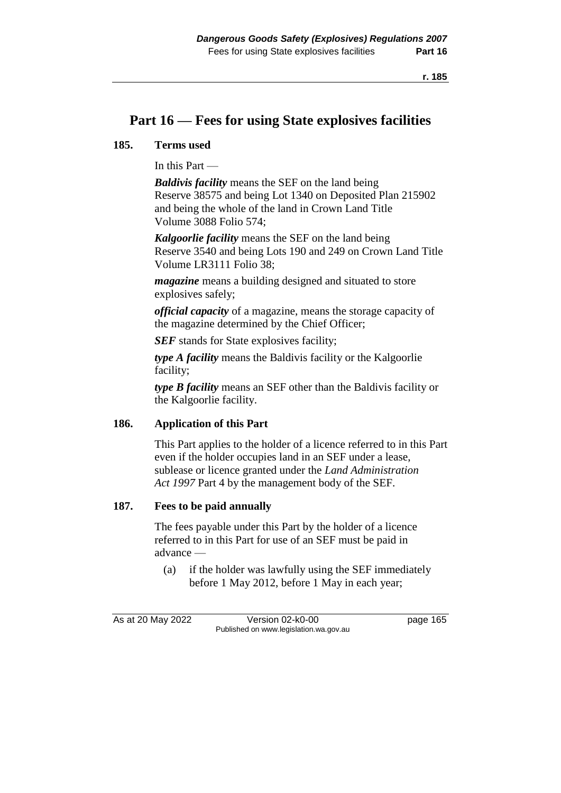# **Part 16 — Fees for using State explosives facilities**

#### **185. Terms used**

In this Part —

*Baldivis facility* means the SEF on the land being Reserve 38575 and being Lot 1340 on Deposited Plan 215902 and being the whole of the land in Crown Land Title Volume 3088 Folio 574;

*Kalgoorlie facility* means the SEF on the land being Reserve 3540 and being Lots 190 and 249 on Crown Land Title Volume LR3111 Folio 38;

*magazine* means a building designed and situated to store explosives safely;

*official capacity* of a magazine, means the storage capacity of the magazine determined by the Chief Officer;

**SEF** stands for State explosives facility;

*type A facility* means the Baldivis facility or the Kalgoorlie facility;

*type B facility* means an SEF other than the Baldivis facility or the Kalgoorlie facility.

#### **186. Application of this Part**

This Part applies to the holder of a licence referred to in this Part even if the holder occupies land in an SEF under a lease, sublease or licence granted under the *Land Administration Act 1997* Part 4 by the management body of the SEF.

#### **187. Fees to be paid annually**

The fees payable under this Part by the holder of a licence referred to in this Part for use of an SEF must be paid in advance —

(a) if the holder was lawfully using the SEF immediately before 1 May 2012, before 1 May in each year;

As at 20 May 2022 Version 02-k0-00 page 165 Published on www.legislation.wa.gov.au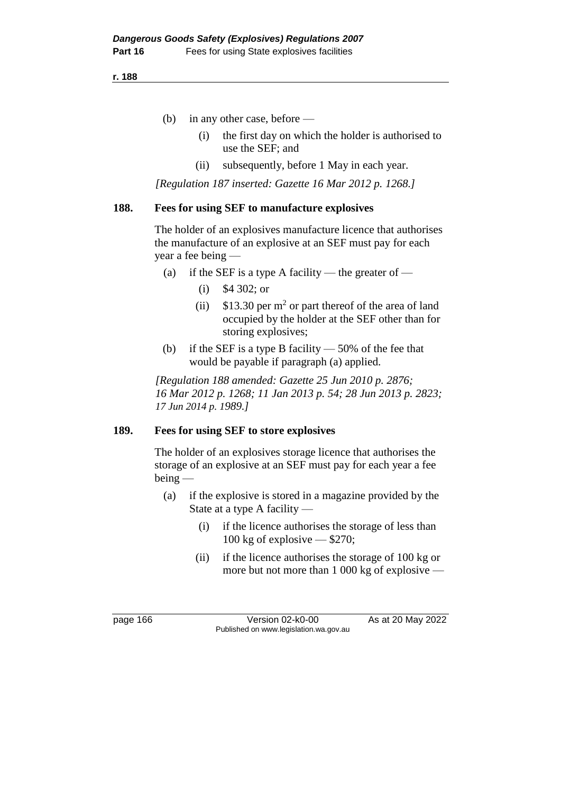**r. 188**

- (b) in any other case, before
	- (i) the first day on which the holder is authorised to use the SEF; and
	- (ii) subsequently, before 1 May in each year.

*[Regulation 187 inserted: Gazette 16 Mar 2012 p. 1268.]*

#### **188. Fees for using SEF to manufacture explosives**

The holder of an explosives manufacture licence that authorises the manufacture of an explosive at an SEF must pay for each year a fee being —

- (a) if the SEF is a type A facility the greater of
	- (i) \$4 302; or
	- (ii)  $$13.30$  per m<sup>2</sup> or part thereof of the area of land occupied by the holder at the SEF other than for storing explosives;
- (b) if the SEF is a type B facility  $-50\%$  of the fee that would be payable if paragraph (a) applied.

*[Regulation 188 amended: Gazette 25 Jun 2010 p. 2876; 16 Mar 2012 p. 1268; 11 Jan 2013 p. 54; 28 Jun 2013 p. 2823; 17 Jun 2014 p. 1989.]*

#### **189. Fees for using SEF to store explosives**

The holder of an explosives storage licence that authorises the storage of an explosive at an SEF must pay for each year a fee being —

- (a) if the explosive is stored in a magazine provided by the State at a type A facility —
	- (i) if the licence authorises the storage of less than 100 kg of explosive — \$270;
	- (ii) if the licence authorises the storage of 100 kg or more but not more than 1 000 kg of explosive —

page 166 Version 02-k0-00 As at 20 May 2022 Published on www.legislation.wa.gov.au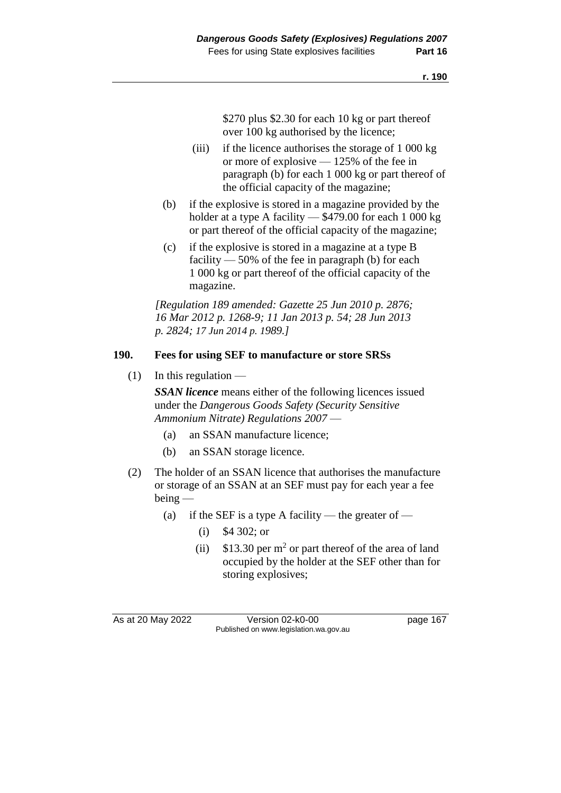\$270 plus \$2.30 for each 10 kg or part thereof over 100 kg authorised by the licence;

- (iii) if the licence authorises the storage of 1 000 kg or more of explosive — 125% of the fee in paragraph (b) for each 1 000 kg or part thereof of the official capacity of the magazine;
- (b) if the explosive is stored in a magazine provided by the holder at a type A facility — \$479.00 for each 1 000 kg or part thereof of the official capacity of the magazine;
- (c) if the explosive is stored in a magazine at a type B facility  $-50\%$  of the fee in paragraph (b) for each 1 000 kg or part thereof of the official capacity of the magazine.

*[Regulation 189 amended: Gazette 25 Jun 2010 p. 2876; 16 Mar 2012 p. 1268-9; 11 Jan 2013 p. 54; 28 Jun 2013 p. 2824; 17 Jun 2014 p. 1989.]*

# **190. Fees for using SEF to manufacture or store SRSs**

 $(1)$  In this regulation —

*SSAN licence* means either of the following licences issued under the *Dangerous Goods Safety (Security Sensitive Ammonium Nitrate) Regulations 2007* —

- (a) an SSAN manufacture licence;
- (b) an SSAN storage licence.
- (2) The holder of an SSAN licence that authorises the manufacture or storage of an SSAN at an SEF must pay for each year a fee being —
	- (a) if the SEF is a type A facility the greater of
		- (i) \$4 302; or
		- (ii)  $$13.30$  per m<sup>2</sup> or part thereof of the area of land occupied by the holder at the SEF other than for storing explosives;

As at 20 May 2022 Version 02-k0-00 Page 167 Published on www.legislation.wa.gov.au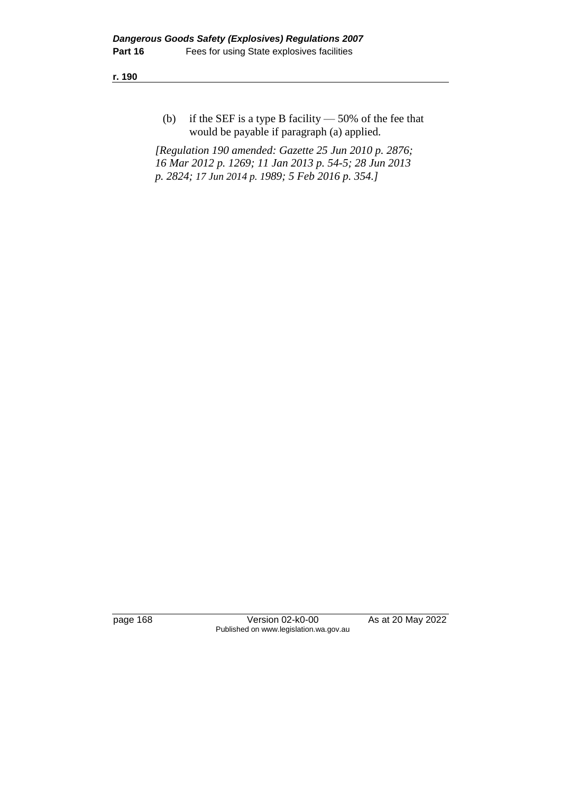**r. 190**

(b) if the SEF is a type B facility  $-50\%$  of the fee that would be payable if paragraph (a) applied.

*[Regulation 190 amended: Gazette 25 Jun 2010 p. 2876; 16 Mar 2012 p. 1269; 11 Jan 2013 p. 54-5; 28 Jun 2013 p. 2824; 17 Jun 2014 p. 1989; 5 Feb 2016 p. 354.]*

page 168 Version 02-k0-00 As at 20 May 2022 Published on www.legislation.wa.gov.au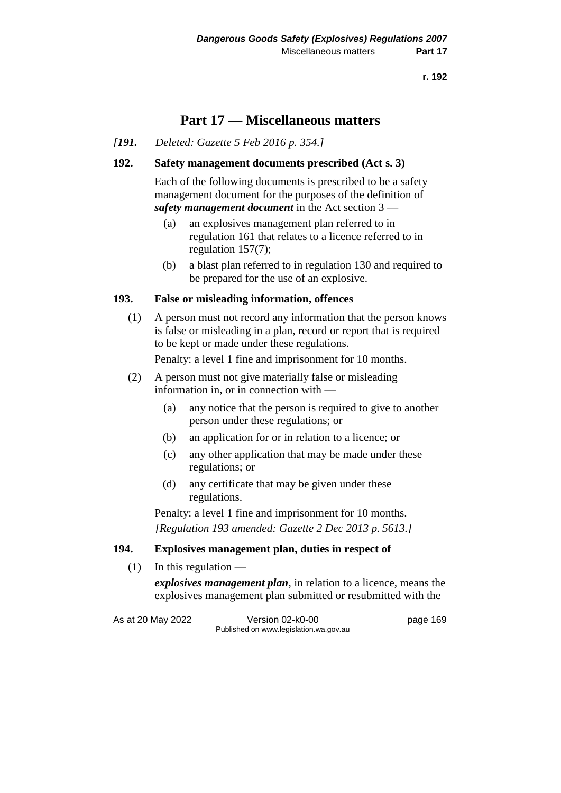**r. 192**

# **Part 17 — Miscellaneous matters**

*[191. Deleted: Gazette 5 Feb 2016 p. 354.]*

# **192. Safety management documents prescribed (Act s. 3)**

Each of the following documents is prescribed to be a safety management document for the purposes of the definition of *safety management document* in the Act section 3 —

- (a) an explosives management plan referred to in regulation 161 that relates to a licence referred to in regulation 157(7);
- (b) a blast plan referred to in regulation 130 and required to be prepared for the use of an explosive.

# **193. False or misleading information, offences**

(1) A person must not record any information that the person knows is false or misleading in a plan, record or report that is required to be kept or made under these regulations.

Penalty: a level 1 fine and imprisonment for 10 months.

- (2) A person must not give materially false or misleading information in, or in connection with —
	- (a) any notice that the person is required to give to another person under these regulations; or
	- (b) an application for or in relation to a licence; or
	- (c) any other application that may be made under these regulations; or
	- (d) any certificate that may be given under these regulations.

Penalty: a level 1 fine and imprisonment for 10 months. *[Regulation 193 amended: Gazette 2 Dec 2013 p. 5613.]*

# **194. Explosives management plan, duties in respect of**

 $(1)$  In this regulation —

*explosives management plan*, in relation to a licence, means the explosives management plan submitted or resubmitted with the

As at 20 May 2022 Version 02-k0-00 page 169 Published on www.legislation.wa.gov.au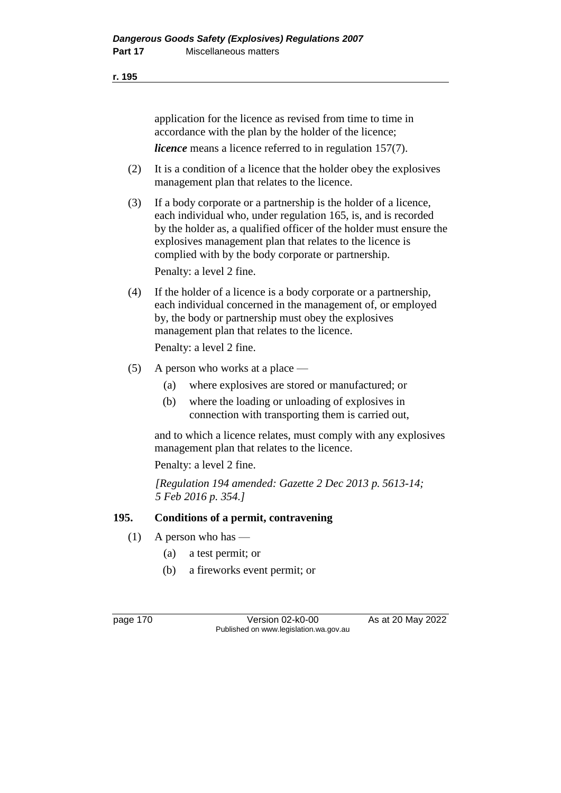application for the licence as revised from time to time in accordance with the plan by the holder of the licence; *licence* means a licence referred to in regulation 157(7).

- (2) It is a condition of a licence that the holder obey the explosives management plan that relates to the licence.
- (3) If a body corporate or a partnership is the holder of a licence, each individual who, under regulation 165, is, and is recorded by the holder as, a qualified officer of the holder must ensure the explosives management plan that relates to the licence is complied with by the body corporate or partnership. Penalty: a level 2 fine.
- (4) If the holder of a licence is a body corporate or a partnership, each individual concerned in the management of, or employed by, the body or partnership must obey the explosives management plan that relates to the licence. Penalty: a level 2 fine.
- (5) A person who works at a place
	- (a) where explosives are stored or manufactured; or
	- (b) where the loading or unloading of explosives in connection with transporting them is carried out,

and to which a licence relates, must comply with any explosives management plan that relates to the licence.

Penalty: a level 2 fine.

*[Regulation 194 amended: Gazette 2 Dec 2013 p. 5613-14; 5 Feb 2016 p. 354.]* 

# **195. Conditions of a permit, contravening**

- $(1)$  A person who has
	- (a) a test permit; or
	- (b) a fireworks event permit; or

page 170 Version 02-k0-00 As at 20 May 2022 Published on www.legislation.wa.gov.au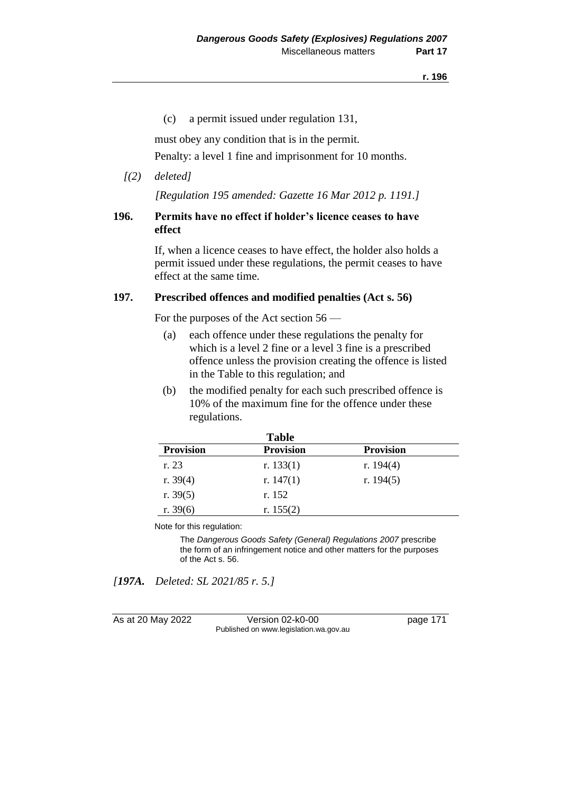(c) a permit issued under regulation 131,

must obey any condition that is in the permit.

Penalty: a level 1 fine and imprisonment for 10 months.

# *[(2) deleted]*

*[Regulation 195 amended: Gazette 16 Mar 2012 p. 1191.]*

# **196. Permits have no effect if holder's licence ceases to have effect**

If, when a licence ceases to have effect, the holder also holds a permit issued under these regulations, the permit ceases to have effect at the same time.

# **197. Prescribed offences and modified penalties (Act s. 56)**

For the purposes of the Act section 56 —

- (a) each offence under these regulations the penalty for which is a level 2 fine or a level 3 fine is a prescribed offence unless the provision creating the offence is listed in the Table to this regulation; and
- (b) the modified penalty for each such prescribed offence is 10% of the maximum fine for the offence under these regulations.

|                  | <b>Table</b>     |                  |  |
|------------------|------------------|------------------|--|
| <b>Provision</b> | <b>Provision</b> | <b>Provision</b> |  |
| r. 23            | r. $133(1)$      | r. $194(4)$      |  |
| r. $39(4)$       | r. $147(1)$      | r. $194(5)$      |  |
| r. $39(5)$       | r. 152           |                  |  |
| r. $39(6)$       | r. $155(2)$      |                  |  |

Note for this regulation:

The *Dangerous Goods Safety (General) Regulations 2007* prescribe the form of an infringement notice and other matters for the purposes of the Act s. 56.

*[197A. Deleted: SL 2021/85 r. 5.]*

As at 20 May 2022 Version 02-k0-00 Page 171 Published on www.legislation.wa.gov.au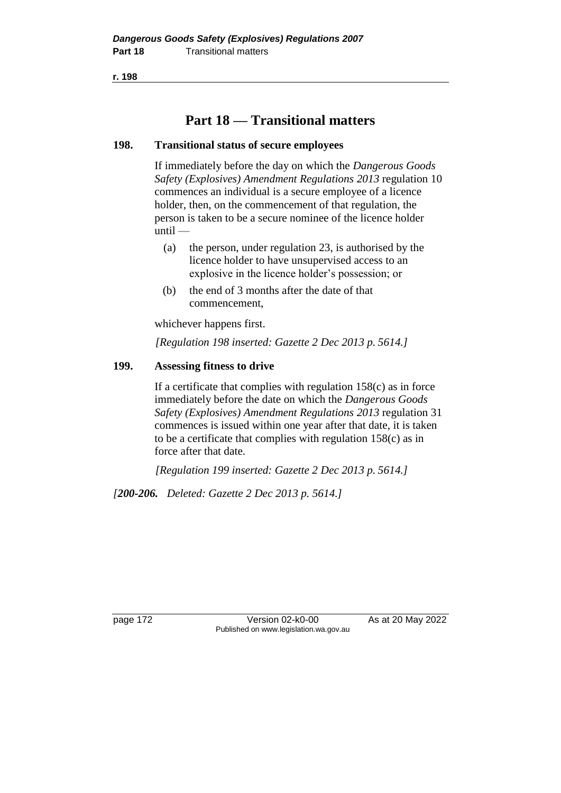**r. 198**

# **Part 18 — Transitional matters**

# **198. Transitional status of secure employees**

If immediately before the day on which the *Dangerous Goods Safety (Explosives) Amendment Regulations 2013* regulation 10 commences an individual is a secure employee of a licence holder, then, on the commencement of that regulation, the person is taken to be a secure nominee of the licence holder until —

- (a) the person, under regulation 23, is authorised by the licence holder to have unsupervised access to an explosive in the licence holder's possession; or
- (b) the end of 3 months after the date of that commencement,

whichever happens first.

*[Regulation 198 inserted: Gazette 2 Dec 2013 p. 5614.]*

# **199. Assessing fitness to drive**

If a certificate that complies with regulation  $158(c)$  as in force immediately before the date on which the *Dangerous Goods Safety (Explosives) Amendment Regulations 2013* regulation 31 commences is issued within one year after that date, it is taken to be a certificate that complies with regulation 158(c) as in force after that date.

*[Regulation 199 inserted: Gazette 2 Dec 2013 p. 5614.]*

*[200-206. Deleted: Gazette 2 Dec 2013 p. 5614.]*

page 172 Version 02-k0-00 As at 20 May 2022 Published on www.legislation.wa.gov.au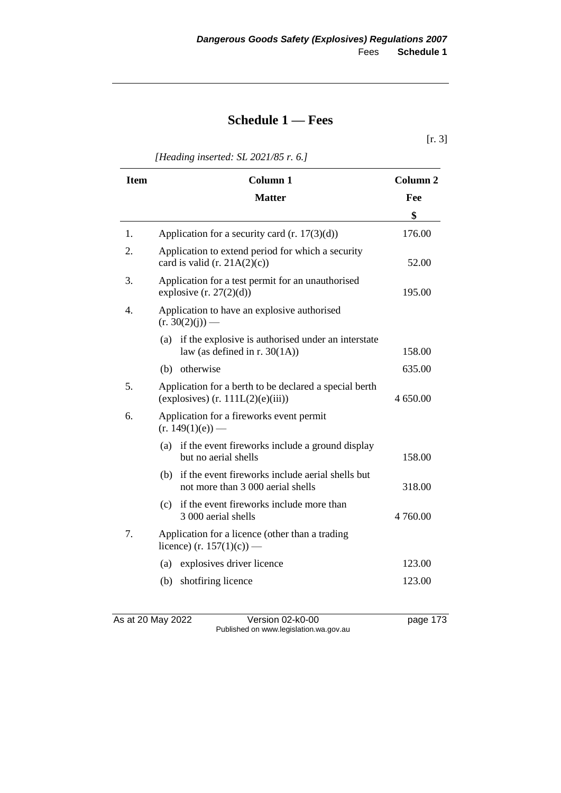# **Schedule 1 — Fees**

[r. 3]

*[Heading inserted: SL 2021/85 r. 6.]*

| <b>Item</b> | <b>Column 1</b>                                                                               | Column <sub>2</sub> |
|-------------|-----------------------------------------------------------------------------------------------|---------------------|
|             | <b>Matter</b>                                                                                 | Fee                 |
|             |                                                                                               | \$                  |
| 1.          | Application for a security card $(r. 17(3)(d))$                                               | 176.00              |
| 2.          | Application to extend period for which a security<br>card is valid $(r. 21A(2)(c))$           | 52.00               |
| 3.          | Application for a test permit for an unauthorised<br>explosive $(r. 27(2)(d))$                | 195.00              |
| 4.          | Application to have an explosive authorised<br>$(r. 30(2)(j))$ —                              |                     |
|             | if the explosive is authorised under an interstate<br>(a)<br>law (as defined in r. $30(1A)$ ) | 158.00              |
|             | otherwise<br>(b)                                                                              | 635.00              |
| 5.          | Application for a berth to be declared a special berth<br>(explosives) $(r. 111L(2)(e)(iii))$ | 4 650.00            |
| 6.          | Application for a fireworks event permit<br>$(r. 149(1)(e))$ —                                |                     |
|             | if the event fireworks include a ground display<br>(a)<br>but no aerial shells                | 158.00              |
|             | (b) if the event fireworks include aerial shells but<br>not more than 3 000 aerial shells     | 318.00              |
|             | if the event fireworks include more than<br>(c)<br>3 000 aerial shells                        | 4 760.00            |
| 7.          | Application for a licence (other than a trading<br>licence) (r. 157(1)(c)) —                  |                     |
|             | explosives driver licence<br>(a)                                                              | 123.00              |
|             | shotfiring licence<br>(b)                                                                     | 123.00              |
|             |                                                                                               |                     |

As at 20 May 2022 Version 02-k0-00 page 173 Published on www.legislation.wa.gov.au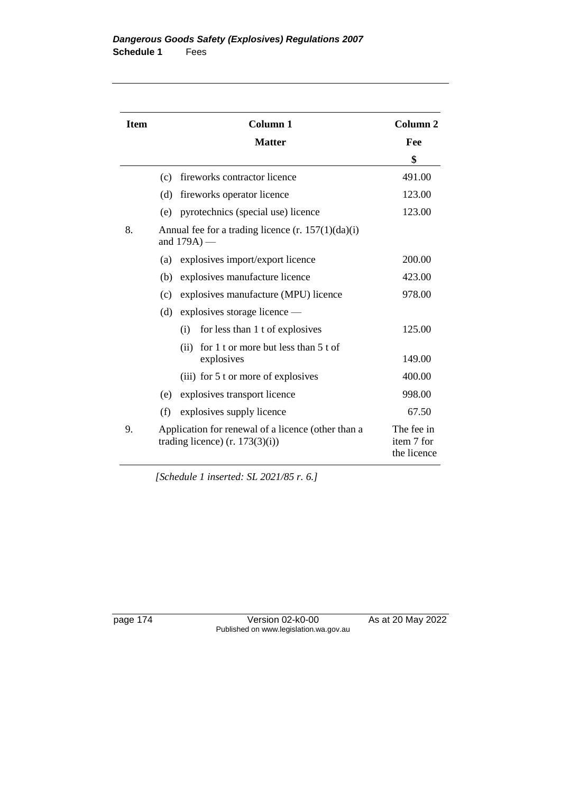| <b>Item</b> | <b>Column 1</b>                                                                         | Column <sub>2</sub>                     |
|-------------|-----------------------------------------------------------------------------------------|-----------------------------------------|
|             | <b>Matter</b>                                                                           | Fee                                     |
|             |                                                                                         | \$                                      |
|             | fireworks contractor licence<br>(c)                                                     | 491.00                                  |
|             | fireworks operator licence<br>(d)                                                       | 123.00                                  |
|             | pyrotechnics (special use) licence<br>(e)                                               | 123.00                                  |
| 8.          | Annual fee for a trading licence $(r. 157(1)(da)(i))$<br>and $179A$ ) —                 |                                         |
|             | explosives import/export licence<br>(a)                                                 | 200.00                                  |
|             | explosives manufacture licence<br>(b)                                                   | 423.00                                  |
|             | explosives manufacture (MPU) licence<br>(c)                                             | 978.00                                  |
|             | explosives storage licence —<br>(d)                                                     |                                         |
|             | for less than 1 t of explosives<br>(i)                                                  | 125.00                                  |
|             | for 1 t or more but less than 5 t of<br>(ii)<br>explosives                              | 149.00                                  |
|             | (iii) for 5 t or more of explosives                                                     | 400.00                                  |
|             | explosives transport licence<br>(e)                                                     | 998.00                                  |
|             | (f)<br>explosives supply licence                                                        | 67.50                                   |
| 9.          | Application for renewal of a licence (other than a<br>trading licence) $(r. 173(3)(i))$ | The fee in<br>item 7 for<br>the licence |

*[Schedule 1 inserted: SL 2021/85 r. 6.]*

page 174 Version 02-k0-00 As at 20 May 2022 Published on www.legislation.wa.gov.au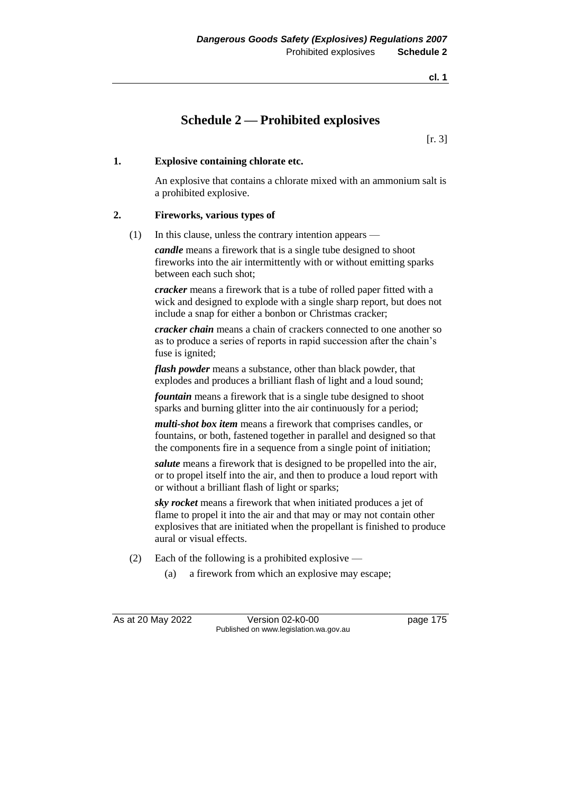# **Schedule 2 — Prohibited explosives**

[r. 3]

# **1. Explosive containing chlorate etc.**

An explosive that contains a chlorate mixed with an ammonium salt is a prohibited explosive.

### **2. Fireworks, various types of**

(1) In this clause, unless the contrary intention appears —

*candle* means a firework that is a single tube designed to shoot fireworks into the air intermittently with or without emitting sparks between each such shot;

*cracker* means a firework that is a tube of rolled paper fitted with a wick and designed to explode with a single sharp report, but does not include a snap for either a bonbon or Christmas cracker;

*cracker chain* means a chain of crackers connected to one another so as to produce a series of reports in rapid succession after the chain's fuse is ignited;

*flash powder* means a substance, other than black powder, that explodes and produces a brilliant flash of light and a loud sound;

*fountain* means a firework that is a single tube designed to shoot sparks and burning glitter into the air continuously for a period;

*multi-shot box item* means a firework that comprises candles, or fountains, or both, fastened together in parallel and designed so that the components fire in a sequence from a single point of initiation;

*salute* means a firework that is designed to be propelled into the air, or to propel itself into the air, and then to produce a loud report with or without a brilliant flash of light or sparks;

*sky rocket* means a firework that when initiated produces a jet of flame to propel it into the air and that may or may not contain other explosives that are initiated when the propellant is finished to produce aural or visual effects.

- (2) Each of the following is a prohibited explosive
	- (a) a firework from which an explosive may escape;

As at 20 May 2022 Version 02-k0-00 page 175 Published on www.legislation.wa.gov.au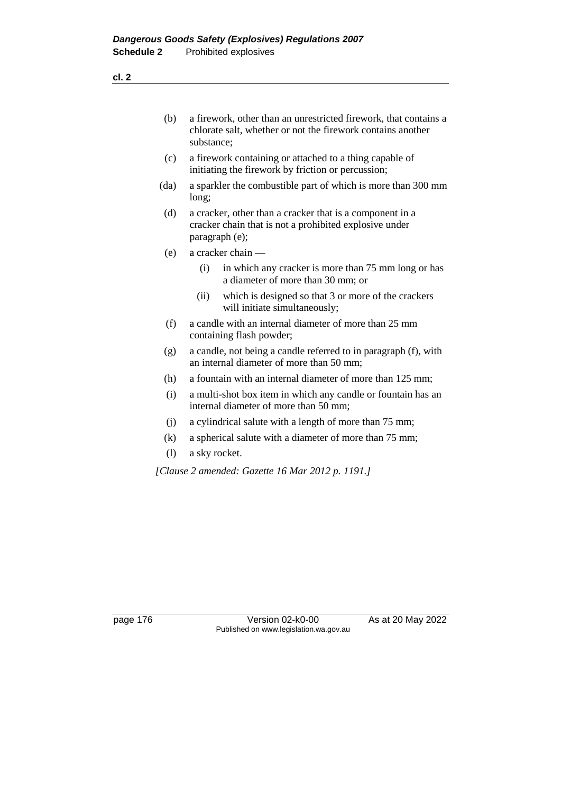- (b) a firework, other than an unrestricted firework, that contains a chlorate salt, whether or not the firework contains another substance;
- (c) a firework containing or attached to a thing capable of initiating the firework by friction or percussion;
- (da) a sparkler the combustible part of which is more than 300 mm long;
- (d) a cracker, other than a cracker that is a component in a cracker chain that is not a prohibited explosive under paragraph (e);
- (e) a cracker chain
	- (i) in which any cracker is more than 75 mm long or has a diameter of more than 30 mm; or
	- (ii) which is designed so that 3 or more of the crackers will initiate simultaneously;
- (f) a candle with an internal diameter of more than 25 mm containing flash powder;
- (g) a candle, not being a candle referred to in paragraph (f), with an internal diameter of more than 50 mm;
- (h) a fountain with an internal diameter of more than 125 mm;
- (i) a multi-shot box item in which any candle or fountain has an internal diameter of more than 50 mm;
- (j) a cylindrical salute with a length of more than 75 mm;
- (k) a spherical salute with a diameter of more than 75 mm;
- (l) a sky rocket.

*[Clause 2 amended: Gazette 16 Mar 2012 p. 1191.]*

page 176 Version 02-k0-00 As at 20 May 2022 Published on www.legislation.wa.gov.au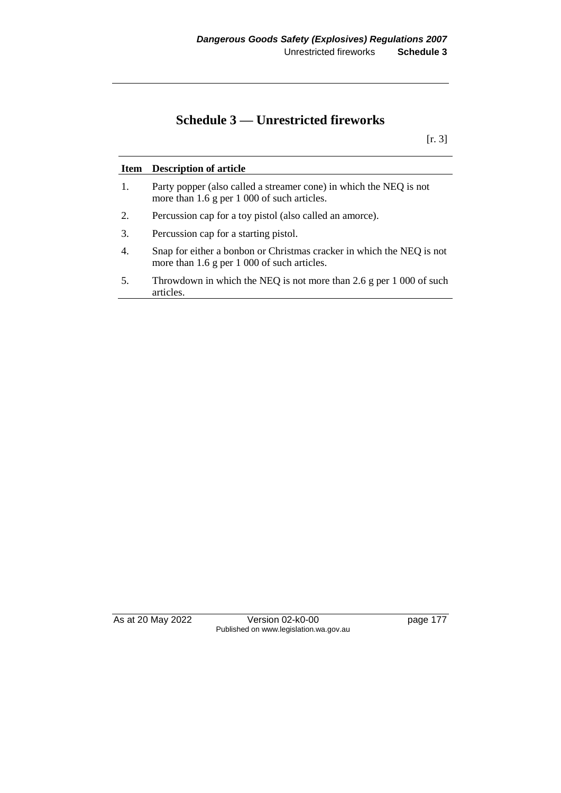# **Schedule 3 — Unrestricted fireworks**

[r. 3]

| Item | <b>Description of article</b>                                                                                             |
|------|---------------------------------------------------------------------------------------------------------------------------|
| 1.   | Party popper (also called a streamer cone) in which the NEQ is not<br>more than 1.6 g per 1 000 of such articles.         |
| 2.   | Percussion cap for a toy pistol (also called an amorce).                                                                  |
| 3.   | Percussion cap for a starting pistol.                                                                                     |
| 4.   | Snap for either a bonbon or Christmas cracker in which the NEQ is not<br>more than $1.6$ g per $1\,000$ of such articles. |
| 5.   | Throwdown in which the NEQ is not more than 2.6 g per $1\,000$ of such<br>articles.                                       |

As at 20 May 2022 Version 02-k0-00 page 177 Published on www.legislation.wa.gov.au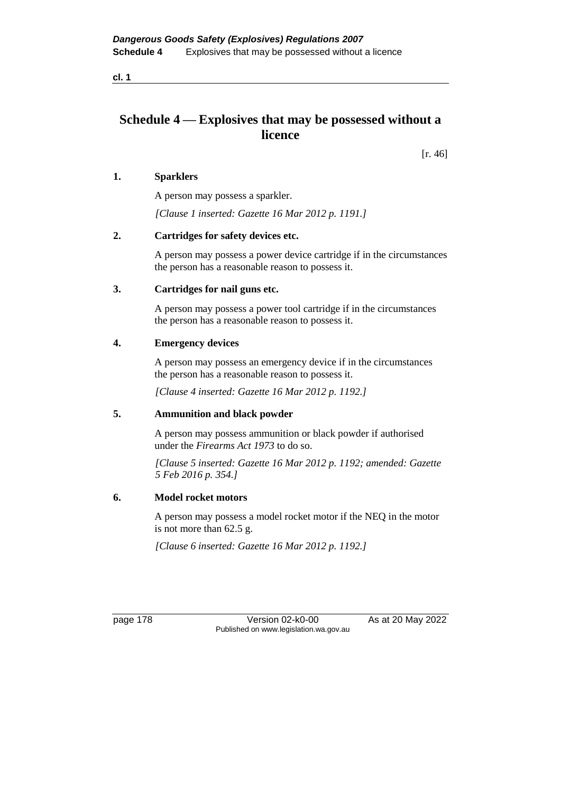# **Schedule 4 — Explosives that may be possessed without a licence**

[r. 46]

## **1. Sparklers**

A person may possess a sparkler.

*[Clause 1 inserted: Gazette 16 Mar 2012 p. 1191.]*

# **2. Cartridges for safety devices etc.**

A person may possess a power device cartridge if in the circumstances the person has a reasonable reason to possess it.

### **3. Cartridges for nail guns etc.**

A person may possess a power tool cartridge if in the circumstances the person has a reasonable reason to possess it.

### **4. Emergency devices**

A person may possess an emergency device if in the circumstances the person has a reasonable reason to possess it.

*[Clause 4 inserted: Gazette 16 Mar 2012 p. 1192.]*

#### **5. Ammunition and black powder**

A person may possess ammunition or black powder if authorised under the *Firearms Act 1973* to do so.

*[Clause 5 inserted: Gazette 16 Mar 2012 p. 1192; amended: Gazette 5 Feb 2016 p. 354.]*

# **6. Model rocket motors**

A person may possess a model rocket motor if the NEQ in the motor is not more than 62.5 g.

*[Clause 6 inserted: Gazette 16 Mar 2012 p. 1192.]*

page 178 Version 02-k0-00 As at 20 May 2022 Published on www.legislation.wa.gov.au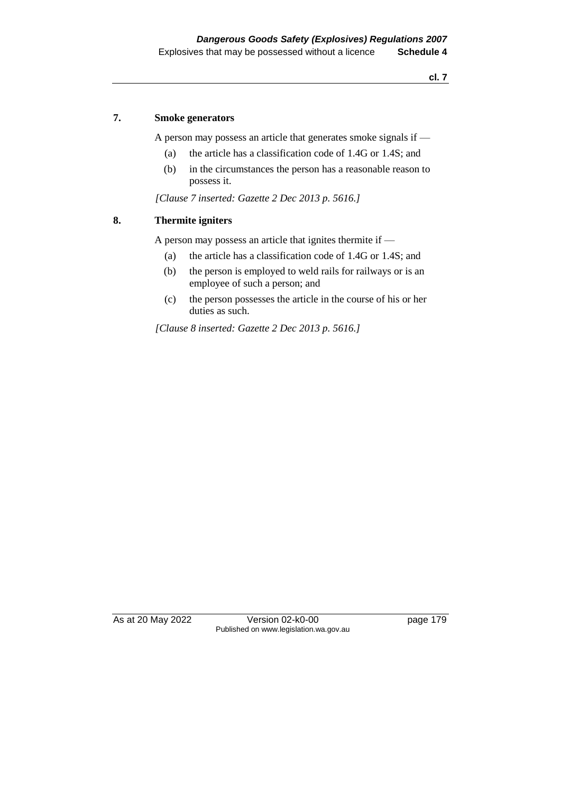#### **7. Smoke generators**

A person may possess an article that generates smoke signals if —

- (a) the article has a classification code of 1.4G or 1.4S; and
- (b) in the circumstances the person has a reasonable reason to possess it.

*[Clause 7 inserted: Gazette 2 Dec 2013 p. 5616.]*

### **8. Thermite igniters**

A person may possess an article that ignites thermite if —

- (a) the article has a classification code of 1.4G or 1.4S; and
- (b) the person is employed to weld rails for railways or is an employee of such a person; and
- (c) the person possesses the article in the course of his or her duties as such.

*[Clause 8 inserted: Gazette 2 Dec 2013 p. 5616.]*

As at 20 May 2022 Version 02-k0-00 page 179 Published on www.legislation.wa.gov.au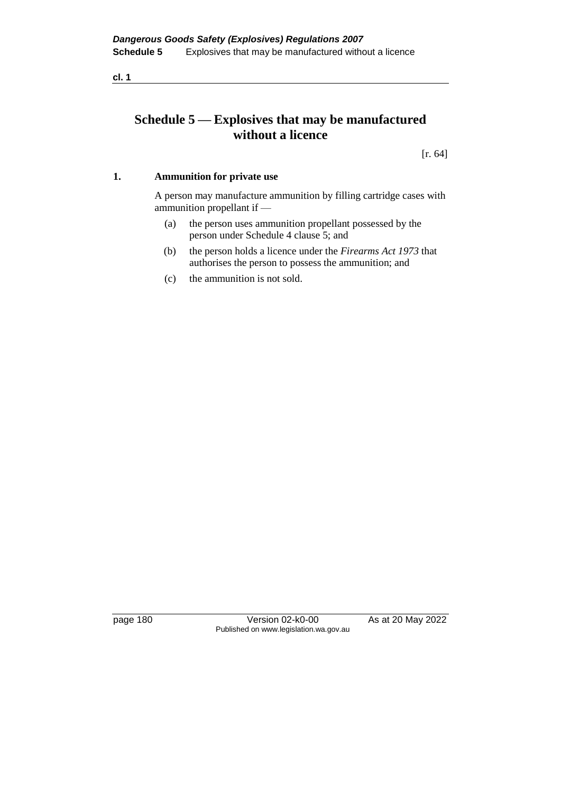# **Schedule 5 — Explosives that may be manufactured without a licence**

[r. 64]

# **1. Ammunition for private use**

A person may manufacture ammunition by filling cartridge cases with ammunition propellant if —

- (a) the person uses ammunition propellant possessed by the person under Schedule 4 clause 5; and
- (b) the person holds a licence under the *Firearms Act 1973* that authorises the person to possess the ammunition; and
- (c) the ammunition is not sold.

page 180 Version 02-k0-00 As at 20 May 2022 Published on www.legislation.wa.gov.au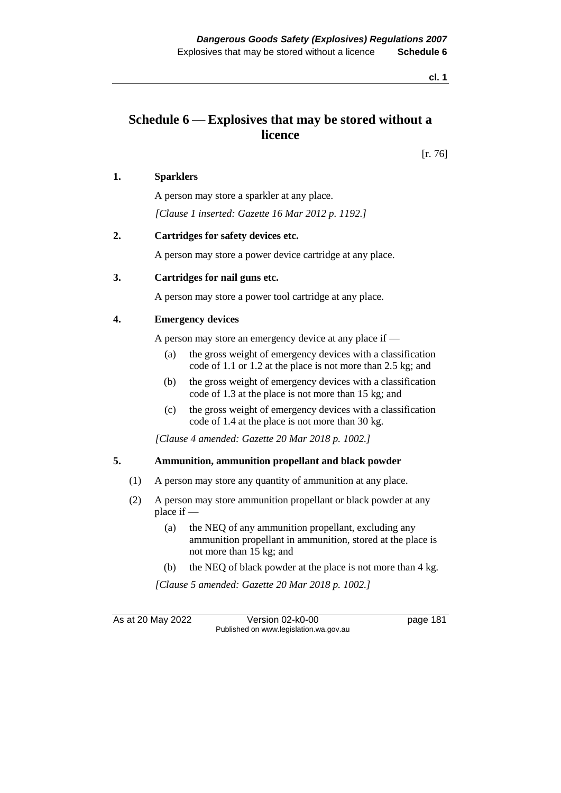# **Schedule 6 — Explosives that may be stored without a licence**

[r. 76]

## **1. Sparklers**

A person may store a sparkler at any place. *[Clause 1 inserted: Gazette 16 Mar 2012 p. 1192.]*

## **2. Cartridges for safety devices etc.**

A person may store a power device cartridge at any place.

### **3. Cartridges for nail guns etc.**

A person may store a power tool cartridge at any place.

### **4. Emergency devices**

A person may store an emergency device at any place if —

- (a) the gross weight of emergency devices with a classification code of 1.1 or 1.2 at the place is not more than 2.5 kg; and
- (b) the gross weight of emergency devices with a classification code of 1.3 at the place is not more than 15 kg; and
- (c) the gross weight of emergency devices with a classification code of 1.4 at the place is not more than 30 kg.

*[Clause 4 amended: Gazette 20 Mar 2018 p. 1002.]*

#### **5. Ammunition, ammunition propellant and black powder**

- (1) A person may store any quantity of ammunition at any place.
- (2) A person may store ammunition propellant or black powder at any place if —
	- (a) the NEQ of any ammunition propellant, excluding any ammunition propellant in ammunition, stored at the place is not more than 15 kg; and
	- (b) the NEQ of black powder at the place is not more than 4 kg.

*[Clause 5 amended: Gazette 20 Mar 2018 p. 1002.]*

As at 20 May 2022 Version 02-k0-00 page 181 Published on www.legislation.wa.gov.au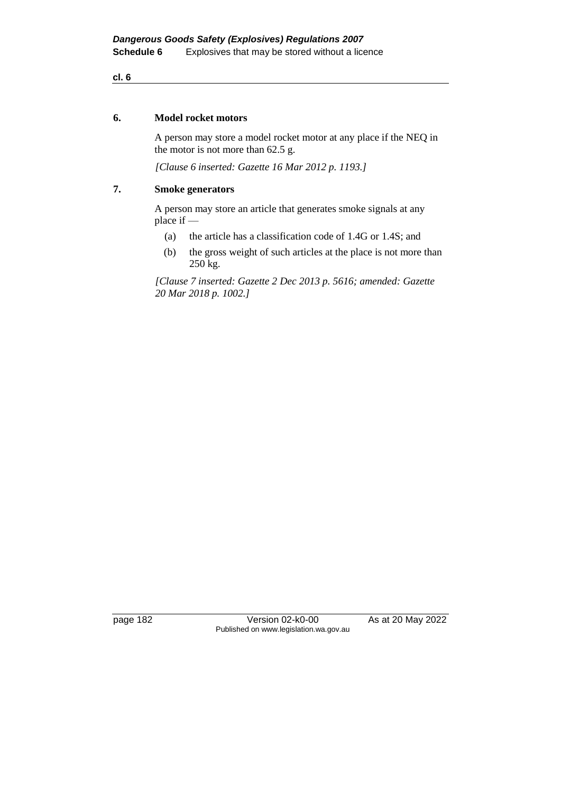#### **6. Model rocket motors**

A person may store a model rocket motor at any place if the NEQ in the motor is not more than 62.5 g.

*[Clause 6 inserted: Gazette 16 Mar 2012 p. 1193.]*

## **7. Smoke generators**

A person may store an article that generates smoke signals at any place if —

- (a) the article has a classification code of 1.4G or 1.4S; and
- (b) the gross weight of such articles at the place is not more than 250 kg.

*[Clause 7 inserted: Gazette 2 Dec 2013 p. 5616; amended: Gazette 20 Mar 2018 p. 1002.]*

page 182 Version 02-k0-00 As at 20 May 2022 Published on www.legislation.wa.gov.au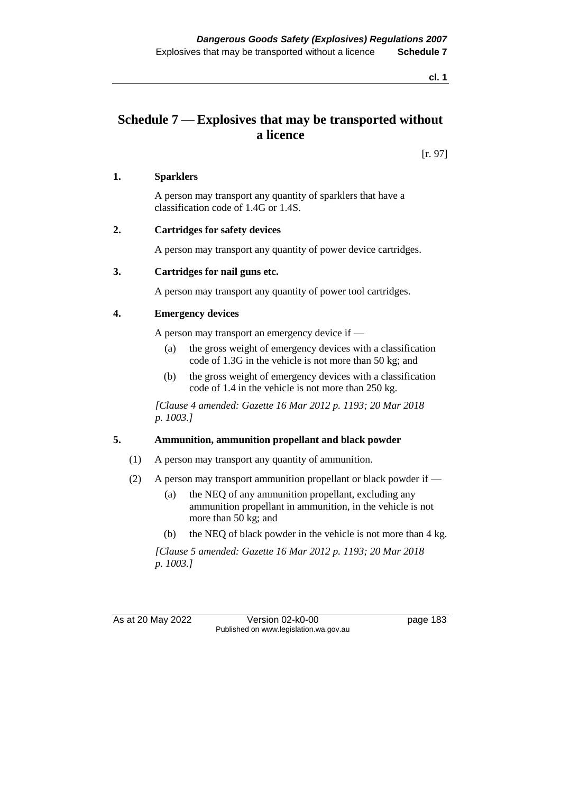# **Schedule 7 — Explosives that may be transported without a licence**

[r. 97]

## **1. Sparklers**

A person may transport any quantity of sparklers that have a classification code of 1.4G or 1.4S.

### **2. Cartridges for safety devices**

A person may transport any quantity of power device cartridges.

### **3. Cartridges for nail guns etc.**

A person may transport any quantity of power tool cartridges.

### **4. Emergency devices**

A person may transport an emergency device if —

- (a) the gross weight of emergency devices with a classification code of 1.3G in the vehicle is not more than 50 kg; and
- (b) the gross weight of emergency devices with a classification code of 1.4 in the vehicle is not more than 250 kg.

*[Clause 4 amended: Gazette 16 Mar 2012 p. 1193; 20 Mar 2018 p. 1003.]*

# **5. Ammunition, ammunition propellant and black powder**

- (1) A person may transport any quantity of ammunition.
- (2) A person may transport ammunition propellant or black powder if
	- (a) the NEQ of any ammunition propellant, excluding any ammunition propellant in ammunition, in the vehicle is not more than 50 kg; and
	- (b) the NEQ of black powder in the vehicle is not more than 4 kg.

*[Clause 5 amended: Gazette 16 Mar 2012 p. 1193; 20 Mar 2018 p. 1003.]*

As at 20 May 2022 Version 02-k0-00 Published on www.legislation.wa.gov.au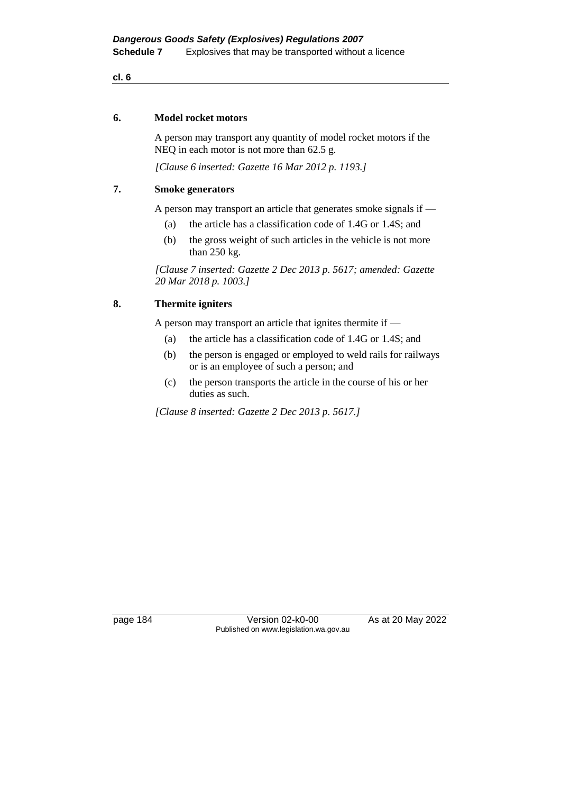#### **6. Model rocket motors**

A person may transport any quantity of model rocket motors if the NEQ in each motor is not more than 62.5 g.

*[Clause 6 inserted: Gazette 16 Mar 2012 p. 1193.]*

## **7. Smoke generators**

A person may transport an article that generates smoke signals if —

- (a) the article has a classification code of 1.4G or 1.4S; and
- (b) the gross weight of such articles in the vehicle is not more than 250 kg.

*[Clause 7 inserted: Gazette 2 Dec 2013 p. 5617; amended: Gazette 20 Mar 2018 p. 1003.]*

# **8. Thermite igniters**

A person may transport an article that ignites thermite if —

- (a) the article has a classification code of 1.4G or 1.4S; and
- (b) the person is engaged or employed to weld rails for railways or is an employee of such a person; and
- (c) the person transports the article in the course of his or her duties as such.

*[Clause 8 inserted: Gazette 2 Dec 2013 p. 5617.]*

page 184 Version 02-k0-00 As at 20 May 2022 Published on www.legislation.wa.gov.au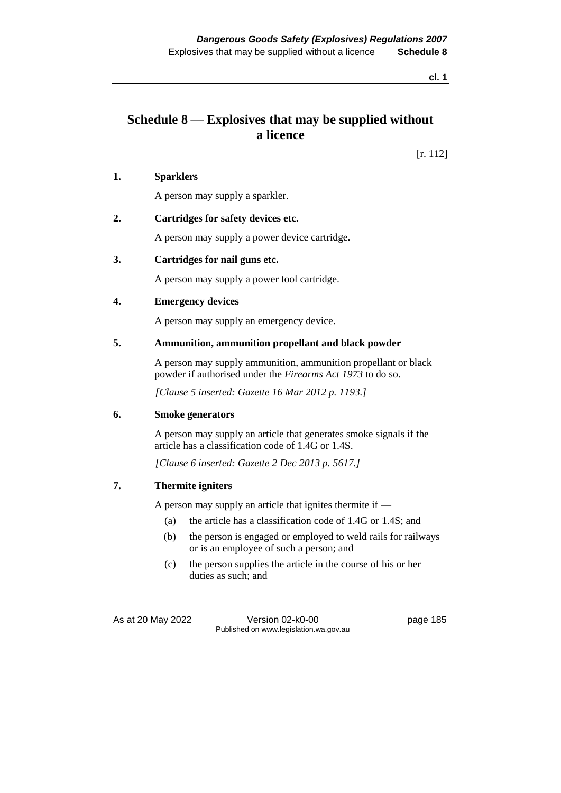# **Schedule 8 — Explosives that may be supplied without a licence**

[r. 112]

## **1. Sparklers**

A person may supply a sparkler.

### **2. Cartridges for safety devices etc.**

A person may supply a power device cartridge.

### **3. Cartridges for nail guns etc.**

A person may supply a power tool cartridge.

### **4. Emergency devices**

A person may supply an emergency device.

### **5. Ammunition, ammunition propellant and black powder**

A person may supply ammunition, ammunition propellant or black powder if authorised under the *Firearms Act 1973* to do so.

*[Clause 5 inserted: Gazette 16 Mar 2012 p. 1193.]*

#### **6. Smoke generators**

A person may supply an article that generates smoke signals if the article has a classification code of 1.4G or 1.4S.

*[Clause 6 inserted: Gazette 2 Dec 2013 p. 5617.]*

# **7. Thermite igniters**

A person may supply an article that ignites thermite if —

- (a) the article has a classification code of 1.4G or 1.4S; and
- (b) the person is engaged or employed to weld rails for railways or is an employee of such a person; and
- (c) the person supplies the article in the course of his or her duties as such; and

As at 20 May 2022 Version 02-k0-00 page 185 Published on www.legislation.wa.gov.au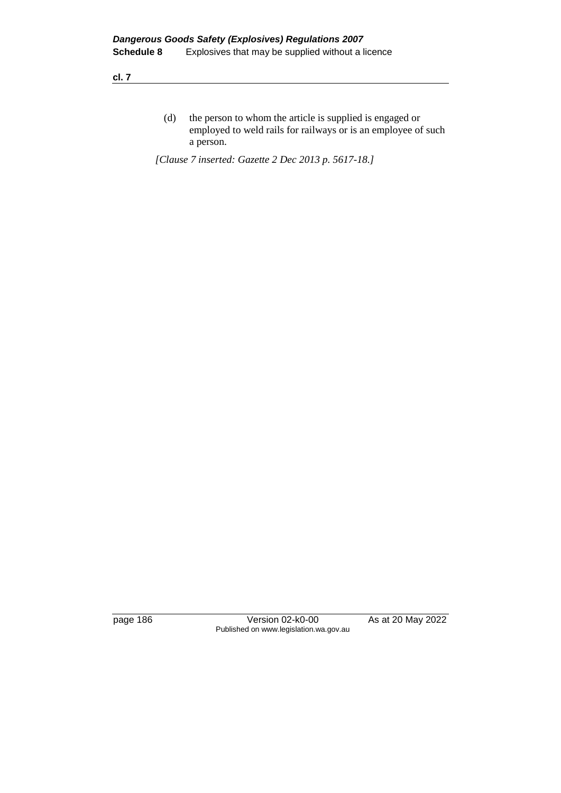(d) the person to whom the article is supplied is engaged or employed to weld rails for railways or is an employee of such a person.

*[Clause 7 inserted: Gazette 2 Dec 2013 p. 5617-18.]*

page 186 Version 02-k0-00 As at 20 May 2022 Published on www.legislation.wa.gov.au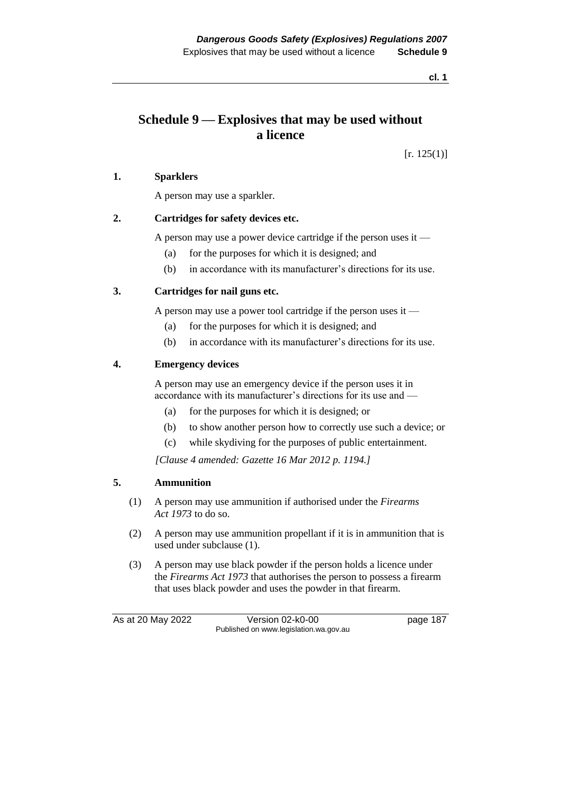# **Schedule 9 — Explosives that may be used without a licence**

 $[r. 125(1)]$ 

### **1. Sparklers**

A person may use a sparkler.

### **2. Cartridges for safety devices etc.**

A person may use a power device cartridge if the person uses it —

- (a) for the purposes for which it is designed; and
- (b) in accordance with its manufacturer's directions for its use.

### **3. Cartridges for nail guns etc.**

A person may use a power tool cartridge if the person uses it —

- (a) for the purposes for which it is designed; and
- (b) in accordance with its manufacturer's directions for its use.

### **4. Emergency devices**

A person may use an emergency device if the person uses it in accordance with its manufacturer's directions for its use and —

- (a) for the purposes for which it is designed; or
- (b) to show another person how to correctly use such a device; or
- (c) while skydiving for the purposes of public entertainment.

*[Clause 4 amended: Gazette 16 Mar 2012 p. 1194.]*

# **5. Ammunition**

- (1) A person may use ammunition if authorised under the *Firearms Act 1973* to do so.
- (2) A person may use ammunition propellant if it is in ammunition that is used under subclause (1).
- (3) A person may use black powder if the person holds a licence under the *Firearms Act 1973* that authorises the person to possess a firearm that uses black powder and uses the powder in that firearm.

As at 20 May 2022 Version 02-k0-00 page 187 Published on www.legislation.wa.gov.au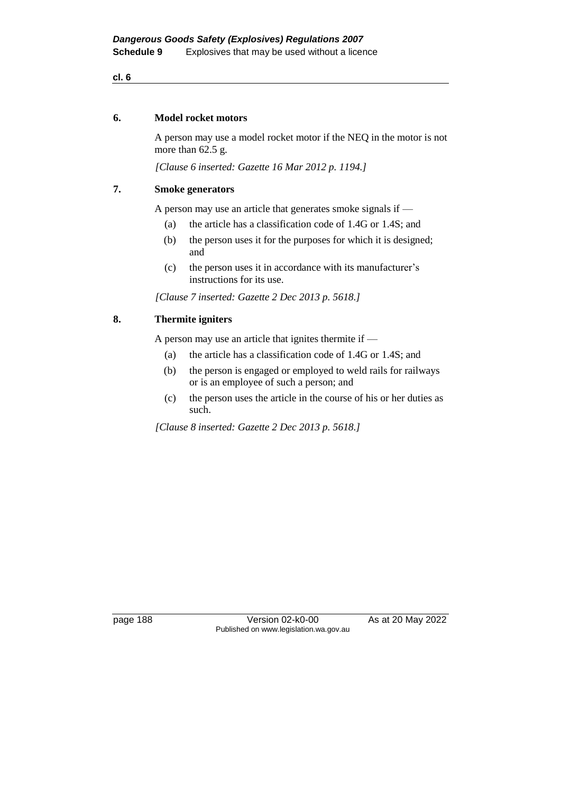#### **6. Model rocket motors**

A person may use a model rocket motor if the NEQ in the motor is not more than 62.5 g.

*[Clause 6 inserted: Gazette 16 Mar 2012 p. 1194.]*

## **7. Smoke generators**

A person may use an article that generates smoke signals if —

- (a) the article has a classification code of 1.4G or 1.4S; and
- (b) the person uses it for the purposes for which it is designed; and
- (c) the person uses it in accordance with its manufacturer's instructions for its use.

*[Clause 7 inserted: Gazette 2 Dec 2013 p. 5618.]*

# **8. Thermite igniters**

A person may use an article that ignites thermite if —

- (a) the article has a classification code of 1.4G or 1.4S; and
- (b) the person is engaged or employed to weld rails for railways or is an employee of such a person; and
- (c) the person uses the article in the course of his or her duties as such.

*[Clause 8 inserted: Gazette 2 Dec 2013 p. 5618.]*

page 188 Version 02-k0-00 As at 20 May 2022 Published on www.legislation.wa.gov.au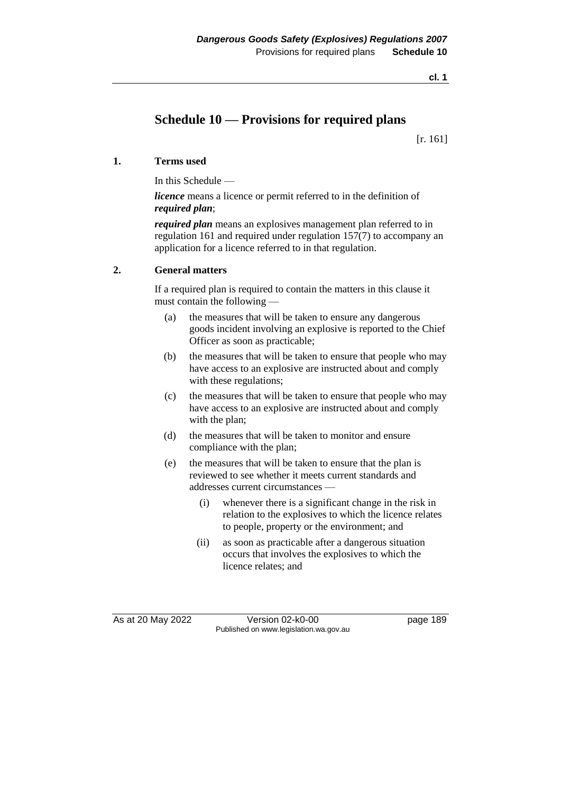# **Schedule 10 — Provisions for required plans**

[r. 161]

# **1. Terms used**

In this Schedule —

*licence* means a licence or permit referred to in the definition of *required plan*;

*required plan* means an explosives management plan referred to in regulation 161 and required under regulation 157(7) to accompany an application for a licence referred to in that regulation.

# **2. General matters**

If a required plan is required to contain the matters in this clause it must contain the following —

- (a) the measures that will be taken to ensure any dangerous goods incident involving an explosive is reported to the Chief Officer as soon as practicable;
- (b) the measures that will be taken to ensure that people who may have access to an explosive are instructed about and comply with these regulations;
- (c) the measures that will be taken to ensure that people who may have access to an explosive are instructed about and comply with the plan;
- (d) the measures that will be taken to monitor and ensure compliance with the plan;
- (e) the measures that will be taken to ensure that the plan is reviewed to see whether it meets current standards and addresses current circumstances —
	- (i) whenever there is a significant change in the risk in relation to the explosives to which the licence relates to people, property or the environment; and
	- (ii) as soon as practicable after a dangerous situation occurs that involves the explosives to which the licence relates; and

As at 20 May 2022 Version 02-k0-00 Page 189 Published on www.legislation.wa.gov.au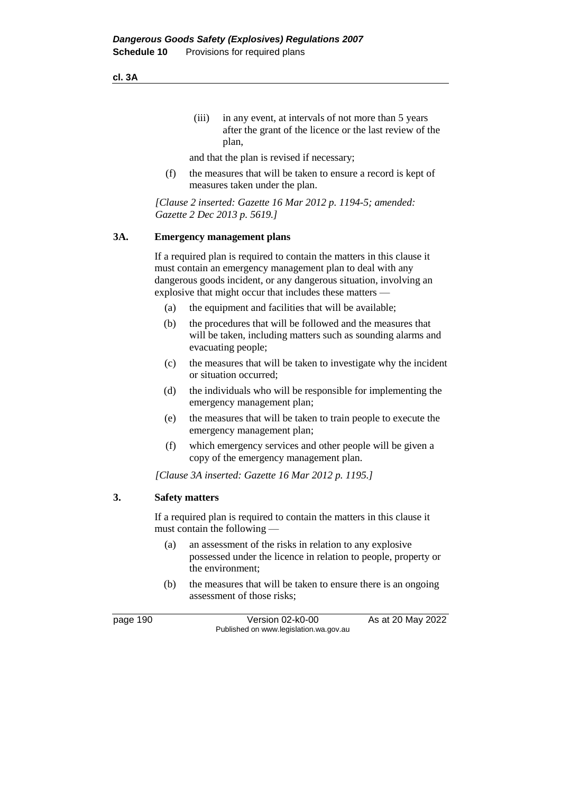(iii) in any event, at intervals of not more than 5 years after the grant of the licence or the last review of the plan,

and that the plan is revised if necessary;

(f) the measures that will be taken to ensure a record is kept of measures taken under the plan.

*[Clause 2 inserted: Gazette 16 Mar 2012 p. 1194-5; amended: Gazette 2 Dec 2013 p. 5619.]*

#### **3A. Emergency management plans**

If a required plan is required to contain the matters in this clause it must contain an emergency management plan to deal with any dangerous goods incident, or any dangerous situation, involving an explosive that might occur that includes these matters —

- (a) the equipment and facilities that will be available;
- (b) the procedures that will be followed and the measures that will be taken, including matters such as sounding alarms and evacuating people;
- (c) the measures that will be taken to investigate why the incident or situation occurred;
- (d) the individuals who will be responsible for implementing the emergency management plan;
- (e) the measures that will be taken to train people to execute the emergency management plan;
- (f) which emergency services and other people will be given a copy of the emergency management plan.

*[Clause 3A inserted: Gazette 16 Mar 2012 p. 1195.]*

#### **3. Safety matters**

If a required plan is required to contain the matters in this clause it must contain the following —

- (a) an assessment of the risks in relation to any explosive possessed under the licence in relation to people, property or the environment;
- (b) the measures that will be taken to ensure there is an ongoing assessment of those risks;

page 190 Version 02-k0-00 As at 20 May 2022 Published on www.legislation.wa.gov.au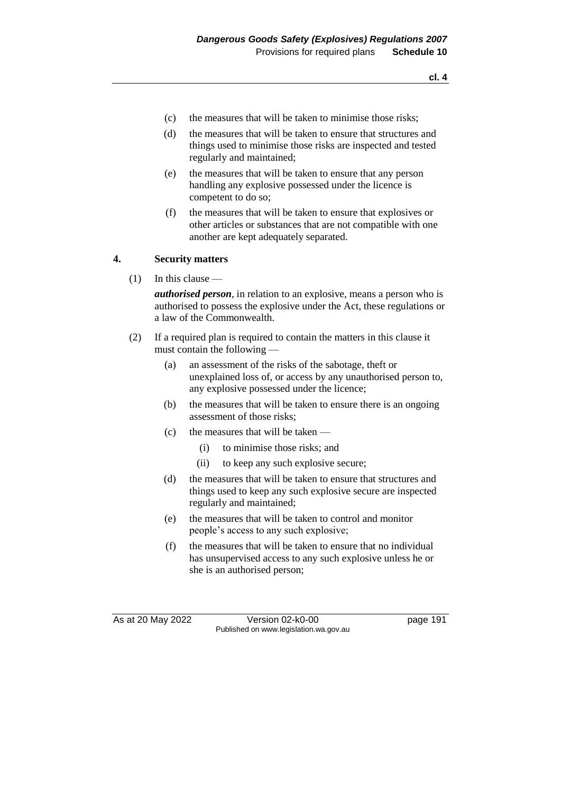- **cl. 4**
- (c) the measures that will be taken to minimise those risks;
- (d) the measures that will be taken to ensure that structures and things used to minimise those risks are inspected and tested regularly and maintained;
- (e) the measures that will be taken to ensure that any person handling any explosive possessed under the licence is competent to do so;
- (f) the measures that will be taken to ensure that explosives or other articles or substances that are not compatible with one another are kept adequately separated.

### **4. Security matters**

(1) In this clause —

*authorised person*, in relation to an explosive, means a person who is authorised to possess the explosive under the Act, these regulations or a law of the Commonwealth.

- (2) If a required plan is required to contain the matters in this clause it must contain the following —
	- (a) an assessment of the risks of the sabotage, theft or unexplained loss of, or access by any unauthorised person to, any explosive possessed under the licence;
	- (b) the measures that will be taken to ensure there is an ongoing assessment of those risks;
	- (c) the measures that will be taken
		- (i) to minimise those risks; and
		- (ii) to keep any such explosive secure;
	- (d) the measures that will be taken to ensure that structures and things used to keep any such explosive secure are inspected regularly and maintained;
	- (e) the measures that will be taken to control and monitor people's access to any such explosive;
	- (f) the measures that will be taken to ensure that no individual has unsupervised access to any such explosive unless he or she is an authorised person;

As at 20 May 2022 Version 02-k0-00 page 191 Published on www.legislation.wa.gov.au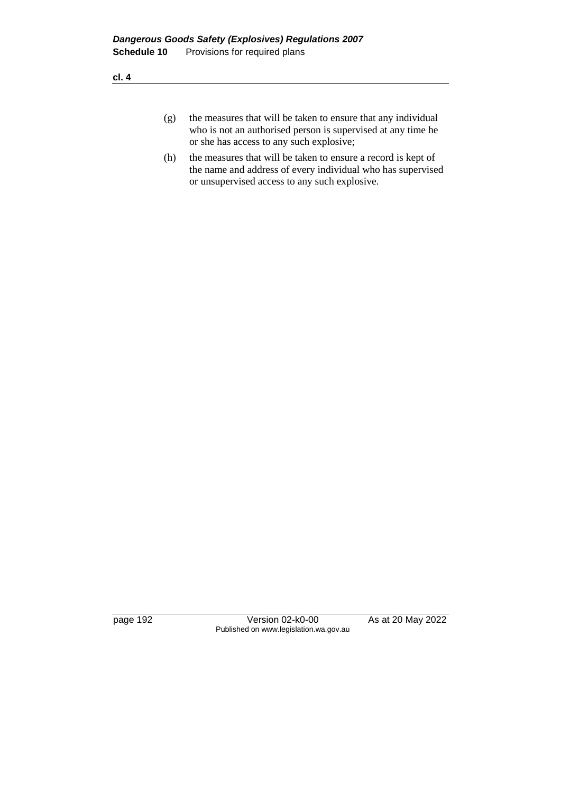- (g) the measures that will be taken to ensure that any individual who is not an authorised person is supervised at any time he or she has access to any such explosive;
- (h) the measures that will be taken to ensure a record is kept of the name and address of every individual who has supervised or unsupervised access to any such explosive.

page 192 Version 02-k0-00 As at 20 May 2022 Published on www.legislation.wa.gov.au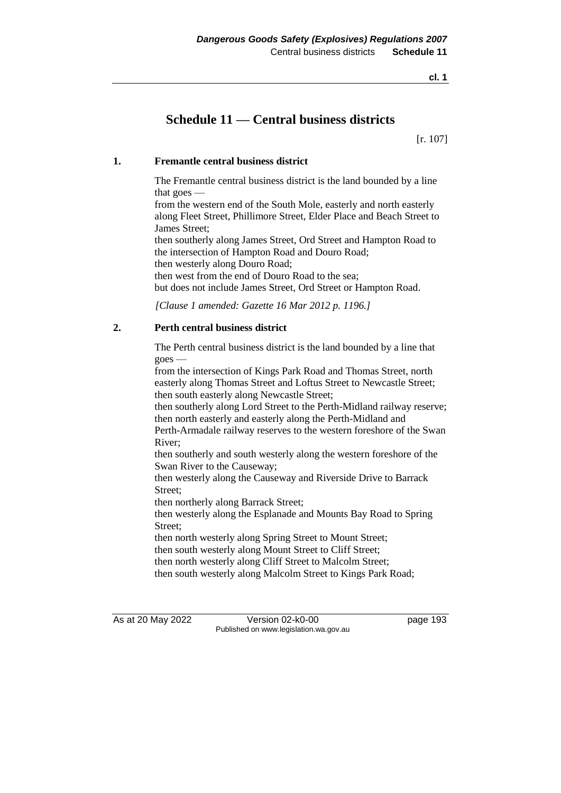# **Schedule 11 — Central business districts**

[r. 107]

# **1. Fremantle central business district**

The Fremantle central business district is the land bounded by a line that goes —

from the western end of the South Mole, easterly and north easterly along Fleet Street, Phillimore Street, Elder Place and Beach Street to James Street;

then southerly along James Street, Ord Street and Hampton Road to the intersection of Hampton Road and Douro Road; then westerly along Douro Road;

then west from the end of Douro Road to the sea; but does not include James Street, Ord Street or Hampton Road.

*[Clause 1 amended: Gazette 16 Mar 2012 p. 1196.]*

# **2. Perth central business district**

The Perth central business district is the land bounded by a line that goes —

from the intersection of Kings Park Road and Thomas Street, north easterly along Thomas Street and Loftus Street to Newcastle Street; then south easterly along Newcastle Street;

then southerly along Lord Street to the Perth-Midland railway reserve; then north easterly and easterly along the Perth-Midland and

Perth-Armadale railway reserves to the western foreshore of the Swan River;

then southerly and south westerly along the western foreshore of the Swan River to the Causeway;

then westerly along the Causeway and Riverside Drive to Barrack Street;

then northerly along Barrack Street;

then westerly along the Esplanade and Mounts Bay Road to Spring Street;

then north westerly along Spring Street to Mount Street; then south westerly along Mount Street to Cliff Street;

then north westerly along Cliff Street to Malcolm Street;

then south westerly along Malcolm Street to Kings Park Road;

As at 20 May 2022 Version 02-k0-00 page 193 Published on www.legislation.wa.gov.au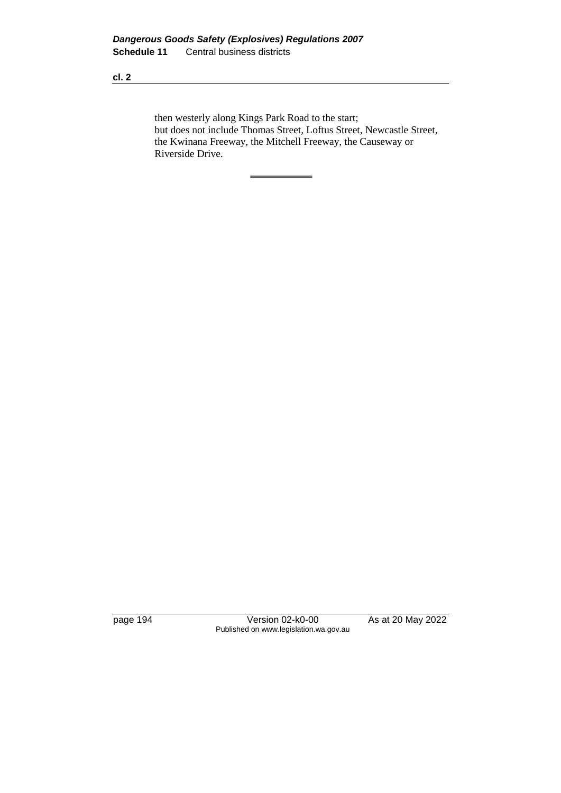then westerly along Kings Park Road to the start; but does not include Thomas Street, Loftus Street, Newcastle Street, the Kwinana Freeway, the Mitchell Freeway, the Causeway or Riverside Drive.

page 194 Version 02-k0-00 As at 20 May 2022 Published on www.legislation.wa.gov.au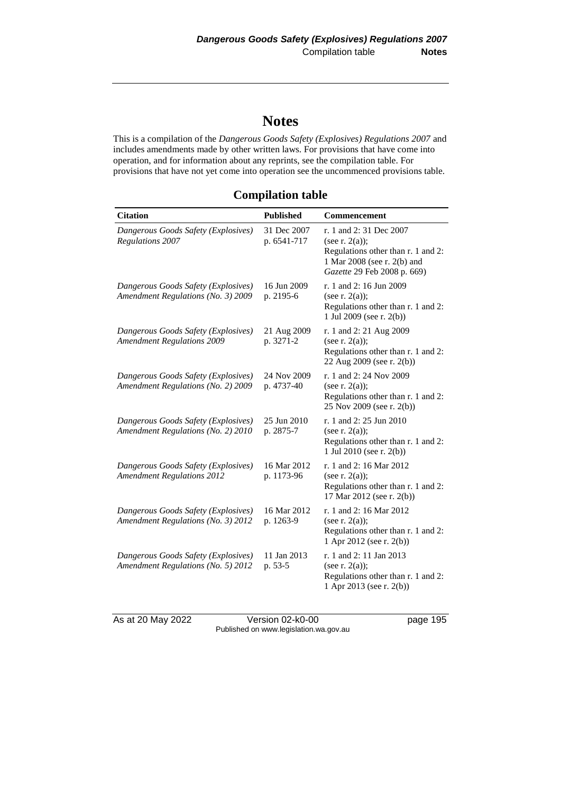# **Notes**

This is a compilation of the *Dangerous Goods Safety (Explosives) Regulations 2007* and includes amendments made by other written laws. For provisions that have come into operation, and for information about any reprints, see the compilation table. For provisions that have not yet come into operation see the uncommenced provisions table.

# **Compilation table**

| <b>Citation</b>                                                           | <b>Published</b>           | <b>Commencement</b>                                                                                                                             |
|---------------------------------------------------------------------------|----------------------------|-------------------------------------------------------------------------------------------------------------------------------------------------|
| Dangerous Goods Safety (Explosives)<br>Regulations 2007                   | 31 Dec 2007<br>p. 6541-717 | r. 1 and 2:31 Dec 2007<br>(see r. $2(a)$ );<br>Regulations other than r. 1 and 2:<br>1 Mar 2008 (see r. 2(b) and<br>Gazette 29 Feb 2008 p. 669) |
| Dangerous Goods Safety (Explosives)<br>Amendment Regulations (No. 3) 2009 | 16 Jun 2009<br>p. 2195-6   | r. 1 and 2: 16 Jun 2009<br>(see r. $2(a)$ );<br>Regulations other than r. 1 and 2:<br>1 Jul 2009 (see r. 2(b))                                  |
| Dangerous Goods Safety (Explosives)<br><b>Amendment Regulations 2009</b>  | 21 Aug 2009<br>p. 3271-2   | r. 1 and 2: 21 Aug 2009<br>(see r. $2(a)$ );<br>Regulations other than r. 1 and 2:<br>22 Aug 2009 (see r. 2(b))                                 |
| Dangerous Goods Safety (Explosives)<br>Amendment Regulations (No. 2) 2009 | 24 Nov 2009<br>p. 4737-40  | r. 1 and 2: 24 Nov 2009<br>(see r. $2(a)$ );<br>Regulations other than r. 1 and 2:<br>25 Nov 2009 (see r. 2(b))                                 |
| Dangerous Goods Safety (Explosives)<br>Amendment Regulations (No. 2) 2010 | 25 Jun 2010<br>p. 2875-7   | r. 1 and 2: 25 Jun 2010<br>(see r. $2(a)$ );<br>Regulations other than r. 1 and 2:<br>1 Jul 2010 (see r. 2(b))                                  |
| Dangerous Goods Safety (Explosives)<br><b>Amendment Regulations 2012</b>  | 16 Mar 2012<br>p. 1173-96  | r. 1 and 2: 16 Mar 2012<br>(see r. $2(a)$ );<br>Regulations other than r. 1 and 2:<br>17 Mar 2012 (see r. 2(b))                                 |
| Dangerous Goods Safety (Explosives)<br>Amendment Regulations (No. 3) 2012 | 16 Mar 2012<br>p. 1263-9   | r. 1 and 2: 16 Mar 2012<br>(see r. $2(a)$ );<br>Regulations other than r. 1 and 2:<br>1 Apr 2012 (see r. 2(b))                                  |
| Dangerous Goods Safety (Explosives)<br>Amendment Regulations (No. 5) 2012 | 11 Jan 2013<br>p. 53-5     | r. 1 and 2: 11 Jan 2013<br>(see r. $2(a)$ );<br>Regulations other than r. 1 and 2:<br>1 Apr 2013 (see r. 2(b))                                  |

As at 20 May 2022 Version 02-k0-00 Page 195 Published on www.legislation.wa.gov.au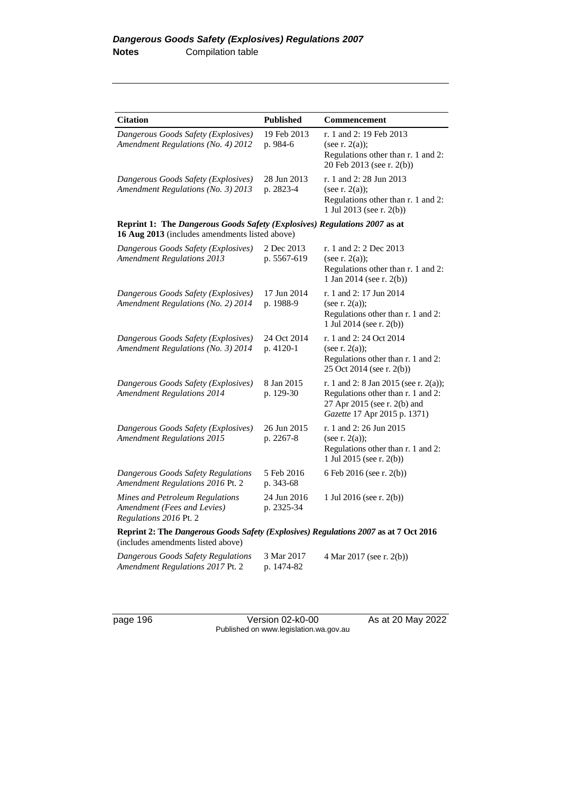| <b>Citation</b>                                                                                                             | <b>Published</b>          | Commencement                                                                                                                                |
|-----------------------------------------------------------------------------------------------------------------------------|---------------------------|---------------------------------------------------------------------------------------------------------------------------------------------|
| Dangerous Goods Safety (Explosives)<br>Amendment Regulations (No. 4) 2012                                                   | 19 Feb 2013<br>p. 984-6   | r. 1 and 2: 19 Feb 2013<br>(see r. $2(a)$ );<br>Regulations other than r. 1 and 2:<br>20 Feb 2013 (see r. 2(b))                             |
| Dangerous Goods Safety (Explosives)<br>Amendment Regulations (No. 3) 2013                                                   | 28 Jun 2013<br>p. 2823-4  | r. 1 and 2: 28 Jun 2013<br>(see r. $2(a)$ );<br>Regulations other than r. 1 and 2:<br>1 Jul 2013 (see r. 2(b))                              |
| Reprint 1: The Dangerous Goods Safety (Explosives) Regulations 2007 as at<br>16 Aug 2013 (includes amendments listed above) |                           |                                                                                                                                             |
| Dangerous Goods Safety (Explosives)<br><b>Amendment Regulations 2013</b>                                                    | 2 Dec 2013<br>p. 5567-619 | r. 1 and 2: 2 Dec 2013<br>(see r. $2(a)$ );<br>Regulations other than r. 1 and 2:<br>1 Jan 2014 (see r. 2(b))                               |
| Dangerous Goods Safety (Explosives)<br>Amendment Regulations (No. 2) 2014                                                   | 17 Jun 2014<br>p. 1988-9  | r. 1 and 2: 17 Jun 2014<br>(see r. $2(a)$ );<br>Regulations other than r. 1 and 2:<br>1 Jul 2014 (see r. 2(b))                              |
| Dangerous Goods Safety (Explosives)<br>Amendment Regulations (No. 3) 2014                                                   | 24 Oct 2014<br>p. 4120-1  | r. 1 and 2: 24 Oct 2014<br>(see r. $2(a)$ );<br>Regulations other than r. 1 and 2:<br>25 Oct 2014 (see r. 2(b))                             |
| Dangerous Goods Safety (Explosives)<br><b>Amendment Regulations 2014</b>                                                    | 8 Jan 2015<br>p. 129-30   | r. 1 and 2: 8 Jan 2015 (see r. 2(a));<br>Regulations other than r. 1 and 2:<br>27 Apr 2015 (see r. 2(b) and<br>Gazette 17 Apr 2015 p. 1371) |
| Dangerous Goods Safety (Explosives)<br><b>Amendment Regulations 2015</b>                                                    | 26 Jun 2015<br>p. 2267-8  | r. 1 and 2: 26 Jun 2015<br>(see r. $2(a)$ );<br>Regulations other than r. 1 and 2:<br>1 Jul 2015 (see r. 2(b))                              |
| Dangerous Goods Safety Regulations<br>Amendment Regulations 2016 Pt. 2                                                      | 5 Feb 2016<br>p. 343-68   | 6 Feb 2016 (see r. 2(b))                                                                                                                    |
| Mines and Petroleum Regulations<br>Amendment (Fees and Levies)<br>Regulations 2016 Pt. 2                                    | 24 Jun 2016<br>p. 2325-34 | 1 Jul 2016 (see r. 2(b))                                                                                                                    |
| Reprint 2: The Dangerous Goods Safety (Explosives) Regulations 2007 as at 7 Oct 2016<br>(includes amendments listed above)  |                           |                                                                                                                                             |
| Dangerous Goods Safety Regulations<br>Amendment Regulations 2017 Pt. 2                                                      | 3 Mar 2017<br>p. 1474-82  | 4 Mar 2017 (see r. 2(b))                                                                                                                    |

page 196 Version 02-k0-00 As at 20 May 2022 Published on www.legislation.wa.gov.au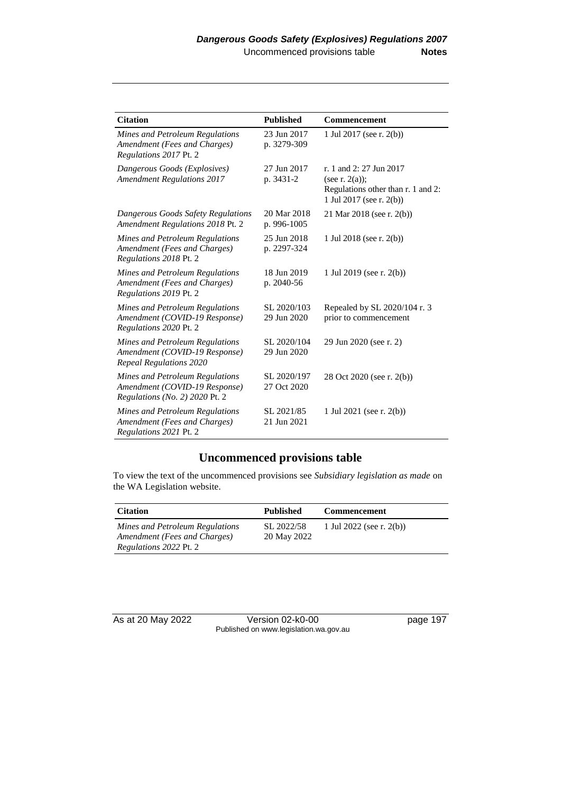| <b>Citation</b>                                                                                    | <b>Published</b>           | <b>Commencement</b>                                                                                            |
|----------------------------------------------------------------------------------------------------|----------------------------|----------------------------------------------------------------------------------------------------------------|
| Mines and Petroleum Regulations<br>Amendment (Fees and Charges)<br>Regulations 2017 Pt. 2          | 23 Jun 2017<br>p. 3279-309 | 1 Jul 2017 (see r. 2(b))                                                                                       |
| Dangerous Goods (Explosives)<br><b>Amendment Regulations 2017</b>                                  | 27 Jun 2017<br>p. 3431-2   | r. 1 and 2: 27 Jun 2017<br>(see r. $2(a)$ );<br>Regulations other than r. 1 and 2:<br>1 Jul 2017 (see r. 2(b)) |
| Dangerous Goods Safety Regulations<br>Amendment Regulations 2018 Pt. 2                             | 20 Mar 2018<br>p. 996-1005 | 21 Mar 2018 (see r. 2(b))                                                                                      |
| Mines and Petroleum Regulations<br>Amendment (Fees and Charges)<br>Regulations 2018 Pt. 2          | 25 Jun 2018<br>p. 2297-324 | 1 Jul 2018 (see r. 2(b))                                                                                       |
| Mines and Petroleum Regulations<br>Amendment (Fees and Charges)<br>Regulations 2019 Pt. 2          | 18 Jun 2019<br>p. 2040-56  | 1 Jul 2019 (see r. 2(b))                                                                                       |
| Mines and Petroleum Regulations<br>Amendment (COVID-19 Response)<br>Regulations 2020 Pt. 2         | SL 2020/103<br>29 Jun 2020 | Repealed by SL 2020/104 r. 3<br>prior to commencement                                                          |
| Mines and Petroleum Regulations<br>Amendment (COVID-19 Response)<br>Repeal Regulations 2020        | SL 2020/104<br>29 Jun 2020 | 29 Jun 2020 (see r. 2)                                                                                         |
| Mines and Petroleum Regulations<br>Amendment (COVID-19 Response)<br>Regulations (No. 2) 2020 Pt. 2 | SL 2020/197<br>27 Oct 2020 | 28 Oct 2020 (see r. 2(b))                                                                                      |
| Mines and Petroleum Regulations<br>Amendment (Fees and Charges)<br>Regulations 2021 Pt. 2          | SL 2021/85<br>21 Jun 2021  | 1 Jul 2021 (see r. 2(b))                                                                                       |

# **Uncommenced provisions table**

To view the text of the uncommenced provisions see *Subsidiary legislation as made* on the WA Legislation website.

| <b>Citation</b>                                                                                  | <b>Published</b>          | <b>Commencement</b>      |
|--------------------------------------------------------------------------------------------------|---------------------------|--------------------------|
| Mines and Petroleum Regulations<br>Amendment (Fees and Charges)<br><i>Regulations 2022 Pt. 2</i> | SL 2022/58<br>20 May 2022 | 1 Jul 2022 (see r. 2(b)) |

As at 20 May 2022 Version 02-k0-00 page 197 Published on www.legislation.wa.gov.au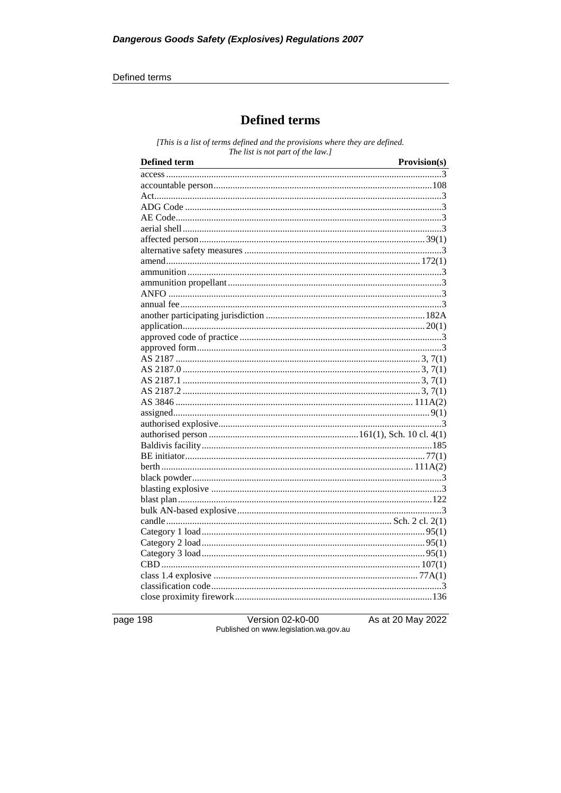#### Defined terms

# **Defined terms**

[This is a list of terms defined and the provisions where they are defined. The list is not part of the law.]

| <b>Defined term</b> | Provision(s) |
|---------------------|--------------|
|                     |              |
|                     |              |
|                     |              |
|                     |              |
|                     |              |
|                     |              |
|                     |              |
|                     |              |
|                     |              |
|                     |              |
|                     |              |
|                     |              |
|                     |              |
|                     |              |
|                     |              |
|                     |              |
|                     |              |
|                     |              |
|                     |              |
|                     |              |
|                     |              |
|                     |              |
|                     |              |
|                     |              |
|                     |              |
|                     |              |
|                     |              |
|                     |              |
|                     |              |
|                     |              |
|                     |              |
|                     |              |
|                     |              |
|                     |              |
|                     |              |
|                     |              |
|                     |              |
|                     |              |
|                     |              |
|                     |              |
|                     |              |

page 198

Version 02-k0-00 Published on www.legislation.wa.gov.au As at 20 May 2022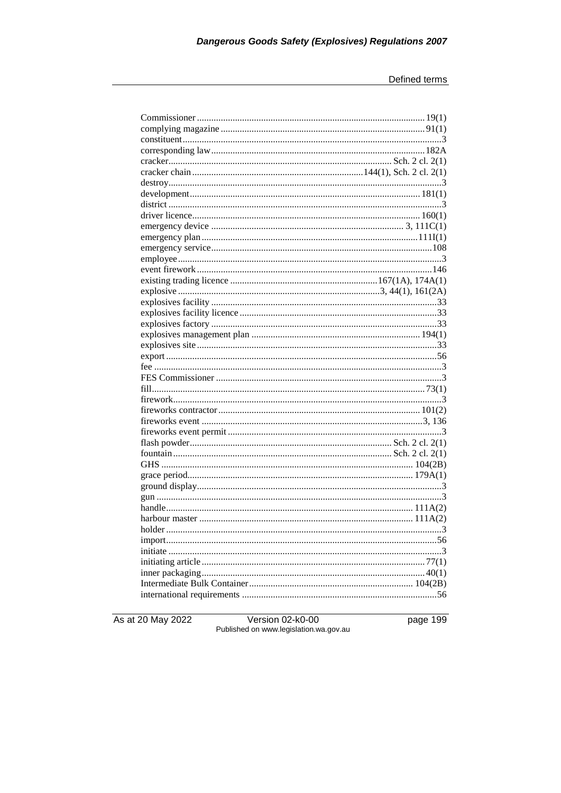As at 20 May 2022

Version 02-k0-00<br>Published on www.legislation.wa.gov.au

page 199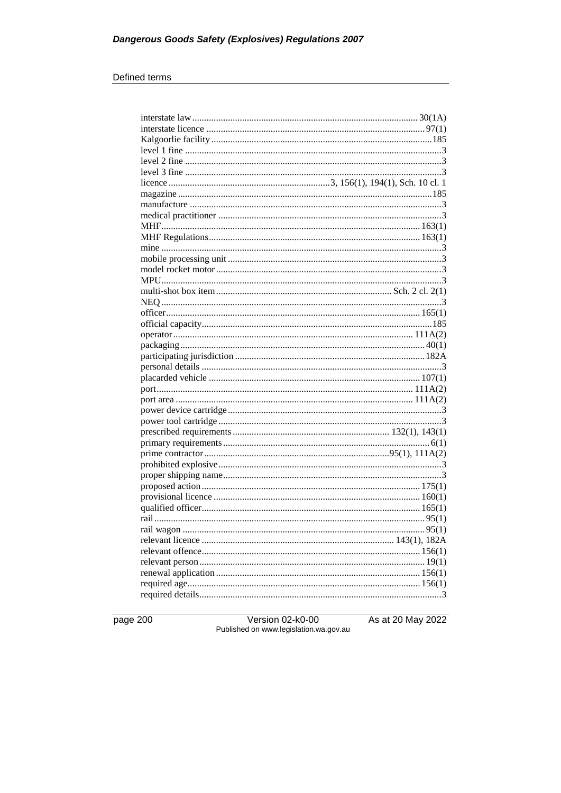#### Defined terms

page 200

Version 02-k0-00<br>Published on www.legislation.wa.gov.au

As at 20 May 2022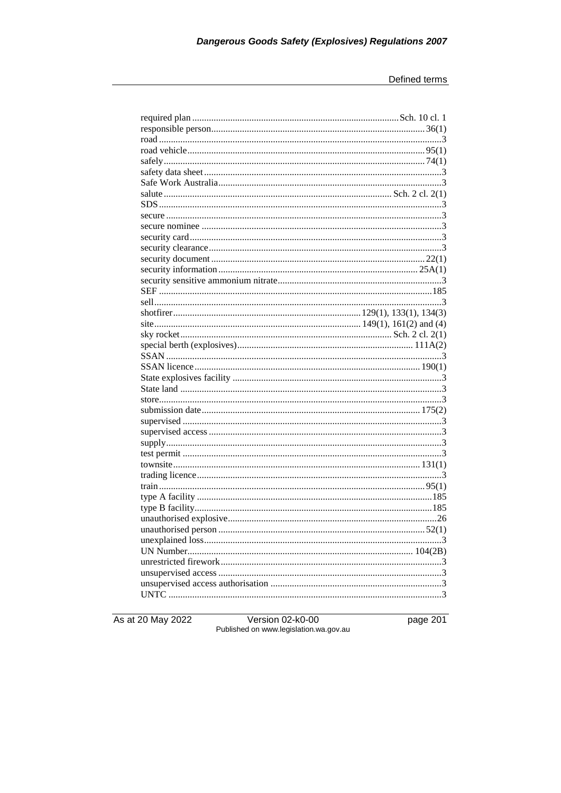As at 20 May 2022

Version 02-k0-00<br>Published on www.legislation.wa.gov.au

page 201